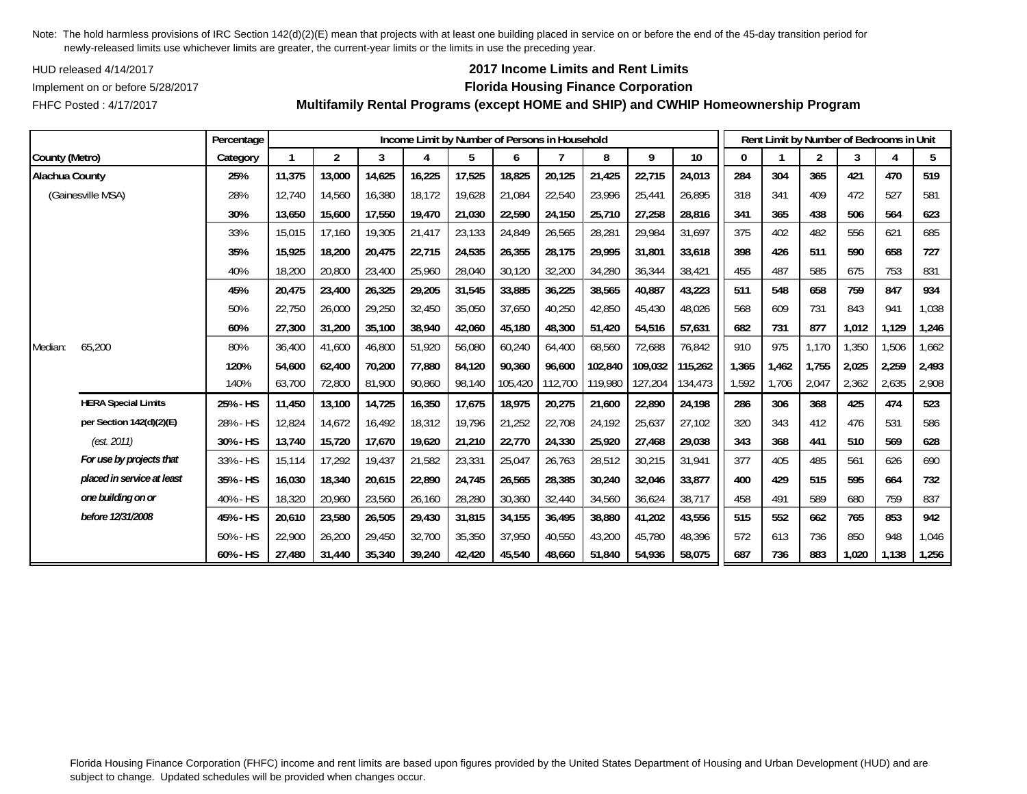HUD released 4/14/2017

## **2017 Income Limits and Rent Limits**

## Implement on or before 5/28/2017 **Florida Housing Finance Corporation**

FHFC Posted : 4/17/2017

|                |                            | Percentage |        |                |        |        | Income Limit by Number of Persons in Household |         |         |         |         |         |       | Rent Limit by Number of Bedrooms in Unit |                |       |       |       |
|----------------|----------------------------|------------|--------|----------------|--------|--------|------------------------------------------------|---------|---------|---------|---------|---------|-------|------------------------------------------|----------------|-------|-------|-------|
| County (Metro) |                            | Category   |        | $\overline{2}$ | 3      | 4      | 5                                              | 6       |         | 8       | 9       | 10      | 0     |                                          | $\overline{2}$ | 3     | 4     | 5     |
| Alachua County |                            | 25%        | 11,375 | 13,000         | 14,625 | 16,225 | 17,525                                         | 18,825  | 20,125  | 21,425  | 22,715  | 24,013  | 284   | 304                                      | 365            | 421   | 470   | 519   |
|                | (Gainesville MSA)          | 28%        | 12,740 | 14,560         | 16,380 | 18,172 | 19,628                                         | 21,084  | 22,540  | 23,996  | 25,441  | 26,895  | 318   | 341                                      | 409            | 472   | 527   | 581   |
|                |                            | 30%        | 13,650 | 15,600         | 17,550 | 19,470 | 21,030                                         | 22,590  | 24,150  | 25,710  | 27,258  | 28,816  | 341   | 365                                      | 438            | 506   | 564   | 623   |
|                |                            | 33%        | 15,015 | 17.160         | 19,305 | 21,417 | 23,133                                         | 24,849  | 26,565  | 28,281  | 29,984  | 31,697  | 375   | 402                                      | 482            | 556   | 621   | 685   |
|                |                            | 35%        | 15,925 | 18,200         | 20,475 | 22,715 | 24,535                                         | 26,355  | 28,175  | 29.995  | 31,801  | 33,618  | 398   | 426                                      | 511            | 590   | 658   | 727   |
|                |                            | 40%        | 18,200 | 20,800         | 23,400 | 25,960 | 28,040                                         | 30,120  | 32,200  | 34,280  | 36,344  | 38,421  | 455   | 487                                      | 585            | 675   | 753   | 831   |
|                |                            | 45%        | 20.475 | 23,400         | 26,325 | 29,205 | 31,545                                         | 33,885  | 36,225  | 38.565  | 40,887  | 43,223  | 511   | 548                                      | 658            | 759   | 847   | 934   |
|                |                            | 50%        | 22,750 | 26,000         | 29,250 | 32,450 | 35,050                                         | 37,650  | 40,250  | 42,850  | 45,430  | 48,026  | 568   | 609                                      | 731            | 843   | 941   | 1,038 |
|                |                            | 60%        | 27,300 | 31,200         | 35,100 | 38,940 | 42,060                                         | 45,180  | 48,300  | 51,420  | 54,516  | 57,631  | 682   | 731                                      | 877            | 1,012 | 1,129 | 1,246 |
| Median:        | 65,200                     | 80%        | 36,400 | 41,600         | 46,800 | 51,920 | 56,080                                         | 60,240  | 64,400  | 68,560  | 72,688  | 76,842  | 910   | 975                                      | 1,170          | 1,350 | 1,506 | 1,662 |
|                |                            | 120%       | 54,600 | 62,400         | 70,200 | 77,880 | 84,120                                         | 90,360  | 96,600  | 102,840 | 109,032 | 115,262 | 1,365 | 1,462                                    | 1,755          | 2,025 | 2,259 | 2,493 |
|                |                            | 140%       | 63,700 | 72,800         | 81,900 | 90,860 | 98,140                                         | 105,420 | 112,700 | 119,980 | 127,204 | 134,473 | 1,592 | 1,706                                    | 2,047          | 2,362 | 2,635 | 2,908 |
|                | <b>HERA Special Limits</b> | 25% - HS   | 11,450 | 13,100         | 14,725 | 16,350 | 17,675                                         | 18,975  | 20,275  | 21,600  | 22,890  | 24,198  | 286   | 306                                      | 368            | 425   | 474   | 523   |
|                | per Section 142(d)(2)(E)   | 28% - HS   | 12,824 | 14,672         | 16,492 | 18,312 | 19,796                                         | 21,252  | 22,708  | 24,192  | 25,637  | 27,102  | 320   | 343                                      | 412            | 476   | 531   | 586   |
|                | (est. 2011)                | 30% - HS   | 13,740 | 15,720         | 17,670 | 19,620 | 21,210                                         | 22,770  | 24,330  | 25,920  | 27,468  | 29,038  | 343   | 368                                      | 441            | 510   | 569   | 628   |
|                | For use by projects that   | 33% - HS   | 15,114 | 17,292         | 19,437 | 21,582 | 23,331                                         | 25,047  | 26,763  | 28,512  | 30,215  | 31,941  | 377   | 405                                      | 485            | 561   | 626   | 690   |
|                | placed in service at least | 35% - HS   | 16.030 | 18,340         | 20,615 | 22,890 | 24,745                                         | 26,565  | 28.385  | 30.240  | 32,046  | 33,877  | 400   | 429                                      | 515            | 595   | 664   | 732   |
|                | one building on or         | 40% - HS   | 18,320 | 20,960         | 23,560 | 26,160 | 28,280                                         | 30,360  | 32,440  | 34,560  | 36,624  | 38,717  | 458   | 491                                      | 589            | 680   | 759   | 837   |
|                | before 12/31/2008          | 45% - HS   | 20,610 | 23,580         | 26,505 | 29,430 | 31,815                                         | 34,155  | 36,495  | 38,880  | 41,202  | 43,556  | 515   | 552                                      | 662            | 765   | 853   | 942   |
|                |                            | 50% - HS   | 22,900 | 26,200         | 29,450 | 32,700 | 35,350                                         | 37,950  | 40,550  | 43,200  | 45,780  | 48,396  | 572   | 613                                      | 736            | 850   | 948   | 1,046 |
|                |                            | 60% - HS   | 27,480 | 31,440         | 35,340 | 39,240 | 42,420                                         | 45,540  | 48,660  | 51,840  | 54,936  | 58,075  | 687   | 736                                      | 883            | 1,020 | 1,138 | 1,256 |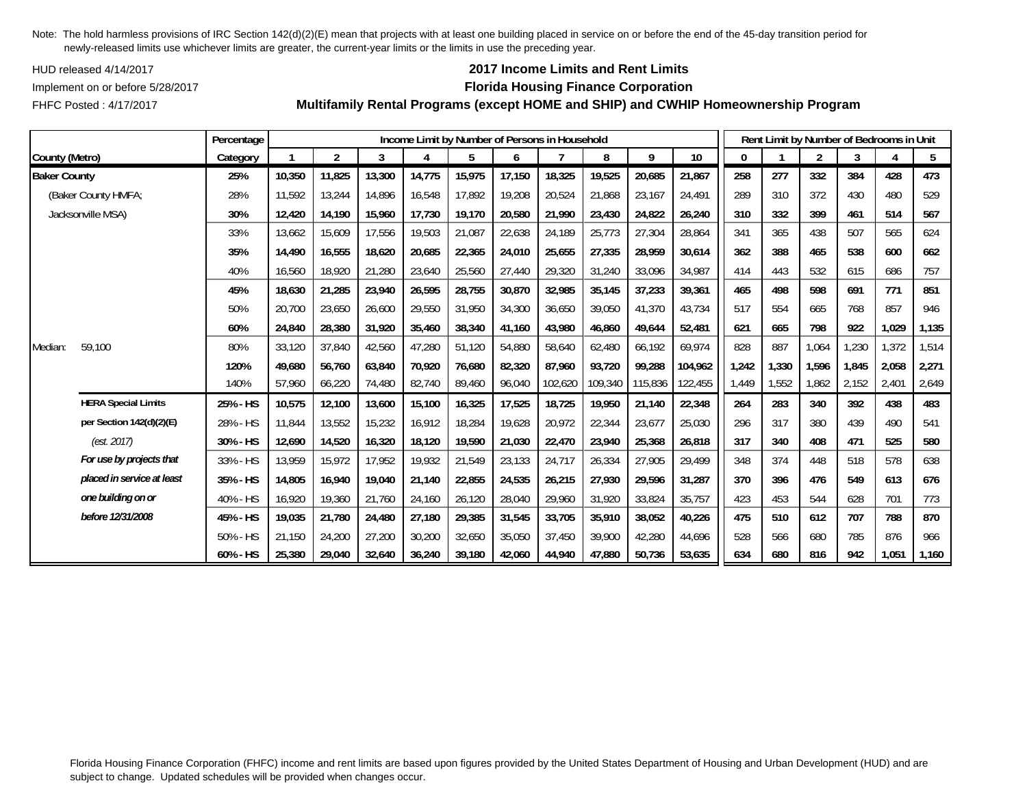HUD released 4/14/2017

FHFC Posted : 4/17/2017

## **2017 Income Limits and Rent Limits**

### Implement on or before 5/28/2017 **Florida Housing Finance Corporation**

**Multifamily Rental Programs (except HOME and SHIP) and CWHIP Homeownership Program**

|                     |                            | Percentage |        |                |        |        |        |        | Income Limit by Number of Persons in Household |         |         |         |              | Rent Limit by Number of Bedrooms in Unit |                |       |       |       |
|---------------------|----------------------------|------------|--------|----------------|--------|--------|--------|--------|------------------------------------------------|---------|---------|---------|--------------|------------------------------------------|----------------|-------|-------|-------|
| County (Metro)      |                            | Category   |        | $\overline{2}$ | 3      |        | 5      | 6      |                                                | 8       | 9       | 10      | $\mathbf{0}$ |                                          | $\overline{2}$ | 3     |       | 5     |
| <b>Baker County</b> |                            | 25%        | 10,350 | 11,825         | 13,300 | 14,775 | 15,975 | 17,150 | 18,325                                         | 19,525  | 20,685  | 21,867  | 258          | 277                                      | 332            | 384   | 428   | 473   |
|                     | (Baker County HMFA;        | 28%        | 11,592 | 13,244         | 14,896 | 16,548 | 17,892 | 19,208 | 20,524                                         | 21,868  | 23,167  | 24,491  | 289          | 310                                      | 372            | 430   | 480   | 529   |
|                     | Jacksonville MSA)          | 30%        | 12,420 | 14,190         | 15,960 | 17,730 | 19,170 | 20,580 | 21,990                                         | 23,430  | 24,822  | 26,240  | 310          | 332                                      | 399            | 461   | 514   | 567   |
|                     |                            | 33%        | 13,662 | 15,609         | 17,556 | 19,503 | 21,087 | 22,638 | 24,189                                         | 25,773  | 27,304  | 28,864  | 341          | 365                                      | 438            | 507   | 565   | 624   |
|                     |                            | 35%        | 14,490 | 16,555         | 18,620 | 20,685 | 22,365 | 24,010 | 25,655                                         | 27,335  | 28,959  | 30,614  | 362          | 388                                      | 465            | 538   | 600   | 662   |
|                     |                            | 40%        | 16,560 | 18,920         | 21,280 | 23,640 | 25,560 | 27,440 | 29,320                                         | 31,240  | 33,096  | 34,987  | 414          | 443                                      | 532            | 615   | 686   | 757   |
|                     |                            | 45%        | 18,630 | 21,285         | 23,940 | 26,595 | 28,755 | 30,870 | 32,985                                         | 35,145  | 37,233  | 39,361  | 465          | 498                                      | 598            | 691   | 771   | 851   |
|                     |                            | 50%        | 20,700 | 23,650         | 26,600 | 29,550 | 31,950 | 34,300 | 36,650                                         | 39,050  | 41,370  | 43,734  | 517          | 554                                      | 665            | 768   | 857   | 946   |
|                     |                            | 60%        | 24,840 | 28,380         | 31,920 | 35,460 | 38,340 | 41,160 | 43.980                                         | 46,860  | 49,644  | 52,481  | 621          | 665                                      | 798            | 922   | 1,029 | 1,135 |
| Median:             | 59,100                     | 80%        | 33,120 | 37,840         | 42,560 | 47,280 | 51,120 | 54,880 | 58,640                                         | 62,480  | 66,192  | 69,974  | 828          | 887                                      | 1,064          | 1,230 | 1,372 | 1,514 |
|                     |                            | 120%       | 49,680 | 56,760         | 63,840 | 70,920 | 76,680 | 82,320 | 87,960                                         | 93,720  | 99,288  | 104,962 | 1,242        | 1,330                                    | 1,596          | 1,845 | 2,058 | 2,271 |
|                     |                            | 140%       | 57,960 | 66,220         | 74,480 | 82,740 | 89,460 | 96,040 | 102,620                                        | 109,340 | 115,836 | 122,455 | 1,449        | 1,552                                    | 1,862          | 2,152 | 2,401 | 2,649 |
|                     | <b>HERA Special Limits</b> | 25% - HS   | 10,575 | 12,100         | 13,600 | 15,100 | 16,325 | 17,525 | 18,725                                         | 19,950  | 21,140  | 22,348  | 264          | 283                                      | 340            | 392   | 438   | 483   |
|                     | per Section 142(d)(2)(E)   | 28% - HS   | 11,844 | 13,552         | 15,232 | 16,912 | 18,284 | 19,628 | 20,972                                         | 22,344  | 23,677  | 25,030  | 296          | 317                                      | 380            | 439   | 490   | 541   |
|                     | (est. 2017)                | 30% - HS   | 12,690 | 14,520         | 16,320 | 18,120 | 19,590 | 21,030 | 22,470                                         | 23,940  | 25,368  | 26,818  | 317          | 340                                      | 408            | 471   | 525   | 580   |
|                     | For use by projects that   | 33% - HS   | 13,959 | 15,972         | 17,952 | 19,932 | 21,549 | 23,133 | 24,717                                         | 26,334  | 27,905  | 29,499  | 348          | 374                                      | 448            | 518   | 578   | 638   |
|                     | placed in service at least | 35% - HS   | 14,805 | 16,940         | 19,040 | 21,140 | 22,855 | 24,535 | 26,215                                         | 27,930  | 29,596  | 31,287  | 370          | 396                                      | 476            | 549   | 613   | 676   |
|                     | one building on or         | 40% - HS   | 16,920 | 19,360         | 21,760 | 24,160 | 26,120 | 28,040 | 29,960                                         | 31,920  | 33,824  | 35,757  | 423          | 453                                      | 544            | 628   | 701   | 773   |
|                     | before 12/31/2008          | 45% - HS   | 19,035 | 21,780         | 24,480 | 27,180 | 29,385 | 31,545 | 33,705                                         | 35,910  | 38,052  | 40,226  | 475          | 510                                      | 612            | 707   | 788   | 870   |
|                     |                            | 50% - HS   | 21,150 | 24,200         | 27,200 | 30,200 | 32,650 | 35,050 | 37,450                                         | 39.900  | 42,280  | 44,696  | 528          | 566                                      | 680            | 785   | 876   | 966   |
|                     |                            | 60% - HS   | 25,380 | 29,040         | 32,640 | 36,240 | 39,180 | 42,060 | 44,940                                         | 47,880  | 50,736  | 53,635  | 634          | 680                                      | 816            | 942   | 1,051 | 1,160 |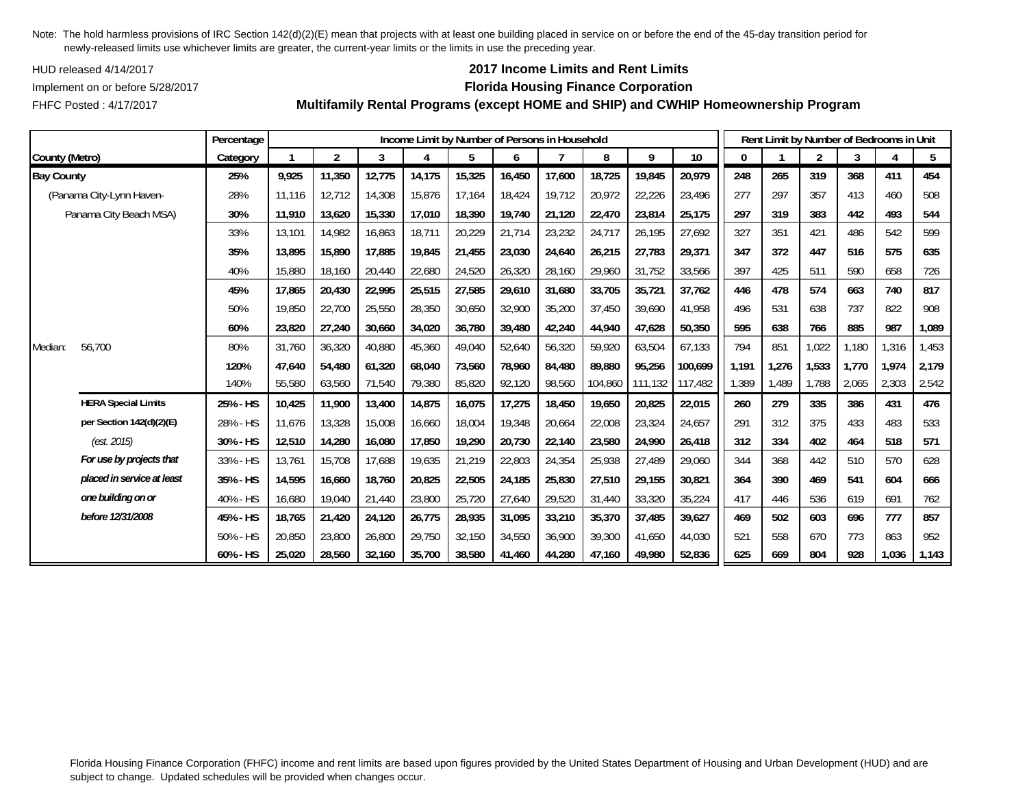HUD released 4/14/2017

FHFC Posted : 4/17/2017

## **2017 Income Limits and Rent Limits**

### Implement on or before 5/28/2017 **Florida Housing Finance Corporation**

**Multifamily Rental Programs (except HOME and SHIP) and CWHIP Homeownership Program**

|                   |                            | Percentage |        |                |        | Income Limit by Number of Persons in Household |        |        |        |         |         |         |       |       | Rent Limit by Number of Bedrooms in Unit |       |       |       |
|-------------------|----------------------------|------------|--------|----------------|--------|------------------------------------------------|--------|--------|--------|---------|---------|---------|-------|-------|------------------------------------------|-------|-------|-------|
| County (Metro)    |                            | Category   |        | $\overline{2}$ | 3      | 4                                              | 5      | 6      |        | 8       | 9       | 10      | 0     |       | $\overline{2}$                           | 3     |       | 5     |
| <b>Bay County</b> |                            | 25%        | 9,925  | 11,350         | 12,775 | 14,175                                         | 15,325 | 16,450 | 17,600 | 18,725  | 19,845  | 20,979  | 248   | 265   | 319                                      | 368   | 411   | 454   |
|                   | (Panama City-Lynn Haven-   | 28%        | 11,116 | 12,712         | 14,308 | 15,876                                         | 17,164 | 18,424 | 19,712 | 20,972  | 22,226  | 23,496  | 277   | 297   | 357                                      | 413   | 460   | 508   |
|                   | Panama City Beach MSA)     | 30%        | 11,910 | 13,620         | 15,330 | 17,010                                         | 18,390 | 19,740 | 21,120 | 22,470  | 23,814  | 25,175  | 297   | 319   | 383                                      | 442   | 493   | 544   |
|                   |                            | 33%        | 13,101 | 14,982         | 16,863 | 18,711                                         | 20,229 | 21,714 | 23,232 | 24,717  | 26,195  | 27,692  | 327   | 351   | 421                                      | 486   | 542   | 599   |
|                   |                            | 35%        | 13,895 | 15,890         | 17,885 | 19,845                                         | 21,455 | 23,030 | 24,640 | 26,215  | 27,783  | 29,371  | 347   | 372   | 447                                      | 516   | 575   | 635   |
|                   |                            | 40%        | 15,880 | 18,160         | 20,440 | 22,680                                         | 24,520 | 26,320 | 28,160 | 29,960  | 31,752  | 33,566  | 397   | 425   | 511                                      | 590   | 658   | 726   |
|                   |                            | 45%        | 17,865 | 20,430         | 22,995 | 25,515                                         | 27,585 | 29,610 | 31,680 | 33,705  | 35,721  | 37,762  | 446   | 478   | 574                                      | 663   | 740   | 817   |
|                   |                            | 50%        | 19,850 | 22,700         | 25,550 | 28,350                                         | 30,650 | 32,900 | 35,200 | 37,450  | 39,690  | 41.958  | 496   | 531   | 638                                      | 737   | 822   | 908   |
|                   |                            | 60%        | 23,820 | 27,240         | 30,660 | 34,020                                         | 36,780 | 39,480 | 42,240 | 44,940  | 47,628  | 50,350  | 595   | 638   | 766                                      | 885   | 987   | 1,089 |
| Median:           | 56,700                     | 80%        | 31,760 | 36,320         | 40,880 | 45,360                                         | 49,040 | 52,640 | 56,320 | 59,920  | 63,504  | 67,133  | 794   | 851   | 1,022                                    | 1,180 | 1,316 | 1,453 |
|                   |                            | 120%       | 47,640 | 54,480         | 61,320 | 68,040                                         | 73,560 | 78,960 | 84,480 | 89,880  | 95,256  | 100,699 | 1,191 | 1,276 | 1,533                                    | 1.770 | 1,974 | 2,179 |
|                   |                            | 140%       | 55,580 | 63,560         | 71,540 | 79,380                                         | 85,820 | 92,120 | 98,560 | 104,860 | 111,132 | 117,482 | 1,389 | 1,489 | 1,788                                    | 2,065 | 2,303 | 2,542 |
|                   | <b>HERA Special Limits</b> | 25% - HS   | 10,425 | 11,900         | 13,400 | 14,875                                         | 16,075 | 17,275 | 18,450 | 19,650  | 20,825  | 22,015  | 260   | 279   | 335                                      | 386   | 431   | 476   |
|                   | per Section 142(d)(2)(E)   | 28% - HS   | 11,676 | 13,328         | 15,008 | 16,660                                         | 18,004 | 19,348 | 20,664 | 22,008  | 23,324  | 24,657  | 291   | 312   | 375                                      | 433   | 483   | 533   |
|                   | (est. 2015)                | 30% - HS   | 12,510 | 14,280         | 16,080 | 17,850                                         | 19,290 | 20,730 | 22,140 | 23,580  | 24,990  | 26,418  | 312   | 334   | 402                                      | 464   | 518   | 571   |
|                   | For use by projects that   | 33% - HS   | 13,761 | 15,708         | 17,688 | 19,635                                         | 21,219 | 22,803 | 24,354 | 25,938  | 27,489  | 29,060  | 344   | 368   | 442                                      | 510   | 570   | 628   |
|                   | placed in service at least | 35% - HS   | 14,595 | 16,660         | 18,760 | 20,825                                         | 22,505 | 24,185 | 25,830 | 27,510  | 29,155  | 30,821  | 364   | 390   | 469                                      | 541   | 604   | 666   |
|                   | one building on or         | 40% - HS   | 16,680 | 19,040         | 21,440 | 23,800                                         | 25,720 | 27,640 | 29,520 | 31,440  | 33,320  | 35,224  | 417   | 446   | 536                                      | 619   | 691   | 762   |
|                   | before 12/31/2008          | 45% - HS   | 18,765 | 21,420         | 24,120 | 26,775                                         | 28,935 | 31,095 | 33,210 | 35,370  | 37,485  | 39,627  | 469   | 502   | 603                                      | 696   | 777   | 857   |
|                   |                            | 50% - HS   | 20,850 | 23,800         | 26,800 | 29,750                                         | 32,150 | 34,550 | 36,900 | 39,300  | 41,650  | 44,030  | 521   | 558   | 670                                      | 773   | 863   | 952   |
|                   |                            | 60% - HS   | 25,020 | 28,560         | 32,160 | 35,700                                         | 38,580 | 41,460 | 44,280 | 47,160  | 49,980  | 52,836  | 625   | 669   | 804                                      | 928   | 1,036 | 1,143 |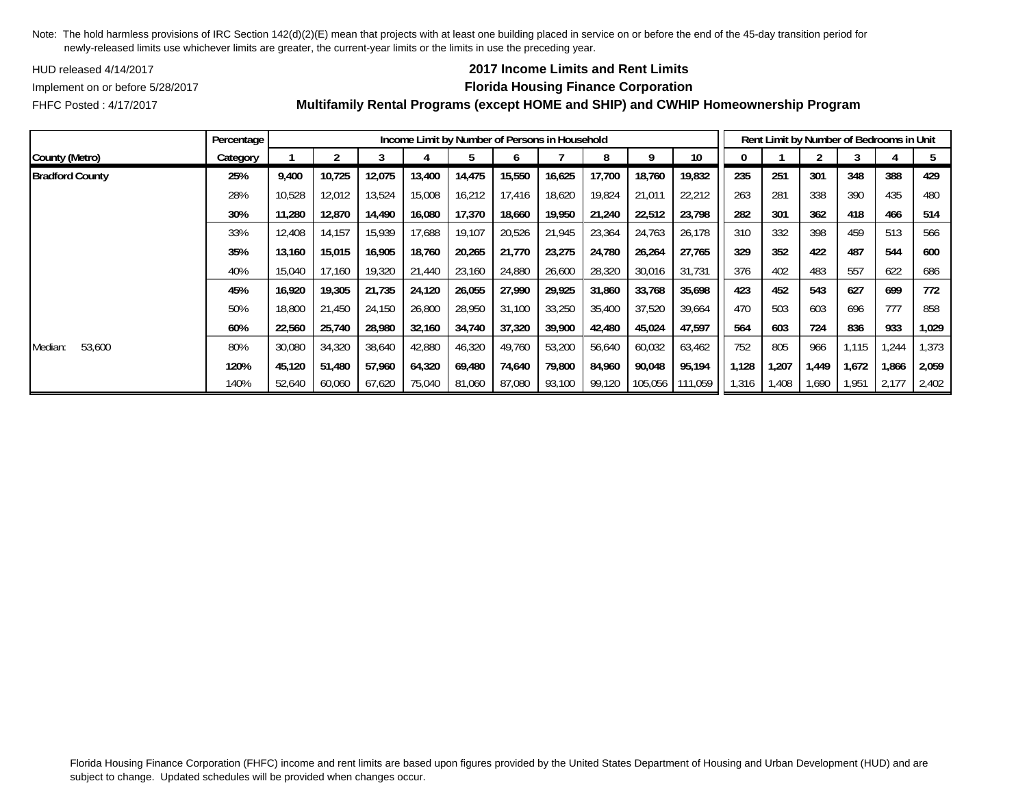HUD released 4/14/2017

## **2017 Income Limits and Rent Limits**

FHFC Posted : 4/17/2017

## Implement on or before 5/28/2017 **Florida Housing Finance Corporation**

|                        | Percentage |        |        |        |        | Income Limit by Number of Persons in Household |        |        |        |         |         |       |       | Rent Limit by Number of Bedrooms in Unit |       |       |       |
|------------------------|------------|--------|--------|--------|--------|------------------------------------------------|--------|--------|--------|---------|---------|-------|-------|------------------------------------------|-------|-------|-------|
| County (Metro)         | Category   |        |        |        |        |                                                |        |        |        |         | 10      |       |       |                                          |       |       |       |
| <b>Bradford County</b> | 25%        | 9,400  | 10,725 | 12,075 | 13,400 | 14,475                                         | 15,550 | 16,625 | 17,700 | 18,760  | 19,832  | 235   | 251   | 301                                      | 348   | 388   | 429   |
|                        | 28%        | 10,528 | 12,012 | 13,524 | 15,008 | 16,212                                         | 17.416 | 18,620 | 19,824 | 21,011  | 22,212  | 263   | 281   | 338                                      | 390   | 435   | 480   |
|                        | 30%        | 11,280 | 12,870 | 14,490 | 16.080 | 17,370                                         | 18,660 | 19,950 | 21,240 | 22,512  | 23,798  | 282   | 301   | 362                                      | 418   | 466   | 514   |
|                        | 33%        | 12,408 | 14,157 | 15,939 | 17,688 | 19,107                                         | 20,526 | 21,945 | 23,364 | 24,763  | 26,178  | 310   | 332   | 398                                      | 459   | 513   | 566   |
|                        | 35%        | 13,160 | 15,015 | 16,905 | 18,760 | 20,265                                         | 21,770 | 23,275 | 24,780 | 26,264  | 27,765  | 329   | 352   | 422                                      | 487   | 544   | 600   |
|                        | 40%        | 15,040 | 17,160 | 19,320 | 21,440 | 23,160                                         | 24,880 | 26,600 | 28,320 | 30,016  | 31,731  | 376   | 402   | 483                                      | 557   | 622   | 686   |
|                        | 45%        | 16,920 | 19,305 | 21,735 | 24,120 | 26,055                                         | 27,990 | 29,925 | 31,860 | 33,768  | 35,698  | 423   | 452   | 543                                      | 627   | 699   | 772   |
|                        | 50%        | 18,800 | 21,450 | 24,150 | 26,800 | 28,950                                         | 31,100 | 33,250 | 35,400 | 37,520  | 39,664  | 470   | 503   | 603                                      | 696   | 777   | 858   |
|                        | 60%        | 22,560 | 25,740 | 28,980 | 32,160 | 34,740                                         | 37,320 | 39,900 | 42,480 | 45,024  | 47,597  | 564   | 603   | 724                                      | 836   | 933   | 1,029 |
| 53,600<br>Median:      | 80%        | 30,080 | 34,320 | 38,640 | 42,880 | 46,320                                         | 49,760 | 53,200 | 56,640 | 60,032  | 63,462  | 752   | 805   | 966                                      | 1,115 | 1,244 | 1,373 |
|                        | 120%       | 45,120 | 51,480 | 57,960 | 64,320 | 69,480                                         | 74,640 | 79,800 | 84,960 | 90,048  | 95,194  | 1,128 | 1,207 | 1,449                                    | 1,672 | 1,866 | 2,059 |
|                        | 140%       | 52,640 | 60,060 | 67,620 | 75,040 | 81,060                                         | 87,080 | 93,100 | 99,120 | 105,056 | 111,059 | 1,316 | 1,408 | 1,690                                    | 1,951 | 2,177 | 2,402 |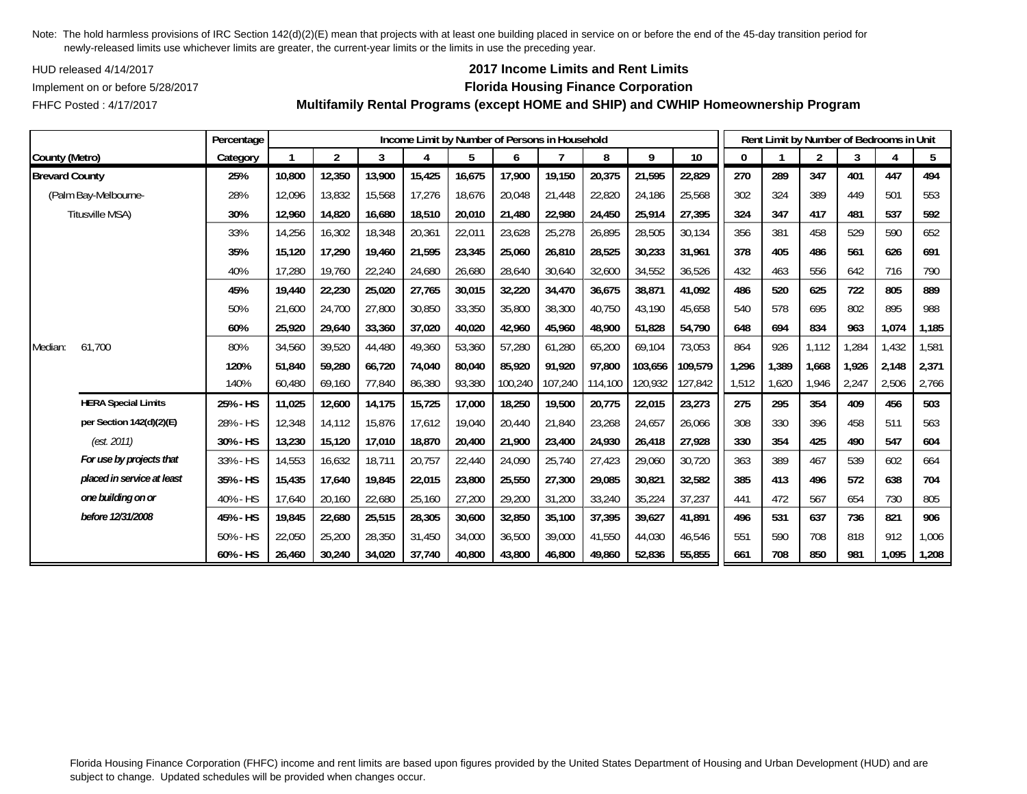HUD released 4/14/2017

FHFC Posted : 4/17/2017

## **2017 Income Limits and Rent Limits**

### Implement on or before 5/28/2017 **Florida Housing Finance Corporation**

**Multifamily Rental Programs (except HOME and SHIP) and CWHIP Homeownership Program**

|                       |                            | Percentage |        |                |        |        |        |         | Income Limit by Number of Persons in Household |         |         |         |       |       | Rent Limit by Number of Bedrooms in Unit |       |       |       |
|-----------------------|----------------------------|------------|--------|----------------|--------|--------|--------|---------|------------------------------------------------|---------|---------|---------|-------|-------|------------------------------------------|-------|-------|-------|
| County (Metro)        |                            | Category   |        | $\overline{2}$ | 3      | 4      | 5      | 6       |                                                | 8       | 9       | 10      | 0     |       | $\overline{2}$                           | 3     |       | 5     |
| <b>Brevard County</b> |                            | 25%        | 10,800 | 12,350         | 13,900 | 15,425 | 16,675 | 17,900  | 19,150                                         | 20,375  | 21,595  | 22,829  | 270   | 289   | 347                                      | 401   | 447   | 494   |
|                       | (Palm Bay-Melbourne-       | 28%        | 12,096 | 13,832         | 15,568 | 17,276 | 18,676 | 20,048  | 21,448                                         | 22,820  | 24,186  | 25,568  | 302   | 324   | 389                                      | 449   | 501   | 553   |
|                       | Titusville MSA)            | 30%        | 12,960 | 14,820         | 16,680 | 18,510 | 20,010 | 21,480  | 22,980                                         | 24,450  | 25,914  | 27,395  | 324   | 347   | 417                                      | 481   | 537   | 592   |
|                       |                            | 33%        | 14,256 | 16,302         | 18,348 | 20,361 | 22,011 | 23,628  | 25,278                                         | 26,895  | 28,505  | 30,134  | 356   | 381   | 458                                      | 529   | 590   | 652   |
|                       |                            | 35%        | 15,120 | 17,290         | 19,460 | 21,595 | 23,345 | 25,060  | 26,810                                         | 28,525  | 30,233  | 31,961  | 378   | 405   | 486                                      | 561   | 626   | 691   |
|                       |                            | 40%        | 17,280 | 19,760         | 22,240 | 24,680 | 26,680 | 28,640  | 30,640                                         | 32,600  | 34,552  | 36,526  | 432   | 463   | 556                                      | 642   | 716   | 790   |
|                       |                            | 45%        | 19,440 | 22,230         | 25,020 | 27,765 | 30,015 | 32,220  | 34,470                                         | 36,675  | 38,871  | 41,092  | 486   | 520   | 625                                      | 722   | 805   | 889   |
|                       |                            | 50%        | 21,600 | 24,700         | 27,800 | 30,850 | 33,350 | 35,800  | 38,300                                         | 40,750  | 43,190  | 45,658  | 540   | 578   | 695                                      | 802   | 895   | 988   |
|                       |                            | 60%        | 25,920 | 29,640         | 33,360 | 37,020 | 40,020 | 42,960  | 45,960                                         | 48,900  | 51,828  | 54,790  | 648   | 694   | 834                                      | 963   | 1,074 | 1,185 |
| Median:               | 61.700                     | 80%        | 34,560 | 39,520         | 44,480 | 49,360 | 53,360 | 57,280  | 61,280                                         | 65,200  | 69,104  | 73,053  | 864   | 926   | 1,112                                    | 1,284 | 1,432 | 1,581 |
|                       |                            | 120%       | 51,840 | 59,280         | 66,720 | 74,040 | 80,040 | 85.920  | 91.920                                         | 97,800  | 103,656 | 109,579 | 1,296 | 1,389 | 1,668                                    | 1.926 | 2,148 | 2,371 |
|                       |                            | 140%       | 60,480 | 69,160         | 77,840 | 86,380 | 93,380 | 100,240 | 107,240                                        | 114,100 | 120,932 | 127,842 | 1,512 | 1,620 | 1,946                                    | 2,247 | 2,506 | 2,766 |
|                       | <b>HERA Special Limits</b> | 25% - HS   | 11,025 | 12,600         | 14,175 | 15,725 | 17,000 | 18,250  | 19,500                                         | 20,775  | 22,015  | 23,273  | 275   | 295   | 354                                      | 409   | 456   | 503   |
|                       | per Section 142(d)(2)(E)   | 28% - HS   | 12,348 | 14,112         | 15,876 | 17,612 | 19,040 | 20,440  | 21,840                                         | 23,268  | 24,657  | 26,066  | 308   | 330   | 396                                      | 458   | 511   | 563   |
|                       | (est. 2011)                | 30% - HS   | 13,230 | 15,120         | 17,010 | 18,870 | 20,400 | 21,900  | 23,400                                         | 24,930  | 26,418  | 27,928  | 330   | 354   | 425                                      | 490   | 547   | 604   |
|                       | For use by projects that   | 33% - HS   | 14,553 | 16,632         | 18,711 | 20,757 | 22,440 | 24,090  | 25,740                                         | 27,423  | 29,060  | 30,720  | 363   | 389   | 467                                      | 539   | 602   | 664   |
|                       | placed in service at least | 35% - HS   | 15,435 | 17,640         | 19,845 | 22,015 | 23,800 | 25,550  | 27,300                                         | 29,085  | 30,821  | 32,582  | 385   | 413   | 496                                      | 572   | 638   | 704   |
|                       | one building on or         | 40% - HS   | 17,640 | 20,160         | 22,680 | 25,160 | 27,200 | 29,200  | 31,200                                         | 33,240  | 35,224  | 37,237  | 441   | 472   | 567                                      | 654   | 730   | 805   |
|                       | before 12/31/2008          | 45% - HS   | 19,845 | 22,680         | 25,515 | 28,305 | 30,600 | 32,850  | 35,100                                         | 37,395  | 39,627  | 41,891  | 496   | 531   | 637                                      | 736   | 821   | 906   |
|                       |                            | 50% - HS   | 22,050 | 25,200         | 28,350 | 31,450 | 34,000 | 36,500  | 39,000                                         | 41,550  | 44,030  | 46,546  | 551   | 590   | 708                                      | 818   | 912   | 1,006 |
|                       |                            | 60% - HS   | 26,460 | 30,240         | 34,020 | 37,740 | 40,800 | 43,800  | 46,800                                         | 49,860  | 52,836  | 55,855  | 661   | 708   | 850                                      | 981   | 1,095 | 1,208 |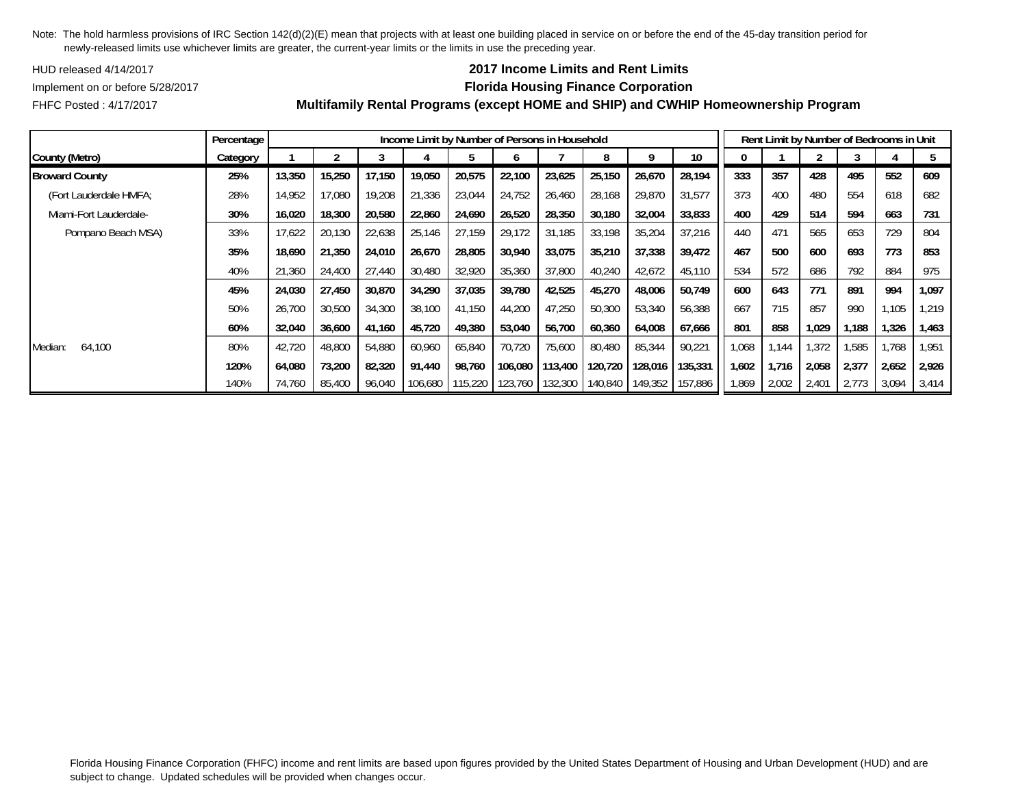HUD released 4/14/2017

### **2017 Income Limits and Rent Limits**

Implement on or before 5/28/2017 **Florida Housing Finance Corporation**

FHFC Posted : 4/17/2017

|                        | Percentage |        |        |        |         | Income Limit by Number of Persons in Household |         |        |                 |         |         |       |       |       |       | Rent Limit by Number of Bedrooms in Unit |       |
|------------------------|------------|--------|--------|--------|---------|------------------------------------------------|---------|--------|-----------------|---------|---------|-------|-------|-------|-------|------------------------------------------|-------|
| County (Metro)         | Category   |        |        |        |         |                                                |         |        |                 |         | 10      |       |       |       |       |                                          |       |
| <b>Broward County</b>  | 25%        | 13,350 | 15,250 | 17.150 | 19,050  | 20,575                                         | 22,100  | 23,625 | 25,150          | 26,670  | 28,194  | 333   | 357   | 428   | 495   | 552                                      | 609   |
| (Fort Lauderdale HMFA; | 28%        | 14,952 | 17,080 | 19,208 | 21,336  | 23,044                                         | 24,752  | 26,460 | 28,168          | 29,870  | 31,577  | 373   | 400   | 480   | 554   | 618                                      | 682   |
| Miami-Fort Lauderdale- | 30%        | 16,020 | 18,300 | 20,580 | 22,860  | 24,690                                         | 26,520  | 28,350 | 30,180          | 32,004  | 33,833  | 400   | 429   | 514   | 594   | 663                                      | 731   |
| Pompano Beach MSA)     | 33%        | 17.622 | 20.130 | 22,638 | 25.146  | 27.159                                         | 29.172  | 31.185 | 33.198          | 35,204  | 37,216  | 440   | 471   | 565   | 653   | 729                                      | 804   |
|                        | 35%        | 18,690 | 21,350 | 24,010 | 26,670  | 28,805                                         | 30,940  | 33,075 | 35,210          | 37,338  | 39,472  | 467   | 500   | 600   | 693   | 773                                      | 853   |
|                        | 40%        | 21,360 | 24,400 | 27,440 | 30,480  | 32,920                                         | 35,360  | 37,800 | 40,240          | 42,672  | 45,110  | 534   | 572   | 686   | 792   | 884                                      | 975   |
|                        | 45%        | 24,030 | 27,450 | 30,870 | 34,290  | 37,035                                         | 39,780  | 42,525 | 45,270          | 48,006  | 50,749  | 600   | 643   | 771   | 891   | 994                                      | 1,097 |
|                        | 50%        | 26,700 | 30,500 | 34,300 | 38,100  | 41,150                                         | 44,200  | 47,250 | 50,300          | 53,340  | 56,388  | 667   | 715   | 857   | 990   | 1,105                                    | 1,219 |
|                        | 60%        | 32,040 | 36,600 | 41,160 | 45,720  | 49,380                                         | 53,040  | 56,700 | 60,360          | 64,008  | 67,666  | 801   | 858   | 1,029 | l,188 | 1,326                                    | 1,463 |
| Median:<br>64,100      | 80%        | 42,720 | 48,800 | 54,880 | 60,960  | 65,840                                         | 70,720  | 75,600 | 80,480          | 85,344  | 90,221  | 1,068 | 1,144 | 1,372 | 1,585 | 1,768                                    | 1,951 |
|                        | 120%       | 64.080 | 73,200 | 82,320 | 91.440  | 98.760                                         | 106.080 |        | 113.400 120.720 | 128,016 | 135,331 | 1.602 | 1.716 | 2,058 | 2,377 | 2,652                                    | 2,926 |
|                        | 140%       | 74,760 | 85,400 | 96,040 | 106,680 | 115,220                                        | 123,760 |        | 132,300 140,840 | 149,352 | 157,886 | 1,869 | 2,002 | 2,401 | 2,773 | 3,094                                    | 3,414 |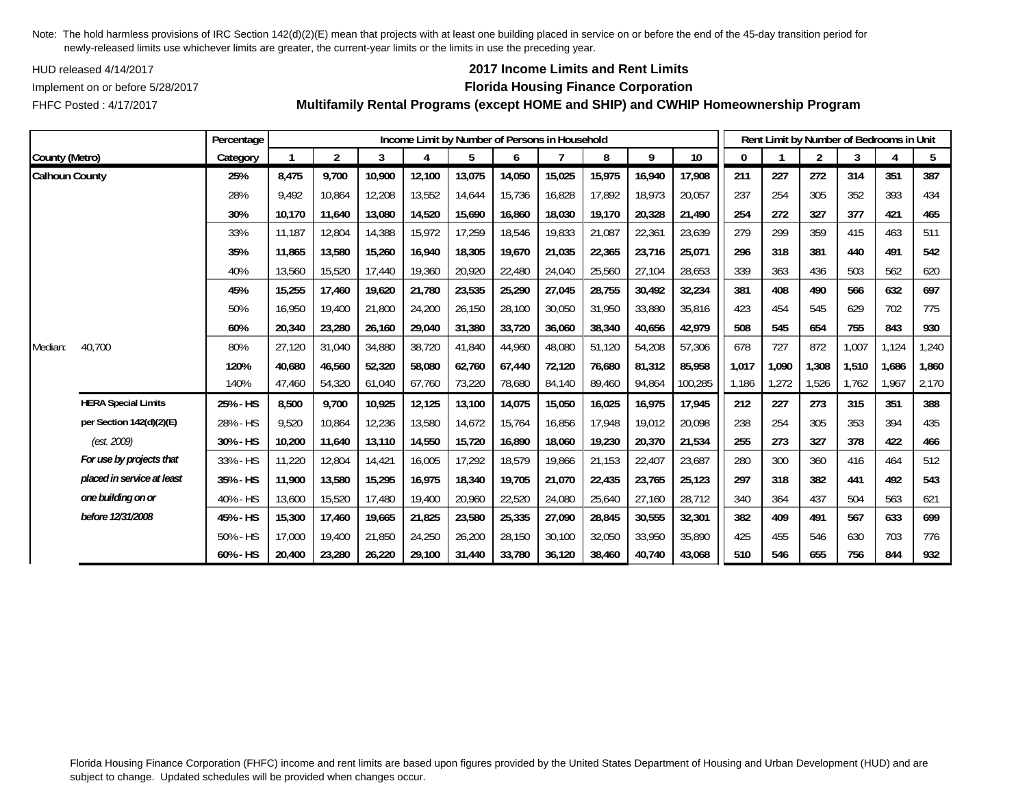HUD released 4/14/2017

FHFC Posted : 4/17/2017

# **2017 Income Limits and Rent Limits**

## Implement on or before 5/28/2017 **Florida Housing Finance Corporation**

**Multifamily Rental Programs (except HOME and SHIP) and CWHIP Homeownership Program**

|                       |                            | Percentage |        |                |        | Income Limit by Number of Persons in Household |        |        |        |        |        |         |       | Rent Limit by Number of Bedrooms in Unit |                |       |       |       |
|-----------------------|----------------------------|------------|--------|----------------|--------|------------------------------------------------|--------|--------|--------|--------|--------|---------|-------|------------------------------------------|----------------|-------|-------|-------|
| County (Metro)        |                            | Category   |        | $\overline{2}$ | 3      | 4                                              | 5      | 6      |        | 8      | 9      | 10      | 0     |                                          | $\overline{2}$ | 3     | 4     | 5     |
| <b>Calhoun County</b> |                            | 25%        | 8,475  | 9,700          | 10,900 | 12,100                                         | 13,075 | 14,050 | 15,025 | 15,975 | 16,940 | 17,908  | 211   | 227                                      | 272            | 314   | 351   | 387   |
|                       |                            | 28%        | 9,492  | 10,864         | 12,208 | 13,552                                         | 14,644 | 15,736 | 16,828 | 17,892 | 18,973 | 20,057  | 237   | 254                                      | 305            | 352   | 393   | 434   |
|                       |                            | 30%        | 10,170 | 11,640         | 13,080 | 14,520                                         | 15,690 | 16,860 | 18,030 | 19,170 | 20,328 | 21,490  | 254   | 272                                      | 327            | 377   | 421   | 465   |
|                       |                            | 33%        | 11,187 | 12,804         | 14,388 | 15,972                                         | 17,259 | 18,546 | 19,833 | 21,087 | 22,361 | 23,639  | 279   | 299                                      | 359            | 415   | 463   | 511   |
|                       |                            | 35%        | 11,865 | 13,580         | 15,260 | 16,940                                         | 18,305 | 19,670 | 21,035 | 22,365 | 23,716 | 25,071  | 296   | 318                                      | 381            | 440   | 491   | 542   |
|                       |                            | 40%        | 13,560 | 15,520         | 17,440 | 19,360                                         | 20,920 | 22,480 | 24,040 | 25,560 | 27,104 | 28,653  | 339   | 363                                      | 436            | 503   | 562   | 620   |
|                       |                            | 45%        | 15,255 | 17,460         | 19,620 | 21,780                                         | 23,535 | 25,290 | 27,045 | 28,755 | 30,492 | 32,234  | 381   | 408                                      | 490            | 566   | 632   | 697   |
|                       |                            | 50%        | 16,950 | 19,400         | 21,800 | 24,200                                         | 26,150 | 28,100 | 30,050 | 31,950 | 33,880 | 35,816  | 423   | 454                                      | 545            | 629   | 702   | 775   |
|                       |                            | 60%        | 20,340 | 23,280         | 26,160 | 29,040                                         | 31,380 | 33,720 | 36,060 | 38,340 | 40,656 | 42,979  | 508   | 545                                      | 654            | 755   | 843   | 930   |
| Median:               | 40,700                     | 80%        | 27,120 | 31,040         | 34,880 | 38,720                                         | 41,840 | 44,960 | 48,080 | 51,120 | 54,208 | 57,306  | 678   | 727                                      | 872            | 1,007 | 1,124 | 1,240 |
|                       |                            | 120%       | 40,680 | 46,560         | 52,320 | 58,080                                         | 62,760 | 67,440 | 72,120 | 76,680 | 81,312 | 85,958  | 1,017 | 1,090                                    | 1,308          | 1,510 | 1,686 | 1,860 |
|                       |                            | 140%       | 47,460 | 54,320         | 61,040 | 67,760                                         | 73,220 | 78,680 | 84,140 | 89,460 | 94,864 | 100,285 | 1,186 | 1,272                                    | 1,526          | 1,762 | 1,967 | 2,170 |
|                       | <b>HERA Special Limits</b> | 25% - HS   | 8,500  | 9,700          | 10,925 | 12,125                                         | 13,100 | 14,075 | 15,050 | 16,025 | 16,975 | 17,945  | 212   | 227                                      | 273            | 315   | 351   | 388   |
|                       | per Section 142(d)(2)(E)   | 28% - HS   | 9,520  | 10,864         | 12,236 | 13,580                                         | 14,672 | 15,764 | 16,856 | 17,948 | 19,012 | 20,098  | 238   | 254                                      | 305            | 353   | 394   | 435   |
|                       | (est. 2009)                | 30% - HS   | 10,200 | 11,640         | 13,110 | 14,550                                         | 15,720 | 16,890 | 18,060 | 19,230 | 20,370 | 21,534  | 255   | 273                                      | 327            | 378   | 422   | 466   |
|                       | For use by projects that   | 33% - HS   | 11,220 | 12,804         | 14,421 | 16,005                                         | 17,292 | 18,579 | 19,866 | 21,153 | 22,407 | 23,687  | 280   | 300                                      | 360            | 416   | 464   | 512   |
|                       | placed in service at least | 35% - HS   | 11,900 | 13,580         | 15,295 | 16,975                                         | 18,340 | 19,705 | 21,070 | 22,435 | 23,765 | 25,123  | 297   | 318                                      | 382            | 441   | 492   | 543   |
|                       | one building on or         | 40% - HS   | 13,600 | 15,520         | 17,480 | 19,400                                         | 20,960 | 22,520 | 24,080 | 25,640 | 27,160 | 28,712  | 340   | 364                                      | 437            | 504   | 563   | 621   |
|                       | before 12/31/2008          | 45% - HS   | 15,300 | 17,460         | 19,665 | 21,825                                         | 23,580 | 25,335 | 27,090 | 28,845 | 30,555 | 32,301  | 382   | 409                                      | 491            | 567   | 633   | 699   |
|                       |                            | 50% - HS   | 17,000 | 19,400         | 21,850 | 24,250                                         | 26,200 | 28,150 | 30,100 | 32,050 | 33,950 | 35,890  | 425   | 455                                      | 546            | 630   | 703   | 776   |
|                       |                            | 60% - HS   | 20,400 | 23,280         | 26,220 | 29,100                                         | 31,440 | 33,780 | 36,120 | 38,460 | 40,740 | 43,068  | 510   | 546                                      | 655            | 756   | 844   | 932   |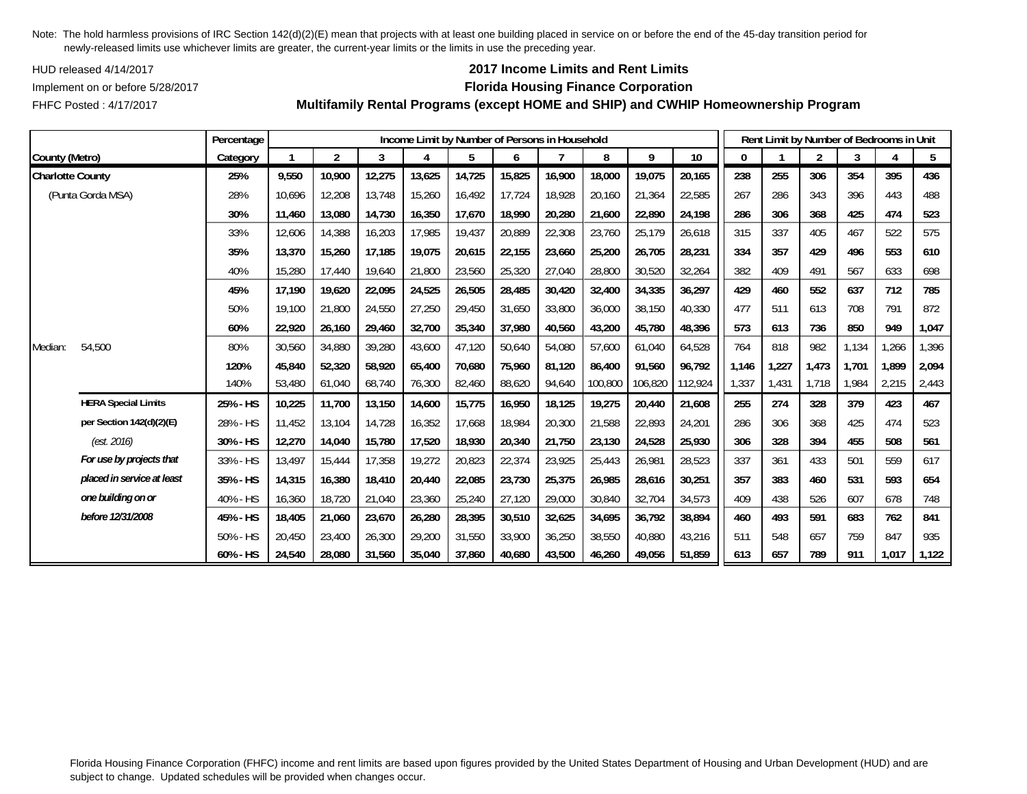HUD released 4/14/2017

## FHFC Posted : 4/17/2017

## **2017 Income Limits and Rent Limits**

### Implement on or before 5/28/2017 **Florida Housing Finance Corporation**

**Multifamily Rental Programs (except HOME and SHIP) and CWHIP Homeownership Program**

|                         |                            | Percentage |        |                |        |        | Income Limit by Number of Persons in Household |        |        |         |         |         |              |       | Rent Limit by Number of Bedrooms in Unit |       |       |       |
|-------------------------|----------------------------|------------|--------|----------------|--------|--------|------------------------------------------------|--------|--------|---------|---------|---------|--------------|-------|------------------------------------------|-------|-------|-------|
| County (Metro)          |                            | Category   |        | $\overline{2}$ | 3      |        | 5                                              | 6      |        | 8       | 9       | 10      | $\mathbf{0}$ |       | $\overline{2}$                           | 3     |       | 5     |
| <b>Charlotte County</b> |                            | 25%        | 9,550  | 10,900         | 12,275 | 13,625 | 14,725                                         | 15,825 | 16,900 | 18,000  | 19,075  | 20,165  | 238          | 255   | 306                                      | 354   | 395   | 436   |
|                         | (Punta Gorda MSA)          | 28%        | 10,696 | 12,208         | 13,748 | 15,260 | 16,492                                         | 17,724 | 18,928 | 20,160  | 21,364  | 22,585  | 267          | 286   | 343                                      | 396   | 443   | 488   |
|                         |                            | 30%        | 11,460 | 13,080         | 14,730 | 16,350 | 17,670                                         | 18,990 | 20,280 | 21,600  | 22,890  | 24,198  | 286          | 306   | 368                                      | 425   | 474   | 523   |
|                         |                            | 33%        | 12,606 | 14,388         | 16,203 | 17,985 | 19,437                                         | 20,889 | 22,308 | 23,760  | 25,179  | 26,618  | 315          | 337   | 405                                      | 467   | 522   | 575   |
|                         |                            | 35%        | 13,370 | 15,260         | 17.185 | 19,075 | 20,615                                         | 22,155 | 23,660 | 25,200  | 26,705  | 28,231  | 334          | 357   | 429                                      | 496   | 553   | 610   |
|                         |                            | 40%        | 15,280 | 17,440         | 19,640 | 21,800 | 23,560                                         | 25,320 | 27,040 | 28,800  | 30,520  | 32,264  | 382          | 409   | 491                                      | 567   | 633   | 698   |
|                         |                            | 45%        | 17,190 | 19,620         | 22,095 | 24,525 | 26,505                                         | 28,485 | 30,420 | 32,400  | 34,335  | 36,297  | 429          | 460   | 552                                      | 637   | 712   | 785   |
|                         |                            | 50%        | 19,100 | 21,800         | 24,550 | 27,250 | 29,450                                         | 31,650 | 33,800 | 36,000  | 38,150  | 40,330  | 477          | 511   | 613                                      | 708   | 791   | 872   |
|                         |                            | 60%        | 22,920 | 26,160         | 29,460 | 32,700 | 35,340                                         | 37,980 | 40,560 | 43,200  | 45,780  | 48,396  | 573          | 613   | 736                                      | 850   | 949   | 1,047 |
| Median:                 | 54,500                     | 80%        | 30,560 | 34,880         | 39,280 | 43,600 | 47,120                                         | 50,640 | 54,080 | 57,600  | 61,040  | 64,528  | 764          | 818   | 982                                      | 1,134 | 1,266 | 1,396 |
|                         |                            | 120%       | 45,840 | 52,320         | 58,920 | 65,400 | 70,680                                         | 75,960 | 81,120 | 86,400  | 91,560  | 96,792  | 1,146        | 1,227 | 1,473                                    | 1.701 | 1,899 | 2,094 |
|                         |                            | 140%       | 53,480 | 61,040         | 68,740 | 76,300 | 82,460                                         | 88,620 | 94,640 | 100,800 | 106,820 | 112,924 | 1,337        | 1,431 | 1,718                                    | 1,984 | 2,215 | 2,443 |
|                         | <b>HERA Special Limits</b> | 25% - HS   | 10,225 | 11,700         | 13,150 | 14,600 | 15,775                                         | 16,950 | 18,125 | 19,275  | 20,440  | 21,608  | 255          | 274   | 328                                      | 379   | 423   | 467   |
|                         | per Section 142(d)(2)(E)   | 28% - HS   | 11,452 | 13,104         | 14,728 | 16,352 | 17,668                                         | 18,984 | 20,300 | 21,588  | 22,893  | 24,201  | 286          | 306   | 368                                      | 425   | 474   | 523   |
|                         | (est. 2016)                | 30% - HS   | 12,270 | 14,040         | 15,780 | 17,520 | 18,930                                         | 20,340 | 21,750 | 23,130  | 24,528  | 25,930  | 306          | 328   | 394                                      | 455   | 508   | 561   |
|                         | For use by projects that   | 33% - HS   | 13,497 | 15,444         | 17,358 | 19,272 | 20,823                                         | 22,374 | 23,925 | 25,443  | 26,981  | 28,523  | 337          | 361   | 433                                      | 501   | 559   | 617   |
|                         | placed in service at least | 35% - HS   | 14,315 | 16,380         | 18,410 | 20,440 | 22,085                                         | 23,730 | 25,375 | 26,985  | 28,616  | 30,251  | 357          | 383   | 460                                      | 531   | 593   | 654   |
|                         | one building on or         | 40% - HS   | 16,360 | 18,720         | 21,040 | 23,360 | 25,240                                         | 27,120 | 29,000 | 30,840  | 32,704  | 34,573  | 409          | 438   | 526                                      | 607   | 678   | 748   |
|                         | before 12/31/2008          | 45% - HS   | 18,405 | 21,060         | 23,670 | 26,280 | 28,395                                         | 30,510 | 32,625 | 34,695  | 36,792  | 38,894  | 460          | 493   | 591                                      | 683   | 762   | 841   |
|                         |                            | 50% - HS   | 20,450 | 23,400         | 26,300 | 29,200 | 31,550                                         | 33,900 | 36,250 | 38,550  | 40,880  | 43,216  | 511          | 548   | 657                                      | 759   | 847   | 935   |
|                         |                            | 60% - HS   | 24,540 | 28,080         | 31,560 | 35,040 | 37,860                                         | 40.680 | 43,500 | 46,260  | 49,056  | 51,859  | 613          | 657   | 789                                      | 911   | 1,017 | 1,122 |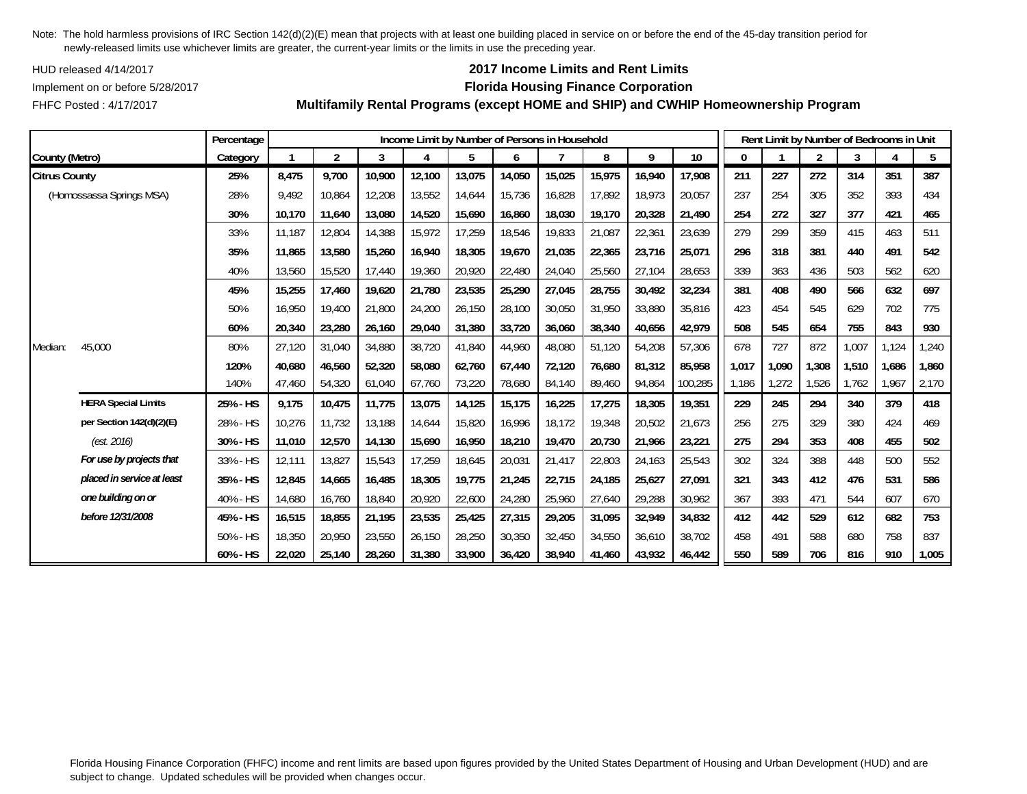HUD released 4/14/2017

FHFC Posted : 4/17/2017

## **2017 Income Limits and Rent Limits**

## Implement on or before 5/28/2017 **Florida Housing Finance Corporation**

**Multifamily Rental Programs (except HOME and SHIP) and CWHIP Homeownership Program**

|                      |                            | Percentage |        |                |        |        |        |        | Income Limit by Number of Persons in Household |        |        |         |              |       | Rent Limit by Number of Bedrooms in Unit |       |       |       |
|----------------------|----------------------------|------------|--------|----------------|--------|--------|--------|--------|------------------------------------------------|--------|--------|---------|--------------|-------|------------------------------------------|-------|-------|-------|
| County (Metro)       |                            | Category   |        | $\overline{2}$ | 3      |        | 5      | 6      |                                                | 8      | 9      | 10      | $\mathbf{0}$ |       | $\overline{2}$                           | 3     |       | 5     |
| <b>Citrus County</b> |                            | 25%        | 8,475  | 9,700          | 10,900 | 12,100 | 13,075 | 14,050 | 15,025                                         | 15,975 | 16,940 | 17,908  | 211          | 227   | 272                                      | 314   | 351   | 387   |
|                      | (Homossassa Springs MSA)   | 28%        | 9,492  | 10,864         | 12,208 | 13,552 | 14,644 | 15,736 | 16,828                                         | 17,892 | 18,973 | 20,057  | 237          | 254   | 305                                      | 352   | 393   | 434   |
|                      |                            | 30%        | 10,170 | 11,640         | 13,080 | 14,520 | 15,690 | 16,860 | 18,030                                         | 19,170 | 20,328 | 21,490  | 254          | 272   | 327                                      | 377   | 421   | 465   |
|                      |                            | 33%        | 11,187 | 12,804         | 14,388 | 15,972 | 17,259 | 18,546 | 19,833                                         | 21,087 | 22,361 | 23,639  | 279          | 299   | 359                                      | 415   | 463   | 511   |
|                      |                            | 35%        | 11,865 | 13,580         | 15,260 | 16,940 | 18,305 | 19,670 | 21,035                                         | 22,365 | 23,716 | 25,071  | 296          | 318   | 381                                      | 440   | 491   | 542   |
|                      |                            | 40%        | 13,560 | 15,520         | 17,440 | 19,360 | 20,920 | 22,480 | 24,040                                         | 25,560 | 27,104 | 28,653  | 339          | 363   | 436                                      | 503   | 562   | 620   |
|                      |                            | 45%        | 15,255 | 17,460         | 19,620 | 21,780 | 23,535 | 25,290 | 27,045                                         | 28,755 | 30,492 | 32,234  | 381          | 408   | 490                                      | 566   | 632   | 697   |
|                      |                            | 50%        | 16,950 | 19,400         | 21,800 | 24,200 | 26,150 | 28,100 | 30,050                                         | 31,950 | 33,880 | 35,816  | 423          | 454   | 545                                      | 629   | 702   | 775   |
|                      |                            | 60%        | 20,340 | 23,280         | 26,160 | 29,040 | 31,380 | 33,720 | 36,060                                         | 38,340 | 40,656 | 42,979  | 508          | 545   | 654                                      | 755   | 843   | 930   |
| Median:              | 45,000                     | 80%        | 27,120 | 31,040         | 34,880 | 38,720 | 41,840 | 44,960 | 48,080                                         | 51,120 | 54,208 | 57,306  | 678          | 727   | 872                                      | 1,007 | 1,124 | 1,240 |
|                      |                            | 120%       | 40,680 | 46,560         | 52,320 | 58,080 | 62,760 | 67,440 | 72,120                                         | 76,680 | 81,312 | 85,958  | 1,017        | 1,090 | 1,308                                    | 1,510 | 1,686 | 1,860 |
|                      |                            | 140%       | 47,460 | 54,320         | 61,040 | 67,760 | 73,220 | 78,680 | 84,140                                         | 89,460 | 94,864 | 100,285 | 1,186        | 1,272 | 1,526                                    | 1,762 | 1,967 | 2,170 |
|                      | <b>HERA Special Limits</b> | 25% - HS   | 9,175  | 10,475         | 11,775 | 13,075 | 14,125 | 15,175 | 16,225                                         | 17,275 | 18,305 | 19,351  | 229          | 245   | 294                                      | 340   | 379   | 418   |
|                      | per Section 142(d)(2)(E)   | 28% - HS   | 10,276 | 11,732         | 13,188 | 14,644 | 15,820 | 16,996 | 18,172                                         | 19,348 | 20,502 | 21,673  | 256          | 275   | 329                                      | 380   | 424   | 469   |
|                      | (est. 2016)                | 30% - HS   | 11,010 | 12,570         | 14,130 | 15,690 | 16,950 | 18,210 | 19,470                                         | 20,730 | 21,966 | 23,221  | 275          | 294   | 353                                      | 408   | 455   | 502   |
|                      | For use by projects that   | 33% - HS   | 12,111 | 13,827         | 15,543 | 17,259 | 18,645 | 20,031 | 21,417                                         | 22,803 | 24,163 | 25,543  | 302          | 324   | 388                                      | 448   | 500   | 552   |
|                      | placed in service at least | 35% - HS   | 12,845 | 14,665         | 16,485 | 18,305 | 19,775 | 21,245 | 22,715                                         | 24,185 | 25,627 | 27,091  | 321          | 343   | 412                                      | 476   | 531   | 586   |
|                      | one building on or         | 40% - HS   | 14,680 | 16,760         | 18,840 | 20,920 | 22,600 | 24,280 | 25,960                                         | 27,640 | 29,288 | 30,962  | 367          | 393   | 471                                      | 544   | 607   | 670   |
|                      | before 12/31/2008          | 45% - HS   | 16,515 | 18,855         | 21,195 | 23,535 | 25,425 | 27,315 | 29,205                                         | 31,095 | 32,949 | 34,832  | 412          | 442   | 529                                      | 612   | 682   | 753   |
|                      |                            | 50% - HS   | 18,350 | 20,950         | 23,550 | 26,150 | 28,250 | 30,350 | 32,450                                         | 34,550 | 36,610 | 38,702  | 458          | 491   | 588                                      | 680   | 758   | 837   |
|                      |                            | 60% - HS   | 22,020 | 25,140         | 28,260 | 31,380 | 33,900 | 36,420 | 38,940                                         | 41,460 | 43,932 | 46,442  | 550          | 589   | 706                                      | 816   | 910   | 1,005 |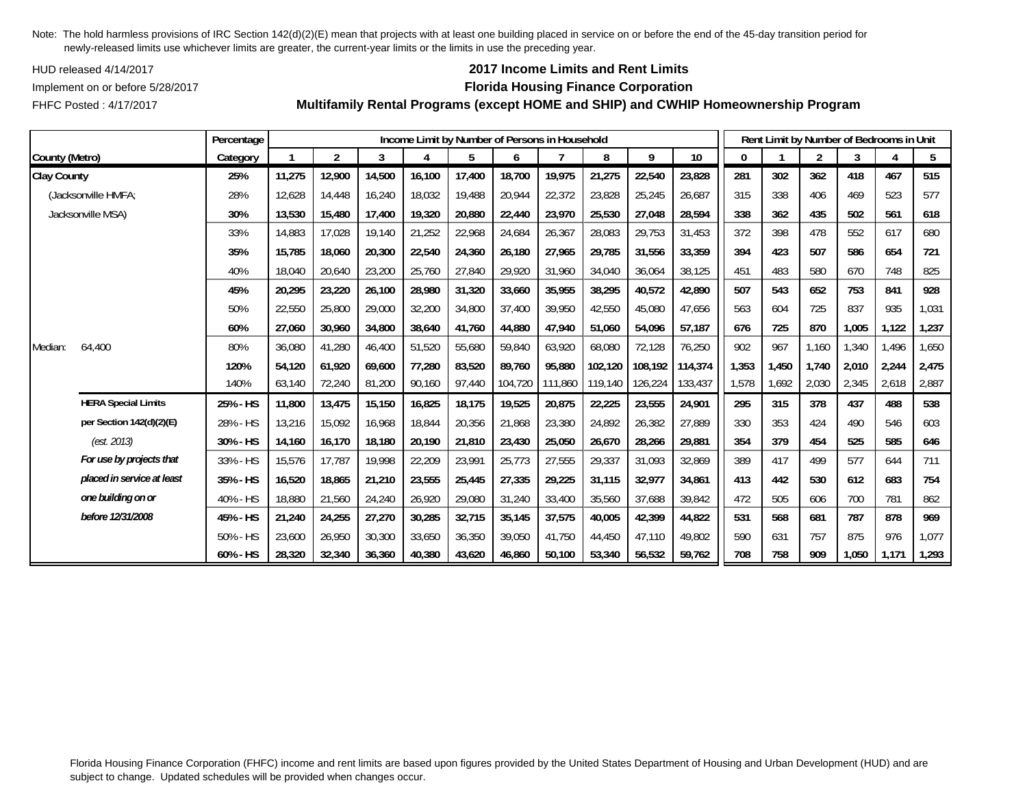HUD released 4/14/2017

FHFC Posted : 4/17/2017

## **2017 Income Limits and Rent Limits**

### Implement on or before 5/28/2017 **Florida Housing Finance Corporation**

**Multifamily Rental Programs (except HOME and SHIP) and CWHIP Homeownership Program**

|                    |                            | Percentage |        |                |        |        | Income Limit by Number of Persons in Household |         |         |         |         |         |       |       | Rent Limit by Number of Bedrooms in Unit |       |       |       |
|--------------------|----------------------------|------------|--------|----------------|--------|--------|------------------------------------------------|---------|---------|---------|---------|---------|-------|-------|------------------------------------------|-------|-------|-------|
| County (Metro)     |                            | Category   |        | $\overline{2}$ | 3      |        | 5                                              | 6       |         | 8       | 9       | 10      | 0     |       | $\overline{2}$                           | 3     | 4     | 5     |
| <b>Clay County</b> |                            | 25%        | 11,275 | 12,900         | 14,500 | 16,100 | 17,400                                         | 18,700  | 19,975  | 21,275  | 22,540  | 23,828  | 281   | 302   | 362                                      | 418   | 467   | 515   |
|                    | (Jacksonville HMFA;        | 28%        | 12,628 | 14,448         | 16,240 | 18,032 | 19,488                                         | 20,944  | 22,372  | 23,828  | 25,245  | 26,687  | 315   | 338   | 406                                      | 469   | 523   | 577   |
|                    | Jacksonville MSA)          | 30%        | 13,530 | 15,480         | 17,400 | 19,320 | 20,880                                         | 22,440  | 23,970  | 25,530  | 27,048  | 28,594  | 338   | 362   | 435                                      | 502   | 561   | 618   |
|                    |                            | 33%        | 14,883 | 17,028         | 19,140 | 21,252 | 22,968                                         | 24,684  | 26,367  | 28,083  | 29,753  | 31,453  | 372   | 398   | 478                                      | 552   | 617   | 680   |
|                    |                            | 35%        | 15.785 | 18.060         | 20,300 | 22,540 | 24,360                                         | 26.180  | 27.965  | 29.785  | 31,556  | 33,359  | 394   | 423   | 507                                      | 586   | 654   | 721   |
|                    |                            | 40%        | 18,040 | 20,640         | 23,200 | 25,760 | 27,840                                         | 29,920  | 31,960  | 34,040  | 36,064  | 38,125  | 451   | 483   | 580                                      | 670   | 748   | 825   |
|                    |                            | 45%        | 20,295 | 23,220         | 26,100 | 28,980 | 31,320                                         | 33,660  | 35,955  | 38,295  | 40,572  | 42,890  | 507   | 543   | 652                                      | 753   | 841   | 928   |
|                    |                            | 50%        | 22,550 | 25,800         | 29,000 | 32,200 | 34,800                                         | 37,400  | 39.950  | 42,550  | 45,080  | 47.656  | 563   | 604   | 725                                      | 837   | 935   | 1,031 |
|                    |                            | 60%        | 27,060 | 30,960         | 34,800 | 38,640 | 41,760                                         | 44,880  | 47.940  | 51.060  | 54,096  | 57.187  | 676   | 725   | 870                                      | 1,005 | 1,122 | 1,237 |
| Median:            | 64,400                     | 80%        | 36,080 | 41,280         | 46,400 | 51,520 | 55,680                                         | 59,840  | 63,920  | 68,080  | 72,128  | 76,250  | 902   | 967   | 1,160                                    | 1,340 | 1,496 | 1,650 |
|                    |                            | 120%       | 54,120 | 61.920         | 69,600 | 77,280 | 83,520                                         | 89,760  | 95,880  | 102,120 | 108,192 | 114,374 | 1,353 | 1,450 | 1,740                                    | 2,010 | 2,244 | 2,475 |
|                    |                            | 140%       | 63,140 | 72,240         | 81,200 | 90,160 | 97,440                                         | 104,720 | 111,860 | 119,140 | 126,224 | 133,437 | 1,578 | 1,692 | 2,030                                    | 2,345 | 2,618 | 2,887 |
|                    | <b>HERA Special Limits</b> | 25% - HS   | 11,800 | 13,475         | 15,150 | 16,825 | 18,175                                         | 19,525  | 20,875  | 22,225  | 23,555  | 24,901  | 295   | 315   | 378                                      | 437   | 488   | 538   |
|                    | per Section 142(d)(2)(E)   | 28% - HS   | 13,216 | 15,092         | 16,968 | 18,844 | 20,356                                         | 21,868  | 23,380  | 24,892  | 26,382  | 27,889  | 330   | 353   | 424                                      | 490   | 546   | 603   |
|                    | (est. 2013)                | 30% - HS   | 14,160 | 16,170         | 18,180 | 20,190 | 21,810                                         | 23,430  | 25,050  | 26,670  | 28,266  | 29,881  | 354   | 379   | 454                                      | 525   | 585   | 646   |
|                    | For use by projects that   | 33% - HS   | 15.576 | 17.787         | 19,998 | 22,209 | 23,991                                         | 25,773  | 27,555  | 29,337  | 31,093  | 32,869  | 389   | 417   | 499                                      | 577   | 644   | 711   |
|                    | placed in service at least | 35% - HS   | 16,520 | 18,865         | 21,210 | 23,555 | 25,445                                         | 27,335  | 29,225  | 31,115  | 32,977  | 34,861  | 413   | 442   | 530                                      | 612   | 683   | 754   |
|                    | one building on or         | 40% - HS   | 18,880 | 21,560         | 24,240 | 26,920 | 29,080                                         | 31,240  | 33,400  | 35,560  | 37,688  | 39,842  | 472   | 505   | 606                                      | 700   | 781   | 862   |
|                    | before 12/31/2008          | 45% - HS   | 21,240 | 24,255         | 27,270 | 30,285 | 32,715                                         | 35,145  | 37,575  | 40,005  | 42,399  | 44,822  | 531   | 568   | 681                                      | 787   | 878   | 969   |
|                    |                            | 50% - HS   | 23,600 | 26,950         | 30,300 | 33,650 | 36,350                                         | 39,050  | 41.750  | 44.450  | 47.110  | 49,802  | 590   | 631   | 757                                      | 875   | 976   | 1,077 |
|                    |                            | 60% - HS   | 28,320 | 32,340         | 36,360 | 40,380 | 43,620                                         | 46,860  | 50,100  | 53,340  | 56,532  | 59,762  | 708   | 758   | 909                                      | 1,050 | 1,171 | 1,293 |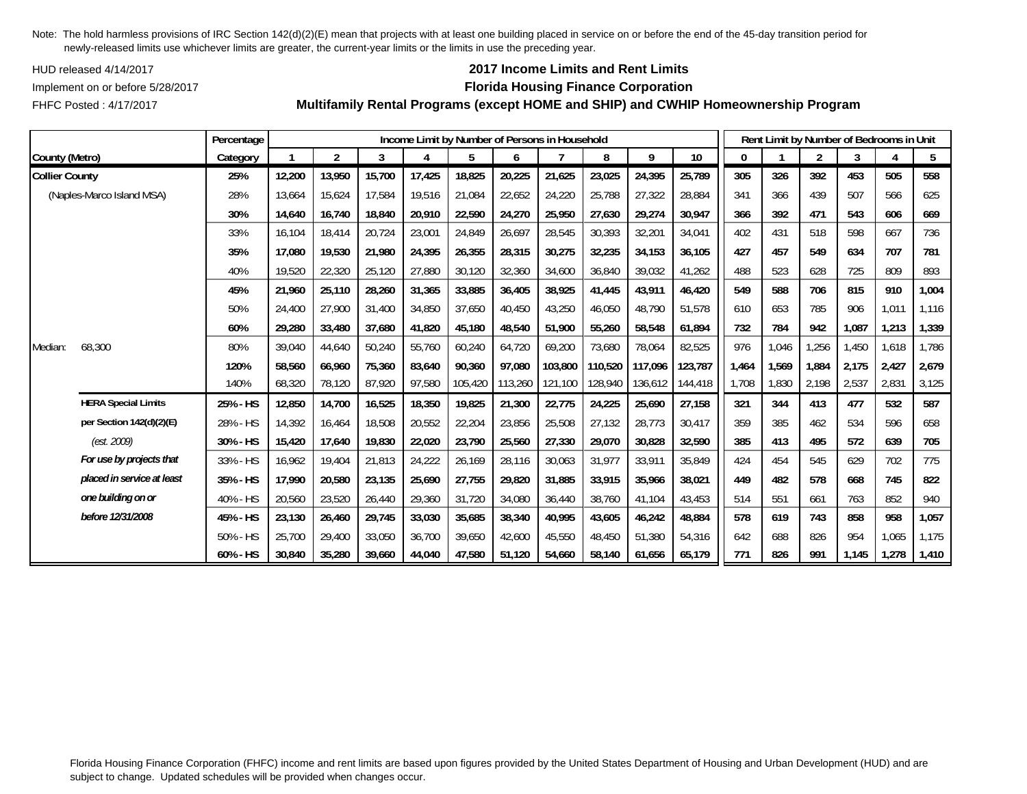HUD released 4/14/2017

FHFC Posted : 4/17/2017

## **2017 Income Limits and Rent Limits**

### Implement on or before 5/28/2017 **Florida Housing Finance Corporation**

**Multifamily Rental Programs (except HOME and SHIP) and CWHIP Homeownership Program**

|                       |                            | Percentage |        |                |        |        | Income Limit by Number of Persons in Household |         |         |         |         |                 |       |       | Rent Limit by Number of Bedrooms in Unit |       |       |       |
|-----------------------|----------------------------|------------|--------|----------------|--------|--------|------------------------------------------------|---------|---------|---------|---------|-----------------|-------|-------|------------------------------------------|-------|-------|-------|
| County (Metro)        |                            | Category   |        | $\overline{2}$ | 3      | 4      | 5                                              | 6       |         | 8       | 9       | 10 <sup>°</sup> | 0     |       | $\overline{2}$                           | 3     |       | 5     |
| <b>Collier County</b> |                            | 25%        | 12,200 | 13,950         | 15,700 | 17,425 | 18,825                                         | 20,225  | 21,625  | 23,025  | 24,395  | 25,789          | 305   | 326   | 392                                      | 453   | 505   | 558   |
|                       | (Naples-Marco Island MSA)  | 28%        | 13,664 | 15,624         | 17,584 | 19,516 | 21,084                                         | 22,652  | 24,220  | 25,788  | 27,322  | 28,884          | 341   | 366   | 439                                      | 507   | 566   | 625   |
|                       |                            | 30%        | 14,640 | 16,740         | 18,840 | 20,910 | 22,590                                         | 24,270  | 25,950  | 27,630  | 29,274  | 30,947          | 366   | 392   | 471                                      | 543   | 606   | 669   |
|                       |                            | 33%        | 16,104 | 18,414         | 20,724 | 23,001 | 24,849                                         | 26,697  | 28,545  | 30,393  | 32,201  | 34,041          | 402   | 431   | 518                                      | 598   | 667   | 736   |
|                       |                            | 35%        | 17,080 | 19,530         | 21,980 | 24,395 | 26,355                                         | 28,315  | 30,275  | 32,235  | 34,153  | 36,105          | 427   | 457   | 549                                      | 634   | 707   | 781   |
|                       |                            | 40%        | 19,520 | 22,320         | 25,120 | 27,880 | 30,120                                         | 32,360  | 34,600  | 36,840  | 39,032  | 41,262          | 488   | 523   | 628                                      | 725   | 809   | 893   |
|                       |                            | 45%        | 21,960 | 25,110         | 28,260 | 31,365 | 33,885                                         | 36,405  | 38,925  | 41,445  | 43,911  | 46,420          | 549   | 588   | 706                                      | 815   | 910   | 1,004 |
|                       |                            | 50%        | 24,400 | 27,900         | 31,400 | 34,850 | 37,650                                         | 40,450  | 43,250  | 46,050  | 48,790  | 51,578          | 610   | 653   | 785                                      | 906   | 1,011 | 1,116 |
|                       |                            | 60%        | 29,280 | 33,480         | 37,680 | 41,820 | 45,180                                         | 48,540  | 51,900  | 55,260  | 58,548  | 61,894          | 732   | 784   | 942                                      | 1,087 | 1,213 | 1,339 |
| Median:               | 68,300                     | 80%        | 39,040 | 44,640         | 50,240 | 55,760 | 60,240                                         | 64,720  | 69,200  | 73,680  | 78,064  | 82,525          | 976   | 1,046 | 1,256                                    | 1,450 | 1,618 | 1,786 |
|                       |                            | 120%       | 58,560 | 66,960         | 75,360 | 83,640 | 90,360                                         | 97,080  | 103,800 | 110,520 | 117,096 | 123,787         | 1,464 | 1,569 | 1,884                                    | 2,175 | 2,427 | 2,679 |
|                       |                            | 140%       | 68,320 | 78,120         | 87,920 | 97,580 | 105,420                                        | 113,260 | 121,100 | 128,940 | 136,612 | 144,418         | 1,708 | 1,830 | 2,198                                    | 2,537 | 2,831 | 3,125 |
|                       | <b>HERA Special Limits</b> | 25% - HS   | 12,850 | 14,700         | 16,525 | 18,350 | 19,825                                         | 21,300  | 22,775  | 24,225  | 25,690  | 27,158          | 321   | 344   | 413                                      | 477   | 532   | 587   |
|                       | per Section 142(d)(2)(E)   | 28% - HS   | 14,392 | 16,464         | 18,508 | 20,552 | 22,204                                         | 23,856  | 25,508  | 27,132  | 28,773  | 30,417          | 359   | 385   | 462                                      | 534   | 596   | 658   |
|                       | (est. 2009)                | 30% - HS   | 15,420 | 17,640         | 19,830 | 22,020 | 23,790                                         | 25,560  | 27,330  | 29,070  | 30,828  | 32,590          | 385   | 413   | 495                                      | 572   | 639   | 705   |
|                       | For use by projects that   | 33% - HS   | 16,962 | 19,404         | 21,813 | 24,222 | 26,169                                         | 28,116  | 30,063  | 31,977  | 33,911  | 35,849          | 424   | 454   | 545                                      | 629   | 702   | 775   |
|                       | placed in service at least | 35% - HS   | 17,990 | 20,580         | 23,135 | 25,690 | 27,755                                         | 29,820  | 31,885  | 33,915  | 35,966  | 38,021          | 449   | 482   | 578                                      | 668   | 745   | 822   |
|                       | one building on or         | 40% - HS   | 20,560 | 23,520         | 26,440 | 29,360 | 31,720                                         | 34,080  | 36,440  | 38,760  | 41,104  | 43,453          | 514   | 551   | 661                                      | 763   | 852   | 940   |
|                       | before 12/31/2008          | 45% - HS   | 23,130 | 26,460         | 29,745 | 33,030 | 35,685                                         | 38,340  | 40,995  | 43,605  | 46,242  | 48,884          | 578   | 619   | 743                                      | 858   | 958   | 1,057 |
|                       |                            | 50% - HS   | 25,700 | 29,400         | 33,050 | 36,700 | 39,650                                         | 42,600  | 45,550  | 48.450  | 51,380  | 54,316          | 642   | 688   | 826                                      | 954   | 1,065 | 1,175 |
|                       |                            | 60% - HS   | 30,840 | 35,280         | 39,660 | 44,040 | 47,580                                         | 51,120  | 54,660  | 58,140  | 61,656  | 65,179          | 771   | 826   | 991                                      | 1,145 | 1,278 | 1,410 |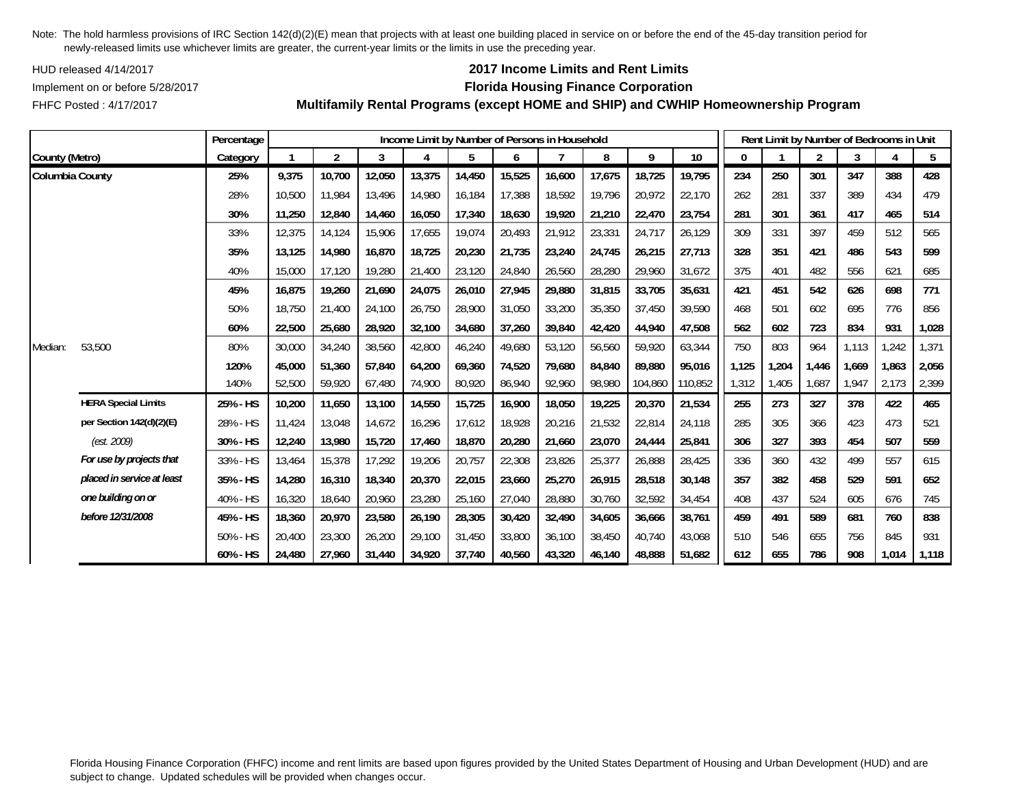HUD released 4/14/2017

FHFC Posted : 4/17/2017

## **2017 Income Limits and Rent Limits**

### Implement on or before 5/28/2017 **Florida Housing Finance Corporation**

**Multifamily Rental Programs (except HOME and SHIP) and CWHIP Homeownership Program**

|                 |                            | Percentage |        |                |        | Income Limit by Number of Persons in Household |        |        |        |        |         |         |       |       | Rent Limit by Number of Bedrooms in Unit |       |       |       |
|-----------------|----------------------------|------------|--------|----------------|--------|------------------------------------------------|--------|--------|--------|--------|---------|---------|-------|-------|------------------------------------------|-------|-------|-------|
| County (Metro)  |                            | Category   |        | $\overline{2}$ | 3      | 4                                              | 5      | 6      |        | 8      | 9       | 10      | 0     |       | $\overline{2}$                           | 3     |       | 5     |
| Columbia County |                            | 25%        | 9,375  | 10,700         | 12,050 | 13,375                                         | 14,450 | 15,525 | 16,600 | 17,675 | 18,725  | 19,795  | 234   | 250   | 301                                      | 347   | 388   | 428   |
|                 |                            | 28%        | 10,500 | 11.984         | 13,496 | 14,980                                         | 16,184 | 17,388 | 18,592 | 19,796 | 20,972  | 22,170  | 262   | 281   | 337                                      | 389   | 434   | 479   |
|                 |                            | 30%        | 11,250 | 12,840         | 14,460 | 16,050                                         | 17,340 | 18,630 | 19,920 | 21,210 | 22,470  | 23,754  | 281   | 301   | 361                                      | 417   | 465   | 514   |
|                 |                            | 33%        | 12,375 | 14,124         | 15,906 | 17,655                                         | 19,074 | 20,493 | 21,912 | 23,331 | 24,717  | 26,129  | 309   | 331   | 397                                      | 459   | 512   | 565   |
|                 |                            | 35%        | 13,125 | 14,980         | 16,870 | 18,725                                         | 20,230 | 21,735 | 23,240 | 24,745 | 26,215  | 27,713  | 328   | 351   | 421                                      | 486   | 543   | 599   |
|                 |                            | 40%        | 15,000 | 17,120         | 19,280 | 21,400                                         | 23,120 | 24,840 | 26,560 | 28,280 | 29,960  | 31,672  | 375   | 401   | 482                                      | 556   | 621   | 685   |
|                 |                            | 45%        | 16,875 | 19,260         | 21,690 | 24,075                                         | 26,010 | 27,945 | 29,880 | 31,815 | 33,705  | 35,631  | 421   | 451   | 542                                      | 626   | 698   | 771   |
|                 |                            | 50%        | 18.750 | 21,400         | 24,100 | 26,750                                         | 28,900 | 31,050 | 33,200 | 35,350 | 37,450  | 39.590  | 468   | 501   | 602                                      | 695   | 776   | 856   |
|                 |                            | 60%        | 22,500 | 25,680         | 28,920 | 32,100                                         | 34,680 | 37,260 | 39,840 | 42,420 | 44,940  | 47,508  | 562   | 602   | 723                                      | 834   | 931   | 1,028 |
| Median:         | 53,500                     | 80%        | 30,000 | 34,240         | 38,560 | 42,800                                         | 46,240 | 49,680 | 53,120 | 56,560 | 59,920  | 63,344  | 750   | 803   | 964                                      | 1,113 | ,242  | 1,371 |
|                 |                            | 120%       | 45,000 | 51,360         | 57,840 | 64,200                                         | 69,360 | 74,520 | 79.680 | 84,840 | 89,880  | 95,016  | 1,125 | 1.204 | 1,446                                    | 1.669 | 1,863 | 2,056 |
|                 |                            | 140%       | 52,500 | 59,920         | 67,480 | 74,900                                         | 80,920 | 86,940 | 92,960 | 98,980 | 104,860 | 110,852 | 1,312 | 1,405 | 1,687                                    | 1,947 | 2,173 | 2,399 |
|                 | <b>HERA Special Limits</b> | 25% - HS   | 10,200 | 11,650         | 13,100 | 14,550                                         | 15,725 | 16,900 | 18,050 | 19,225 | 20,370  | 21,534  | 255   | 273   | 327                                      | 378   | 422   | 465   |
|                 | per Section 142(d)(2)(E)   | 28% - HS   | 11,424 | 13,048         | 14,672 | 16,296                                         | 17,612 | 18,928 | 20,216 | 21,532 | 22,814  | 24,118  | 285   | 305   | 366                                      | 423   | 473   | 521   |
|                 | (est. 2009)                | 30% - HS   | 12,240 | 13,980         | 15,720 | 17,460                                         | 18,870 | 20,280 | 21,660 | 23,070 | 24,444  | 25,841  | 306   | 327   | 393                                      | 454   | 507   | 559   |
|                 | For use by projects that   | 33% - HS   | 13,464 | 15,378         | 17,292 | 19,206                                         | 20,757 | 22,308 | 23,826 | 25,377 | 26,888  | 28,425  | 336   | 360   | 432                                      | 499   | 557   | 615   |
|                 | placed in service at least | 35% - HS   | 14,280 | 16,310         | 18,340 | 20,370                                         | 22,015 | 23,660 | 25,270 | 26,915 | 28,518  | 30,148  | 357   | 382   | 458                                      | 529   | 591   | 652   |
|                 | one building on or         | 40% - HS   | 16,320 | 18,640         | 20,960 | 23,280                                         | 25,160 | 27,040 | 28,880 | 30,760 | 32,592  | 34,454  | 408   | 437   | 524                                      | 605   | 676   | 745   |
|                 | before 12/31/2008          | 45% - HS   | 18,360 | 20,970         | 23,580 | 26,190                                         | 28,305 | 30,420 | 32,490 | 34,605 | 36,666  | 38,761  | 459   | 491   | 589                                      | 681   | 760   | 838   |
|                 |                            | 50% - HS   | 20,400 | 23,300         | 26,200 | 29,100                                         | 31,450 | 33,800 | 36,100 | 38,450 | 40,740  | 43,068  | 510   | 546   | 655                                      | 756   | 845   | 931   |
|                 |                            | 60% - HS   | 24,480 | 27,960         | 31,440 | 34,920                                         | 37,740 | 40,560 | 43,320 | 46,140 | 48,888  | 51,682  | 612   | 655   | 786                                      | 908   | 1,014 | 1,118 |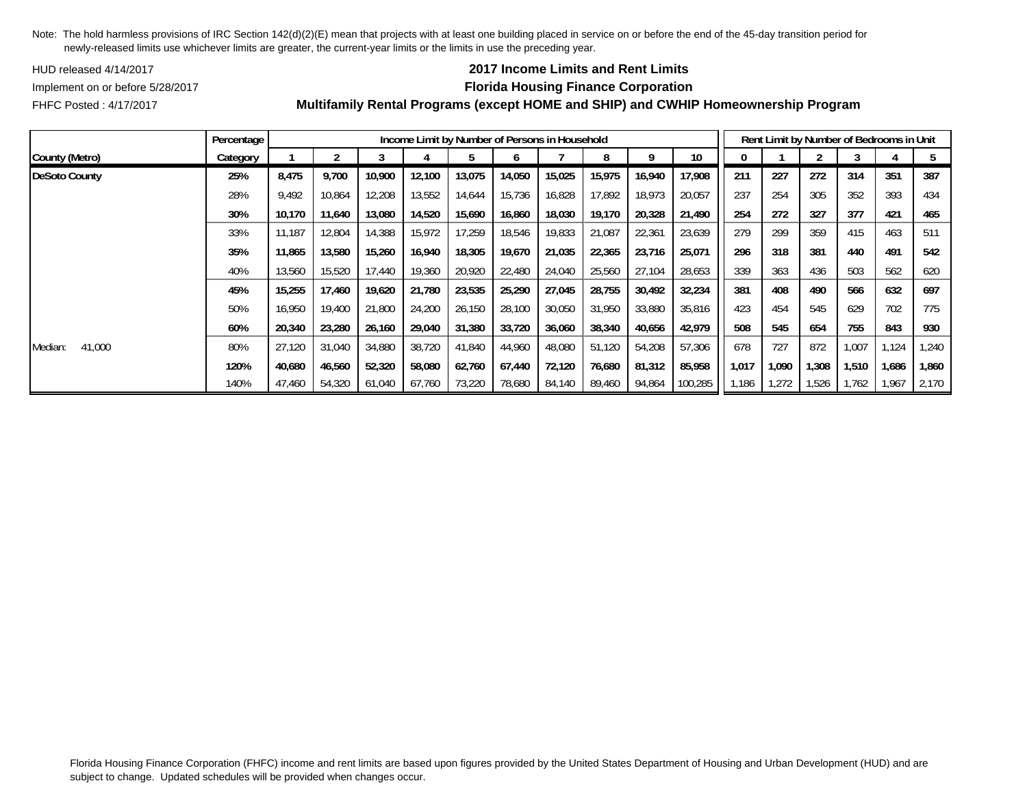HUD released 4/14/2017

## **2017 Income Limits and Rent Limits**

### Implement on or before 5/28/2017 **Florida Housing Finance Corporation**

FHFC Posted : 4/17/2017

|                   | Percentage |        |        |        |        | Income Limit by Number of Persons in Household |        |        |        |        |         |       | Rent Limit by Number of Bedrooms in Unit |       |       |       |        |
|-------------------|------------|--------|--------|--------|--------|------------------------------------------------|--------|--------|--------|--------|---------|-------|------------------------------------------|-------|-------|-------|--------|
| County (Metro)    | Category   |        |        |        |        |                                                | O      |        | 8      | 9      | 10      | 0     |                                          |       |       |       |        |
| DeSoto County     | 25%        | 8,475  | 9,700  | 10,900 | 12,100 | 13,075                                         | 14,050 | 15,025 | 15,975 | 16,940 | 17,908  | 211   | 227                                      | 272   | 314   | 351   | 387    |
|                   | 28%        | 9,492  | 10,864 | 12,208 | 13,552 | 14,644                                         | 15,736 | 16,828 | 17,892 | 18,973 | 20,057  | 237   | 254                                      | 305   | 352   | 393   | 434    |
|                   | 30%        | 10.170 | 11,640 | 13,080 | 14,520 | 15,690                                         | 16,860 | 18,030 | 19,170 | 20,328 | 21,490  | 254   | 272                                      | 327   | 377   | 421   | 465    |
|                   | 33%        | 11.187 | 12,804 | 14,388 | 15,972 | 17,259                                         | 18,546 | 19,833 | 21,087 | 22,361 | 23,639  | 279   | 299                                      | 359   | 415   | 463   | 511    |
|                   | 35%        | 11,865 | 13,580 | 15,260 | 16,940 | 18,305                                         | 19,670 | 21,035 | 22,365 | 23,716 | 25,071  | 296   | 318                                      | 381   | 440   | 491   | 542    |
|                   | 40%        | 13,560 | 15,520 | 17,440 | 19,360 | 20,920                                         | 22,480 | 24,040 | 25,560 | 27,104 | 28,653  | 339   | 363                                      | 436   | 503   | 562   | 620    |
|                   | 45%        | 15,255 | 17,460 | 19,620 | 21.780 | 23,535                                         | 25,290 | 27,045 | 28,755 | 30,492 | 32,234  | 381   | 408                                      | 490   | 566   | 632   | 697    |
|                   | 50%        | 16.950 | 19,400 | 21,800 | 24,200 | 26,150                                         | 28,100 | 30,050 | 31,950 | 33,880 | 35,816  | 423   | 454                                      | 545   | 629   | 702   | 775    |
|                   | 60%        | 20,340 | 23,280 | 26,160 | 29,040 | 31,380                                         | 33,720 | 36,060 | 38,340 | 40,656 | 42,979  | 508   | 545                                      | 654   | 755   | 843   | 930    |
| 41,000<br>Median: | 80%        | 27,120 | 31,040 | 34,880 | 38,720 | 41,840                                         | 44,960 | 48,080 | 51,120 | 54,208 | 57,306  | 678   | 727                                      | 872   | 1,007 | 1,124 | 240, ا |
|                   | 120%       | 40,680 | 46,560 | 52,320 | 58,080 | 62,760                                         | 67,440 | 72,120 | 76,680 | 81,312 | 85,958  | 1,017 | 1,090                                    | 1,308 | 1,510 | 1,686 | 1,860  |
|                   | 140%       | 47,460 | 54,320 | 61,040 | 67,760 | 73,220                                         | 78,680 | 84,140 | 89,460 | 94,864 | 100,285 | 1,186 | 1,272                                    | 1,526 | 1,762 | 1,967 | 2,170  |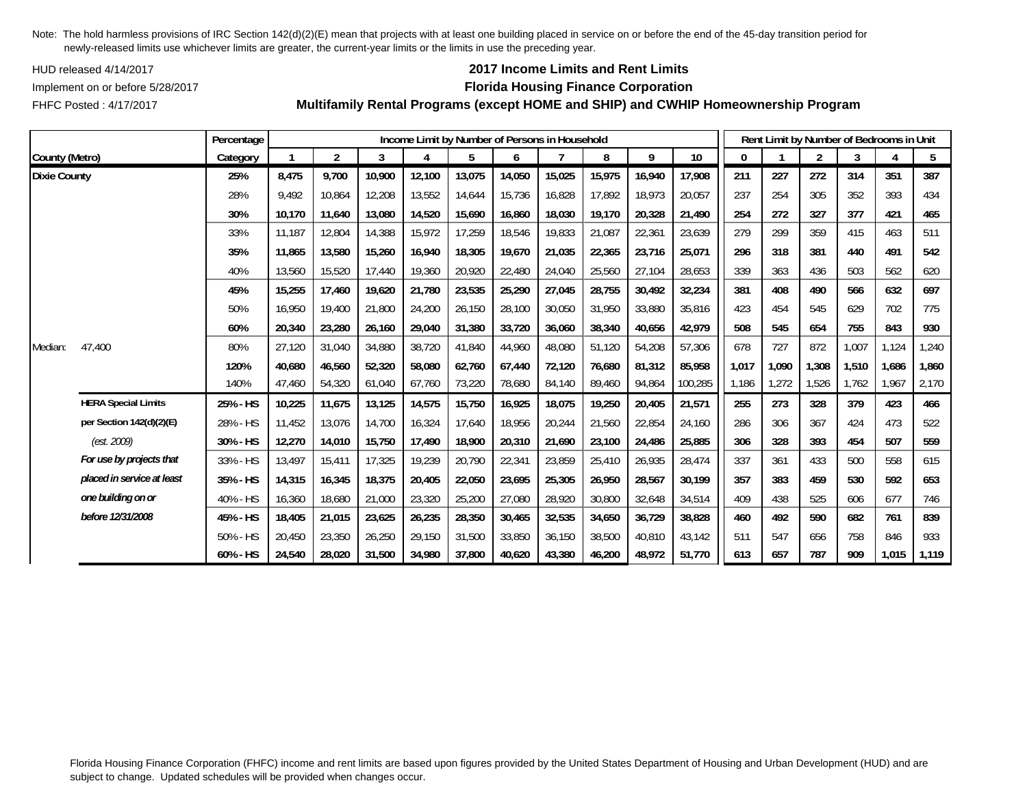HUD released 4/14/2017

FHFC Posted : 4/17/2017

## **2017 Income Limits and Rent Limits**

### Implement on or before 5/28/2017 **Florida Housing Finance Corporation**

**Multifamily Rental Programs (except HOME and SHIP) and CWHIP Homeownership Program**

|                     |                            | Percentage |        |                |        |        |        |        | Income Limit by Number of Persons in Household |        |        |         |       | Rent Limit by Number of Bedrooms in Unit |                |       |       |       |
|---------------------|----------------------------|------------|--------|----------------|--------|--------|--------|--------|------------------------------------------------|--------|--------|---------|-------|------------------------------------------|----------------|-------|-------|-------|
| County (Metro)      |                            | Category   |        | $\overline{2}$ | 3      | 4      | 5      | 6      |                                                | 8      | 9      | 10      | 0     |                                          | $\overline{2}$ | 3     | 4     | 5     |
| <b>Dixie County</b> |                            | 25%        | 8.475  | 9.700          | 10,900 | 12.100 | 13,075 | 14,050 | 15,025                                         | 15,975 | 16,940 | 17.908  | 211   | 227                                      | 272            | 314   | 351   | 387   |
|                     |                            | 28%        | 9,492  | 10,864         | 12,208 | 13,552 | 14,644 | 15,736 | 16,828                                         | 17,892 | 18,973 | 20,057  | 237   | 254                                      | 305            | 352   | 393   | 434   |
|                     |                            | 30%        | 10,170 | 11,640         | 13,080 | 14,520 | 15,690 | 16,860 | 18,030                                         | 19,170 | 20,328 | 21,490  | 254   | 272                                      | 327            | 377   | 421   | 465   |
|                     |                            | 33%        | 11,187 | 12,804         | 14,388 | 15,972 | 17,259 | 18,546 | 19,833                                         | 21,087 | 22,361 | 23,639  | 279   | 299                                      | 359            | 415   | 463   | 511   |
|                     |                            | 35%        | 11,865 | 13,580         | 15,260 | 16,940 | 18,305 | 19,670 | 21,035                                         | 22,365 | 23,716 | 25,071  | 296   | 318                                      | 381            | 440   | 491   | 542   |
|                     |                            | 40%        | 13,560 | 15,520         | 17,440 | 19,360 | 20,920 | 22,480 | 24,040                                         | 25,560 | 27,104 | 28,653  | 339   | 363                                      | 436            | 503   | 562   | 620   |
|                     |                            | 45%        | 15,255 | 17,460         | 19,620 | 21,780 | 23,535 | 25,290 | 27,045                                         | 28,755 | 30,492 | 32,234  | 381   | 408                                      | 490            | 566   | 632   | 697   |
|                     |                            | 50%        | 16.950 | 19,400         | 21,800 | 24,200 | 26,150 | 28,100 | 30,050                                         | 31.950 | 33,880 | 35,816  | 423   | 454                                      | 545            | 629   | 702   | 775   |
|                     |                            | 60%        | 20,340 | 23,280         | 26,160 | 29,040 | 31,380 | 33,720 | 36,060                                         | 38,340 | 40,656 | 42,979  | 508   | 545                                      | 654            | 755   | 843   | 930   |
| Median:             | 47,400                     | 80%        | 27,120 | 31,040         | 34,880 | 38,720 | 41,840 | 44,960 | 48,080                                         | 51,120 | 54,208 | 57,306  | 678   | 727                                      | 872            | 1,007 | 1,124 | 1,240 |
|                     |                            | 120%       | 40,680 | 46,560         | 52,320 | 58,080 | 62,760 | 67,440 | 72,120                                         | 76,680 | 81,312 | 85,958  | 1,017 | 1,090                                    | 1,308          | 1,510 | 1,686 | 1,860 |
|                     |                            | 140%       | 47,460 | 54,320         | 61,040 | 67,760 | 73,220 | 78,680 | 84,140                                         | 89,460 | 94,864 | 100,285 | 1,186 | 1,272                                    | 1,526          | 1,762 | 1,967 | 2,170 |
|                     | <b>HERA Special Limits</b> | 25% - HS   | 10,225 | 11,675         | 13,125 | 14,575 | 15,750 | 16,925 | 18,075                                         | 19,250 | 20,405 | 21,571  | 255   | 273                                      | 328            | 379   | 423   | 466   |
|                     | per Section 142(d)(2)(E)   | 28% - HS   | 11,452 | 13,076         | 14,700 | 16,324 | 17,640 | 18,956 | 20,244                                         | 21,560 | 22,854 | 24,160  | 286   | 306                                      | 367            | 424   | 473   | 522   |
|                     | (est. 2009)                | 30% - HS   | 12,270 | 14,010         | 15,750 | 17,490 | 18,900 | 20,310 | 21,690                                         | 23,100 | 24,486 | 25,885  | 306   | 328                                      | 393            | 454   | 507   | 559   |
|                     | For use by projects that   | 33% - HS   | 13.497 | 15.411         | 17,325 | 19,239 | 20,790 | 22,341 | 23,859                                         | 25,410 | 26,935 | 28,474  | 337   | 361                                      | 433            | 500   | 558   | 615   |
|                     | placed in service at least | 35% - HS   | 14,315 | 16,345         | 18,375 | 20,405 | 22,050 | 23,695 | 25,305                                         | 26,950 | 28,567 | 30,199  | 357   | 383                                      | 459            | 530   | 592   | 653   |
|                     | one building on or         | 40% - HS   | 16,360 | 18,680         | 21,000 | 23,320 | 25,200 | 27,080 | 28,920                                         | 30,800 | 32,648 | 34,514  | 409   | 438                                      | 525            | 606   | 677   | 746   |
|                     | before 12/31/2008          | 45% - HS   | 18,405 | 21,015         | 23,625 | 26,235 | 28,350 | 30,465 | 32,535                                         | 34,650 | 36,729 | 38,828  | 460   | 492                                      | 590            | 682   | 761   | 839   |
|                     |                            | 50% - HS   | 20,450 | 23,350         | 26,250 | 29,150 | 31,500 | 33,850 | 36,150                                         | 38,500 | 40,810 | 43,142  | 511   | 547                                      | 656            | 758   | 846   | 933   |
|                     |                            | 60% - HS   | 24,540 | 28,020         | 31,500 | 34,980 | 37,800 | 40,620 | 43,380                                         | 46,200 | 48,972 | 51,770  | 613   | 657                                      | 787            | 909   | 1,015 | 1,119 |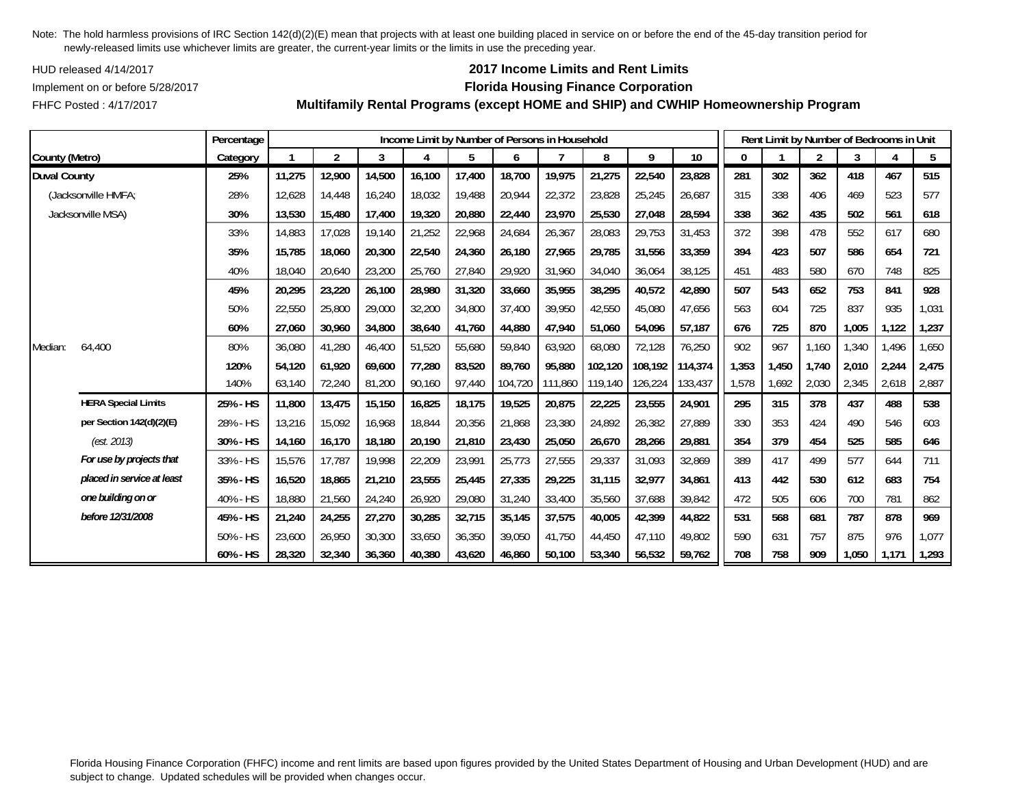HUD released 4/14/2017

FHFC Posted : 4/17/2017

## **2017 Income Limits and Rent Limits**

### Implement on or before 5/28/2017 **Florida Housing Finance Corporation**

**Multifamily Rental Programs (except HOME and SHIP) and CWHIP Homeownership Program**

|                     |                            | Percentage |        |                |        |        |        |         | Income Limit by Number of Persons in Household |         |         |         |       |       |                | Rent Limit by Number of Bedrooms in Unit |       |       |
|---------------------|----------------------------|------------|--------|----------------|--------|--------|--------|---------|------------------------------------------------|---------|---------|---------|-------|-------|----------------|------------------------------------------|-------|-------|
| County (Metro)      |                            | Category   |        | $\overline{2}$ | 3      | 4      | 5      | 6       |                                                | 8       | 9       | 10      | 0     |       | $\overline{2}$ | 3                                        |       | 5     |
| <b>Duval County</b> |                            | 25%        | 11,275 | 12,900         | 14,500 | 16,100 | 17,400 | 18,700  | 19,975                                         | 21,275  | 22,540  | 23,828  | 281   | 302   | 362            | 418                                      | 467   | 515   |
|                     | (Jacksonville HMFA;        | 28%        | 12,628 | 14,448         | 16,240 | 18,032 | 19,488 | 20,944  | 22,372                                         | 23,828  | 25,245  | 26,687  | 315   | 338   | 406            | 469                                      | 523   | 577   |
|                     | Jacksonville MSA)          | 30%        | 13,530 | 15,480         | 17,400 | 19,320 | 20,880 | 22,440  | 23,970                                         | 25,530  | 27,048  | 28,594  | 338   | 362   | 435            | 502                                      | 561   | 618   |
|                     |                            | 33%        | 14,883 | 17,028         | 19,140 | 21,252 | 22,968 | 24,684  | 26,367                                         | 28,083  | 29,753  | 31,453  | 372   | 398   | 478            | 552                                      | 617   | 680   |
|                     |                            | 35%        | 15,785 | 18,060         | 20,300 | 22,540 | 24,360 | 26,180  | 27,965                                         | 29,785  | 31,556  | 33,359  | 394   | 423   | 507            | 586                                      | 654   | 721   |
|                     |                            | 40%        | 18,040 | 20,640         | 23,200 | 25,760 | 27,840 | 29,920  | 31,960                                         | 34,040  | 36,064  | 38,125  | 451   | 483   | 580            | 670                                      | 748   | 825   |
|                     |                            | 45%        | 20,295 | 23,220         | 26,100 | 28,980 | 31,320 | 33,660  | 35,955                                         | 38,295  | 40,572  | 42,890  | 507   | 543   | 652            | 753                                      | 841   | 928   |
|                     |                            | 50%        | 22,550 | 25,800         | 29,000 | 32,200 | 34,800 | 37,400  | 39.950                                         | 42,550  | 45,080  | 47,656  | 563   | 604   | 725            | 837                                      | 935   | 1,031 |
|                     |                            | 60%        | 27,060 | 30,960         | 34,800 | 38,640 | 41,760 | 44,880  | 47,940                                         | 51,060  | 54,096  | 57,187  | 676   | 725   | 870            | 1,005                                    | 1,122 | 1,237 |
| Median:             | 64,400                     | 80%        | 36,080 | 41,280         | 46,400 | 51,520 | 55,680 | 59,840  | 63,920                                         | 68,080  | 72,128  | 76,250  | 902   | 967   | 1,160          | 1,340                                    | 1,496 | 1,650 |
|                     |                            | 120%       | 54,120 | 61.920         | 69,600 | 77,280 | 83,520 | 89.760  | 95.880                                         | 102,120 | 108,192 | 114,374 | 1,353 | 1,450 | 1,740          | 2,010                                    | 2,244 | 2,475 |
|                     |                            | 140%       | 63,140 | 72,240         | 81,200 | 90,160 | 97,440 | 104,720 | 111,860                                        | 119,140 | 126,224 | 133,437 | 1,578 | 1,692 | 2,030          | 2,345                                    | 2,618 | 2,887 |
|                     | <b>HERA Special Limits</b> | 25% - HS   | 11,800 | 13,475         | 15,150 | 16,825 | 18,175 | 19,525  | 20,875                                         | 22,225  | 23,555  | 24,901  | 295   | 315   | 378            | 437                                      | 488   | 538   |
|                     | per Section 142(d)(2)(E)   | 28% - HS   | 13,216 | 15,092         | 16,968 | 18,844 | 20,356 | 21,868  | 23,380                                         | 24,892  | 26,382  | 27,889  | 330   | 353   | 424            | 490                                      | 546   | 603   |
|                     | (est. 2013)                | 30% - HS   | 14,160 | 16,170         | 18,180 | 20,190 | 21,810 | 23,430  | 25,050                                         | 26,670  | 28,266  | 29,881  | 354   | 379   | 454            | 525                                      | 585   | 646   |
|                     | For use by projects that   | 33% - HS   | 15,576 | 17,787         | 19,998 | 22,209 | 23,991 | 25,773  | 27,555                                         | 29,337  | 31,093  | 32,869  | 389   | 417   | 499            | 577                                      | 644   | 711   |
|                     | placed in service at least | 35% - HS   | 16,520 | 18,865         | 21,210 | 23,555 | 25,445 | 27,335  | 29,225                                         | 31,115  | 32,977  | 34,861  | 413   | 442   | 530            | 612                                      | 683   | 754   |
|                     | one building on or         | 40% - HS   | 18,880 | 21,560         | 24,240 | 26,920 | 29,080 | 31,240  | 33,400                                         | 35,560  | 37,688  | 39,842  | 472   | 505   | 606            | 700                                      | 781   | 862   |
|                     | before 12/31/2008          | 45% - HS   | 21,240 | 24,255         | 27,270 | 30,285 | 32,715 | 35,145  | 37,575                                         | 40,005  | 42,399  | 44,822  | 531   | 568   | 681            | 787                                      | 878   | 969   |
|                     |                            | 50% - HS   | 23,600 | 26,950         | 30,300 | 33,650 | 36,350 | 39,050  | 41,750                                         | 44,450  | 47,110  | 49,802  | 590   | 631   | 757            | 875                                      | 976   | 1,077 |
|                     |                            | 60% - HS   | 28,320 | 32,340         | 36,360 | 40,380 | 43,620 | 46,860  | 50,100                                         | 53,340  | 56,532  | 59,762  | 708   | 758   | 909            | 1,050                                    | 1,171 | 1,293 |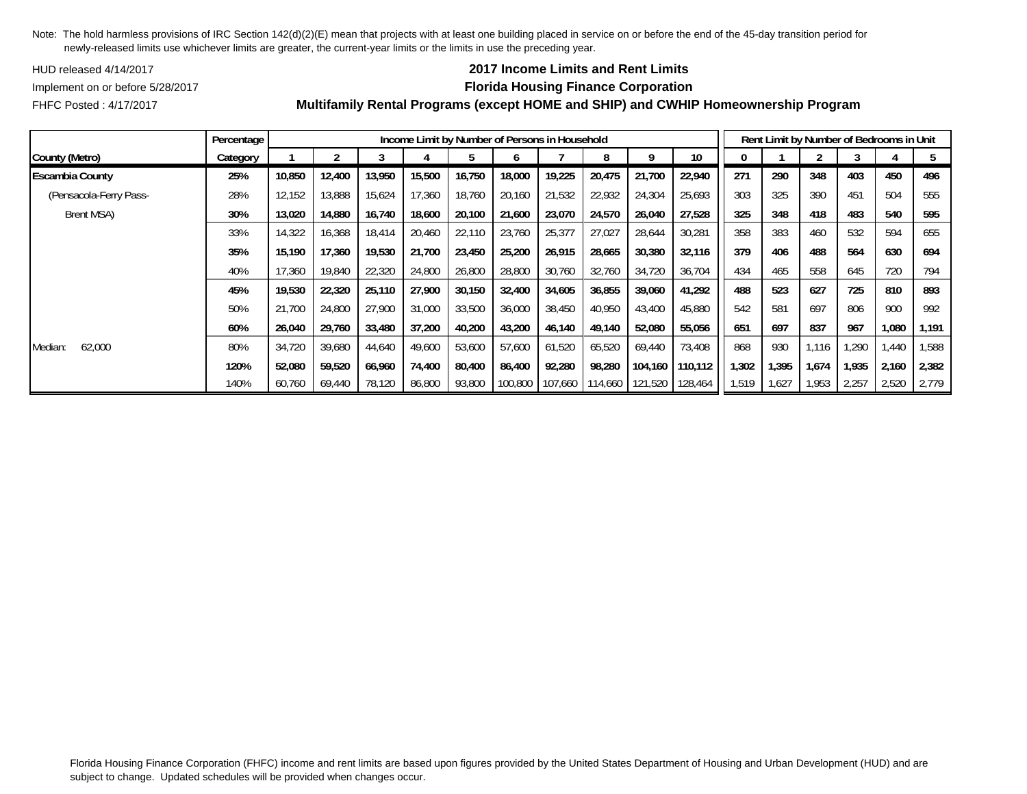HUD released 4/14/2017

### **2017 Income Limits and Rent Limits**

Implement on or before 5/28/2017 **Florida Housing Finance Corporation**

FHFC Posted : 4/17/2017

## **Multifamily Rental Programs (except HOME and SHIP) and CWHIP Homeownership Program**

120% | 52,080 | 59,520 | 66,960 | 74,400 | 80,400 | 86,400 | 92,280 | 98,280 | 104,160 | 110,112 || 1,302 | 1,395 | 1,674 | 1,935 | 2,160 | 2,382 140% |60,760 |69,440 |78,120 |86,800 |93,800 |100,800 |107,660 |114,660 |121,520 |128,464 ||1,519 |1,627 |1,953 |2,257 |2,520 |2,779

**Percentage Income Limit by Number of Persons in Household Rent Limit by Number of Bedrooms in Unit** County (Metro) | Category | 1 | 2 | 3 | 4 | 5 | 6 | 7 | 8 | 9 | 10 || 0 | 1 | 2 | 3 | 4 | 5 Escambia County | 25% | 10,850 | 12,400 | 13,950 | 15,500 | 16,750 | 18,000 | 19,225 | 20,475 | 21,700 | 22,940 || 271 | 290 | 348 | 403 | 450 | 496 (Pensacola-Ferry Pass- 28% 12,152 13,888 15,624 17,360 18,760 20,160 21,532 22,932 24,304 25,693 25,693 325 390 451 504 555 Brent MSA) 30% | 13,020 | 14,880 | 16,740 | 18,600 | 20,100 | 21,600 | 23,070 | 24,570 | 26,040 | 27,528 | | 325 | 348 | 348 | 418 | 483 | 540 | 595 33% | 14,322 | 16,368 | 18,414 | 20,460 | 22,110 | 23,760 | 25,377 | 27,027 | 28,644 | 30,281 || 358 | 383 | 460 | 532 | 594 | 655 35% | 15,190 | 17,360 | 19,530 | 21,700 | 23,450 | 25,200 | 26,915 | 28,665 | 30,380 | 32,116 || 379 | 406 | 488 | 564 | 630 | 694 40% | 17,360 | 19,840 | 22,320 | 24,800 | 26,800 | 28,800 | 30,760 | 32,760 | 34,720 | 36,704 || 434 | 435 | 558 | 645 | 720 | 794 45% | 19,530 | 22,320 | 25,110 | 27,900 | 30,150 | 32,400 | 34,605 | 36,855 | 39,060 | 41,292 || 488 | 523 | 627 | 725 | 810 | 893 50% | 21,700 | 24,800 | 27,900 | 31,000 | 33,500 | 36,000 | 38,450 | 43,950 | 43,400 | 45,880 || 542 | 581 | 697 | 806 | 900 | 992 60% | 26,040 | 29,760 | 33,480 | 37,200 | 40,200 | 43,200 | 46,140 | 49,140 | 52,080 | 55,056 || 651 | 697 | 837 | 967 | 1,080 | 1,191

Median: 62,000 | 80% | 34,720 | 39,680 | 44,640 | 49,600 | 57,600 | 57,600 | 61,520 | 65,520 | 69,440 | 73,408 || 868 | 930 | 1,116 | 1,290 | 1,440 | 1,588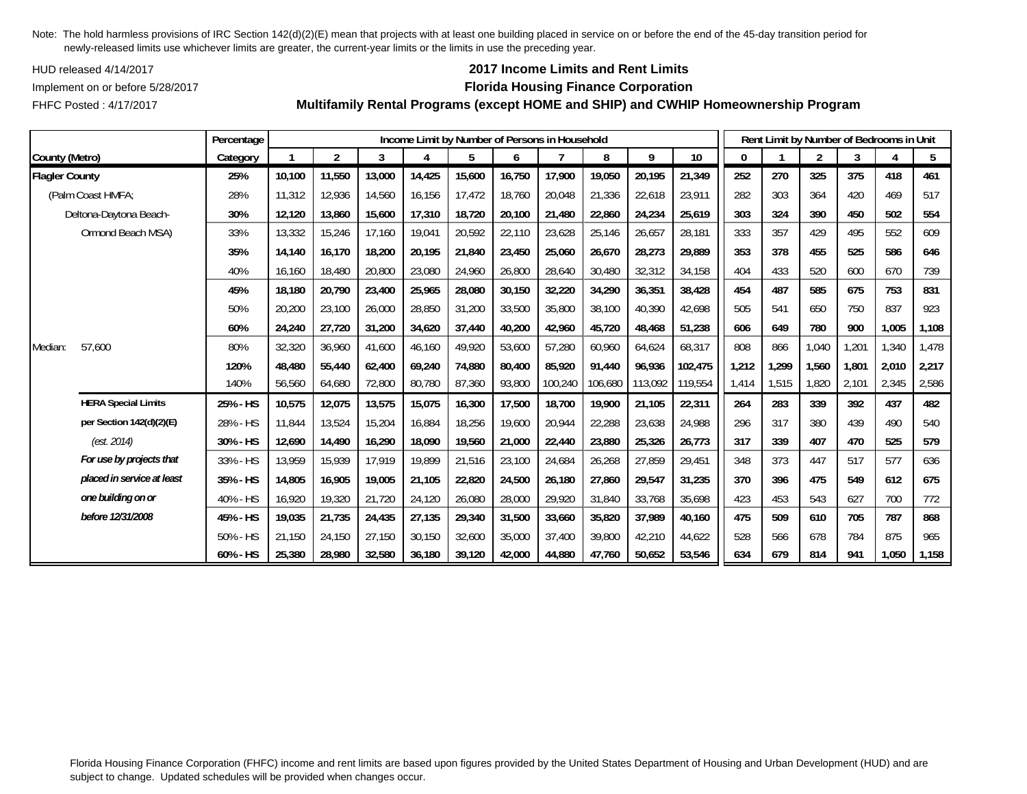HUD released 4/14/2017

FHFC Posted : 4/17/2017

## **2017 Income Limits and Rent Limits**

### Implement on or before 5/28/2017 **Florida Housing Finance Corporation**

**Multifamily Rental Programs (except HOME and SHIP) and CWHIP Homeownership Program**

|                       |                            | Percentage |        |                |        |        |        |        | Income Limit by Number of Persons in Household |         |         |         |              |       | Rent Limit by Number of Bedrooms in Unit |       |       |       |
|-----------------------|----------------------------|------------|--------|----------------|--------|--------|--------|--------|------------------------------------------------|---------|---------|---------|--------------|-------|------------------------------------------|-------|-------|-------|
| County (Metro)        |                            | Category   |        | $\overline{2}$ | 3      | 4      | 5      | 6      |                                                | 8       | 9       | 10      | $\mathbf{0}$ |       | $\overline{2}$                           | 3     |       | 5     |
| <b>Flagler County</b> |                            | 25%        | 10,100 | 11,550         | 13,000 | 14,425 | 15,600 | 16,750 | 17,900                                         | 19,050  | 20,195  | 21,349  | 252          | 270   | 325                                      | 375   | 418   | 461   |
|                       | (Palm Coast HMFA;          | 28%        | 11,312 | 12,936         | 14,560 | 16,156 | 17,472 | 18,760 | 20,048                                         | 21,336  | 22,618  | 23,911  | 282          | 303   | 364                                      | 420   | 469   | 517   |
|                       | Deltona-Daytona Beach-     | 30%        | 12,120 | 13,860         | 15,600 | 17,310 | 18,720 | 20,100 | 21,480                                         | 22,860  | 24,234  | 25,619  | 303          | 324   | 390                                      | 450   | 502   | 554   |
|                       | Ormond Beach MSA)          | 33%        | 13,332 | 15,246         | 17,160 | 19,041 | 20,592 | 22,110 | 23,628                                         | 25,146  | 26,657  | 28,181  | 333          | 357   | 429                                      | 495   | 552   | 609   |
|                       |                            | 35%        | 14,140 | 16,170         | 18,200 | 20,195 | 21,840 | 23,450 | 25,060                                         | 26,670  | 28,273  | 29,889  | 353          | 378   | 455                                      | 525   | 586   | 646   |
|                       |                            | 40%        | 16,160 | 18,480         | 20,800 | 23,080 | 24,960 | 26,800 | 28,640                                         | 30,480  | 32,312  | 34,158  | 404          | 433   | 520                                      | 600   | 670   | 739   |
|                       |                            | 45%        | 18,180 | 20,790         | 23,400 | 25,965 | 28,080 | 30,150 | 32,220                                         | 34,290  | 36,351  | 38,428  | 454          | 487   | 585                                      | 675   | 753   | 831   |
|                       |                            | 50%        | 20,200 | 23,100         | 26,000 | 28,850 | 31,200 | 33,500 | 35,800                                         | 38,100  | 40,390  | 42,698  | 505          | 541   | 650                                      | 750   | 837   | 923   |
|                       |                            | 60%        | 24,240 | 27,720         | 31,200 | 34,620 | 37,440 | 40,200 | 42.960                                         | 45,720  | 48,468  | 51,238  | 606          | 649   | 780                                      | 900   | 1,005 | 1,108 |
| Median:               | 57.600                     | 80%        | 32,320 | 36,960         | 41.600 | 46,160 | 49,920 | 53,600 | 57,280                                         | 60,960  | 64,624  | 68,317  | 808          | 866   | 1,040                                    | 1,201 | 1,340 | 1,478 |
|                       |                            | 120%       | 48,480 | 55,440         | 62,400 | 69,240 | 74,880 | 80,400 | 85,920                                         | 91,440  | 96,936  | 102,475 | 1,212        | 1,299 | 1,560                                    | 1,801 | 2,010 | 2,217 |
|                       |                            | 140%       | 56,560 | 64,680         | 72,800 | 80,780 | 87,360 | 93,800 | 100,240                                        | 106,680 | 113,092 | 119,554 | 1,414        | 1,515 | 1,820                                    | 2,101 | 2,345 | 2,586 |
|                       | <b>HERA Special Limits</b> | 25% - HS   | 10,575 | 12,075         | 13,575 | 15,075 | 16,300 | 17,500 | 18,700                                         | 19,900  | 21,105  | 22,311  | 264          | 283   | 339                                      | 392   | 437   | 482   |
|                       | per Section 142(d)(2)(E)   | 28% - HS   | 11,844 | 13,524         | 15,204 | 16,884 | 18,256 | 19,600 | 20,944                                         | 22,288  | 23,638  | 24,988  | 296          | 317   | 380                                      | 439   | 490   | 540   |
|                       | (est. 2014)                | 30% - HS   | 12,690 | 14,490         | 16,290 | 18,090 | 19,560 | 21,000 | 22,440                                         | 23,880  | 25,326  | 26,773  | 317          | 339   | 407                                      | 470   | 525   | 579   |
|                       | For use by projects that   | 33% - HS   | 13,959 | 15,939         | 17,919 | 19,899 | 21,516 | 23,100 | 24,684                                         | 26,268  | 27,859  | 29,451  | 348          | 373   | 447                                      | 517   | 577   | 636   |
|                       | placed in service at least | 35% - HS   | 14,805 | 16,905         | 19,005 | 21,105 | 22,820 | 24,500 | 26,180                                         | 27,860  | 29,547  | 31,235  | 370          | 396   | 475                                      | 549   | 612   | 675   |
|                       | one building on or         | 40% - HS   | 16,920 | 19,320         | 21,720 | 24,120 | 26,080 | 28,000 | 29,920                                         | 31,840  | 33,768  | 35,698  | 423          | 453   | 543                                      | 627   | 700   | 772   |
|                       | before 12/31/2008          | 45% - HS   | 19,035 | 21,735         | 24,435 | 27,135 | 29,340 | 31,500 | 33,660                                         | 35,820  | 37,989  | 40,160  | 475          | 509   | 610                                      | 705   | 787   | 868   |
|                       |                            | 50% - HS   | 21,150 | 24,150         | 27,150 | 30,150 | 32,600 | 35,000 | 37,400                                         | 39,800  | 42,210  | 44,622  | 528          | 566   | 678                                      | 784   | 875   | 965   |
|                       |                            | 60% - HS   | 25,380 | 28,980         | 32,580 | 36,180 | 39,120 | 42,000 | 44,880                                         | 47,760  | 50,652  | 53,546  | 634          | 679   | 814                                      | 941   | 1,050 | 1,158 |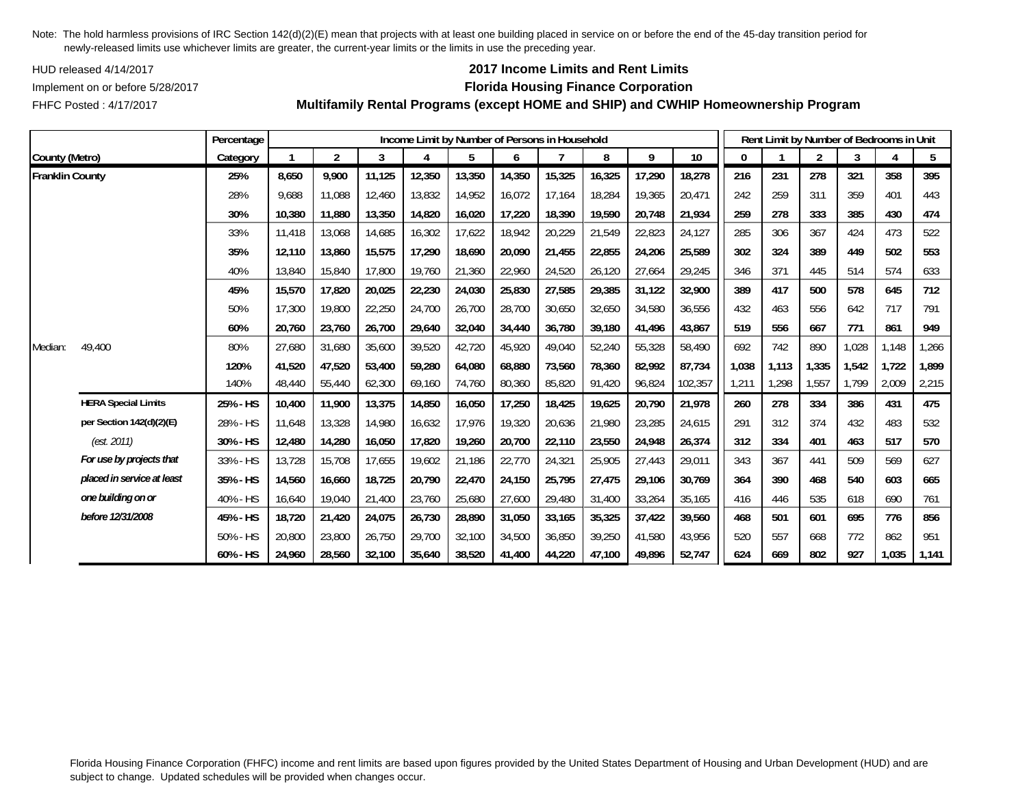HUD released 4/14/2017

FHFC Posted : 4/17/2017

# **2017 Income Limits and Rent Limits**

## Implement on or before 5/28/2017 **Florida Housing Finance Corporation**

**Multifamily Rental Programs (except HOME and SHIP) and CWHIP Homeownership Program**

|                        |                            | Percentage |        |                |        | Income Limit by Number of Persons in Household |        |        |                   |        |        |         |       | Rent Limit by Number of Bedrooms in Unit |                |       |       |       |
|------------------------|----------------------------|------------|--------|----------------|--------|------------------------------------------------|--------|--------|-------------------|--------|--------|---------|-------|------------------------------------------|----------------|-------|-------|-------|
| County (Metro)         |                            | Category   |        | $\overline{2}$ | 3      | 4                                              | 5      | 6      |                   | 8      | 9      | 10      | 0     |                                          | $\overline{2}$ | 3     | 4     | 5     |
| <b>Franklin County</b> |                            | 25%        | 8,650  | 9,900          | 11,125 | 12,350                                         | 13,350 | 14,350 | 15,325            | 16,325 | 17,290 | 18,278  | 216   | 231                                      | 278            | 321   | 358   | 395   |
|                        |                            | 28%        | 9,688  | 11,088         | 12,460 | 13,832                                         | 14,952 | 16,072 | 17,164            | 18,284 | 19,365 | 20,471  | 242   | 259                                      | 311            | 359   | 401   | 443   |
|                        |                            | 30%        | 10,380 | 11,880         | 13,350 | 14,820                                         | 16,020 | 17,220 | 18,390            | 19,590 | 20,748 | 21,934  | 259   | 278                                      | 333            | 385   | 430   | 474   |
|                        |                            | 33%        | 11,418 | 13,068         | 14,685 | 16,302                                         | 17,622 | 18,942 | 20,229            | 21,549 | 22,823 | 24,127  | 285   | 306                                      | 367            | 424   | 473   | 522   |
|                        |                            | 35%        | 12,110 | 13,860         | 15,575 | 17,290                                         | 18,690 | 20,090 | 21,455            | 22,855 | 24,206 | 25,589  | 302   | 324                                      | 389            | 449   | 502   | 553   |
|                        |                            | 40%        | 13,840 | 15,840         | 17,800 | 19,760                                         | 21,360 | 22,960 | 24,520            | 26,120 | 27,664 | 29,245  | 346   | 371                                      | 445            | 514   | 574   | 633   |
|                        |                            | 45%        | 15,570 | 17,820         | 20,025 | 22,230                                         | 24,030 | 25,830 | 27,585            | 29,385 | 31,122 | 32,900  | 389   | 417                                      | 500            | 578   | 645   | 712   |
|                        |                            | 50%        | 17,300 | 19,800         | 22,250 | 24,700                                         | 26,700 | 28,700 | 30,650            | 32,650 | 34,580 | 36,556  | 432   | 463                                      | 556            | 642   | 717   | 791   |
|                        |                            | 60%        | 20,760 | 23,760         | 26,700 | 29,640                                         | 32,040 | 34,440 | 36,780            | 39,180 | 41,496 | 43,867  | 519   | 556                                      | 667            | 771   | 861   | 949   |
| Median:                | 49,400                     | 80%        | 27,680 | 31,680         | 35,600 | 39,520                                         | 42,720 | 45,920 | 49,040            | 52,240 | 55,328 | 58,490  | 692   | 742                                      | 890            | 1,028 | 1,148 | 1,266 |
|                        |                            | 120%       | 41,520 | 47,520         | 53,400 | 59,280                                         | 64,080 | 68,880 | 73,560            | 78,360 | 82,992 | 87,734  | 1,038 | 1,113                                    | 1,335          | 1,542 | 1,722 | 1,899 |
|                        |                            | 140%       | 48,440 | 55,440         | 62,300 | 69,160                                         | 74,760 | 80,360 | 85,820            | 91,420 | 96,824 | 102,357 | 1,211 | 1,298                                    | 1,557          | 1,799 | 2,009 | 2,215 |
|                        | <b>HERA Special Limits</b> | 25% - HS   | 10,400 | 11,900         | 13,375 | 14,850                                         | 16,050 | 17,250 | 18,425            | 19,625 | 20,790 | 21,978  | 260   | 278                                      | 334            | 386   | 431   | 475   |
|                        | per Section 142(d)(2)(E)   | 28% - HS   | 11,648 | 13,328         | 14,980 | 16,632                                         | 17,976 | 19,320 | 20,636            | 21,980 | 23,285 | 24,615  | 291   | 312                                      | 374            | 432   | 483   | 532   |
|                        | (est. 2011)                | 30% - HS   | 12,480 | 14,280         | 16,050 | 17,820                                         | 19,260 | 20,700 | 22,110            | 23,550 | 24,948 | 26,374  | 312   | 334                                      | 401            | 463   | 517   | 570   |
|                        | For use by projects that   | 33% - HS   | 13,728 | 15,708         | 17,655 | 19,602                                         | 21,186 | 22,770 | $24,32^{\degree}$ | 25,905 | 27,443 | 29,011  | 343   | 367                                      | 441            | 509   | 569   | 627   |
|                        | placed in service at least | 35% - HS   | 14,560 | 16,660         | 18,725 | 20,790                                         | 22,470 | 24,150 | 25,795            | 27,475 | 29,106 | 30,769  | 364   | 390                                      | 468            | 540   | 603   | 665   |
|                        | one building on or         | 40% - HS   | 16,640 | 19,040         | 21,400 | 23,760                                         | 25,680 | 27,600 | 29,480            | 31,400 | 33,264 | 35,165  | 416   | 446                                      | 535            | 618   | 690   | 761   |
|                        | before 12/31/2008          | 45% - HS   | 18,720 | 21,420         | 24,075 | 26,730                                         | 28,890 | 31,050 | 33,165            | 35,325 | 37,422 | 39,560  | 468   | 501                                      | 601            | 695   | 776   | 856   |
|                        |                            | 50% - HS   | 20,800 | 23,800         | 26,750 | 29,700                                         | 32,100 | 34,500 | 36,850            | 39,250 | 41,580 | 43,956  | 520   | 557                                      | 668            | 772   | 862   | 951   |
|                        |                            | 60% - HS   | 24,960 | 28,560         | 32,100 | 35,640                                         | 38,520 | 41,400 | 44,220            | 47,100 | 49,896 | 52,747  | 624   | 669                                      | 802            | 927   | 1,035 | 1,141 |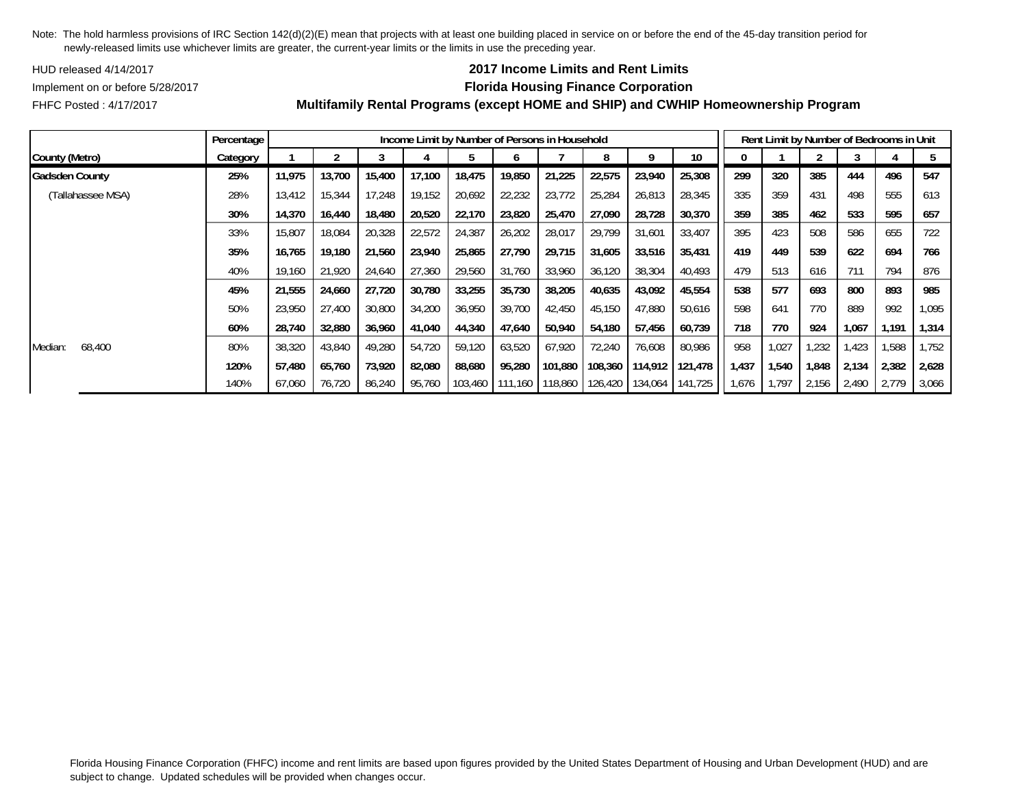HUD released 4/14/2017

FHFC Posted : 4/17/2017

## **2017 Income Limits and Rent Limits**

Implement on or before 5/28/2017 **Florida Housing Finance Corporation**

|                       | Percentage |        |        |        |        |         |         | Income Limit by Number of Persons in Household |         |         |         |       |       | Rent Limit by Number of Bedrooms in Unit |       |       |       |
|-----------------------|------------|--------|--------|--------|--------|---------|---------|------------------------------------------------|---------|---------|---------|-------|-------|------------------------------------------|-------|-------|-------|
| County (Metro)        | Category   |        |        |        |        |         |         |                                                | 8       | q       | 10      |       |       |                                          |       |       |       |
| <b>Gadsden County</b> | 25%        | 11,975 | 13,700 | 15,400 | 17,100 | 18,475  | 19,850  | 21,225                                         | 22,575  | 23,940  | 25,308  | 299   | 320   | 385                                      | 444   | 496   | 547   |
| (Tallahassee MSA)     | 28%        | 13,412 | 15,344 | 17,248 | 19,152 | 20,692  | 22,232  | 23,772                                         | 25,284  | 26,813  | 28,345  | 335   | 359   | 431                                      | 498   | 555   | 613   |
|                       | 30%        | 14,370 | 16,440 | 18,480 | 20,520 | 22,170  | 23,820  | 25,470                                         | 27,090  | 28,728  | 30,370  | 359   | 385   | 462                                      | 533   | 595   | 657   |
|                       | 33%        | 15,807 | 18,084 | 20,328 | 22,572 | 24,387  | 26,202  | 28,017                                         | 29,799  | 31,601  | 33,407  | 395   | 423   | 508                                      | 586   | 655   | 722   |
|                       | 35%        | 16.765 | 19,180 | 21,560 | 23,940 | 25,865  | 27,790  | 29,715                                         | 31,605  | 33,516  | 35,431  | 419   | 449   | 539                                      | 622   | 694   | 766   |
|                       | 40%        | 19.160 | 21,920 | 24,640 | 27,360 | 29,560  | 31.760  | 33,960                                         | 36,120  | 38,304  | 40,493  | 479   | 513   | 616                                      | 711   | 794   | 876   |
|                       | 45%        | 21,555 | 24,660 | 27,720 | 30,780 | 33,255  | 35,730  | 38,205                                         | 40,635  | 43,092  | 45,554  | 538   | 577   | 693                                      | 800   | 893   | 985   |
|                       | 50%        | 23,950 | 27,400 | 30,800 | 34,200 | 36,950  | 39,700  | 42,450                                         | 45,150  | 47,880  | 50,616  | 598   | 641   | 770                                      | 889   | 992   | 1,095 |
|                       | 60%        | 28,740 | 32,880 | 36,960 | 41,040 | 44,340  | 47,640  | 50,940                                         | 54,180  | 57,456  | 60,739  | 718   | 770   | 924                                      | 1,067 | 1,191 | 1,314 |
| 68,400<br>Median:     | 80%        | 38,320 | 43,840 | 49,280 | 54,720 | 59,120  | 63,520  | 67,920                                         | 72,240  | 76,608  | 80,986  | 958   | 1,027 | 1,232                                    | 1,423 | ,588  | ,752  |
|                       | 120%       | 57.480 | 65,760 | 73,920 | 82,080 | 88,680  | 95,280  | 101,880                                        | 108,360 | 114,912 | 121,478 | 1,437 | 1,540 | 1,848                                    | 2,134 | 2,382 | 2,628 |
|                       | 140%       | 67,060 | 76,720 | 86,240 | 95,760 | 103.460 | 111.160 | 118,860                                        | 126,420 | 134,064 | 141,725 | 1,676 | 1.797 | 2,156                                    | 2,490 | 2,779 | 3,066 |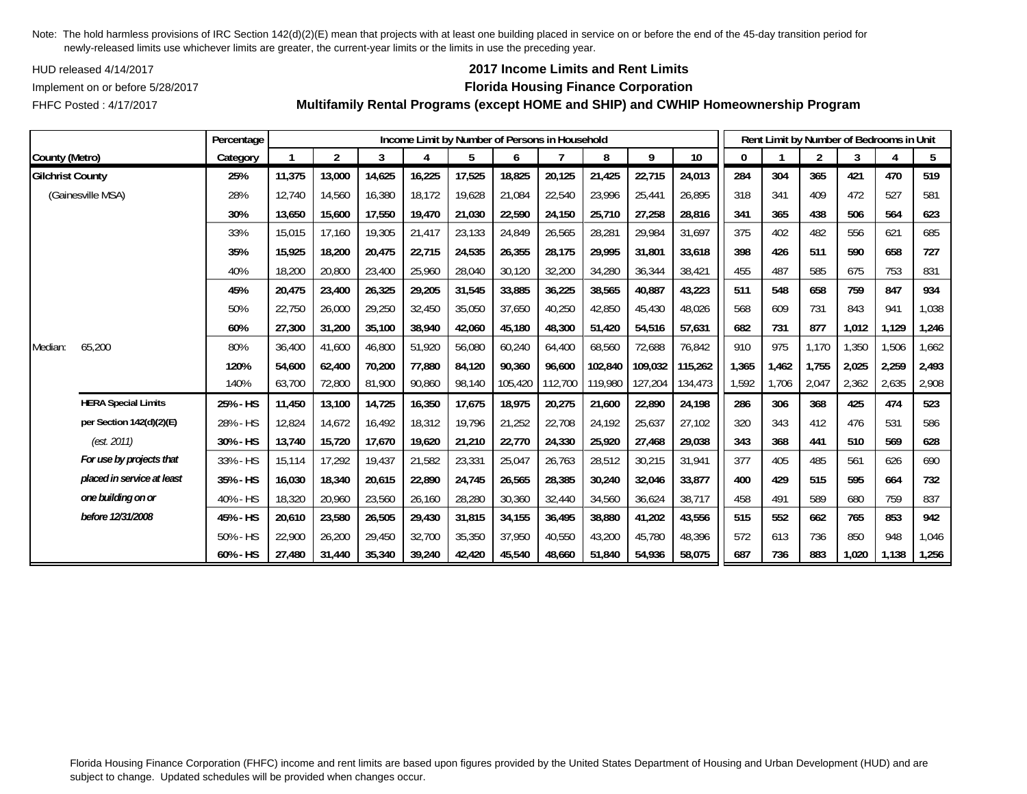HUD released 4/14/2017

FHFC Posted : 4/17/2017

## **2017 Income Limits and Rent Limits**

### Implement on or before 5/28/2017 **Florida Housing Finance Corporation**

**Multifamily Rental Programs (except HOME and SHIP) and CWHIP Homeownership Program**

|                         |                            | Percentage |        |                |        | Income Limit by Number of Persons in Household |        |         |         |         |         |         |       |       | Rent Limit by Number of Bedrooms in Unit |       |       |       |
|-------------------------|----------------------------|------------|--------|----------------|--------|------------------------------------------------|--------|---------|---------|---------|---------|---------|-------|-------|------------------------------------------|-------|-------|-------|
| County (Metro)          |                            | Category   |        | $\overline{2}$ | 3      | 4                                              | 5      | 6       |         | 8       | 9       | 10      | 0     |       | $\overline{2}$                           | 3     | 4     | 5     |
| <b>Gilchrist County</b> |                            | 25%        | 11,375 | 13,000         | 14,625 | 16,225                                         | 17,525 | 18,825  | 20,125  | 21,425  | 22,715  | 24,013  | 284   | 304   | 365                                      | 421   | 470   | 519   |
|                         | (Gainesville MSA)          | 28%        | 12,740 | 14,560         | 16,380 | 18,172                                         | 19,628 | 21,084  | 22,540  | 23,996  | 25,441  | 26,895  | 318   | 341   | 409                                      | 472   | 527   | 581   |
|                         |                            | 30%        | 13,650 | 15,600         | 17,550 | 19,470                                         | 21,030 | 22,590  | 24,150  | 25,710  | 27,258  | 28,816  | 341   | 365   | 438                                      | 506   | 564   | 623   |
|                         |                            | 33%        | 15,015 | 17,160         | 19,305 | 21,417                                         | 23,133 | 24,849  | 26,565  | 28,281  | 29,984  | 31,697  | 375   | 402   | 482                                      | 556   | 621   | 685   |
|                         |                            | 35%        | 15,925 | 18,200         | 20,475 | 22,715                                         | 24,535 | 26,355  | 28,175  | 29,995  | 31,801  | 33,618  | 398   | 426   | 511                                      | 590   | 658   | 727   |
|                         |                            | 40%        | 18,200 | 20,800         | 23,400 | 25,960                                         | 28,040 | 30,120  | 32,200  | 34,280  | 36,344  | 38,421  | 455   | 487   | 585                                      | 675   | 753   | 831   |
|                         |                            | 45%        | 20,475 | 23,400         | 26,325 | 29,205                                         | 31,545 | 33,885  | 36,225  | 38,565  | 40,887  | 43,223  | 511   | 548   | 658                                      | 759   | 847   | 934   |
|                         |                            | 50%        | 22,750 | 26,000         | 29,250 | 32,450                                         | 35,050 | 37,650  | 40,250  | 42,850  | 45,430  | 48,026  | 568   | 609   | 731                                      | 843   | 941   | 1,038 |
|                         |                            | 60%        | 27,300 | 31,200         | 35,100 | 38,940                                         | 42,060 | 45,180  | 48,300  | 51,420  | 54,516  | 57,631  | 682   | 731   | 877                                      | 1,012 | 1,129 | 1,246 |
| Median:                 | 65,200                     | 80%        | 36,400 | 41,600         | 46,800 | 51,920                                         | 56,080 | 60,240  | 64,400  | 68,560  | 72,688  | 76,842  | 910   | 975   | 1,170                                    | 1,350 | 1,506 | 1,662 |
|                         |                            | 120%       | 54,600 | 62,400         | 70,200 | 77,880                                         | 84,120 | 90,360  | 96,600  | 102,840 | 109,032 | 115,262 | 1,365 | 1,462 | 1,755                                    | 2,025 | 2,259 | 2,493 |
|                         |                            | 140%       | 63,700 | 72,800         | 81,900 | 90,860                                         | 98,140 | 105,420 | 112,700 | 119,980 | 127,204 | 134,473 | 1,592 | 1,706 | 2,047                                    | 2,362 | 2,635 | 2,908 |
|                         | <b>HERA Special Limits</b> | 25% - HS   | 11,450 | 13,100         | 14,725 | 16,350                                         | 17,675 | 18,975  | 20,275  | 21,600  | 22,890  | 24,198  | 286   | 306   | 368                                      | 425   | 474   | 523   |
|                         | per Section 142(d)(2)(E)   | 28% - HS   | 12,824 | 14,672         | 16,492 | 18,312                                         | 19,796 | 21,252  | 22,708  | 24,192  | 25,637  | 27,102  | 320   | 343   | 412                                      | 476   | 531   | 586   |
|                         | (est. 2011)                | 30% - HS   | 13,740 | 15,720         | 17,670 | 19,620                                         | 21,210 | 22,770  | 24,330  | 25,920  | 27,468  | 29,038  | 343   | 368   | 441                                      | 510   | 569   | 628   |
|                         | For use by projects that   | 33% - HS   | 15,114 | 17,292         | 19,437 | 21,582                                         | 23,331 | 25,047  | 26,763  | 28,512  | 30,215  | 31,941  | 377   | 405   | 485                                      | 561   | 626   | 690   |
|                         | placed in service at least | 35% - HS   | 16,030 | 18,340         | 20,615 | 22,890                                         | 24,745 | 26,565  | 28,385  | 30,240  | 32,046  | 33,877  | 400   | 429   | 515                                      | 595   | 664   | 732   |
|                         | one building on or         | 40% - HS   | 18,320 | 20,960         | 23,560 | 26,160                                         | 28,280 | 30,360  | 32,440  | 34,560  | 36,624  | 38,717  | 458   | 491   | 589                                      | 680   | 759   | 837   |
|                         | before 12/31/2008          | 45% - HS   | 20,610 | 23,580         | 26,505 | 29,430                                         | 31,815 | 34,155  | 36,495  | 38,880  | 41,202  | 43,556  | 515   | 552   | 662                                      | 765   | 853   | 942   |
|                         |                            | 50% - HS   | 22,900 | 26,200         | 29,450 | 32,700                                         | 35,350 | 37,950  | 40,550  | 43,200  | 45,780  | 48,396  | 572   | 613   | 736                                      | 850   | 948   | 1,046 |
|                         |                            | 60% - HS   | 27,480 | 31,440         | 35,340 | 39,240                                         | 42,420 | 45,540  | 48,660  | 51,840  | 54,936  | 58,075  | 687   | 736   | 883                                      | 1,020 | 1,138 | 1,256 |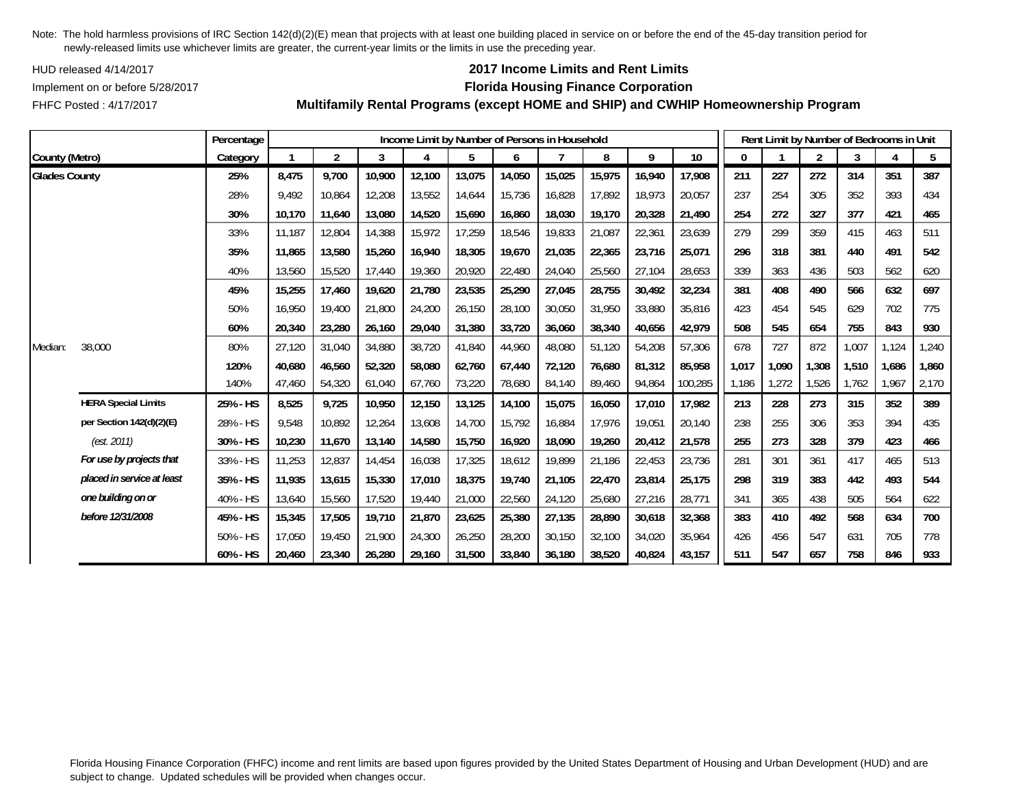HUD released 4/14/2017

FHFC Posted : 4/17/2017

# **2017 Income Limits and Rent Limits**

## Implement on or before 5/28/2017 **Florida Housing Finance Corporation**

**Multifamily Rental Programs (except HOME and SHIP) and CWHIP Homeownership Program**

|                      |                            | Percentage |        |                |        |        |        |        | Income Limit by Number of Persons in Household |        |        |         |       |       | Rent Limit by Number of Bedrooms in Unit |       |       |       |
|----------------------|----------------------------|------------|--------|----------------|--------|--------|--------|--------|------------------------------------------------|--------|--------|---------|-------|-------|------------------------------------------|-------|-------|-------|
| County (Metro)       |                            | Category   |        | $\overline{2}$ | 3      | 4      | 5      | 6      |                                                | 8      | 9      | 10      | 0     |       | $\overline{2}$                           | 3     |       | 5     |
| <b>Glades County</b> |                            | 25%        | 8,475  | 9,700          | 10,900 | 12,100 | 13,075 | 14,050 | 15,025                                         | 15,975 | 16,940 | 17,908  | 211   | 227   | 272                                      | 314   | 351   | 387   |
|                      |                            | 28%        | 9,492  | 10,864         | 12,208 | 13,552 | 14,644 | 15,736 | 16,828                                         | 17,892 | 18,973 | 20,057  | 237   | 254   | 305                                      | 352   | 393   | 434   |
|                      |                            | 30%        | 10,170 | 11,640         | 13,080 | 14,520 | 15,690 | 16,860 | 18,030                                         | 19,170 | 20,328 | 21,490  | 254   | 272   | 327                                      | 377   | 421   | 465   |
|                      |                            | 33%        | 11,187 | 12,804         | 14,388 | 15,972 | 17,259 | 18,546 | 19,833                                         | 21,087 | 22,361 | 23,639  | 279   | 299   | 359                                      | 415   | 463   | 511   |
|                      |                            | 35%        | 11.865 | 13,580         | 15,260 | 16,940 | 18,305 | 19,670 | 21,035                                         | 22,365 | 23,716 | 25,071  | 296   | 318   | 381                                      | 440   | 491   | 542   |
|                      |                            | 40%        | 13,560 | 15,520         | 17,440 | 19,360 | 20,920 | 22,480 | 24,040                                         | 25,560 | 27,104 | 28,653  | 339   | 363   | 436                                      | 503   | 562   | 620   |
|                      |                            | 45%        | 15,255 | 17,460         | 19,620 | 21,780 | 23,535 | 25,290 | 27,045                                         | 28,755 | 30,492 | 32,234  | 381   | 408   | 490                                      | 566   | 632   | 697   |
|                      |                            | 50%        | 16,950 | 19,400         | 21,800 | 24,200 | 26,150 | 28,100 | 30,050                                         | 31,950 | 33,880 | 35,816  | 423   | 454   | 545                                      | 629   | 702   | 775   |
|                      |                            | 60%        | 20,340 | 23,280         | 26,160 | 29,040 | 31,380 | 33,720 | 36,060                                         | 38,340 | 40,656 | 42.979  | 508   | 545   | 654                                      | 755   | 843   | 930   |
| Median:              | 38,000                     | 80%        | 27,120 | 31,040         | 34,880 | 38,720 | 41,840 | 44,960 | 48,080                                         | 51,120 | 54,208 | 57,306  | 678   | 727   | 872                                      | 1,007 | 1,124 | 1,240 |
|                      |                            | 120%       | 40,680 | 46,560         | 52,320 | 58,080 | 62,760 | 67,440 | 72,120                                         | 76,680 | 81,312 | 85,958  | 1,017 | 1,090 | 1,308                                    | 1,510 | 1,686 | 1,860 |
|                      |                            | 140%       | 47,460 | 54,320         | 61,040 | 67,760 | 73,220 | 78,680 | 84,140                                         | 89,460 | 94,864 | 100,285 | 1.186 | 1,272 | 1,526                                    | 1.762 | .967  | 2,170 |
|                      | <b>HERA Special Limits</b> | 25% - HS   | 8,525  | 9,725          | 10,950 | 12,150 | 13,125 | 14,100 | 15,075                                         | 16,050 | 17,010 | 17,982  | 213   | 228   | 273                                      | 315   | 352   | 389   |
|                      | per Section 142(d)(2)(E)   | 28% - HS   | 9,548  | 10,892         | 12,264 | 13,608 | 14,700 | 15,792 | 16,884                                         | 17,976 | 19,051 | 20,140  | 238   | 255   | 306                                      | 353   | 394   | 435   |
|                      | (est. 2011)                | 30% - HS   | 10,230 | 11,670         | 13,140 | 14,580 | 15,750 | 16,920 | 18,090                                         | 19,260 | 20,412 | 21,578  | 255   | 273   | 328                                      | 379   | 423   | 466   |
|                      | For use by projects that   | 33% - HS   | 11,253 | 12,837         | 14,454 | 16,038 | 17,325 | 18,612 | 19,899                                         | 21,186 | 22,453 | 23,736  | 281   | 301   | 361                                      | 417   | 465   | 513   |
|                      | placed in service at least | 35% - HS   | 11,935 | 13,615         | 15,330 | 17,010 | 18,375 | 19,740 | 21,105                                         | 22,470 | 23,814 | 25,175  | 298   | 319   | 383                                      | 442   | 493   | 544   |
|                      | one building on or         | 40% - HS   | 13,640 | 15,560         | 17,520 | 19,440 | 21,000 | 22,560 | 24,120                                         | 25,680 | 27,216 | 28,771  | 341   | 365   | 438                                      | 505   | 564   | 622   |
|                      | before 12/31/2008          | 45% - HS   | 15,345 | 17,505         | 19,710 | 21,870 | 23,625 | 25,380 | 27,135                                         | 28,890 | 30,618 | 32,368  | 383   | 410   | 492                                      | 568   | 634   | 700   |
|                      |                            | 50% - HS   | 17,050 | 19.450         | 21,900 | 24,300 | 26,250 | 28,200 | 30,150                                         | 32,100 | 34,020 | 35,964  | 426   | 456   | 547                                      | 631   | 705   | 778   |
|                      |                            | 60% - HS   | 20,460 | 23,340         | 26,280 | 29,160 | 31,500 | 33,840 | 36,180                                         | 38,520 | 40,824 | 43,157  | 511   | 547   | 657                                      | 758   | 846   | 933   |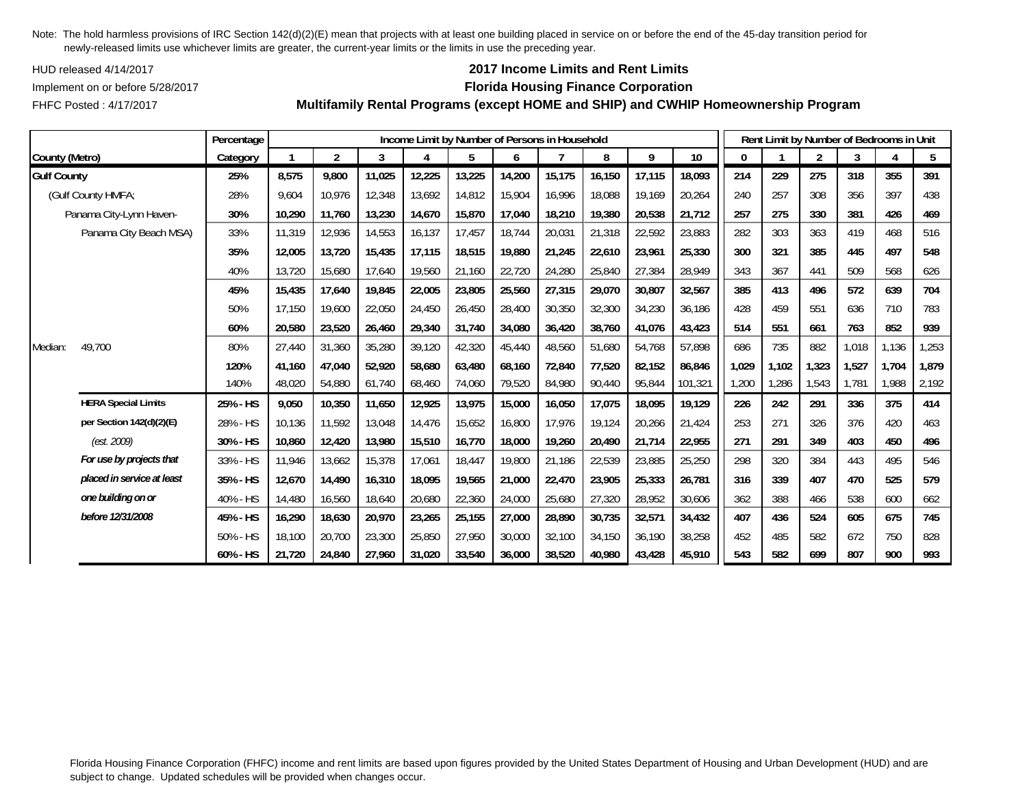HUD released 4/14/2017

## **2017 Income Limits and Rent Limits**

Implement on or before 5/28/2017 **Florida Housing Finance Corporation**

FHFC Posted : 4/17/2017

|                    |                            | Percentage |        |                |        |        |        |        | Income Limit by Number of Persons in Household |        |        |                 |       |       | Rent Limit by Number of Bedrooms in Unit |       |                        |       |
|--------------------|----------------------------|------------|--------|----------------|--------|--------|--------|--------|------------------------------------------------|--------|--------|-----------------|-------|-------|------------------------------------------|-------|------------------------|-------|
| County (Metro)     |                            | Category   |        | $\overline{2}$ | 3      | 4      | 5      | 6      |                                                | 8      | 9      | 10 <sup>°</sup> | 0     |       | $\overline{2}$                           | 3     | $\boldsymbol{\Lambda}$ | 5     |
| <b>Gulf County</b> |                            | 25%        | 8,575  | 9,800          | 11,025 | 12,225 | 13,225 | 14,200 | 15,175                                         | 16,150 | 17,115 | 18,093          | 214   | 229   | 275                                      | 318   | 355                    | 391   |
|                    | (Gulf County HMFA;         | 28%        | 9,604  | 10,976         | 12,348 | 13,692 | 14,812 | 15,904 | 16,996                                         | 18,088 | 19,169 | 20,264          | 240   | 257   | 308                                      | 356   | 397                    | 438   |
|                    | Panama City-Lynn Haven-    | 30%        | 10,290 | 11,760         | 13,230 | 14,670 | 15,870 | 17,040 | 18,210                                         | 19,380 | 20,538 | 21,712          | 257   | 275   | 330                                      | 381   | 426                    | 469   |
|                    | Panama City Beach MSA)     | 33%        | 11,319 | 12,936         | 14,553 | 16,137 | 17,457 | 18,744 | 20,031                                         | 21,318 | 22,592 | 23,883          | 282   | 303   | 363                                      | 419   | 468                    | 516   |
|                    |                            | 35%        | 12,005 | 13,720         | 15,435 | 17,115 | 18,515 | 19.880 | 21,245                                         | 22,610 | 23,961 | 25,330          | 300   | 321   | 385                                      | 445   | 497                    | 548   |
|                    |                            | 40%        | 13,720 | 15,680         | 17,640 | 19,560 | 21,160 | 22,720 | 24,280                                         | 25,840 | 27,384 | 28,949          | 343   | 367   | 441                                      | 509   | 568                    | 626   |
|                    |                            | 45%        | 15,435 | 17,640         | 19,845 | 22,005 | 23,805 | 25,560 | 27,315                                         | 29,070 | 30,807 | 32,567          | 385   | 413   | 496                                      | 572   | 639                    | 704   |
|                    |                            | 50%        | 17,150 | 19,600         | 22,050 | 24,450 | 26,450 | 28,400 | 30,350                                         | 32,300 | 34,230 | 36,186          | 428   | 459   | 551                                      | 636   | 710                    | 783   |
|                    |                            | 60%        | 20,580 | 23,520         | 26,460 | 29,340 | 31,740 | 34,080 | 36,420                                         | 38,760 | 41,076 | 43,423          | 514   | 551   | 661                                      | 763   | 852                    | 939   |
| Median:            | 49,700                     | 80%        | 27,440 | 31,360         | 35,280 | 39,120 | 42,320 | 45,440 | 48,560                                         | 51,680 | 54,768 | 57,898          | 686   | 735   | 882                                      | 1,018 | 1,136                  | 1,253 |
|                    |                            | 120%       | 41.160 | 47,040         | 52,920 | 58,680 | 63,480 | 68.160 | 72.840                                         | 77,520 | 82,152 | 86,846          | 1,029 | 1,102 | 1,323                                    | 1.527 | 1,704                  | 1,879 |
|                    |                            | 140%       | 48,020 | 54,880         | 61,740 | 68,460 | 74,060 | 79,520 | 84,980                                         | 90,440 | 95,844 | 101,321         | 1,200 | 1,286 | 1,543                                    | 1.781 | 1,988                  | 2,192 |
|                    | <b>HERA Special Limits</b> | 25% - HS   | 9,050  | 10,350         | 11,650 | 12,925 | 13,975 | 15,000 | 16,050                                         | 17,075 | 18,095 | 19,129          | 226   | 242   | 291                                      | 336   | 375                    | 414   |
|                    | per Section 142(d)(2)(E)   | 28% - HS   | 10,136 | 11,592         | 13,048 | 14,476 | 15,652 | 16,800 | 17,976                                         | 19,124 | 20,266 | 21,424          | 253   | 271   | 326                                      | 376   | 420                    | 463   |
|                    | (est. 2009)                | 30% - HS   | 10,860 | 12,420         | 13,980 | 15,510 | 16,770 | 18,000 | 19,260                                         | 20,490 | 21,714 | 22,955          | 271   | 291   | 349                                      | 403   | 450                    | 496   |
|                    | For use by projects that   | 33% - HS   | 11,946 | 13,662         | 15,378 | 17,061 | 18,447 | 19,800 | 21,186                                         | 22,539 | 23,885 | 25,250          | 298   | 320   | 384                                      | 443   | 495                    | 546   |
|                    | placed in service at least | 35% - HS   | 12,670 | 14.490         | 16,310 | 18,095 | 19,565 | 21,000 | 22,470                                         | 23,905 | 25,333 | 26,781          | 316   | 339   | 407                                      | 470   | 525                    | 579   |
|                    | one building on or         | 40% - HS   | 14,480 | 16,560         | 18,640 | 20,680 | 22,360 | 24,000 | 25,680                                         | 27,320 | 28,952 | 30,606          | 362   | 388   | 466                                      | 538   | 600                    | 662   |
|                    | before 12/31/2008          | 45% - HS   | 16,290 | 18,630         | 20,970 | 23,265 | 25,155 | 27,000 | 28,890                                         | 30,735 | 32,571 | 34,432          | 407   | 436   | 524                                      | 605   | 675                    | 745   |
|                    |                            | 50% - HS   | 18,100 | 20,700         | 23,300 | 25,850 | 27,950 | 30,000 | 32,100                                         | 34,150 | 36,190 | 38,258          | 452   | 485   | 582                                      | 672   | 750                    | 828   |
|                    |                            | 60% - HS   | 21,720 | 24,840         | 27,960 | 31,020 | 33,540 | 36,000 | 38,520                                         | 40,980 | 43,428 | 45,910          | 543   | 582   | 699                                      | 807   | 900                    | 993   |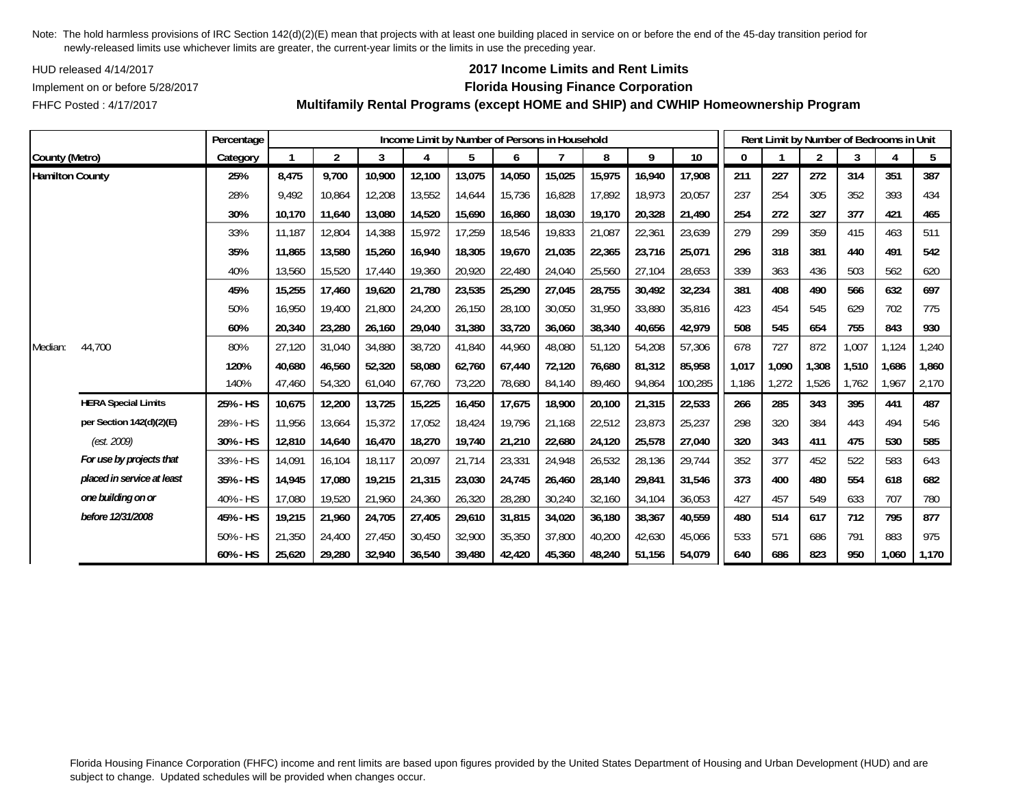HUD released 4/14/2017

## **2017 Income Limits and Rent Limits**

### Implement on or before 5/28/2017 **Florida Housing Finance Corporation**

FHFC Posted : 4/17/2017

|                        |                            | Percentage |        |                |        | Income Limit by Number of Persons in Household |        |        |        |        |        |                 |       | Rent Limit by Number of Bedrooms in Unit |                |       |       |       |
|------------------------|----------------------------|------------|--------|----------------|--------|------------------------------------------------|--------|--------|--------|--------|--------|-----------------|-------|------------------------------------------|----------------|-------|-------|-------|
| County (Metro)         |                            | Category   |        | $\overline{2}$ | 3      |                                                | 5      | 6      |        | 8      | 9      | 10 <sup>°</sup> | 0     |                                          | $\overline{2}$ | 3     | 4     | 5     |
| <b>Hamilton County</b> |                            | 25%        | 8,475  | 9,700          | 10,900 | 12,100                                         | 13,075 | 14,050 | 15,025 | 15,975 | 16,940 | 17,908          | 211   | 227                                      | 272            | 314   | 351   | 387   |
|                        |                            | 28%        | 9,492  | 10,864         | 12,208 | 13,552                                         | 14,644 | 15,736 | 16,828 | 17,892 | 18,973 | 20,057          | 237   | 254                                      | 305            | 352   | 393   | 434   |
|                        |                            | 30%        | 10,170 | 11,640         | 13,080 | 14,520                                         | 15,690 | 16,860 | 18,030 | 19,170 | 20,328 | 21,490          | 254   | 272                                      | 327            | 377   | 421   | 465   |
|                        |                            | 33%        | 11.187 | 12,804         | 14,388 | 15,972                                         | 17,259 | 18,546 | 19,833 | 21,087 | 22,361 | 23,639          | 279   | 299                                      | 359            | 415   | 463   | 511   |
|                        |                            | 35%        | 11.865 | 13,580         | 15,260 | 16.940                                         | 18,305 | 19,670 | 21.035 | 22,365 | 23,716 | 25.071          | 296   | 318                                      | 381            | 440   | 491   | 542   |
|                        |                            | 40%        | 13,560 | 15,520         | 17,440 | 19,360                                         | 20,920 | 22,480 | 24,040 | 25,560 | 27,104 | 28,653          | 339   | 363                                      | 436            | 503   | 562   | 620   |
|                        |                            | 45%        | 15,255 | 17,460         | 19,620 | 21,780                                         | 23,535 | 25,290 | 27,045 | 28,755 | 30,492 | 32,234          | 381   | 408                                      | 490            | 566   | 632   | 697   |
|                        |                            | 50%        | 16,950 | 19,400         | 21,800 | 24,200                                         | 26,150 | 28,100 | 30,050 | 31,950 | 33,880 | 35,816          | 423   | 454                                      | 545            | 629   | 702   | 775   |
|                        |                            | 60%        | 20,340 | 23,280         | 26,160 | 29,040                                         | 31,380 | 33,720 | 36,060 | 38,340 | 40,656 | 42,979          | 508   | 545                                      | 654            | 755   | 843   | 930   |
| Median:                | 44,700                     | 80%        | 27,120 | 31,040         | 34,880 | 38,720                                         | 41,840 | 44,960 | 48,080 | 51,120 | 54,208 | 57,306          | 678   | 727                                      | 872            | 1,007 | 1,124 | 1,240 |
|                        |                            | 120%       | 40,680 | 46,560         | 52,320 | 58,080                                         | 62,760 | 67,440 | 72,120 | 76,680 | 81,312 | 85,958          | 1,017 | 1,090                                    | 1,308          | 1,510 | 1,686 | 1,860 |
|                        |                            | 140%       | 47,460 | 54,320         | 61,040 | 67,760                                         | 73,220 | 78,680 | 84,140 | 89,460 | 94,864 | 100,285         | 1,186 | 1,272                                    | 1,526          | 1,762 | 1,967 | 2,170 |
|                        | <b>HERA Special Limits</b> | 25% - HS   | 10,675 | 12,200         | 13,725 | 15,225                                         | 16,450 | 17,675 | 18,900 | 20,100 | 21,315 | 22,533          | 266   | 285                                      | 343            | 395   | 441   | 487   |
|                        | per Section 142(d)(2)(E)   | 28% - HS   | 11,956 | 13,664         | 15,372 | 17,052                                         | 18,424 | 19,796 | 21,168 | 22,512 | 23,873 | 25,237          | 298   | 320                                      | 384            | 443   | 494   | 546   |
|                        | (est. 2009)                | 30% - HS   | 12,810 | 14,640         | 16,470 | 18,270                                         | 19,740 | 21,210 | 22,680 | 24,120 | 25,578 | 27,040          | 320   | 343                                      | 411            | 475   | 530   | 585   |
|                        | For use by projects that   | 33% - HS   | 14,091 | 16,104         | 18,117 | 20,097                                         | 21,714 | 23,331 | 24,948 | 26,532 | 28,136 | 29,744          | 352   | 377                                      | 452            | 522   | 583   | 643   |
|                        | placed in service at least | 35% - HS   | 14.945 | 17.080         | 19,215 | 21,315                                         | 23,030 | 24,745 | 26.460 | 28,140 | 29,841 | 31.546          | 373   | 400                                      | 480            | 554   | 618   | 682   |
|                        | one building on or         | 40% - HS   | 17,080 | 19,520         | 21,960 | 24,360                                         | 26,320 | 28,280 | 30,240 | 32,160 | 34,104 | 36,053          | 427   | 457                                      | 549            | 633   | 707   | 780   |
|                        | before 12/31/2008          | 45% - HS   | 19,215 | 21,960         | 24,705 | 27,405                                         | 29,610 | 31,815 | 34,020 | 36,180 | 38,367 | 40,559          | 480   | 514                                      | 617            | 712   | 795   | 877   |
|                        |                            | 50% - HS   | 21,350 | 24,400         | 27,450 | 30,450                                         | 32,900 | 35,350 | 37,800 | 40,200 | 42,630 | 45,066          | 533   | 571                                      | 686            | 791   | 883   | 975   |
|                        |                            | 60% - HS   | 25,620 | 29,280         | 32,940 | 36,540                                         | 39,480 | 42,420 | 45,360 | 48,240 | 51,156 | 54,079          | 640   | 686                                      | 823            | 950   | 1,060 | 1,170 |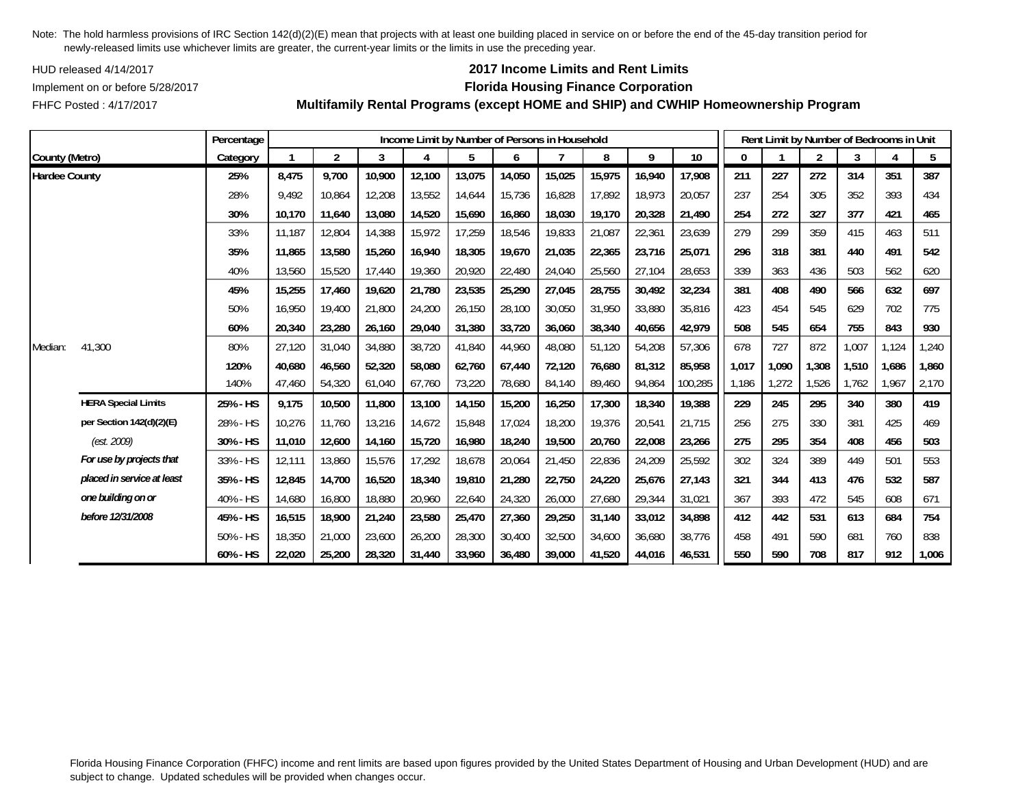HUD released 4/14/2017

FHFC Posted : 4/17/2017

# **2017 Income Limits and Rent Limits**

## Implement on or before 5/28/2017 **Florida Housing Finance Corporation**

**Multifamily Rental Programs (except HOME and SHIP) and CWHIP Homeownership Program**

|                      |                            | Percentage  |        |                |        |        |        |        | Income Limit by Number of Persons in Household |        |        |         |       | Rent Limit by Number of Bedrooms in Unit |       |       |       |       |
|----------------------|----------------------------|-------------|--------|----------------|--------|--------|--------|--------|------------------------------------------------|--------|--------|---------|-------|------------------------------------------|-------|-------|-------|-------|
| County (Metro)       |                            | Category    |        | $\overline{2}$ | 3      | 4      | 5      | 6      |                                                | 8      | 9      | 10      | 0     |                                          | 2     | 3     |       | 5     |
| <b>Hardee County</b> |                            | 25%         | 8,475  | 9,700          | 10,900 | 12,100 | 13,075 | 14,050 | 15,025                                         | 15,975 | 16,940 | 17,908  | 211   | 227                                      | 272   | 314   | 351   | 387   |
|                      |                            | 28%         | 9,492  | 10,864         | 12,208 | 13,552 | 14,644 | 15,736 | 16,828                                         | 17,892 | 18,973 | 20,057  | 237   | 254                                      | 305   | 352   | 393   | 434   |
|                      |                            | 30%         | 10,170 | 11,640         | 13,080 | 14,520 | 15,690 | 16,860 | 18,030                                         | 19,170 | 20,328 | 21,490  | 254   | 272                                      | 327   | 377   | 421   | 465   |
|                      |                            | 33%         | 11,187 | 12,804         | 14,388 | 15,972 | 17,259 | 18,546 | 19,833                                         | 21,087 | 22,361 | 23,639  | 279   | 299                                      | 359   | 415   | 463   | 511   |
|                      |                            | 35%         | 11.865 | 13,580         | 15,260 | 16,940 | 18,305 | 19,670 | 21.035                                         | 22,365 | 23,716 | 25,071  | 296   | 318                                      | 381   | 440   | 491   | 542   |
|                      |                            | 40%         | 13,560 | 15,520         | 17,440 | 19,360 | 20,920 | 22,480 | 24,040                                         | 25,560 | 27,104 | 28,653  | 339   | 363                                      | 436   | 503   | 562   | 620   |
|                      |                            | 45%         | 15,255 | 17,460         | 19,620 | 21,780 | 23,535 | 25,290 | 27,045                                         | 28,755 | 30,492 | 32,234  | 381   | 408                                      | 490   | 566   | 632   | 697   |
|                      |                            | 50%         | 16.950 | 19,400         | 21,800 | 24,200 | 26,150 | 28,100 | 30.050                                         | 31,950 | 33,880 | 35,816  | 423   | 454                                      | 545   | 629   | 702   | 775   |
|                      |                            | 60%         | 20,340 | 23,280         | 26,160 | 29,040 | 31,380 | 33,720 | 36.060                                         | 38,340 | 40,656 | 42,979  | 508   | 545                                      | 654   | 755   | 843   | 930   |
| Median:              | 41,300                     | 80%         | 27,120 | 31,040         | 34,880 | 38,720 | 41,840 | 44,960 | 48,080                                         | 51,120 | 54,208 | 57,306  | 678   | 727                                      | 872   | 1,007 | 1,124 | 1,240 |
|                      |                            | 120%        | 40,680 | 46,560         | 52,320 | 58,080 | 62,760 | 67,440 | 72,120                                         | 76,680 | 81,312 | 85,958  | 1,017 | 1,090                                    | 1,308 | 1,510 | 1,686 | 1,860 |
|                      |                            | 140%        | 47,460 | 54,320         | 61,040 | 67,760 | 73,220 | 78,680 | 84,140                                         | 89,460 | 94,864 | 100,285 | 1,186 | 1,272                                    | 1,526 | 1,762 | 1,967 | 2,170 |
|                      | <b>HERA Special Limits</b> | 25% - HS    | 9,175  | 10,500         | 11,800 | 13,100 | 14,150 | 15,200 | 16,250                                         | 17,300 | 18,340 | 19,388  | 229   | 245                                      | 295   | 340   | 380   | 419   |
|                      | per Section 142(d)(2)(E)   | 28% - HS    | 10,276 | 11.760         | 13,216 | 14,672 | 15,848 | 17,024 | 18,200                                         | 19,376 | 20,541 | 21,715  | 256   | 275                                      | 330   | 381   | 425   | 469   |
|                      | (est. 2009)                | 30% - HS    | 11,010 | 12,600         | 14,160 | 15,720 | 16,980 | 18,240 | 19,500                                         | 20,760 | 22,008 | 23,266  | 275   | 295                                      | 354   | 408   | 456   | 503   |
|                      | For use by projects that   | 33% - HS    | 12,111 | 13,860         | 15,576 | 17,292 | 18,678 | 20,064 | 21,450                                         | 22,836 | 24,209 | 25,592  | 302   | 324                                      | 389   | 449   | 501   | 553   |
|                      | placed in service at least | 35% - HS    | 12,845 | 14,700         | 16,520 | 18,340 | 19,810 | 21,280 | 22,750                                         | 24,220 | 25,676 | 27,143  | 321   | 344                                      | 413   | 476   | 532   | 587   |
|                      | one building on or         | 40% - HS    | 14,680 | 16,800         | 18,880 | 20,960 | 22,640 | 24,320 | 26,000                                         | 27,680 | 29,344 | 31,021  | 367   | 393                                      | 472   | 545   | 608   | 671   |
|                      | before 12/31/2008          | 45% - HS    | 16,515 | 18,900         | 21,240 | 23,580 | 25,470 | 27,360 | 29,250                                         | 31,140 | 33,012 | 34,898  | 412   | 442                                      | 531   | 613   | 684   | 754   |
|                      |                            | $50\% - HS$ | 18,350 | 21,000         | 23,600 | 26,200 | 28,300 | 30,400 | 32,500                                         | 34,600 | 36,680 | 38,776  | 458   | 491                                      | 590   | 681   | 760   | 838   |
|                      |                            | 60% - HS    | 22,020 | 25,200         | 28,320 | 31,440 | 33,960 | 36.480 | 39,000                                         | 41,520 | 44,016 | 46,531  | 550   | 590                                      | 708   | 817   | 912   | 1,006 |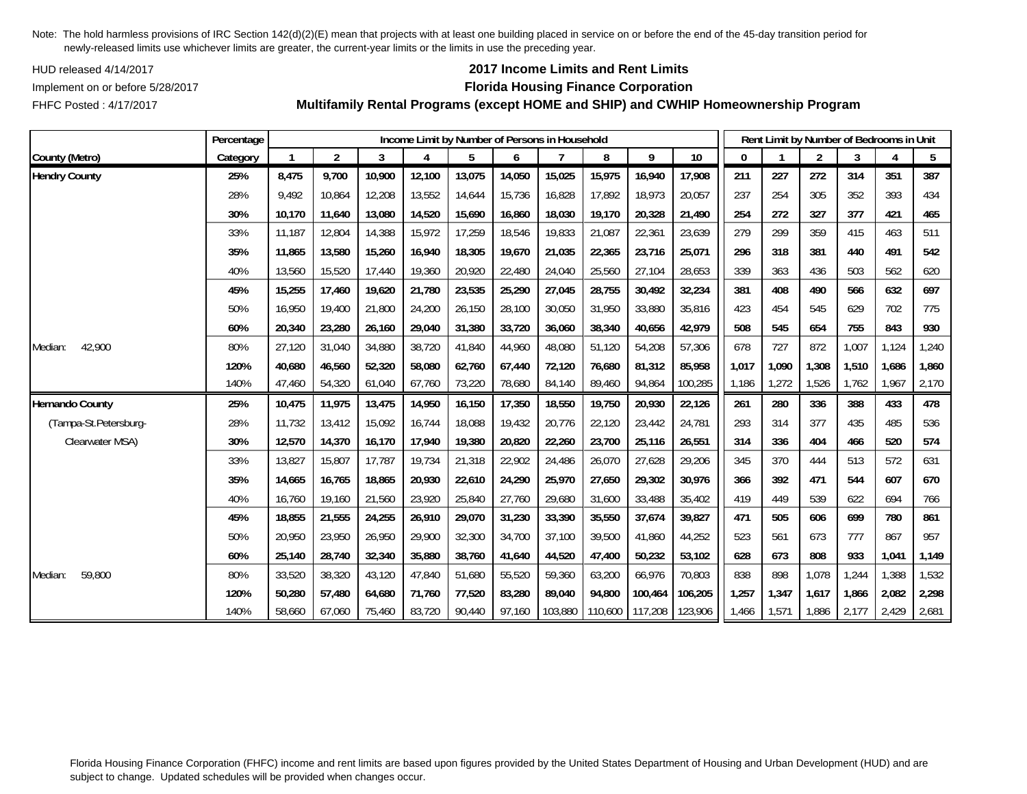HUD released 4/14/2017

## **2017 Income Limits and Rent Limits**

## Implement on or before 5/28/2017 **Florida Housing Finance Corporation**

FHFC Posted : 4/17/2017

 **Multifamily Rental Programs (except HOME and SHIP) and CWHIP Homeownership Program** 7 г

|                       | Percentage |        |                |        |        |        |        | Income Limit by Number of Persons in Household |         |         |         |       |       | Rent Limit by Number of Bedrooms in Unit |       |       |       |
|-----------------------|------------|--------|----------------|--------|--------|--------|--------|------------------------------------------------|---------|---------|---------|-------|-------|------------------------------------------|-------|-------|-------|
| County (Metro)        | Category   |        | $\overline{2}$ | 3      |        |        | 6      |                                                | 8       | 9       | 10      |       |       | $\overline{2}$                           | 3     |       | 5     |
| <b>Hendry County</b>  | 25%        | 8,475  | 9,700          | 10,900 | 12,100 | 13,075 | 14,050 | 15,025                                         | 15,975  | 16,940  | 17,908  | 211   | 227   | 272                                      | 314   | 351   | 387   |
|                       | 28%        | 9,492  | 10,864         | 12,208 | 13,552 | 14,644 | 15,736 | 16,828                                         | 17,892  | 18,973  | 20,057  | 237   | 254   | 305                                      | 352   | 393   | 434   |
|                       | 30%        | 10,170 | 11,640         | 13,080 | 14,520 | 15,690 | 16,860 | 18,030                                         | 19,170  | 20,328  | 21,490  | 254   | 272   | 327                                      | 377   | 421   | 465   |
|                       | 33%        | 11,187 | 12,804         | 14,388 | 15,972 | 17,259 | 18,546 | 19,833                                         | 21,087  | 22,361  | 23,639  | 279   | 299   | 359                                      | 415   | 463   | 511   |
|                       | 35%        | 11,865 | 13,580         | 15,260 | 16,940 | 18,305 | 19,670 | 21,035                                         | 22,365  | 23,716  | 25,071  | 296   | 318   | 381                                      | 440   | 491   | 542   |
|                       | 40%        | 13,560 | 15,520         | 17,440 | 19,360 | 20,920 | 22,480 | 24,040                                         | 25,560  | 27,104  | 28,653  | 339   | 363   | 436                                      | 503   | 562   | 620   |
|                       | 45%        | 15,255 | 17,460         | 19,620 | 21,780 | 23,535 | 25,290 | 27,045                                         | 28,755  | 30,492  | 32,234  | 381   | 408   | 490                                      | 566   | 632   | 697   |
|                       | 50%        | 16,950 | 19,400         | 21,800 | 24,200 | 26,150 | 28,100 | 30,050                                         | 31,950  | 33,880  | 35,816  | 423   | 454   | 545                                      | 629   | 702   | 775   |
|                       | 60%        | 20,340 | 23,280         | 26,160 | 29,040 | 31,380 | 33,720 | 36,060                                         | 38,340  | 40,656  | 42,979  | 508   | 545   | 654                                      | 755   | 843   | 930   |
| 42,900<br>Median:     | 80%        | 27,120 | 31,040         | 34,880 | 38,720 | 41,840 | 44,960 | 48,080                                         | 51,120  | 54,208  | 57,306  | 678   | 727   | 872                                      | 1,007 | 1,124 | ,240  |
|                       | 120%       | 40,680 | 46,560         | 52,320 | 58,080 | 62,760 | 67,440 | 72,120                                         | 76,680  | 81,312  | 85,958  | 1,017 | 1,090 | 1,308                                    | 1,510 | 1,686 | 1,860 |
|                       | 140%       | 47,460 | 54,320         | 61,040 | 67,760 | 73,220 | 78,680 | 84,140                                         | 89,460  | 94,864  | 100,285 | 1,186 | 1,272 | 1,526                                    | 1,762 | 1,967 | 2,170 |
| Hernando County       | 25%        | 10,475 | 11,975         | 13,475 | 14,950 | 16,150 | 17,350 | 18,550                                         | 19,750  | 20,930  | 22,126  | 261   | 280   | 336                                      | 388   | 433   | 478   |
| (Tampa-St.Petersburg- | 28%        | 11,732 | 13,412         | 15,092 | 16,744 | 18,088 | 19,432 | 20,776                                         | 22,120  | 23,442  | 24,781  | 293   | 314   | 377                                      | 435   | 485   | 536   |
| Clearwater MSA)       | 30%        | 12,570 | 14,370         | 16,170 | 17,940 | 19,380 | 20,820 | 22,260                                         | 23,700  | 25,116  | 26,551  | 314   | 336   | 404                                      | 466   | 520   | 574   |
|                       | 33%        | 13,827 | 15,807         | 17,787 | 19,734 | 21,318 | 22,902 | 24,486                                         | 26,070  | 27,628  | 29,206  | 345   | 370   | 444                                      | 513   | 572   | 631   |
|                       | 35%        | 14,665 | 16,765         | 18,865 | 20,930 | 22,610 | 24,290 | 25,970                                         | 27,650  | 29,302  | 30,976  | 366   | 392   | 471                                      | 544   | 607   | 670   |
|                       | 40%        | 16,760 | 19,160         | 21,560 | 23,920 | 25,840 | 27,760 | 29,680                                         | 31,600  | 33,488  | 35,402  | 419   | 449   | 539                                      | 622   | 694   | 766   |
|                       | 45%        | 18,855 | 21,555         | 24,255 | 26,910 | 29,070 | 31,230 | 33,390                                         | 35,550  | 37,674  | 39,827  | 471   | 505   | 606                                      | 699   | 780   | 861   |
|                       | 50%        | 20.950 | 23,950         | 26,950 | 29,900 | 32,300 | 34,700 | 37.100                                         | 39,500  | 41,860  | 44,252  | 523   | 561   | 673                                      | 777   | 867   | 957   |
|                       | 60%        | 25,140 | 28,740         | 32,340 | 35,880 | 38,760 | 41,640 | 44,520                                         | 47,400  | 50,232  | 53,102  | 628   | 673   | 808                                      | 933   | 1,041 | 1,149 |
| 59,800<br>Median:     | 80%        | 33,520 | 38,320         | 43,120 | 47,840 | 51,680 | 55,520 | 59,360                                         | 63,200  | 66,976  | 70,803  | 838   | 898   | 1,078                                    | 1,244 | 1,388 | 1,532 |
|                       | 120%       | 50,280 | 57,480         | 64,680 | 71,760 | 77,520 | 83,280 | 89,040                                         | 94,800  | 100,464 | 106,205 | 1,257 | 1,347 | 1,617                                    | 1,866 | 2,082 | 2,298 |
|                       | 140%       | 58.660 | 67.060         | 75.460 | 83,720 | 90,440 | 97,160 | 103.880                                        | 110,600 | 117,208 | 123,906 | 1,466 | 1,571 | 1,886                                    | 2.177 | 2,429 | 2,681 |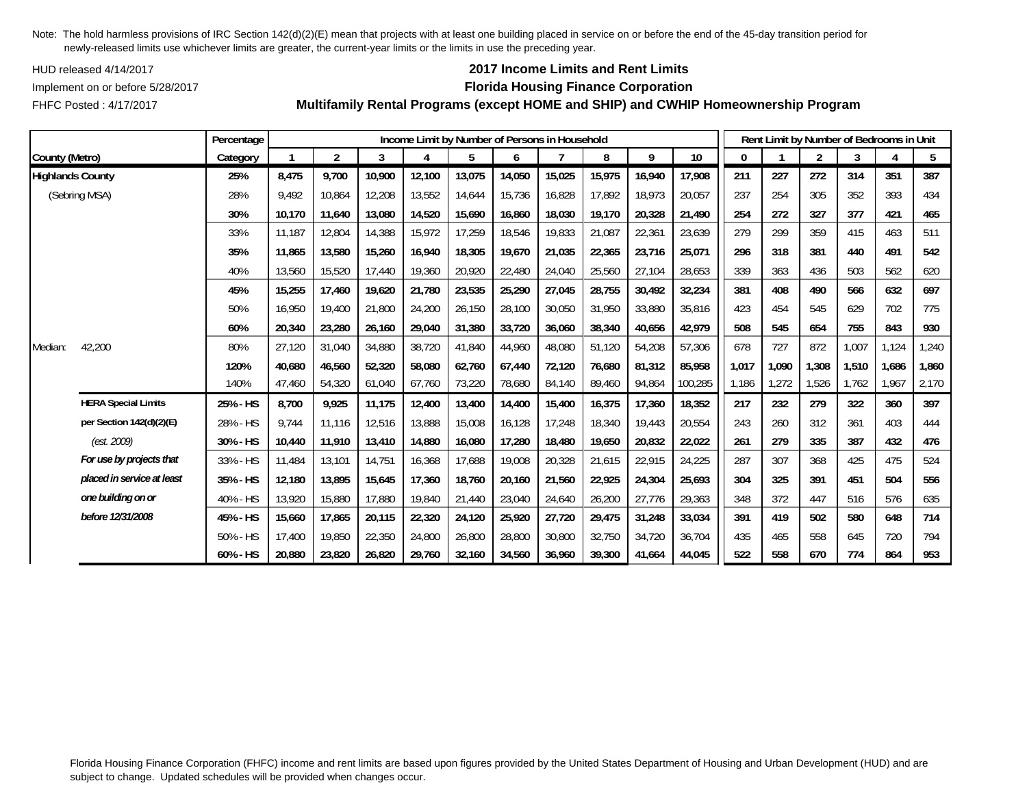HUD released 4/14/2017

## **2017 Income Limits and Rent Limits**

Implement on or before 5/28/2017 **Florida Housing Finance Corporation**

FHFC Posted : 4/17/2017

|                         |                            | Percentage |        |                |        |        |        |        | Income Limit by Number of Persons in Household |        |        |                 |       |       | Rent Limit by Number of Bedrooms in Unit |       |                        |       |
|-------------------------|----------------------------|------------|--------|----------------|--------|--------|--------|--------|------------------------------------------------|--------|--------|-----------------|-------|-------|------------------------------------------|-------|------------------------|-------|
| County (Metro)          |                            | Category   |        | $\overline{2}$ | 3      | 4      | 5      | 6      |                                                | 8      | 9      | 10 <sup>°</sup> | 0     |       | 2                                        | 3     | $\boldsymbol{\Lambda}$ | 5     |
| <b>Highlands County</b> |                            | 25%        | 8,475  | 9,700          | 10,900 | 12,100 | 13,075 | 14,050 | 15,025                                         | 15,975 | 16,940 | 17,908          | 211   | 227   | 272                                      | 314   | 351                    | 387   |
|                         | (Sebring MSA)              | 28%        | 9,492  | 10,864         | 12,208 | 13,552 | 14,644 | 15,736 | 16,828                                         | 17,892 | 18,973 | 20,057          | 237   | 254   | 305                                      | 352   | 393                    | 434   |
|                         |                            | 30%        | 10.170 | 11,640         | 13,080 | 14,520 | 15,690 | 16,860 | 18,030                                         | 19,170 | 20,328 | 21,490          | 254   | 272   | 327                                      | 377   | 421                    | 465   |
|                         |                            | 33%        | 11.187 | 12,804         | 14,388 | 15,972 | 17,259 | 18,546 | 19.833                                         | 21,087 | 22,361 | 23,639          | 279   | 299   | 359                                      | 415   | 463                    | 511   |
|                         |                            | 35%        | 11,865 | 13,580         | 15,260 | 16,940 | 18,305 | 19,670 | 21,035                                         | 22,365 | 23,716 | 25,071          | 296   | 318   | 381                                      | 440   | 491                    | 542   |
|                         |                            | 40%        | 13,560 | 15,520         | 17,440 | 19,360 | 20,920 | 22,480 | 24,040                                         | 25,560 | 27,104 | 28,653          | 339   | 363   | 436                                      | 503   | 562                    | 620   |
|                         |                            | 45%        | 15,255 | 17,460         | 19,620 | 21,780 | 23,535 | 25,290 | 27,045                                         | 28,755 | 30,492 | 32,234          | 381   | 408   | 490                                      | 566   | 632                    | 697   |
|                         |                            | 50%        | 16,950 | 19,400         | 21,800 | 24,200 | 26,150 | 28,100 | 30,050                                         | 31,950 | 33,880 | 35,816          | 423   | 454   | 545                                      | 629   | 702                    | 775   |
|                         |                            | 60%        | 20,340 | 23,280         | 26,160 | 29,040 | 31,380 | 33,720 | 36,060                                         | 38,340 | 40,656 | 42,979          | 508   | 545   | 654                                      | 755   | 843                    | 930   |
| Median:                 | 42,200                     | 80%        | 27,120 | 31,040         | 34,880 | 38,720 | 41,840 | 44,960 | 48,080                                         | 51,120 | 54,208 | 57,306          | 678   | 727   | 872                                      | 1,007 | 1,124                  | 1,240 |
|                         |                            | 120%       | 40.680 | 46,560         | 52,320 | 58,080 | 62,760 | 67.440 | 72,120                                         | 76.680 | 81,312 | 85,958          | 1,017 | 1.090 | 1,308                                    | 1,510 | 1,686                  | 1,860 |
|                         |                            | 140%       | 47,460 | 54,320         | 61,040 | 67,760 | 73,220 | 78,680 | 84,140                                         | 89,460 | 94,864 | 100,285         | 1,186 | 1,272 | 1,526                                    | 1,762 | ,967                   | 2,170 |
|                         | <b>HERA Special Limits</b> | 25% - HS   | 8,700  | 9,925          | 11,175 | 12,400 | 13,400 | 14,400 | 15,400                                         | 16,375 | 17,360 | 18,352          | 217   | 232   | 279                                      | 322   | 360                    | 397   |
|                         | per Section 142(d)(2)(E)   | 28% - HS   | 9,744  | 11,116         | 12,516 | 13,888 | 15,008 | 16,128 | 17,248                                         | 18,340 | 19,443 | 20,554          | 243   | 260   | 312                                      | 361   | 403                    | 444   |
|                         | (est. 2009)                | 30% - HS   | 10,440 | 11,910         | 13,410 | 14,880 | 16,080 | 17,280 | 18,480                                         | 19,650 | 20,832 | 22,022          | 261   | 279   | 335                                      | 387   | 432                    | 476   |
|                         | For use by projects that   | 33% - HS   | 11,484 | 13,101         | 14,751 | 16,368 | 17,688 | 19,008 | 20,328                                         | 21,615 | 22,915 | 24,225          | 287   | 307   | 368                                      | 425   | 475                    | 524   |
|                         | placed in service at least | 35% - HS   | 12,180 | 13,895         | 15,645 | 17,360 | 18,760 | 20,160 | 21,560                                         | 22,925 | 24,304 | 25,693          | 304   | 325   | 391                                      | 451   | 504                    | 556   |
|                         | one building on or         | 40% - HS   | 13,920 | 15,880         | 17,880 | 19,840 | 21,440 | 23,040 | 24,640                                         | 26,200 | 27,776 | 29,363          | 348   | 372   | 447                                      | 516   | 576                    | 635   |
|                         | before 12/31/2008          | 45% - HS   | 15,660 | 17,865         | 20,115 | 22,320 | 24,120 | 25,920 | 27,720                                         | 29,475 | 31,248 | 33,034          | 391   | 419   | 502                                      | 580   | 648                    | 714   |
|                         |                            | 50% - HS   | 17.400 | 19.850         | 22,350 | 24,800 | 26,800 | 28,800 | 30,800                                         | 32,750 | 34,720 | 36,704          | 435   | 465   | 558                                      | 645   | 720                    | 794   |
|                         |                            | 60% - HS   | 20,880 | 23,820         | 26,820 | 29,760 | 32,160 | 34,560 | 36,960                                         | 39,300 | 41,664 | 44,045          | 522   | 558   | 670                                      | 774   | 864                    | 953   |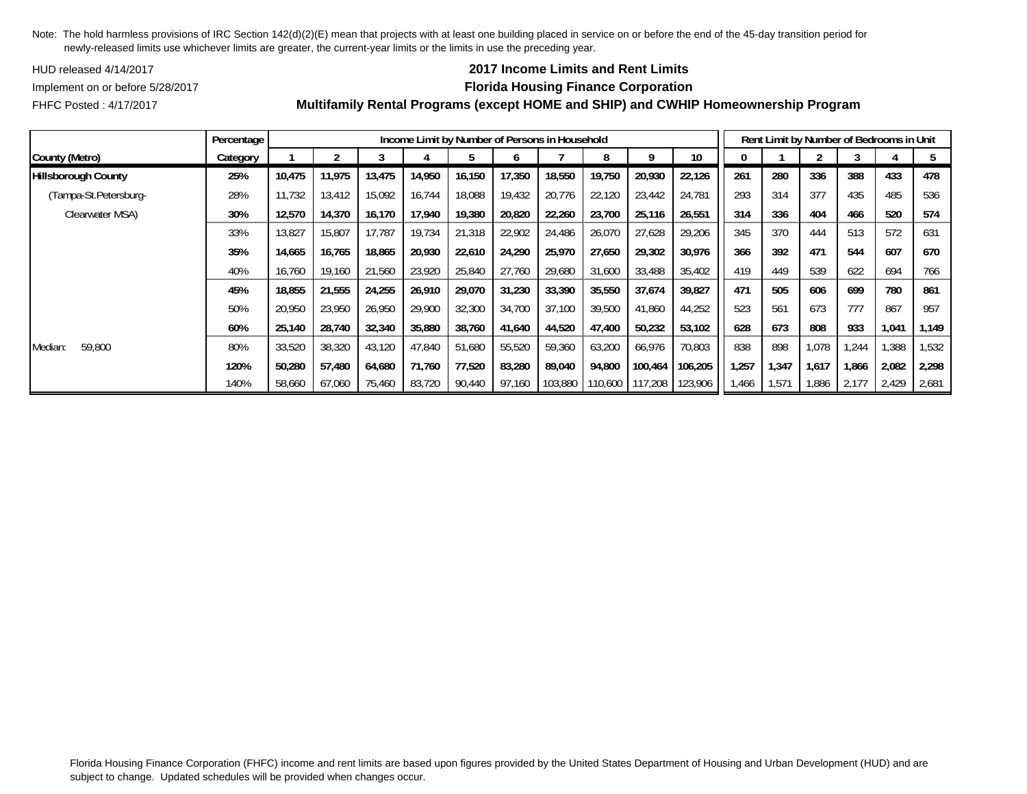HUD released 4/14/2017

FHFC Posted : 4/17/2017

### Implement on or before 5/28/2017 **Florida Housing Finance Corporation Multifamily Rental Programs (except HOME and SHIP) and CWHIP Homeownership Program**

**2017 Income Limits and Rent Limits**

|                            | Percentage |        |        |        |        | Income Limit by Number of Persons in Household |        |         |         |         |                 |       |       | Rent Limit by Number of Bedrooms in Unit |       |       |       |
|----------------------------|------------|--------|--------|--------|--------|------------------------------------------------|--------|---------|---------|---------|-----------------|-------|-------|------------------------------------------|-------|-------|-------|
| County (Metro)             | Category   |        |        |        |        |                                                |        |         |         |         | 10 <sup>°</sup> |       |       |                                          |       |       |       |
| <b>Hillsborough County</b> | 25%        | 10,475 | 11,975 | 13,475 | 14,950 | 16,150                                         | 17,350 | 18,550  | 19,750  | 20,930  | 22,126          | 261   | 280   | 336                                      | 388   | 433   | 478   |
| (Tampa-St.Petersburg-      | 28%        | 11,732 | 13,412 | 15,092 | 16,744 | 18,088                                         | 19,432 | 20,776  | 22,120  | 23,442  | 24,781          | 293   | 314   | 377                                      | 435   | 485   | 536   |
| Clearwater MSA)            | 30%        | 12,570 | 14,370 | 16,170 | 17,940 | 19,380                                         | 20,820 | 22,260  | 23,700  | 25,116  | 26,551          | 314   | 336   | 404                                      | 466   | 520   | 574   |
|                            | 33%        | 13,827 | 15,807 | 17,787 | 19,734 | 21,318                                         | 22,902 | 24,486  | 26,070  | 27,628  | 29,206          | 345   | 370   | 444                                      | 513   | 572   | 631   |
|                            | 35%        | 14,665 | 16,765 | 18,865 | 20,930 | 22,610                                         | 24,290 | 25,970  | 27,650  | 29,302  | 30,976          | 366   | 392   | 471                                      | 544   | 607   | 670   |
|                            | 40%        | 16,760 | 19,160 | 21,560 | 23,920 | 25,840                                         | 27,760 | 29,680  | 31,600  | 33,488  | 35,402          | 419   | 449   | 539                                      | 622   | 694   | 766   |
|                            | 45%        | 18,855 | 21,555 | 24,255 | 26,910 | 29,070                                         | 31,230 | 33,390  | 35,550  | 37,674  | 39,827          | 471   | 505   | 606                                      | 699   | 780   | 861   |
|                            | 50%        | 20,950 | 23,950 | 26,950 | 29,900 | 32,300                                         | 34,700 | 37,100  | 39,500  | 41,860  | 44,252          | 523   | 561   | 673                                      | 777   | 867   | 957   |
|                            | 60%        | 25,140 | 28,740 | 32,340 | 35,880 | 38,760                                         | 41.640 | 44.520  | 47,400  | 50,232  | 53,102          | 628   | 673   | 808                                      | 933   | 1,041 | 1.149 |
| 59,800<br>Median:          | 80%        | 33,520 | 38,320 | 43,120 | 47,840 | 51,680                                         | 55,520 | 59,360  | 63,200  | 66,976  | 70,803          | 838   | 898   | 1,078                                    | .244  | ,388  | 1,532 |
|                            | 120%       | 50.280 | 57.480 | 64,680 | 71,760 | 77,520                                         | 83,280 | 89,040  | 94,800  | 100.464 | 106,205         | 1,257 | 1,347 | 1,617                                    | 1,866 | 2,082 | 2,298 |
|                            | 140%       | 58,660 | 67,060 | 75,460 | 83,720 | 90,440                                         | 97,160 | 103,880 | 110,600 | 117,208 | 123,906         | 1,466 | 1,571 | 886, ا                                   | 2,177 | 2,429 | 2,681 |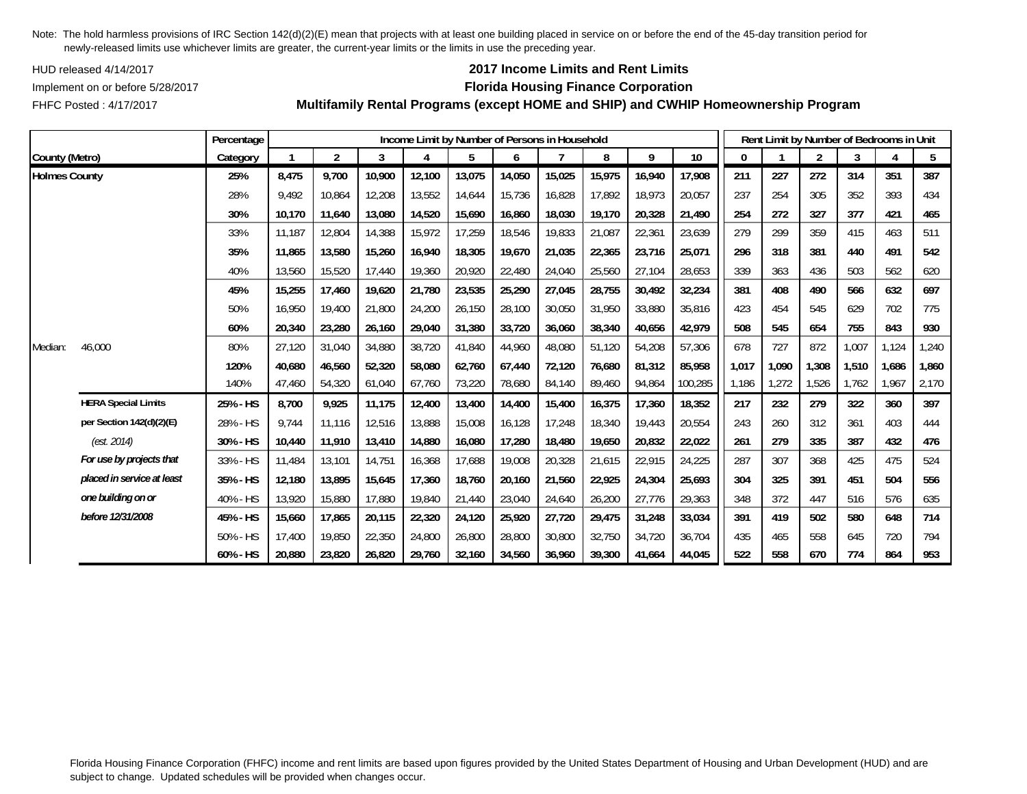HUD released 4/14/2017

### Implement on or before 5/28/2017 **Florida Housing Finance Corporation**

FHFC Posted : 4/17/2017

# **2017 Income Limits and Rent Limits**

**Multifamily Rental Programs (except HOME and SHIP) and CWHIP Homeownership Program**

|                      |                            | Percentage  |        |                |        |        | Income Limit by Number of Persons in Household |        |        |        |        |                 |              |       |       | Rent Limit by Number of Bedrooms in Unit |       |       |
|----------------------|----------------------------|-------------|--------|----------------|--------|--------|------------------------------------------------|--------|--------|--------|--------|-----------------|--------------|-------|-------|------------------------------------------|-------|-------|
| County (Metro)       |                            | Category    |        | $\overline{2}$ | 3      | 4      | 5                                              | 6      |        | 8      | 9      | 10 <sup>°</sup> | $\mathbf{0}$ |       | 2     | 3                                        | 4     | 5     |
| <b>Holmes County</b> |                            | 25%         | 8,475  | 9,700          | 10,900 | 12,100 | 13,075                                         | 14,050 | 15,025 | 15,975 | 16,940 | 17,908          | 211          | 227   | 272   | 314                                      | 351   | 387   |
|                      |                            | 28%         | 9,492  | 10,864         | 12,208 | 13,552 | 14,644                                         | 15,736 | 16,828 | 17,892 | 18,973 | 20,057          | 237          | 254   | 305   | 352                                      | 393   | 434   |
|                      |                            | 30%         | 10,170 | 11,640         | 13,080 | 14,520 | 15,690                                         | 16,860 | 18,030 | 19,170 | 20,328 | 21,490          | 254          | 272   | 327   | 377                                      | 421   | 465   |
|                      |                            | 33%         | 11.187 | 12,804         | 14,388 | 15,972 | 17,259                                         | 18,546 | 19,833 | 21,087 | 22,361 | 23,639          | 279          | 299   | 359   | 415                                      | 463   | 511   |
|                      |                            | 35%         | 11,865 | 13,580         | 15,260 | 16,940 | 18,305                                         | 19,670 | 21,035 | 22,365 | 23,716 | 25,071          | 296          | 318   | 381   | 440                                      | 491   | 542   |
|                      |                            | 40%         | 13,560 | 15,520         | 17,440 | 19,360 | 20,920                                         | 22,480 | 24,040 | 25,560 | 27,104 | 28,653          | 339          | 363   | 436   | 503                                      | 562   | 620   |
|                      |                            | 45%         | 15,255 | 17,460         | 19,620 | 21,780 | 23,535                                         | 25,290 | 27,045 | 28,755 | 30,492 | 32,234          | 381          | 408   | 490   | 566                                      | 632   | 697   |
|                      |                            | 50%         | 16.950 | 19,400         | 21,800 | 24,200 | 26,150                                         | 28,100 | 30.050 | 31.950 | 33,880 | 35,816          | 423          | 454   | 545   | 629                                      | 702   | 775   |
|                      |                            | 60%         | 20,340 | 23,280         | 26,160 | 29,040 | 31,380                                         | 33,720 | 36.060 | 38,340 | 40,656 | 42,979          | 508          | 545   | 654   | 755                                      | 843   | 930   |
| Median:              | 46,000                     | 80%         | 27,120 | 31,040         | 34,880 | 38,720 | 41,840                                         | 44,960 | 48,080 | 51,120 | 54,208 | 57,306          | 678          | 727   | 872   | 1,007                                    | 1,124 | 1,240 |
|                      |                            | 120%        | 40,680 | 46,560         | 52,320 | 58,080 | 62,760                                         | 67,440 | 72,120 | 76,680 | 81,312 | 85,958          | 1,017        | 1,090 | 1,308 | 1,510                                    | 1,686 | 1,860 |
|                      |                            | 140%        | 47,460 | 54,320         | 61,040 | 67,760 | 73,220                                         | 78,680 | 84,140 | 89,460 | 94,864 | 100,285         | 1,186        | 1,272 | 1,526 | 1,762                                    | .967  | 2,170 |
|                      | <b>HERA Special Limits</b> | 25% - HS    | 8,700  | 9,925          | 11,175 | 12,400 | 13,400                                         | 14,400 | 15,400 | 16,375 | 17,360 | 18,352          | 217          | 232   | 279   | 322                                      | 360   | 397   |
|                      | per Section 142(d)(2)(E)   | 28% - HS    | 9,744  | 11,116         | 12,516 | 13,888 | 15,008                                         | 16,128 | 17,248 | 18,340 | 19,443 | 20,554          | 243          | 260   | 312   | 361                                      | 403   | 444   |
|                      | (est. 2014)                | 30% - HS    | 10,440 | 11,910         | 13,410 | 14,880 | 16,080                                         | 17,280 | 18,480 | 19,650 | 20,832 | 22,022          | 261          | 279   | 335   | 387                                      | 432   | 476   |
|                      | For use by projects that   | 33% - HS    | 11,484 | 13,101         | 14,751 | 16,368 | 17,688                                         | 19,008 | 20,328 | 21,615 | 22,915 | 24,225          | 287          | 307   | 368   | 425                                      | 475   | 524   |
|                      | placed in service at least | 35% - HS    | 12,180 | 13,895         | 15,645 | 17,360 | 18,760                                         | 20,160 | 21,560 | 22,925 | 24,304 | 25,693          | 304          | 325   | 391   | 451                                      | 504   | 556   |
|                      | one building on or         | 40% - HS    | 13,920 | 15,880         | 17,880 | 19,840 | 21,440                                         | 23,040 | 24,640 | 26,200 | 27,776 | 29,363          | 348          | 372   | 447   | 516                                      | 576   | 635   |
|                      | before 12/31/2008          | 45% - HS    | 15,660 | 17,865         | 20,115 | 22,320 | 24,120                                         | 25,920 | 27,720 | 29,475 | 31,248 | 33,034          | 391          | 419   | 502   | 580                                      | 648   | 714   |
|                      |                            | $50\% - HS$ | 17,400 | 19,850         | 22,350 | 24,800 | 26,800                                         | 28,800 | 30,800 | 32,750 | 34,720 | 36,704          | 435          | 465   | 558   | 645                                      | 720   | 794   |
|                      |                            | 60% - HS    | 20,880 | 23,820         | 26,820 | 29,760 | 32,160                                         | 34,560 | 36,960 | 39,300 | 41,664 | 44,045          | 522          | 558   | 670   | 774                                      | 864   | 953   |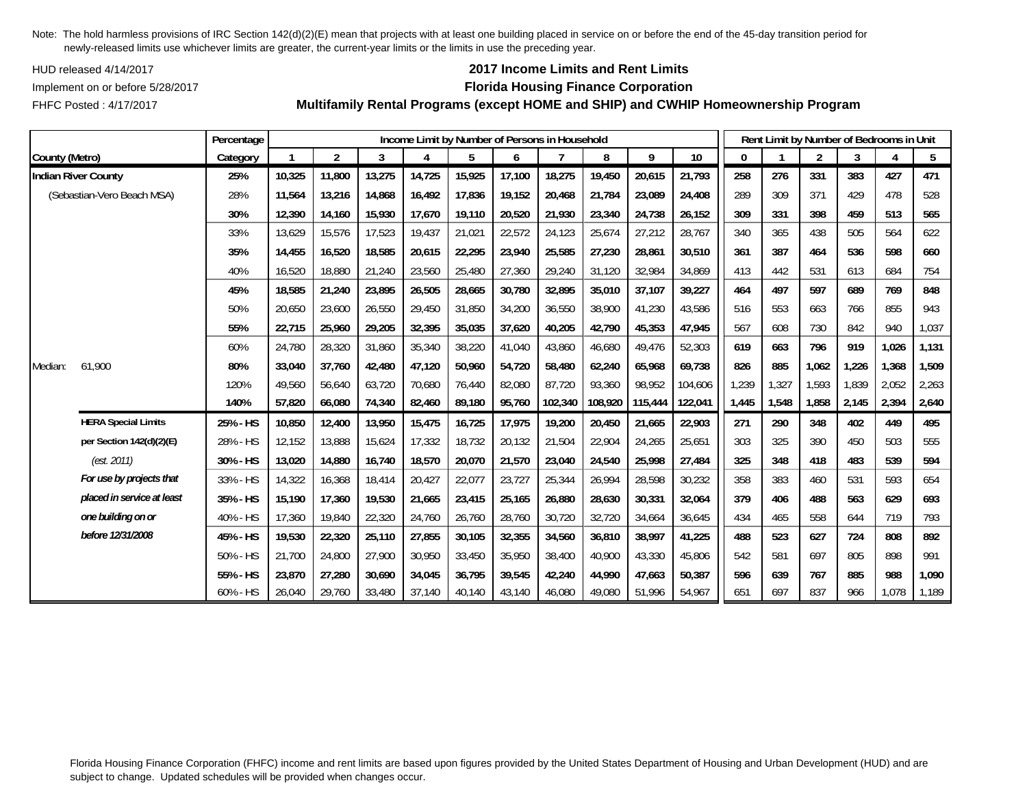HUD released 4/14/2017

FHFC Posted : 4/17/2017

## **2017 Income Limits and Rent Limits**

### Implement on or before 5/28/2017 **Florida Housing Finance Corporation**

**Multifamily Rental Programs (except HOME and SHIP) and CWHIP Homeownership Program**

|                |                            | Percentage |        |                |        | Income Limit by Number of Persons in Household |        |        |         |         |         |         |       |       | Rent Limit by Number of Bedrooms in Unit |       |       |       |
|----------------|----------------------------|------------|--------|----------------|--------|------------------------------------------------|--------|--------|---------|---------|---------|---------|-------|-------|------------------------------------------|-------|-------|-------|
| County (Metro) |                            | Category   |        | $\overline{2}$ | 3      | $\overline{4}$                                 | 5      | 6      |         | 8       | 9       | 10      | 0     |       | $\overline{2}$                           | 3     |       | 5     |
|                | <b>Indian River County</b> | 25%        | 10,325 | 11,800         | 13,275 | 14,725                                         | 15,925 | 17,100 | 18,275  | 19,450  | 20,615  | 21,793  | 258   | 276   | 331                                      | 383   | 427   | 471   |
|                | (Sebastian-Vero Beach MSA) | 28%        | 11,564 | 13,216         | 14,868 | 16,492                                         | 17,836 | 19,152 | 20,468  | 21,784  | 23,089  | 24,408  | 289   | 309   | 371                                      | 429   | 478   | 528   |
|                |                            | 30%        | 12,390 | 14,160         | 15,930 | 17,670                                         | 19,110 | 20,520 | 21,930  | 23,340  | 24,738  | 26,152  | 309   | 331   | 398                                      | 459   | 513   | 565   |
|                |                            | 33%        | 13,629 | 15,576         | 17,523 | 19,437                                         | 21,021 | 22,572 | 24,123  | 25,674  | 27,212  | 28,767  | 340   | 365   | 438                                      | 505   | 564   | 622   |
|                |                            | 35%        | 14,455 | 16,520         | 18,585 | 20,615                                         | 22,295 | 23,940 | 25,585  | 27,230  | 28,861  | 30,510  | 361   | 387   | 464                                      | 536   | 598   | 660   |
|                |                            | 40%        | 16,520 | 18,880         | 21,240 | 23,560                                         | 25,480 | 27,360 | 29,240  | 31,120  | 32,984  | 34,869  | 413   | 442   | 531                                      | 613   | 684   | 754   |
|                |                            | 45%        | 18,585 | 21,240         | 23,895 | 26,505                                         | 28,665 | 30,780 | 32,895  | 35,010  | 37,107  | 39,227  | 464   | 497   | 597                                      | 689   | 769   | 848   |
|                |                            | 50%        | 20,650 | 23,600         | 26,550 | 29,450                                         | 31,850 | 34,200 | 36,550  | 38,900  | 41,230  | 43,586  | 516   | 553   | 663                                      | 766   | 855   | 943   |
|                |                            | 55%        | 22,715 | 25,960         | 29,205 | 32,395                                         | 35,035 | 37,620 | 40,205  | 42,790  | 45,353  | 47,945  | 567   | 608   | 730                                      | 842   | 940   | 1,037 |
|                |                            | 60%        | 24,780 | 28,320         | 31,860 | 35,340                                         | 38,220 | 41,040 | 43,860  | 46,680  | 49,476  | 52,303  | 619   | 663   | 796                                      | 919   | 1,026 | 1,131 |
| Median:        | 61,900                     | 80%        | 33,040 | 37,760         | 42,480 | 47,120                                         | 50,960 | 54,720 | 58,480  | 62,240  | 65,968  | 69,738  | 826   | 885   | 1,062                                    | 1,226 | 1,368 | 1,509 |
|                |                            | 120%       | 49,560 | 56,640         | 63,720 | 70,680                                         | 76,440 | 82,080 | 87,720  | 93,360  | 98,952  | 104,606 | 1,239 | 1,327 | 1,593                                    | 1,839 | 2,052 | 2,263 |
|                |                            | 140%       | 57,820 | 66,080         | 74,340 | 82,460                                         | 89,180 | 95,760 | 102,340 | 108,920 | 115,444 | 122,041 | 1,445 | 1,548 | 1,858                                    | 2,145 | 2,394 | 2,640 |
|                | <b>HERA Special Limits</b> | 25% - HS   | 10,850 | 12,400         | 13,950 | 15,475                                         | 16,725 | 17,975 | 19,200  | 20,450  | 21,665  | 22,903  | 271   | 290   | 348                                      | 402   | 449   | 495   |
|                | per Section 142(d)(2)(E)   | 28% - HS   | 12,152 | 13,888         | 15,624 | 17,332                                         | 18,732 | 20,132 | 21,504  | 22,904  | 24,265  | 25,651  | 303   | 325   | 390                                      | 450   | 503   | 555   |
|                | (est. 2011)                | 30% - HS   | 13,020 | 14,880         | 16,740 | 18,570                                         | 20,070 | 21,570 | 23,040  | 24,540  | 25,998  | 27,484  | 325   | 348   | 418                                      | 483   | 539   | 594   |
|                | For use by projects that   | 33% - HS   | 14,322 | 16,368         | 18,414 | 20,427                                         | 22,077 | 23,727 | 25,344  | 26,994  | 28,598  | 30,232  | 358   | 383   | 460                                      | 531   | 593   | 654   |
|                | placed in service at least | 35% - HS   | 15,190 | 17,360         | 19,530 | 21,665                                         | 23,415 | 25,165 | 26,880  | 28,630  | 30,331  | 32,064  | 379   | 406   | 488                                      | 563   | 629   | 693   |
|                | one building on or         | 40% - HS   | 17,360 | 19,840         | 22,320 | 24,760                                         | 26,760 | 28,760 | 30,720  | 32,720  | 34,664  | 36,645  | 434   | 465   | 558                                      | 644   | 719   | 793   |
|                | before 12/31/2008          | 45% - HS   | 19,530 | 22,320         | 25,110 | 27,855                                         | 30,105 | 32,355 | 34,560  | 36,810  | 38,997  | 41,225  | 488   | 523   | 627                                      | 724   | 808   | 892   |
|                |                            | 50% - HS   | 21,700 | 24,800         | 27,900 | 30,950                                         | 33,450 | 35,950 | 38,400  | 40,900  | 43,330  | 45,806  | 542   | 581   | 697                                      | 805   | 898   | 991   |
|                |                            | 55% - HS   | 23,870 | 27,280         | 30,690 | 34,045                                         | 36,795 | 39,545 | 42,240  | 44,990  | 47,663  | 50,387  | 596   | 639   | 767                                      | 885   | 988   | 1,090 |
|                |                            | 60% - HS   | 26,040 | 29,760         | 33,480 | 37,140                                         | 40,140 | 43,140 | 46,080  | 49,080  | 51,996  | 54,967  | 651   | 697   | 837                                      | 966   | 1,078 | 1,189 |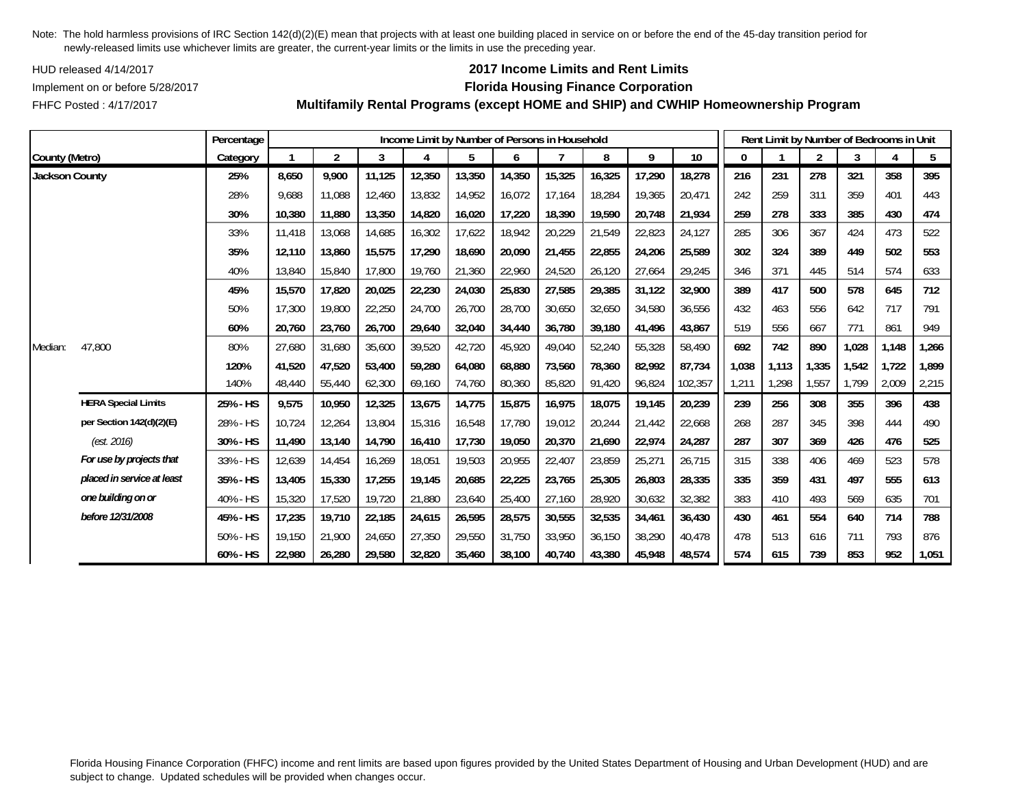HUD released 4/14/2017

## FHFC Posted : 4/17/2017

# **2017 Income Limits and Rent Limits**

## Implement on or before 5/28/2017 **Florida Housing Finance Corporation**

**Multifamily Rental Programs (except HOME and SHIP) and CWHIP Homeownership Program**

|                       |                            | Percentage |        |                |        | Income Limit by Number of Persons in Household |        |        |        |        |        |                 |              | Rent Limit by Number of Bedrooms in Unit |                |       |       |       |
|-----------------------|----------------------------|------------|--------|----------------|--------|------------------------------------------------|--------|--------|--------|--------|--------|-----------------|--------------|------------------------------------------|----------------|-------|-------|-------|
| County (Metro)        |                            | Category   |        | $\overline{2}$ | 3      | 4                                              | 5      | 6      |        | 8      | 9      | 10 <sup>°</sup> | $\mathbf{0}$ |                                          | $\overline{2}$ | 3     | 4     | 5     |
| <b>Jackson County</b> |                            | 25%        | 8,650  | 9,900          | 11,125 | 12,350                                         | 13,350 | 14,350 | 15,325 | 16,325 | 17,290 | 18,278          | 216          | 231                                      | 278            | 321   | 358   | 395   |
|                       |                            | 28%        | 9,688  | 11,088         | 12,460 | 13,832                                         | 14,952 | 16,072 | 17,164 | 18,284 | 19,365 | 20,471          | 242          | 259                                      | 311            | 359   | 401   | 443   |
|                       |                            | 30%        | 10,380 | 11,880         | 13,350 | 14,820                                         | 16,020 | 17,220 | 18,390 | 19,590 | 20,748 | 21,934          | 259          | 278                                      | 333            | 385   | 430   | 474   |
|                       |                            | 33%        | 11,418 | 13,068         | 14,685 | 16,302                                         | 17,622 | 18,942 | 20,229 | 21,549 | 22,823 | 24,127          | 285          | 306                                      | 367            | 424   | 473   | 522   |
|                       |                            | 35%        | 12,110 | 13,860         | 15,575 | 17,290                                         | 18,690 | 20,090 | 21,455 | 22,855 | 24,206 | 25,589          | 302          | 324                                      | 389            | 449   | 502   | 553   |
|                       |                            | 40%        | 13,840 | 15,840         | 17,800 | 19,760                                         | 21,360 | 22,960 | 24,520 | 26,120 | 27,664 | 29,245          | 346          | 371                                      | 445            | 514   | 574   | 633   |
|                       |                            | 45%        | 15,570 | 17,820         | 20,025 | 22,230                                         | 24,030 | 25,830 | 27,585 | 29,385 | 31,122 | 32,900          | 389          | 417                                      | 500            | 578   | 645   | 712   |
|                       |                            | 50%        | 17,300 | 19,800         | 22,250 | 24,700                                         | 26,700 | 28,700 | 30.650 | 32,650 | 34,580 | 36,556          | 432          | 463                                      | 556            | 642   | 717   | 791   |
|                       |                            | 60%        | 20,760 | 23,760         | 26,700 | 29,640                                         | 32,040 | 34,440 | 36.780 | 39,180 | 41,496 | 43.867          | 519          | 556                                      | 667            | 771   | 861   | 949   |
| Median:               | 47,800                     | 80%        | 27,680 | 31,680         | 35,600 | 39,520                                         | 42,720 | 45,920 | 49,040 | 52,240 | 55,328 | 58,490          | 692          | 742                                      | 890            | 1,028 | 1,148 | 1,266 |
|                       |                            | 120%       | 41,520 | 47,520         | 53,400 | 59,280                                         | 64,080 | 68,880 | 73,560 | 78,360 | 82,992 | 87,734          | 1,038        | 1,113                                    | 1,335          | 1,542 | 1,722 | 1,899 |
|                       |                            | 140%       | 48,440 | 55,440         | 62,300 | 69,160                                         | 74,760 | 80,360 | 85,820 | 91,420 | 96,824 | 102,357         | 1,211        | 1,298                                    | 1,557          | 1.799 | 2,009 | 2,215 |
|                       | <b>HERA Special Limits</b> | 25% - HS   | 9,575  | 10,950         | 12,325 | 13,675                                         | 14,775 | 15,875 | 16,975 | 18,075 | 19,145 | 20,239          | 239          | 256                                      | 308            | 355   | 396   | 438   |
|                       | per Section 142(d)(2)(E)   | 28% - HS   | 10,724 | 12,264         | 13,804 | 15,316                                         | 16,548 | 17,780 | 19,012 | 20,244 | 21,442 | 22,668          | 268          | 287                                      | 345            | 398   | 444   | 490   |
|                       | (est. 2016)                | 30% - HS   | 11,490 | 13,140         | 14,790 | 16,410                                         | 17,730 | 19,050 | 20,370 | 21,690 | 22,974 | 24,287          | 287          | 307                                      | 369            | 426   | 476   | 525   |
|                       | For use by projects that   | 33% - HS   | 12,639 | 14,454         | 16,269 | 18,051                                         | 19,503 | 20,955 | 22,407 | 23,859 | 25,271 | 26,715          | 315          | 338                                      | 406            | 469   | 523   | 578   |
|                       | placed in service at least | 35% - HS   | 13,405 | 15,330         | 17,255 | 19,145                                         | 20,685 | 22,225 | 23,765 | 25,305 | 26,803 | 28,335          | 335          | 359                                      | 431            | 497   | 555   | 613   |
|                       | one building on or         | 40% - HS   | 15,320 | 17,520         | 19,720 | 21,880                                         | 23,640 | 25,400 | 27,160 | 28,920 | 30,632 | 32,382          | 383          | 410                                      | 493            | 569   | 635   | 701   |
|                       | before 12/31/2008          | 45% - HS   | 17,235 | 19,710         | 22,185 | 24,615                                         | 26,595 | 28,575 | 30,555 | 32,535 | 34,461 | 36,430          | 430          | 461                                      | 554            | 640   | 714   | 788   |
|                       |                            | 50% - HS   | 19,150 | 21,900         | 24,650 | 27,350                                         | 29,550 | 31,750 | 33,950 | 36,150 | 38,290 | 40,478          | 478          | 513                                      | 616            | 711   | 793   | 876   |
|                       |                            | 60% - HS   | 22,980 | 26,280         | 29,580 | 32,820                                         | 35,460 | 38,100 | 40,740 | 43,380 | 45,948 | 48,574          | 574          | 615                                      | 739            | 853   | 952   | 1,051 |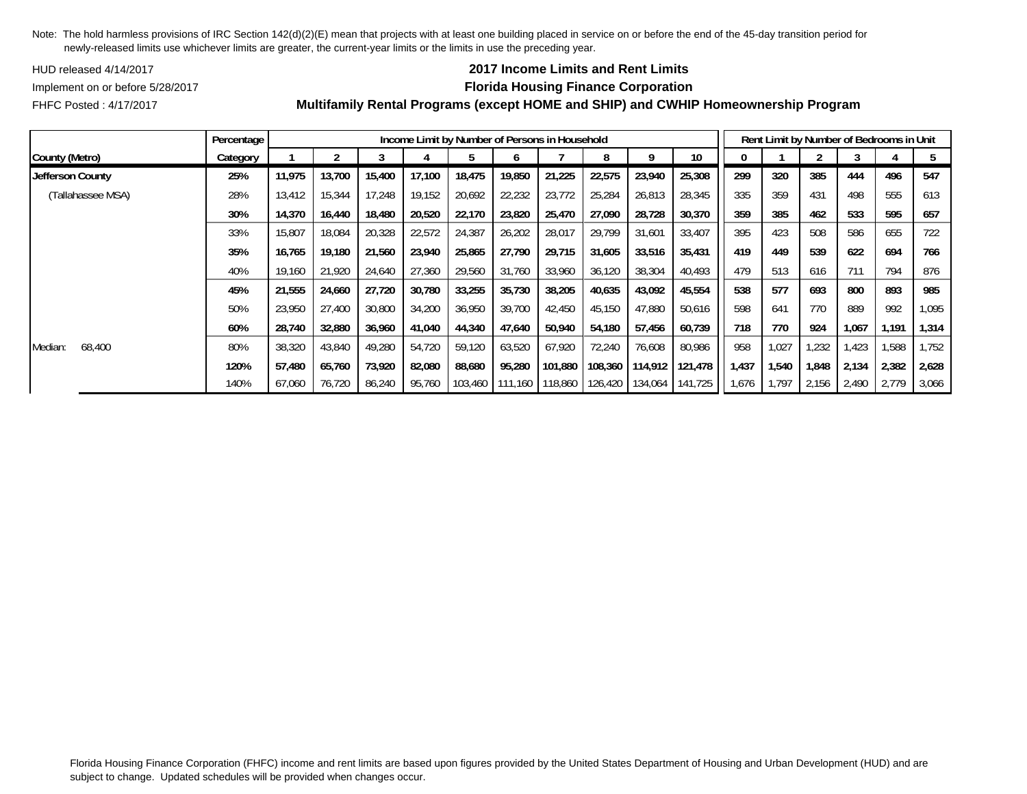HUD released 4/14/2017

## **2017 Income Limits and Rent Limits**

Implement on or before 5/28/2017 **Florida Housing Finance Corporation**

FHFC Posted : 4/17/2017

|                   | Percentage |        |        |        |        | Income Limit by Number of Persons in Household |         |         |         |         |         |       |       |       |       | Rent Limit by Number of Bedrooms in Unit |       |
|-------------------|------------|--------|--------|--------|--------|------------------------------------------------|---------|---------|---------|---------|---------|-------|-------|-------|-------|------------------------------------------|-------|
| County (Metro)    | Category   |        |        |        |        |                                                |         |         |         |         | 10      |       |       |       |       |                                          |       |
| Jefferson County  | 25%        | 11,975 | 13.700 | 15,400 | 17,100 | 18,475                                         | 19,850  | 21,225  | 22,575  | 23,940  | 25,308  | 299   | 320   | 385   | 444   | 496                                      | 547   |
| (Tallahassee MSA) | 28%        | 13,412 | 15,344 | 17,248 | 19,152 | 20,692                                         | 22,232  | 23,772  | 25,284  | 26,813  | 28,345  | 335   | 359   | 431   | 498   | 555                                      | 613   |
|                   | 30%        | 14,370 | 16,440 | 18,480 | 20,520 | 22.170                                         | 23,820  | 25.470  | 27.090  | 28.728  | 30,370  | 359   | 385   | 462   | 533   | 595                                      | 657   |
|                   | 33%        | 15,807 | 18,084 | 20,328 | 22,572 | 24,387                                         | 26,202  | 28,017  | 29,799  | 31,601  | 33,407  | 395   | 423   | 508   | 586   | 655                                      | 722   |
|                   | 35%        | 16,765 | 19,180 | 21,560 | 23,940 | 25,865                                         | 27,790  | 29,715  | 31,605  | 33,516  | 35,431  | 419   | 449   | 539   | 622   | 694                                      | 766   |
|                   | 40%        | 19,160 | 21,920 | 24,640 | 27,360 | 29,560                                         | 31,760  | 33,960  | 36,120  | 38,304  | 40,493  | 479   | 513   | 616   | 711   | 794                                      | 876   |
|                   | 45%        | 21,555 | 24,660 | 27,720 | 30,780 | 33,255                                         | 35,730  | 38,205  | 40,635  | 43,092  | 45,554  | 538   | 577   | 693   | 800   | 893                                      | 985   |
|                   | 50%        | 23,950 | 27,400 | 30,800 | 34,200 | 36,950                                         | 39,700  | 42,450  | 45,150  | 47,880  | 50,616  | 598   | 641   | 770   | 889   | 992                                      | 1,095 |
|                   | 60%        | 28,740 | 32,880 | 36,960 | 41,040 | 44,340                                         | 47,640  | 50,940  | 54,180  | 57,456  | 60,739  | 718   | 770   | 924   | 1,067 | 1,191                                    | 1,314 |
| 68,400<br>Median: | 80%        | 38,320 | 43,840 | 49,280 | 54,720 | 59,120                                         | 63,520  | 67,920  | 72,240  | 76,608  | 80,986  | 958   | 1,027 | ,232  | 1,423 | 588                                      | .752  |
|                   | 120%       | 57,480 | 65,760 | 73,920 | 82,080 | 88,680                                         | 95,280  | 101,880 | 108,360 | 114,912 | 121,478 | 1,437 | 1,540 | 1,848 | 2,134 | 2,382                                    | 2,628 |
|                   | 140%       | 67,060 | 76,720 | 86,240 | 95,760 | 103,460                                        | 111,160 | 118,860 | 126,420 | 134,064 | 141,725 | 1,676 | 1.797 | 2,156 | 2,490 | 2,779                                    | 3,066 |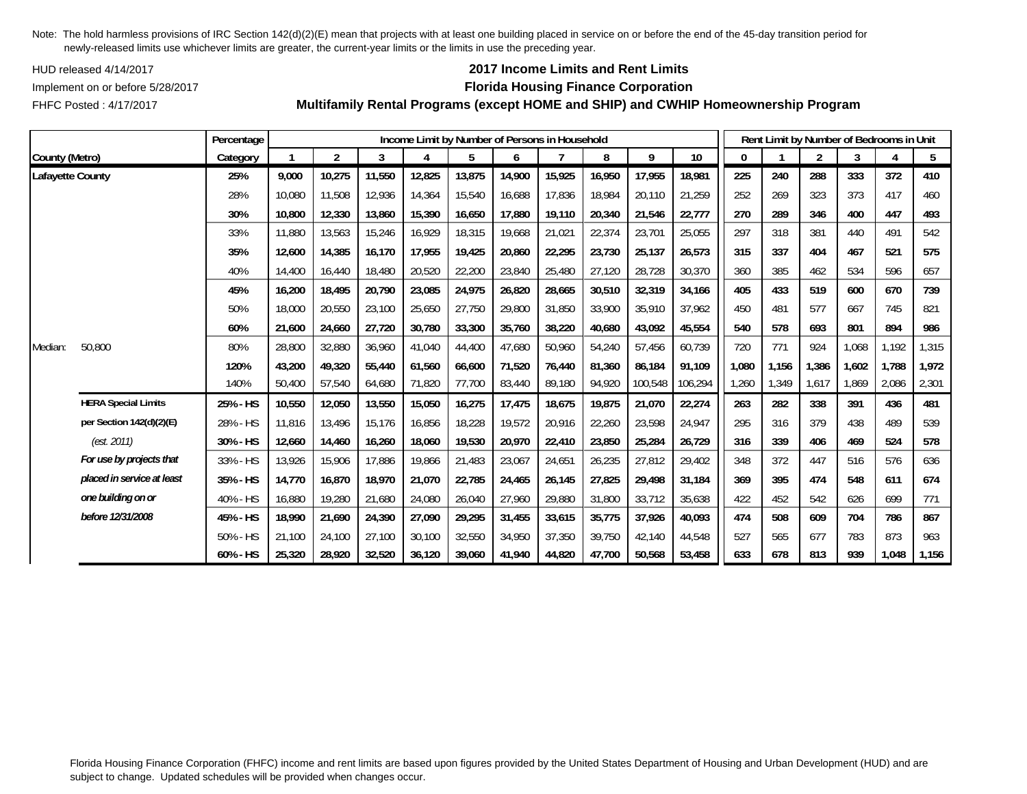HUD released 4/14/2017

FHFC Posted : 4/17/2017

## **2017 Income Limits and Rent Limits**

### Implement on or before 5/28/2017 **Florida Housing Finance Corporation**

**Multifamily Rental Programs (except HOME and SHIP) and CWHIP Homeownership Program**

|                  |                            | Percentage |        |                |        |        | Income Limit by Number of Persons in Household |        |        |        |         |         |       |       | Rent Limit by Number of Bedrooms in Unit |       |       |       |
|------------------|----------------------------|------------|--------|----------------|--------|--------|------------------------------------------------|--------|--------|--------|---------|---------|-------|-------|------------------------------------------|-------|-------|-------|
| County (Metro)   |                            | Category   |        | $\overline{2}$ | 3      | 4      | 5                                              | 6      |        | 8      | 9       | 10      | 0     |       | $\overline{2}$                           | 3     |       | 5     |
| Lafayette County |                            | 25%        | 9,000  | 10,275         | 11,550 | 12,825 | 13,875                                         | 14,900 | 15,925 | 16,950 | 17,955  | 18,981  | 225   | 240   | 288                                      | 333   | 372   | 410   |
|                  |                            | 28%        | 10,080 | 11,508         | 12,936 | 14,364 | 15,540                                         | 16,688 | 17,836 | 18,984 | 20,110  | 21,259  | 252   | 269   | 323                                      | 373   | 417   | 460   |
|                  |                            | 30%        | 10,800 | 12,330         | 13,860 | 15,390 | 16,650                                         | 17,880 | 19,110 | 20,340 | 21,546  | 22,777  | 270   | 289   | 346                                      | 400   | 447   | 493   |
|                  |                            | 33%        | 11,880 | 13,563         | 15,246 | 16,929 | 18,315                                         | 19,668 | 21,021 | 22,374 | 23,701  | 25,055  | 297   | 318   | 381                                      | 440   | 491   | 542   |
|                  |                            | 35%        | 12,600 | 14,385         | 16,170 | 17,955 | 19,425                                         | 20,860 | 22,295 | 23,730 | 25,137  | 26,573  | 315   | 337   | 404                                      | 467   | 521   | 575   |
|                  |                            | 40%        | 14,400 | 16,440         | 18,480 | 20,520 | 22,200                                         | 23,840 | 25,480 | 27,120 | 28,728  | 30,370  | 360   | 385   | 462                                      | 534   | 596   | 657   |
|                  |                            | 45%        | 16,200 | 18,495         | 20,790 | 23,085 | 24,975                                         | 26,820 | 28,665 | 30,510 | 32,319  | 34,166  | 405   | 433   | 519                                      | 600   | 670   | 739   |
|                  |                            | 50%        | 18,000 | 20,550         | 23,100 | 25,650 | 27,750                                         | 29,800 | 31,850 | 33,900 | 35,910  | 37,962  | 450   | 481   | 577                                      | 667   | 745   | 821   |
|                  |                            | 60%        | 21,600 | 24,660         | 27,720 | 30,780 | 33,300                                         | 35,760 | 38,220 | 40.680 | 43,092  | 45,554  | 540   | 578   | 693                                      | 801   | 894   | 986   |
| Median:          | 50,800                     | 80%        | 28,800 | 32,880         | 36,960 | 41,040 | 44,400                                         | 47,680 | 50,960 | 54,240 | 57,456  | 60,739  | 720   | 771   | 924                                      | 1,068 | 1,192 | 1,315 |
|                  |                            | 120%       | 43,200 | 49,320         | 55,440 | 61,560 | 66,600                                         | 71,520 | 76,440 | 81,360 | 86,184  | 91,109  | 1,080 | 1,156 | 1,386                                    | 1,602 | 1,788 | 1,972 |
|                  |                            | 140%       | 50,400 | 57,540         | 64,680 | 71,820 | 77,700                                         | 83,440 | 89,180 | 94,920 | 100,548 | 106,294 | 1,260 | 1,349 | 1,617                                    | 1,869 | 2,086 | 2,301 |
|                  | <b>HERA Special Limits</b> | 25% - HS   | 10,550 | 12,050         | 13,550 | 15,050 | 16,275                                         | 17,475 | 18,675 | 19,875 | 21,070  | 22,274  | 263   | 282   | 338                                      | 391   | 436   | 481   |
|                  | per Section 142(d)(2)(E)   | 28% - HS   | 11,816 | 13,496         | 15,176 | 16,856 | 18,228                                         | 19,572 | 20,916 | 22,260 | 23,598  | 24,947  | 295   | 316   | 379                                      | 438   | 489   | 539   |
|                  | (est. 2011)                | 30% - HS   | 12,660 | 14,460         | 16,260 | 18,060 | 19,530                                         | 20,970 | 22,410 | 23,850 | 25,284  | 26,729  | 316   | 339   | 406                                      | 469   | 524   | 578   |
|                  | For use by projects that   | 33% - HS   | 13,926 | 15,906         | 17,886 | 19,866 | 21,483                                         | 23,067 | 24,651 | 26,235 | 27,812  | 29,402  | 348   | 372   | 447                                      | 516   | 576   | 636   |
|                  | placed in service at least | 35% - HS   | 14,770 | 16,870         | 18,970 | 21,070 | 22,785                                         | 24,465 | 26,145 | 27,825 | 29,498  | 31,184  | 369   | 395   | 474                                      | 548   | 611   | 674   |
|                  | one building on or         | 40% - HS   | 16,880 | 19,280         | 21,680 | 24,080 | 26,040                                         | 27,960 | 29,880 | 31,800 | 33,712  | 35,638  | 422   | 452   | 542                                      | 626   | 699   | 771   |
|                  | before 12/31/2008          | 45% - HS   | 18,990 | 21,690         | 24,390 | 27,090 | 29,295                                         | 31,455 | 33,615 | 35,775 | 37,926  | 40,093  | 474   | 508   | 609                                      | 704   | 786   | 867   |
|                  |                            | 50% - HS   | 21.100 | 24,100         | 27,100 | 30,100 | 32,550                                         | 34,950 | 37,350 | 39.750 | 42,140  | 44,548  | 527   | 565   | 677                                      | 783   | 873   | 963   |
|                  |                            | 60% - HS   | 25,320 | 28,920         | 32,520 | 36,120 | 39,060                                         | 41,940 | 44,820 | 47,700 | 50,568  | 53,458  | 633   | 678   | 813                                      | 939   | 1,048 | 1,156 |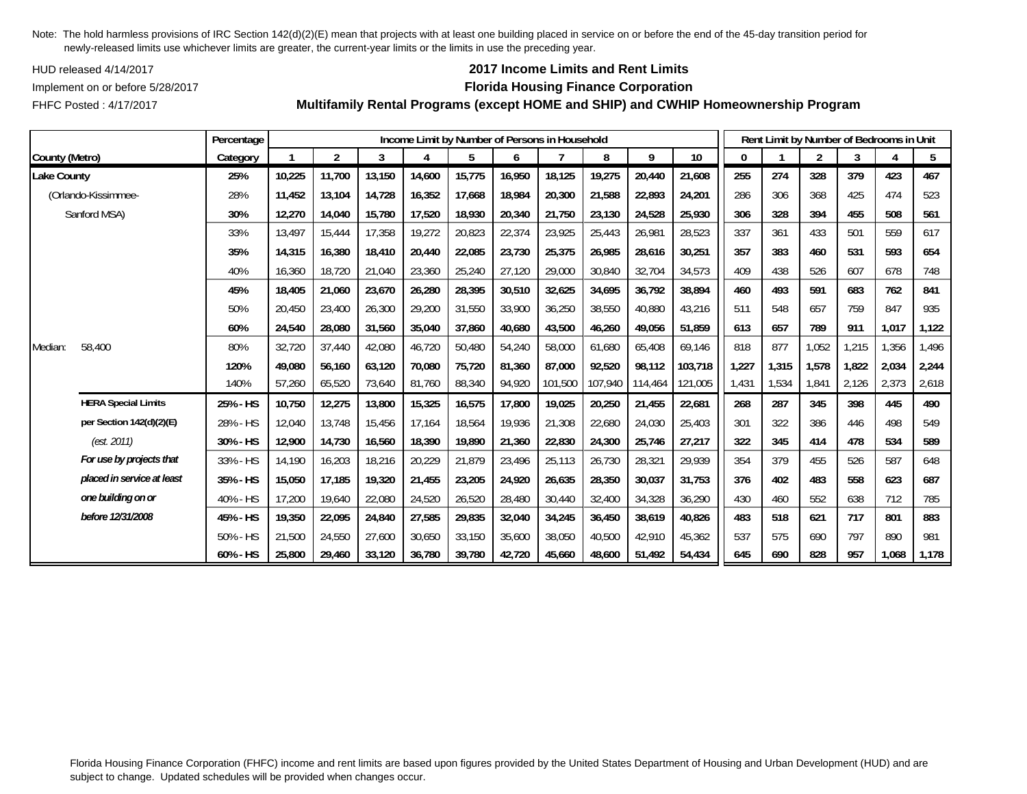HUD released 4/14/2017

FHFC Posted : 4/17/2017

## **2017 Income Limits and Rent Limits**

### Implement on or before 5/28/2017 **Florida Housing Finance Corporation**

**Multifamily Rental Programs (except HOME and SHIP) and CWHIP Homeownership Program**

|                |                            | Percentage |        |                |        |        |        |        | Income Limit by Number of Persons in Household |         |         |         |       | Rent Limit by Number of Bedrooms in Unit |                |       |       |       |
|----------------|----------------------------|------------|--------|----------------|--------|--------|--------|--------|------------------------------------------------|---------|---------|---------|-------|------------------------------------------|----------------|-------|-------|-------|
| County (Metro) |                            | Category   |        | $\overline{2}$ | 3      |        | 5      | 6      |                                                | 8       | 9       | 10      | 0     |                                          | $\overline{2}$ | 3     |       | 5     |
| Lake County    |                            | 25%        | 10,225 | 11,700         | 13,150 | 14,600 | 15,775 | 16,950 | 18,125                                         | 19,275  | 20,440  | 21,608  | 255   | 274                                      | 328            | 379   | 423   | 467   |
|                | (Orlando-Kissimmee-        | 28%        | 11,452 | 13,104         | 14,728 | 16,352 | 17,668 | 18,984 | 20,300                                         | 21,588  | 22,893  | 24,201  | 286   | 306                                      | 368            | 425   | 474   | 523   |
|                | Sanford MSA)               | 30%        | 12,270 | 14,040         | 15,780 | 17,520 | 18,930 | 20,340 | 21,750                                         | 23,130  | 24,528  | 25,930  | 306   | 328                                      | 394            | 455   | 508   | 561   |
|                |                            | 33%        | 13,497 | 15,444         | 17,358 | 19,272 | 20,823 | 22,374 | 23,925                                         | 25,443  | 26,981  | 28,523  | 337   | 361                                      | 433            | 501   | 559   | 617   |
|                |                            | 35%        | 14,315 | 16,380         | 18,410 | 20,440 | 22,085 | 23,730 | 25,375                                         | 26,985  | 28,616  | 30,251  | 357   | 383                                      | 460            | 531   | 593   | 654   |
|                |                            | 40%        | 16,360 | 18,720         | 21,040 | 23,360 | 25,240 | 27,120 | 29,000                                         | 30,840  | 32,704  | 34,573  | 409   | 438                                      | 526            | 607   | 678   | 748   |
|                |                            | 45%        | 18,405 | 21,060         | 23,670 | 26,280 | 28,395 | 30,510 | 32,625                                         | 34,695  | 36,792  | 38,894  | 460   | 493                                      | 591            | 683   | 762   | 841   |
|                |                            | 50%        | 20,450 | 23,400         | 26,300 | 29,200 | 31,550 | 33,900 | 36,250                                         | 38,550  | 40,880  | 43,216  | 511   | 548                                      | 657            | 759   | 847   | 935   |
|                |                            | 60%        | 24,540 | 28,080         | 31,560 | 35,040 | 37,860 | 40,680 | 43,500                                         | 46,260  | 49,056  | 51,859  | 613   | 657                                      | 789            | 911   | 1,017 | 1,122 |
| Median:        | 58,400                     | 80%        | 32,720 | 37,440         | 42,080 | 46,720 | 50,480 | 54,240 | 58,000                                         | 61,680  | 65,408  | 69,146  | 818   | 877                                      | 1,052          | 1,215 | 1,356 | 1,496 |
|                |                            | 120%       | 49,080 | 56,160         | 63,120 | 70,080 | 75,720 | 81,360 | 87,000                                         | 92,520  | 98,112  | 103,718 | 1,227 | 1,315                                    | 1,578          | 1.822 | 2,034 | 2,244 |
|                |                            | 140%       | 57,260 | 65,520         | 73,640 | 81,760 | 88,340 | 94,920 | 101,500                                        | 107,940 | 114,464 | 121,005 | 1,431 | 1,534                                    | 1,841          | 2,126 | 2,373 | 2,618 |
|                | <b>HERA Special Limits</b> | 25% - HS   | 10,750 | 12,275         | 13,800 | 15,325 | 16,575 | 17,800 | 19,025                                         | 20,250  | 21,455  | 22,681  | 268   | 287                                      | 345            | 398   | 445   | 490   |
|                | per Section 142(d)(2)(E)   | 28% - HS   | 12,040 | 13,748         | 15,456 | 17,164 | 18,564 | 19,936 | 21,308                                         | 22,680  | 24,030  | 25,403  | 301   | 322                                      | 386            | 446   | 498   | 549   |
|                | (est. 2011)                | 30% - HS   | 12,900 | 14,730         | 16,560 | 18,390 | 19,890 | 21,360 | 22,830                                         | 24,300  | 25,746  | 27,217  | 322   | 345                                      | 414            | 478   | 534   | 589   |
|                | For use by projects that   | 33% - HS   | 14,190 | 16,203         | 18,216 | 20,229 | 21,879 | 23,496 | 25,113                                         | 26,730  | 28,321  | 29,939  | 354   | 379                                      | 455            | 526   | 587   | 648   |
|                | placed in service at least | 35% - HS   | 15,050 | 17,185         | 19,320 | 21,455 | 23,205 | 24,920 | 26,635                                         | 28,350  | 30,037  | 31,753  | 376   | 402                                      | 483            | 558   | 623   | 687   |
|                | one building on or         | 40% - HS   | 17,200 | 19,640         | 22,080 | 24,520 | 26,520 | 28,480 | 30,440                                         | 32,400  | 34,328  | 36,290  | 430   | 460                                      | 552            | 638   | 712   | 785   |
|                | before 12/31/2008          | 45% - HS   | 19,350 | 22,095         | 24,840 | 27,585 | 29,835 | 32,040 | 34,245                                         | 36,450  | 38,619  | 40,826  | 483   | 518                                      | 621            | 717   | 801   | 883   |
|                |                            | 50% - HS   | 21,500 | 24,550         | 27,600 | 30,650 | 33,150 | 35,600 | 38,050                                         | 40,500  | 42,910  | 45,362  | 537   | 575                                      | 690            | 797   | 890   | 981   |
|                |                            | 60% - HS   | 25,800 | 29,460         | 33,120 | 36,780 | 39,780 | 42,720 | 45,660                                         | 48,600  | 51,492  | 54,434  | 645   | 690                                      | 828            | 957   | 1,068 | 1,178 |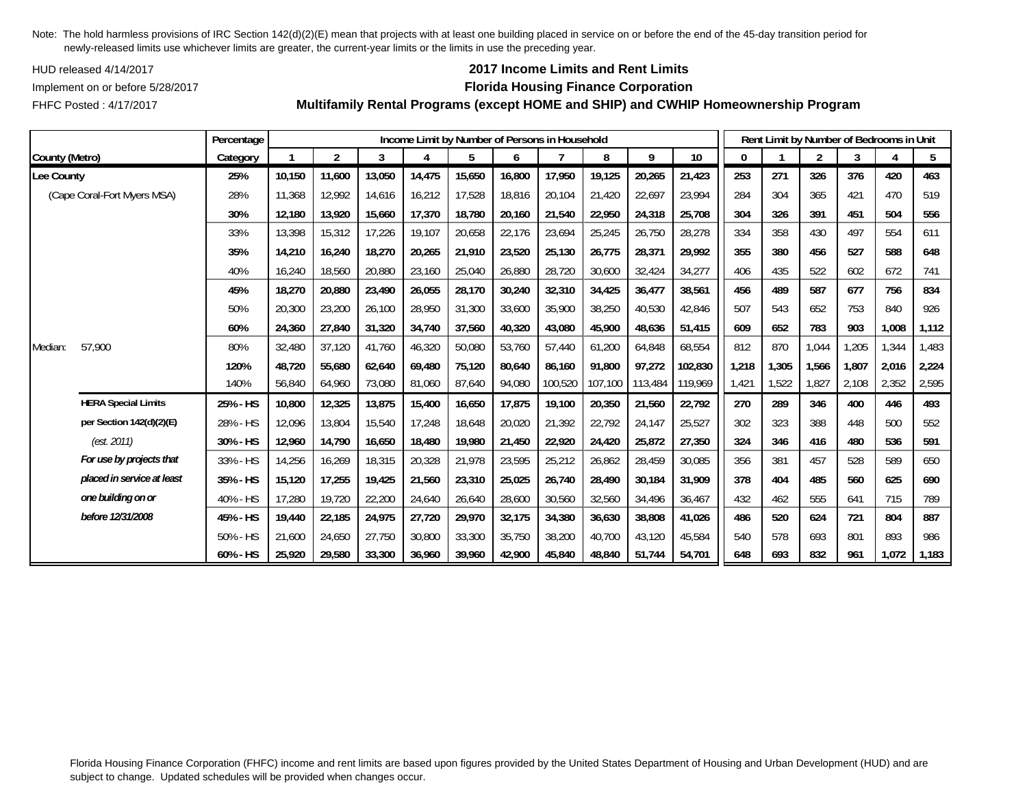HUD released 4/14/2017

FHFC Posted : 4/17/2017

## **2017 Income Limits and Rent Limits**

### Implement on or before 5/28/2017 **Florida Housing Finance Corporation**

**Multifamily Rental Programs (except HOME and SHIP) and CWHIP Homeownership Program**

|                |                             | Percentage |        |                |        |        |        |        | Income Limit by Number of Persons in Household |         |         |         |       |       | Rent Limit by Number of Bedrooms in Unit |       |       |       |
|----------------|-----------------------------|------------|--------|----------------|--------|--------|--------|--------|------------------------------------------------|---------|---------|---------|-------|-------|------------------------------------------|-------|-------|-------|
| County (Metro) |                             | Category   |        | $\overline{2}$ | 3      | 4      | 5      | 6      |                                                | 8       | 9       | 10      | 0     |       | $\overline{2}$                           | 3     |       | 5     |
| Lee County     |                             | 25%        | 10,150 | 11,600         | 13,050 | 14,475 | 15,650 | 16,800 | 17,950                                         | 19,125  | 20,265  | 21,423  | 253   | 271   | 326                                      | 376   | 420   | 463   |
|                | (Cape Coral-Fort Myers MSA) | 28%        | 11,368 | 12,992         | 14,616 | 16,212 | 17,528 | 18,816 | 20,104                                         | 21,420  | 22,697  | 23,994  | 284   | 304   | 365                                      | 421   | 470   | 519   |
|                |                             | 30%        | 12,180 | 13,920         | 15,660 | 17,370 | 18,780 | 20,160 | 21,540                                         | 22,950  | 24,318  | 25,708  | 304   | 326   | 391                                      | 451   | 504   | 556   |
|                |                             | 33%        | 13,398 | 15,312         | 17,226 | 19,107 | 20,658 | 22,176 | 23,694                                         | 25,245  | 26,750  | 28,278  | 334   | 358   | 430                                      | 497   | 554   | 611   |
|                |                             | 35%        | 14,210 | 16,240         | 18,270 | 20,265 | 21,910 | 23,520 | 25,130                                         | 26,775  | 28,371  | 29,992  | 355   | 380   | 456                                      | 527   | 588   | 648   |
|                |                             | 40%        | 16,240 | 18,560         | 20,880 | 23,160 | 25,040 | 26,880 | 28,720                                         | 30,600  | 32,424  | 34,277  | 406   | 435   | 522                                      | 602   | 672   | 741   |
|                |                             | 45%        | 18,270 | 20,880         | 23,490 | 26,055 | 28,170 | 30,240 | 32,310                                         | 34,425  | 36,477  | 38,561  | 456   | 489   | 587                                      | 677   | 756   | 834   |
|                |                             | 50%        | 20,300 | 23,200         | 26,100 | 28,950 | 31,300 | 33,600 | 35,900                                         | 38,250  | 40,530  | 42,846  | 507   | 543   | 652                                      | 753   | 840   | 926   |
|                |                             | 60%        | 24,360 | 27,840         | 31,320 | 34,740 | 37,560 | 40,320 | 43,080                                         | 45,900  | 48,636  | 51,415  | 609   | 652   | 783                                      | 903   | 1,008 | 1,112 |
| Median:        | 57,900                      | 80%        | 32,480 | 37,120         | 41.760 | 46,320 | 50,080 | 53,760 | 57,440                                         | 61,200  | 64,848  | 68,554  | 812   | 870   | 1,044                                    | ,205  | 1,344 | 1,483 |
|                |                             | 120%       | 48,720 | 55,680         | 62,640 | 69,480 | 75,120 | 80,640 | 86,160                                         | 91,800  | 97,272  | 102,830 | 1,218 | 1,305 | 1,566                                    | .807  | 2,016 | 2,224 |
|                |                             | 140%       | 56,840 | 64,960         | 73,080 | 81,060 | 87,640 | 94,080 | 100,520                                        | 107,100 | 113,484 | 119,969 | 1,421 | 1,522 | 1,827                                    | 2,108 | 2,352 | 2,595 |
|                | <b>HERA Special Limits</b>  | 25% - HS   | 10,800 | 12,325         | 13,875 | 15,400 | 16,650 | 17,875 | 19,100                                         | 20,350  | 21,560  | 22,792  | 270   | 289   | 346                                      | 400   | 446   | 493   |
|                | per Section 142(d)(2)(E)    | 28% - HS   | 12,096 | 13,804         | 15,540 | 17,248 | 18,648 | 20,020 | 21,392                                         | 22,792  | 24,147  | 25,527  | 302   | 323   | 388                                      | 448   | 500   | 552   |
|                | (est. 2011)                 | 30% - HS   | 12,960 | 14,790         | 16,650 | 18,480 | 19,980 | 21,450 | 22,920                                         | 24,420  | 25,872  | 27,350  | 324   | 346   | 416                                      | 480   | 536   | 591   |
|                | For use by projects that    | 33% - HS   | 14,256 | 16,269         | 18,315 | 20,328 | 21,978 | 23,595 | 25,212                                         | 26,862  | 28,459  | 30,085  | 356   | 381   | 457                                      | 528   | 589   | 650   |
|                | placed in service at least  | 35% - HS   | 15,120 | 17,255         | 19,425 | 21,560 | 23,310 | 25,025 | 26,740                                         | 28,490  | 30,184  | 31,909  | 378   | 404   | 485                                      | 560   | 625   | 690   |
|                | one building on or          | 40% - HS   | 17,280 | 19,720         | 22,200 | 24,640 | 26,640 | 28,600 | 30,560                                         | 32,560  | 34,496  | 36,467  | 432   | 462   | 555                                      | 641   | 715   | 789   |
|                | before 12/31/2008           | 45% - HS   | 19,440 | 22,185         | 24,975 | 27,720 | 29,970 | 32,175 | 34,380                                         | 36,630  | 38,808  | 41,026  | 486   | 520   | 624                                      | 721   | 804   | 887   |
|                |                             | 50% - HS   | 21,600 | 24,650         | 27,750 | 30,800 | 33,300 | 35,750 | 38,200                                         | 40,700  | 43,120  | 45,584  | 540   | 578   | 693                                      | 801   | 893   | 986   |
|                |                             | 60% - HS   | 25,920 | 29,580         | 33,300 | 36,960 | 39,960 | 42,900 | 45,840                                         | 48,840  | 51,744  | 54,701  | 648   | 693   | 832                                      | 961   | 1,072 | 1,183 |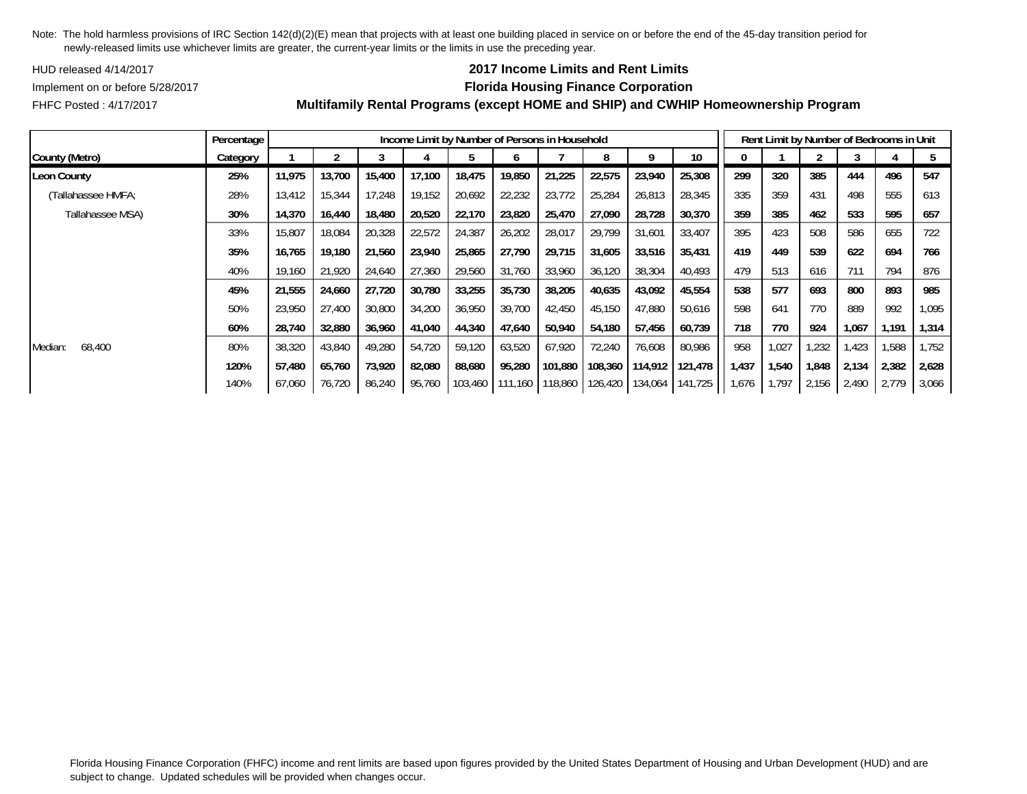HUD released 4/14/2017

## **2017 Income Limits and Rent Limits**

FHFC Posted : 4/17/2017

### Implement on or before 5/28/2017 **Florida Housing Finance Corporation Multifamily Rental Programs (except HOME and SHIP) and CWHIP Homeownership Program**

|                    | Percentage |        |        |        |        | Income Limit by Number of Persons in Household |                  |                         |         |         |                 |       |       |       |       | Rent Limit by Number of Bedrooms in Unit |       |
|--------------------|------------|--------|--------|--------|--------|------------------------------------------------|------------------|-------------------------|---------|---------|-----------------|-------|-------|-------|-------|------------------------------------------|-------|
| County (Metro)     | Category   |        |        |        |        |                                                | n                |                         | 8       | a       | 10 <sup>°</sup> |       |       |       |       |                                          |       |
| Leon County        | 25%        | 11,975 | 13,700 | 15,400 | 17,100 | 18,475                                         | 19,850           | 21,225                  | 22,575  | 23,940  | 25,308          | 299   | 320   | 385   | 444   | 496                                      | 547   |
| (Tallahassee HMFA; | 28%        | 13,412 | 15,344 | 17,248 | 19,152 | 20,692                                         | 22,232           | 23,772                  | 25,284  | 26,813  | 28,345          | 335   | 359   | 431   | 498   | 555                                      | 613   |
| Tallahassee MSA)   | 30%        | 14,370 | 16,440 | 18,480 | 20,520 | 22,170                                         | 23,820           | 25,470                  | 27,090  | 28,728  | 30,370          | 359   | 385   | 462   | 533   | 595                                      | 657   |
|                    | 33%        | 15,807 | 18,084 | 20,328 | 22,572 | 24,387                                         | 26,202           | 28,017                  | 29,799  | 31,601  | 33,407          | 395   | 423   | 508   | 586   | 655                                      | 722   |
|                    | 35%        | 16,765 | 19,180 | 21,560 | 23,940 | 25,865                                         | 27,790           | 29,715                  | 31,605  | 33,516  | 35,431          | 419   | 449   | 539   | 622   | 694                                      | 766   |
|                    | 40%        | 19,160 | 21,920 | 24,640 | 27,360 | 29,560                                         | 31,760           | 33,960                  | 36,120  | 38,304  | 40,493          | 479   | 513   | 616   | 711   | 794                                      | 876   |
|                    | 45%        | 21,555 | 24,660 | 27,720 | 30,780 | 33,255                                         | 35,730           | 38,205                  | 40,635  | 43,092  | 45,554          | 538   | 577   | 693   | 800   | 893                                      | 985   |
|                    | 50%        | 23,950 | 27,400 | 30,800 | 34,200 | 36,950                                         | 39,700           | 42,450                  | 45,150  | 47,880  | 50,616          | 598   | 641   | 770   | 889   | 992                                      | 1,095 |
|                    | 60%        | 28,740 | 32,880 | 36,960 | 41,040 | 44,340                                         | 47,640           | 50,940                  | 54,180  | 57,456  | 60,739          | 718   | 770   | 924   | 1,067 | 1,191                                    | 1,314 |
| 68,400<br>Median:  | 80%        | 38,320 | 43,840 | 49,280 | 54,720 | 59,120                                         | 63,520           | 67,920                  | 72,240  | 76,608  | 80,986          | 958   | 1,027 | 1,232 | ,423  | 1,588                                    | 1,752 |
|                    | 120%       | 57,480 | 65,760 | 73,920 | 82,080 | 88,680                                         | 95,280           | 101,880                 | 108,360 | 114,912 | 121,478         | 1,437 | 1,540 | 1,848 | 2,134 | 2,382                                    | 2,628 |
|                    | 140%       | 67,060 | 76,720 | 86,240 | 95,760 |                                                | 103,460 1111,160 | 118,860 126,420 134,064 |         |         | 141,725         | 1,676 | 1.797 | 2,156 | 2,490 | 2,779                                    | 3,066 |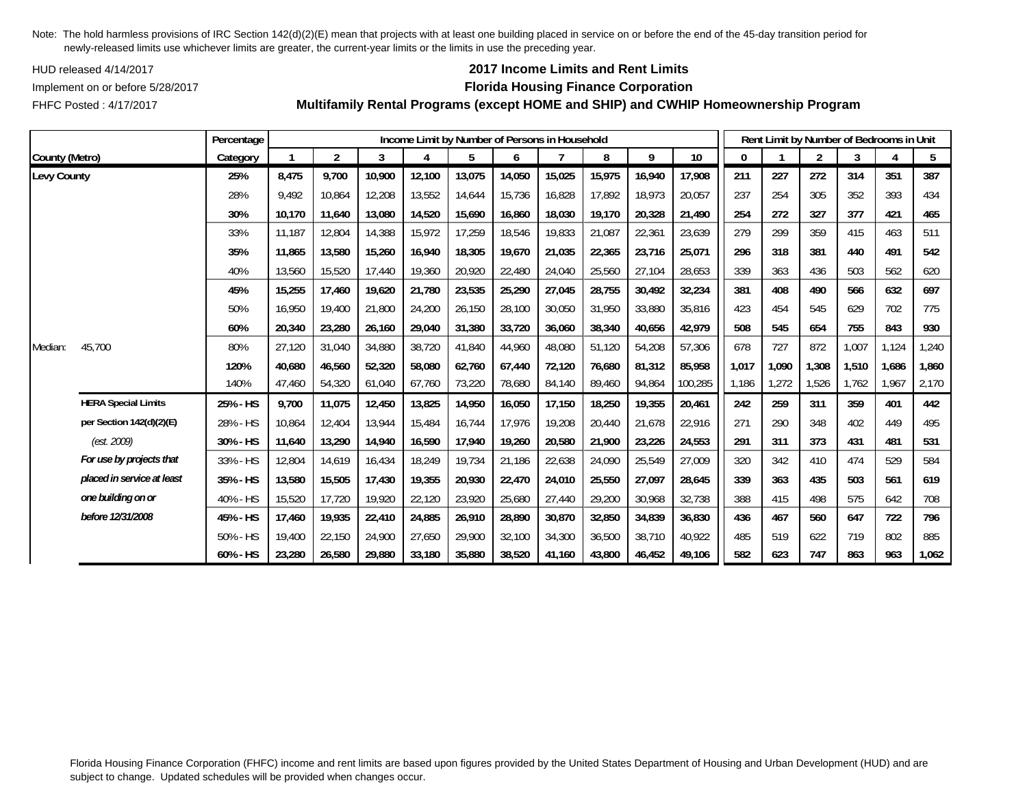HUD released 4/14/2017

FHFC Posted : 4/17/2017

## **2017 Income Limits and Rent Limits**

### Implement on or before 5/28/2017 **Florida Housing Finance Corporation**

**Multifamily Rental Programs (except HOME and SHIP) and CWHIP Homeownership Program**

|                |                            | Percentage |        |                |        |        |        |        | Income Limit by Number of Persons in Household |        |        |         |              | Rent Limit by Number of Bedrooms in Unit |                |       |       |       |
|----------------|----------------------------|------------|--------|----------------|--------|--------|--------|--------|------------------------------------------------|--------|--------|---------|--------------|------------------------------------------|----------------|-------|-------|-------|
| County (Metro) |                            | Category   |        | $\overline{2}$ | 3      | 4      | 5      | 6      |                                                | 8      | 9      | 10      | $\mathbf{0}$ |                                          | $\overline{2}$ | 3     | 4     | 5     |
| Levy County    |                            | 25%        | 8,475  | 9,700          | 10,900 | 12,100 | 13,075 | 14,050 | 15,025                                         | 15,975 | 16,940 | 17,908  | 211          | 227                                      | 272            | 314   | 351   | 387   |
|                |                            | 28%        | 9,492  | 10,864         | 12,208 | 13,552 | 14,644 | 15,736 | 16,828                                         | 17,892 | 18,973 | 20,057  | 237          | 254                                      | 305            | 352   | 393   | 434   |
|                |                            | 30%        | 10,170 | 11,640         | 13,080 | 14,520 | 15,690 | 16,860 | 18,030                                         | 19,170 | 20,328 | 21,490  | 254          | 272                                      | 327            | 377   | 421   | 465   |
|                |                            | 33%        | 11,187 | 12,804         | 14,388 | 15,972 | 17,259 | 18,546 | 19,833                                         | 21,087 | 22,361 | 23,639  | 279          | 299                                      | 359            | 415   | 463   | 511   |
|                |                            | 35%        | 11.865 | 13,580         | 15,260 | 16,940 | 18,305 | 19,670 | 21,035                                         | 22,365 | 23,716 | 25,071  | 296          | 318                                      | 381            | 440   | 491   | 542   |
|                |                            | 40%        | 13,560 | 15,520         | 17,440 | 19,360 | 20,920 | 22,480 | 24,040                                         | 25,560 | 27,104 | 28,653  | 339          | 363                                      | 436            | 503   | 562   | 620   |
|                |                            | 45%        | 15,255 | 17,460         | 19,620 | 21,780 | 23,535 | 25,290 | 27,045                                         | 28,755 | 30,492 | 32,234  | 381          | 408                                      | 490            | 566   | 632   | 697   |
|                |                            | 50%        | 16,950 | 19,400         | 21,800 | 24,200 | 26,150 | 28,100 | 30,050                                         | 31,950 | 33,880 | 35,816  | 423          | 454                                      | 545            | 629   | 702   | 775   |
|                |                            | 60%        | 20,340 | 23,280         | 26,160 | 29,040 | 31,380 | 33,720 | 36.060                                         | 38,340 | 40,656 | 42,979  | 508          | 545                                      | 654            | 755   | 843   | 930   |
| Median:        | 45,700                     | 80%        | 27,120 | 31,040         | 34,880 | 38,720 | 41,840 | 44,960 | 48,080                                         | 51,120 | 54,208 | 57,306  | 678          | 727                                      | 872            | 1,007 | 1,124 | 1,240 |
|                |                            | 120%       | 40,680 | 46,560         | 52,320 | 58,080 | 62,760 | 67,440 | 72,120                                         | 76,680 | 81,312 | 85,958  | 1,017        | 1,090                                    | 1,308          | 1,510 | 1,686 | 1,860 |
|                |                            | 140%       | 47,460 | 54,320         | 61,040 | 67,760 | 73,220 | 78,680 | 84,140                                         | 89,460 | 94,864 | 100,285 | 1,186        | 1,272                                    | 1,526          | 1.762 | 1,967 | 2,170 |
|                | <b>HERA Special Limits</b> | 25% - HS   | 9,700  | 11,075         | 12,450 | 13,825 | 14,950 | 16,050 | 17,150                                         | 18,250 | 19,355 | 20,461  | 242          | 259                                      | 311            | 359   | 401   | 442   |
|                | per Section 142(d)(2)(E)   | 28% - HS   | 10,864 | 12,404         | 13,944 | 15,484 | 16,744 | 17,976 | 19,208                                         | 20,440 | 21,678 | 22,916  | 271          | 290                                      | 348            | 402   | 449   | 495   |
|                | (est. 2009)                | 30% - HS   | 11,640 | 13,290         | 14,940 | 16,590 | 17,940 | 19,260 | 20,580                                         | 21,900 | 23,226 | 24,553  | 291          | 311                                      | 373            | 431   | 481   | 531   |
|                | For use by projects that   | 33% - HS   | 12,804 | 14,619         | 16,434 | 18,249 | 19,734 | 21,186 | 22,638                                         | 24,090 | 25,549 | 27,009  | 320          | 342                                      | 410            | 474   | 529   | 584   |
|                | placed in service at least | 35% - HS   | 13,580 | 15,505         | 17,430 | 19,355 | 20,930 | 22,470 | 24,010                                         | 25,550 | 27,097 | 28,645  | 339          | 363                                      | 435            | 503   | 561   | 619   |
|                | one building on or         | 40% - HS   | 15,520 | 17,720         | 19,920 | 22,120 | 23,920 | 25,680 | 27,440                                         | 29,200 | 30,968 | 32,738  | 388          | 415                                      | 498            | 575   | 642   | 708   |
|                | before 12/31/2008          | 45% - HS   | 17,460 | 19,935         | 22,410 | 24,885 | 26,910 | 28,890 | 30,870                                         | 32,850 | 34,839 | 36,830  | 436          | 467                                      | 560            | 647   | 722   | 796   |
|                |                            | 50% - HS   | 19,400 | 22,150         | 24,900 | 27,650 | 29,900 | 32,100 | 34,300                                         | 36,500 | 38,710 | 40,922  | 485          | 519                                      | 622            | 719   | 802   | 885   |
|                |                            | 60% - HS   | 23,280 | 26,580         | 29,880 | 33,180 | 35,880 | 38,520 | 41.160                                         | 43,800 | 46,452 | 49,106  | 582          | 623                                      | 747            | 863   | 963   | 1,062 |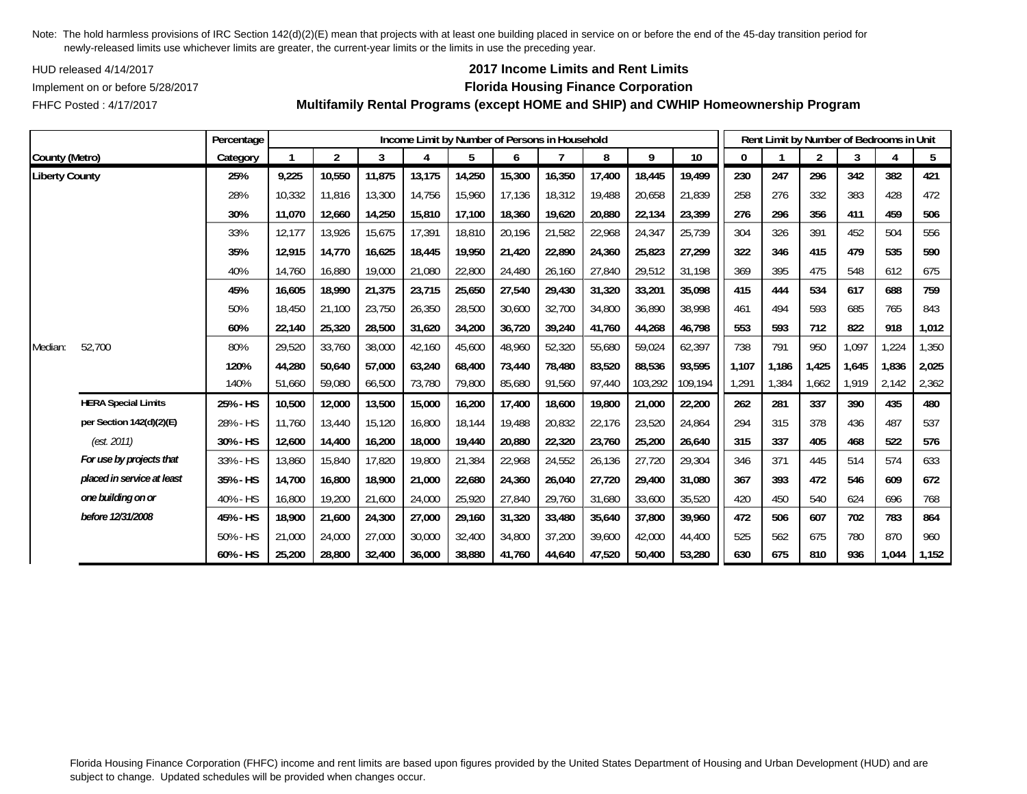HUD released 4/14/2017

FHFC Posted : 4/17/2017

## **2017 Income Limits and Rent Limits**

### Implement on or before 5/28/2017 **Florida Housing Finance Corporation**

**Multifamily Rental Programs (except HOME and SHIP) and CWHIP Homeownership Program**

|                       |                            | Percentage |        |                |        | Income Limit by Number of Persons in Household |        |        |        |        |         |         |       |       | Rent Limit by Number of Bedrooms in Unit |       |       |       |
|-----------------------|----------------------------|------------|--------|----------------|--------|------------------------------------------------|--------|--------|--------|--------|---------|---------|-------|-------|------------------------------------------|-------|-------|-------|
| County (Metro)        |                            | Category   |        | $\overline{2}$ | 3      | 4                                              | 5      | 6      |        | 8      | 9       | 10      | 0     |       | $\overline{2}$                           | 3     |       | 5     |
| <b>Liberty County</b> |                            | 25%        | 9,225  | 10,550         | 11,875 | 13,175                                         | 14,250 | 15,300 | 16,350 | 17,400 | 18,445  | 19,499  | 230   | 247   | 296                                      | 342   | 382   | 421   |
|                       |                            | 28%        | 10,332 | 11,816         | 13,300 | 14,756                                         | 15,960 | 17,136 | 18,312 | 19,488 | 20,658  | 21,839  | 258   | 276   | 332                                      | 383   | 428   | 472   |
|                       |                            | 30%        | 11,070 | 12,660         | 14,250 | 15,810                                         | 17,100 | 18,360 | 19,620 | 20,880 | 22,134  | 23,399  | 276   | 296   | 356                                      | 411   | 459   | 506   |
|                       |                            | 33%        | 12,177 | 13,926         | 15,675 | 17,391                                         | 18,810 | 20,196 | 21,582 | 22,968 | 24,347  | 25,739  | 304   | 326   | 391                                      | 452   | 504   | 556   |
|                       |                            | 35%        | 12,915 | 14,770         | 16,625 | 18,445                                         | 19,950 | 21,420 | 22,890 | 24,360 | 25,823  | 27,299  | 322   | 346   | 415                                      | 479   | 535   | 590   |
|                       |                            | 40%        | 14,760 | 16,880         | 19,000 | 21,080                                         | 22,800 | 24,480 | 26,160 | 27,840 | 29,512  | 31,198  | 369   | 395   | 475                                      | 548   | 612   | 675   |
|                       |                            | 45%        | 16,605 | 18,990         | 21,375 | 23,715                                         | 25,650 | 27,540 | 29,430 | 31,320 | 33,201  | 35,098  | 415   | 444   | 534                                      | 617   | 688   | 759   |
|                       |                            | 50%        | 18.450 | 21,100         | 23,750 | 26,350                                         | 28,500 | 30,600 | 32,700 | 34,800 | 36,890  | 38.998  | 461   | 494   | 593                                      | 685   | 765   | 843   |
|                       |                            | 60%        | 22,140 | 25,320         | 28,500 | 31,620                                         | 34,200 | 36,720 | 39,240 | 41,760 | 44,268  | 46,798  | 553   | 593   | 712                                      | 822   | 918   | 1,012 |
| Median:               | 52,700                     | 80%        | 29,520 | 33,760         | 38,000 | 42,160                                         | 45,600 | 48,960 | 52,320 | 55,680 | 59,024  | 62,397  | 738   | 791   | 950                                      | 1,097 | ,224  | 1,350 |
|                       |                            | 120%       | 44,280 | 50,640         | 57,000 | 63,240                                         | 68,400 | 73,440 | 78,480 | 83,520 | 88,536  | 93,595  | 1.107 | 1,186 | 1,425                                    | 1,645 | 1,836 | 2,025 |
|                       |                            | 140%       | 51,660 | 59,080         | 66,500 | 73,780                                         | 79,800 | 85,680 | 91,560 | 97,440 | 103,292 | 109,194 | 1,291 | 1,384 | 1,662                                    | 1,919 | 2,142 | 2,362 |
|                       | <b>HERA Special Limits</b> | 25% - HS   | 10,500 | 12,000         | 13,500 | 15,000                                         | 16,200 | 17,400 | 18,600 | 19,800 | 21,000  | 22,200  | 262   | 281   | 337                                      | 390   | 435   | 480   |
|                       | per Section 142(d)(2)(E)   | 28% - HS   | 11,760 | 13,440         | 15,120 | 16,800                                         | 18,144 | 19,488 | 20,832 | 22,176 | 23,520  | 24,864  | 294   | 315   | 378                                      | 436   | 487   | 537   |
|                       | (est. 2011)                | 30% - HS   | 12,600 | 14,400         | 16,200 | 18,000                                         | 19,440 | 20,880 | 22,320 | 23,760 | 25,200  | 26,640  | 315   | 337   | 405                                      | 468   | 522   | 576   |
|                       | For use by projects that   | 33% - HS   | 13,860 | 15,840         | 17,820 | 19,800                                         | 21,384 | 22,968 | 24,552 | 26,136 | 27,720  | 29,304  | 346   | 371   | 445                                      | 514   | 574   | 633   |
|                       | placed in service at least | 35% - HS   | 14,700 | 16,800         | 18,900 | 21,000                                         | 22,680 | 24,360 | 26,040 | 27,720 | 29,400  | 31,080  | 367   | 393   | 472                                      | 546   | 609   | 672   |
|                       | one building on or         | 40% - HS   | 16,800 | 19,200         | 21,600 | 24,000                                         | 25,920 | 27,840 | 29,760 | 31,680 | 33,600  | 35,520  | 420   | 450   | 540                                      | 624   | 696   | 768   |
|                       | before 12/31/2008          | 45% - HS   | 18,900 | 21,600         | 24,300 | 27,000                                         | 29,160 | 31,320 | 33,480 | 35,640 | 37,800  | 39,960  | 472   | 506   | 607                                      | 702   | 783   | 864   |
|                       |                            | 50% - HS   | 21,000 | 24,000         | 27,000 | 30,000                                         | 32,400 | 34,800 | 37,200 | 39,600 | 42,000  | 44,400  | 525   | 562   | 675                                      | 780   | 870   | 960   |
|                       |                            | 60% - HS   | 25,200 | 28,800         | 32,400 | 36,000                                         | 38,880 | 41,760 | 44,640 | 47,520 | 50,400  | 53,280  | 630   | 675   | 810                                      | 936   | 1,044 | 1,152 |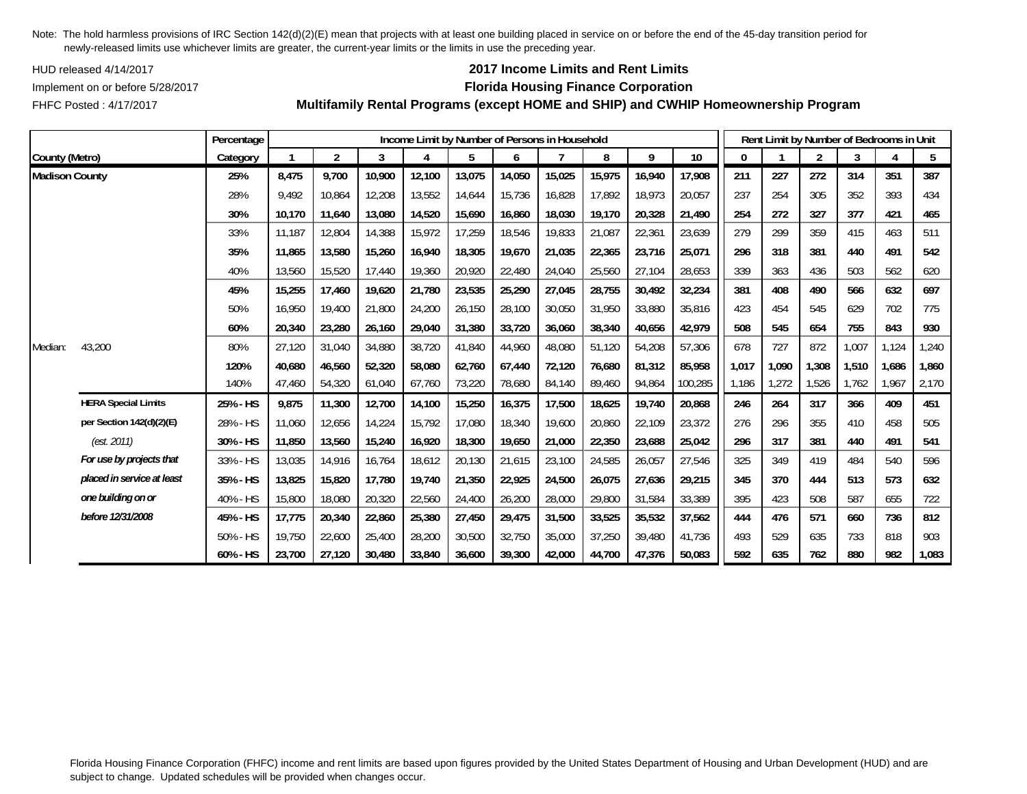HUD released 4/14/2017

FHFC Posted : 4/17/2017

# **2017 Income Limits and Rent Limits**

## Implement on or before 5/28/2017 **Florida Housing Finance Corporation**

**Multifamily Rental Programs (except HOME and SHIP) and CWHIP Homeownership Program**

|                       |                            | Percentage |        |                |        | Income Limit by Number of Persons in Household |        |        |        |        |        |         |       | Rent Limit by Number of Bedrooms in Unit |                |       |       |       |
|-----------------------|----------------------------|------------|--------|----------------|--------|------------------------------------------------|--------|--------|--------|--------|--------|---------|-------|------------------------------------------|----------------|-------|-------|-------|
| County (Metro)        |                            | Category   |        | $\overline{2}$ | 3      | 4                                              | 5      | 6      |        | 8      | 9      | 10      | 0     |                                          | $\overline{2}$ | 3     | 4     | 5     |
| <b>Madison County</b> |                            | 25%        | 8,475  | 9,700          | 10,900 | 12,100                                         | 13,075 | 14,050 | 15,025 | 15,975 | 16,940 | 17,908  | 211   | 227                                      | 272            | 314   | 351   | 387   |
|                       |                            | 28%        | 9,492  | 10,864         | 12,208 | 13,552                                         | 14,644 | 15,736 | 16,828 | 17,892 | 18,973 | 20,057  | 237   | 254                                      | 305            | 352   | 393   | 434   |
|                       |                            | 30%        | 10,170 | 11,640         | 13,080 | 14,520                                         | 15,690 | 16,860 | 18,030 | 19,170 | 20,328 | 21,490  | 254   | 272                                      | 327            | 377   | 421   | 465   |
|                       |                            | 33%        | 11,187 | 12,804         | 14,388 | 15,972                                         | 17,259 | 18,546 | 19,833 | 21,087 | 22,361 | 23,639  | 279   | 299                                      | 359            | 415   | 463   | 511   |
|                       |                            | 35%        | 11,865 | 13,580         | 15,260 | 16,940                                         | 18,305 | 19,670 | 21,035 | 22,365 | 23,716 | 25,071  | 296   | 318                                      | 381            | 440   | 491   | 542   |
|                       |                            | 40%        | 13,560 | 15,520         | 17,440 | 19,360                                         | 20,920 | 22,480 | 24,040 | 25,560 | 27,104 | 28,653  | 339   | 363                                      | 436            | 503   | 562   | 620   |
|                       |                            | 45%        | 15,255 | 17,460         | 19,620 | 21,780                                         | 23,535 | 25,290 | 27,045 | 28,755 | 30,492 | 32,234  | 381   | 408                                      | 490            | 566   | 632   | 697   |
|                       |                            | 50%        | 16,950 | 19,400         | 21,800 | 24,200                                         | 26,150 | 28,100 | 30,050 | 31,950 | 33,880 | 35,816  | 423   | 454                                      | 545            | 629   | 702   | 775   |
|                       |                            | 60%        | 20,340 | 23,280         | 26,160 | 29,040                                         | 31,380 | 33,720 | 36,060 | 38,340 | 40,656 | 42,979  | 508   | 545                                      | 654            | 755   | 843   | 930   |
| Median:               | 43,200                     | 80%        | 27,120 | 31,040         | 34,880 | 38,720                                         | 41,840 | 44,960 | 48,080 | 51,120 | 54,208 | 57,306  | 678   | 727                                      | 872            | 1,007 | 1,124 | 1,240 |
|                       |                            | 120%       | 40,680 | 46,560         | 52,320 | 58,080                                         | 62,760 | 67,440 | 72,120 | 76,680 | 81,312 | 85,958  | 1,017 | 1,090                                    | 1,308          | 1,510 | 1,686 | 1,860 |
|                       |                            | 140%       | 47,460 | 54,320         | 61,040 | 67,760                                         | 73,220 | 78,680 | 84,140 | 89,460 | 94,864 | 100,285 | 1,186 | 1,272                                    | 1,526          | 1,762 | 1,967 | 2,170 |
|                       | <b>HERA Special Limits</b> | 25% - HS   | 9,875  | 11,300         | 12,700 | 14,100                                         | 15,250 | 16,375 | 17,500 | 18,625 | 19,740 | 20,868  | 246   | 264                                      | 317            | 366   | 409   | 451   |
|                       | per Section 142(d)(2)(E)   | 28% - HS   | 11,060 | 12,656         | 14,224 | 15,792                                         | 17,080 | 18,340 | 19,600 | 20,860 | 22,109 | 23,372  | 276   | 296                                      | 355            | 410   | 458   | 505   |
|                       | (est. 2011)                | 30% - HS   | 11,850 | 13,560         | 15,240 | 16,920                                         | 18,300 | 19,650 | 21,000 | 22,350 | 23,688 | 25,042  | 296   | 317                                      | 381            | 440   | 491   | 541   |
|                       | For use by projects that   | 33% - HS   | 13,035 | 14,916         | 16,764 | 18,612                                         | 20,130 | 21,615 | 23,100 | 24,585 | 26,057 | 27,546  | 325   | 349                                      | 419            | 484   | 540   | 596   |
|                       | placed in service at least | 35% - HS   | 13,825 | 15,820         | 17,780 | 19,740                                         | 21,350 | 22,925 | 24,500 | 26,075 | 27,636 | 29,215  | 345   | 370                                      | 444            | 513   | 573   | 632   |
|                       | one building on or         | 40% - HS   | 15,800 | 18,080         | 20,320 | 22,560                                         | 24,400 | 26,200 | 28,000 | 29,800 | 31,584 | 33,389  | 395   | 423                                      | 508            | 587   | 655   | 722   |
|                       | before 12/31/2008          | 45% - HS   | 17,775 | 20,340         | 22,860 | 25,380                                         | 27,450 | 29,475 | 31,500 | 33,525 | 35,532 | 37,562  | 444   | 476                                      | 571            | 660   | 736   | 812   |
|                       |                            | 50% - HS   | 19,750 | 22,600         | 25,400 | 28,200                                         | 30,500 | 32,750 | 35,000 | 37,250 | 39,480 | 41,736  | 493   | 529                                      | 635            | 733   | 818   | 903   |
|                       |                            | 60% - HS   | 23,700 | 27,120         | 30,480 | 33,840                                         | 36,600 | 39,300 | 42,000 | 44,700 | 47,376 | 50,083  | 592   | 635                                      | 762            | 880   | 982   | 1,083 |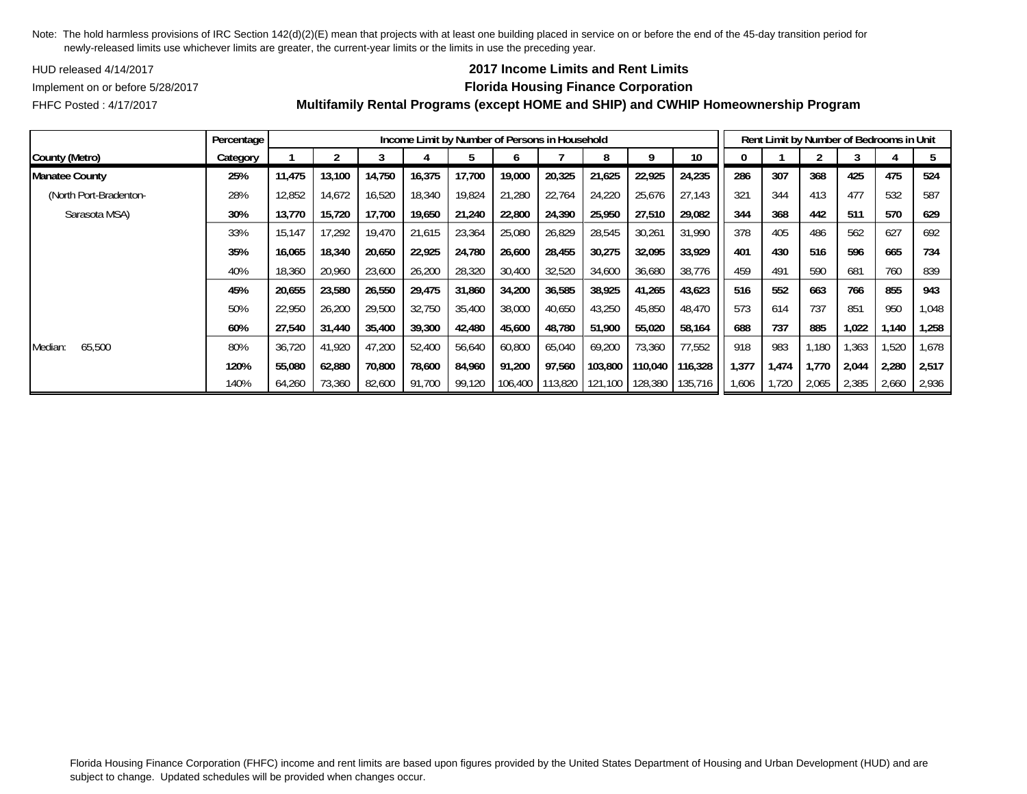HUD released 4/14/2017

## **2017 Income Limits and Rent Limits**

Implement on or before 5/28/2017 **Florida Housing Finance Corporation**

FHFC Posted : 4/17/2017

|                        | Percentage |        |        |        |        | Income Limit by Number of Persons in Household |         |         |         |         |         |       |       | Rent Limit by Number of Bedrooms in Unit |       |       |        |
|------------------------|------------|--------|--------|--------|--------|------------------------------------------------|---------|---------|---------|---------|---------|-------|-------|------------------------------------------|-------|-------|--------|
| County (Metro)         | Category   |        |        |        |        |                                                |         |         |         |         | 10      |       |       |                                          |       |       |        |
| <b>Manatee County</b>  | 25%        | 11,475 | 13,100 | 14,750 | 16,375 | 17,700                                         | 19,000  | 20,325  | 21,625  | 22,925  | 24,235  | 286   | 307   | 368                                      | 425   | 475   | 524    |
| (North Port-Bradenton- | 28%        | 12,852 | 14.672 | 16,520 | 18,340 | 19,824                                         | 21.280  | 22,764  | 24,220  | 25,676  | 27,143  | 321   | 344   | 413                                      | 477   | 532   | 587    |
| Sarasota MSA)          | 30%        | 13,770 | 15,720 | 17,700 | 19,650 | 21,240                                         | 22,800  | 24,390  | 25,950  | 27,510  | 29,082  | 344   | 368   | 442                                      | 511   | 570   | 629    |
|                        | 33%        | 15,147 | 17,292 | 19,470 | 21,615 | 23,364                                         | 25,080  | 26,829  | 28,545  | 30,261  | 31,990  | 378   | 405   | 486                                      | 562   | 627   | 692    |
|                        | 35%        | 16,065 | 18,340 | 20,650 | 22,925 | 24,780                                         | 26,600  | 28,455  | 30,275  | 32,095  | 33,929  | 401   | 430   | 516                                      | 596   | 665   | 734    |
|                        | 40%        | 18,360 | 20,960 | 23,600 | 26,200 | 28,320                                         | 30,400  | 32,520  | 34,600  | 36,680  | 38,776  | 459   | 491   | 590                                      | 681   | 760   | 839    |
|                        | 45%        | 20,655 | 23,580 | 26,550 | 29,475 | 31,860                                         | 34,200  | 36,585  | 38,925  | 41,265  | 43,623  | 516   | 552   | 663                                      | 766   | 855   | 943    |
|                        | 50%        | 22,950 | 26,200 | 29,500 | 32,750 | 35,400                                         | 38,000  | 40,650  | 43,250  | 45,850  | 48,470  | 573   | 614   | 737                                      | 851   | 950   | 1,048  |
|                        | 60%        | 27,540 | 31,440 | 35,400 | 39,300 | 42,480                                         | 45,600  | 48.780  | 51,900  | 55,020  | 58,164  | 688   | 737   | 885                                      | 1,022 | ,140  | 1,258  |
| 65,500<br>Median:      | 80%        | 36,720 | 41,920 | 47,200 | 52,400 | 56,640                                         | 60,800  | 65,040  | 69,200  | 73,360  | 77,552  | 918   | 983   | ,180                                     | .363  | 1,520 | 678. ا |
|                        | 120%       | 55.080 | 62.880 | 70,800 | 78,600 | 84,960                                         | 91,200  | 97,560  | 103.800 | 110,040 | 116,328 | 1,377 | 1,474 | 1,770                                    | 2,044 | 2,280 | 2,517  |
|                        | 140%       | 64,260 | 73,360 | 82,600 | 91,700 | 99,120                                         | 106,400 | 113,820 | 121.100 | 128,380 | 135,716 | 1,606 | 1,720 | 2,065                                    | 2,385 | 2,660 | 2,936  |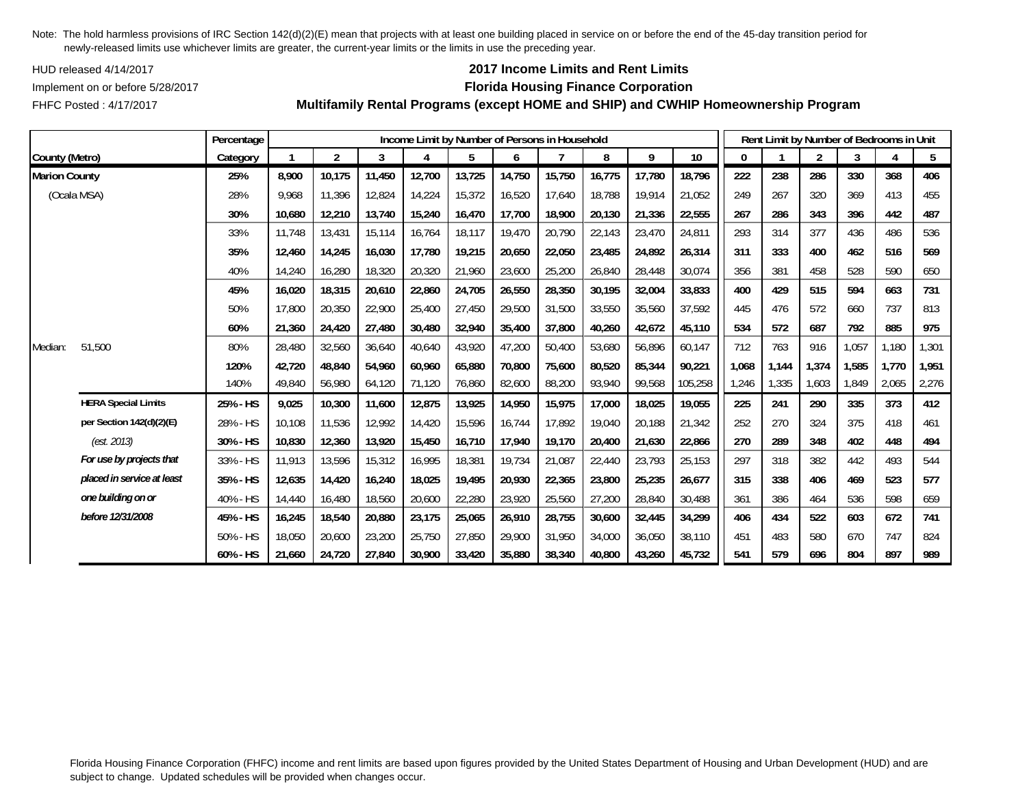HUD released 4/14/2017

## **2017 Income Limits and Rent Limits**

FHFC Posted : 4/17/2017

# Implement on or before 5/28/2017 **Florida Housing Finance Corporation**

**Multifamily Rental Programs (except HOME and SHIP) and CWHIP Homeownership Program**

|                      |                            | Percentage |        |                |        |        |        |        | Income Limit by Number of Persons in Household |        |        |         |              | Rent Limit by Number of Bedrooms in Unit |                |       |       |       |
|----------------------|----------------------------|------------|--------|----------------|--------|--------|--------|--------|------------------------------------------------|--------|--------|---------|--------------|------------------------------------------|----------------|-------|-------|-------|
| County (Metro)       |                            | Category   |        | $\overline{2}$ | 3      | 4      | 5      | 6      |                                                | 8      | 9      | 10      | $\mathbf{0}$ |                                          | $\overline{2}$ | 3     |       | 5     |
| <b>Marion County</b> |                            | 25%        | 8,900  | 10,175         | 11,450 | 12,700 | 13,725 | 14,750 | 15,750                                         | 16,775 | 17,780 | 18,796  | 222          | 238                                      | 286            | 330   | 368   | 406   |
|                      | (Ocala MSA)                | 28%        | 9,968  | 11,396         | 12,824 | 14,224 | 15,372 | 16,520 | 17,640                                         | 18,788 | 19,914 | 21,052  | 249          | 267                                      | 320            | 369   | 413   | 455   |
|                      |                            | 30%        | 10,680 | 12,210         | 13,740 | 15,240 | 16,470 | 17,700 | 18,900                                         | 20,130 | 21,336 | 22,555  | 267          | 286                                      | 343            | 396   | 442   | 487   |
|                      |                            | 33%        | 11,748 | 13,431         | 15,114 | 16,764 | 18,117 | 19,470 | 20,790                                         | 22,143 | 23,470 | 24,811  | 293          | 314                                      | 377            | 436   | 486   | 536   |
|                      |                            | 35%        | 12,460 | 14,245         | 16,030 | 17,780 | 19,215 | 20,650 | 22,050                                         | 23,485 | 24,892 | 26,314  | 311          | 333                                      | 400            | 462   | 516   | 569   |
|                      |                            | 40%        | 14,240 | 16,280         | 18,320 | 20,320 | 21,960 | 23,600 | 25,200                                         | 26,840 | 28,448 | 30,074  | 356          | 381                                      | 458            | 528   | 590   | 650   |
|                      |                            | 45%        | 16,020 | 18,315         | 20,610 | 22,860 | 24,705 | 26,550 | 28,350                                         | 30,195 | 32,004 | 33,833  | 400          | 429                                      | 515            | 594   | 663   | 731   |
|                      |                            | 50%        | 17,800 | 20,350         | 22,900 | 25,400 | 27,450 | 29,500 | 31,500                                         | 33,550 | 35,560 | 37,592  | 445          | 476                                      | 572            | 660   | 737   | 813   |
|                      |                            | 60%        | 21,360 | 24,420         | 27,480 | 30,480 | 32,940 | 35,400 | 37.800                                         | 40,260 | 42,672 | 45,110  | 534          | 572                                      | 687            | 792   | 885   | 975   |
| Median:              | 51,500                     | 80%        | 28,480 | 32,560         | 36,640 | 40,640 | 43,920 | 47,200 | 50,400                                         | 53,680 | 56,896 | 60,147  | 712          | 763                                      | 916            | 1,057 | 1,180 | 1,301 |
|                      |                            | 120%       | 42,720 | 48,840         | 54,960 | 60,960 | 65,880 | 70,800 | 75,600                                         | 80,520 | 85,344 | 90,221  | 1,068        | 1,144                                    | 1,374          | 1,585 | 1,770 | 1,951 |
|                      |                            | 140%       | 49,840 | 56,980         | 64,120 | 71,120 | 76,860 | 82,600 | 88,200                                         | 93,940 | 99,568 | 105,258 | 1,246        | 1,335                                    | 1,603          | 1,849 | 2,065 | 2,276 |
|                      | <b>HERA Special Limits</b> | 25% - HS   | 9,025  | 10,300         | 11,600 | 12,875 | 13,925 | 14,950 | 15,975                                         | 17,000 | 18,025 | 19,055  | 225          | 241                                      | 290            | 335   | 373   | 412   |
|                      | per Section 142(d)(2)(E)   | 28% - HS   | 10,108 | 11,536         | 12,992 | 14,420 | 15,596 | 16,744 | 17.892                                         | 19,040 | 20,188 | 21,342  | 252          | 270                                      | 324            | 375   | 418   | 461   |
|                      | (est. 2013)                | 30% - HS   | 10,830 | 12,360         | 13,920 | 15,450 | 16,710 | 17,940 | 19,170                                         | 20,400 | 21,630 | 22,866  | 270          | 289                                      | 348            | 402   | 448   | 494   |
|                      | For use by projects that   | 33% - HS   | 11,913 | 13,596         | 15,312 | 16,995 | 18,381 | 19,734 | 21,087                                         | 22,440 | 23,793 | 25,153  | 297          | 318                                      | 382            | 442   | 493   | 544   |
|                      | placed in service at least | 35% - HS   | 12,635 | 14,420         | 16,240 | 18,025 | 19,495 | 20,930 | 22,365                                         | 23,800 | 25,235 | 26,677  | 315          | 338                                      | 406            | 469   | 523   | 577   |
|                      | one building on or         | 40% - HS   | 14,440 | 16,480         | 18,560 | 20,600 | 22,280 | 23,920 | 25,560                                         | 27,200 | 28,840 | 30,488  | 361          | 386                                      | 464            | 536   | 598   | 659   |
|                      | before 12/31/2008          | 45% - HS   | 16,245 | 18,540         | 20,880 | 23,175 | 25,065 | 26,910 | 28,755                                         | 30,600 | 32,445 | 34,299  | 406          | 434                                      | 522            | 603   | 672   | 741   |
|                      |                            | 50% - HS   | 18,050 | 20,600         | 23,200 | 25,750 | 27,850 | 29.900 | 31.950                                         | 34,000 | 36,050 | 38,110  | 451          | 483                                      | 580            | 670   | 747   | 824   |
|                      |                            | 60% - HS   | 21,660 | 24,720         | 27,840 | 30,900 | 33,420 | 35,880 | 38,340                                         | 40,800 | 43,260 | 45,732  | 541          | 579                                      | 696            | 804   | 897   | 989   |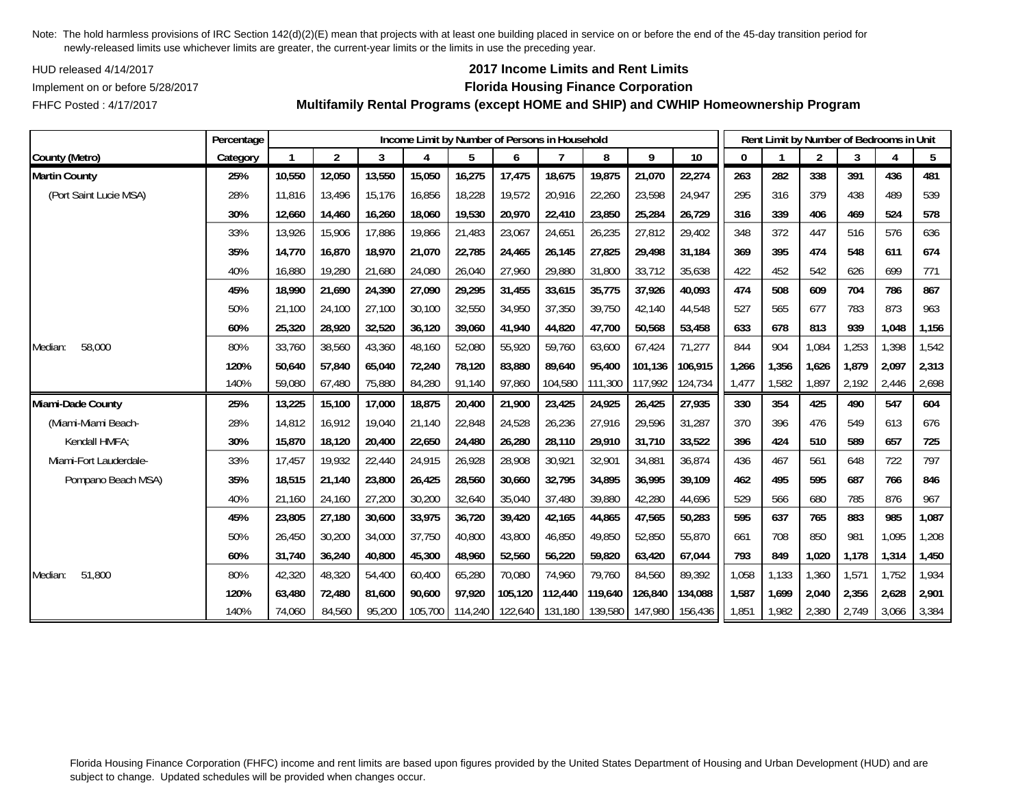HUD released 4/14/2017

FHFC Posted : 4/17/2017

## **2017 Income Limits and Rent Limits**

### Implement on or before 5/28/2017 **Florida Housing Finance Corporation**

**Multifamily Rental Programs (except HOME and SHIP) and CWHIP Homeownership Program**

|                        | Percentage |        |                |        | Income Limit by Number of Persons in Household |         |         |         |                 |         |         |       |       | Rent Limit by Number of Bedrooms in Unit |       |       |       |
|------------------------|------------|--------|----------------|--------|------------------------------------------------|---------|---------|---------|-----------------|---------|---------|-------|-------|------------------------------------------|-------|-------|-------|
| County (Metro)         | Category   | 1      | $\overline{2}$ | 3      | $\overline{A}$                                 | 5       | 6       |         | 8               | 9       | 10      | 0     |       | $\overline{2}$                           | 3     |       | 5     |
| <b>Martin County</b>   | 25%        | 10,550 | 12,050         | 13,550 | 15,050                                         | 16,275  | 17,475  | 18,675  | 19,875          | 21,070  | 22,274  | 263   | 282   | 338                                      | 391   | 436   | 481   |
| (Port Saint Lucie MSA) | 28%        | 11.816 | 13,496         | 15.176 | 16,856                                         | 18,228  | 19,572  | 20,916  | 22,260          | 23,598  | 24,947  | 295   | 316   | 379                                      | 438   | 489   | 539   |
|                        | 30%        | 12,660 | 14,460         | 16,260 | 18,060                                         | 19,530  | 20,970  | 22,410  | 23,850          | 25,284  | 26,729  | 316   | 339   | 406                                      | 469   | 524   | 578   |
|                        | 33%        | 13,926 | 15,906         | 17,886 | 19,866                                         | 21,483  | 23,067  | 24,651  | 26,235          | 27,812  | 29,402  | 348   | 372   | 447                                      | 516   | 576   | 636   |
|                        | 35%        | 14,770 | 16,870         | 18,970 | 21,070                                         | 22,785  | 24,465  | 26,145  | 27,825          | 29,498  | 31,184  | 369   | 395   | 474                                      | 548   | 611   | 674   |
|                        | 40%        | 16,880 | 19,280         | 21,680 | 24,080                                         | 26,040  | 27,960  | 29,880  | 31,800          | 33,712  | 35,638  | 422   | 452   | 542                                      | 626   | 699   | 771   |
|                        | 45%        | 18,990 | 21,690         | 24,390 | 27,090                                         | 29,295  | 31,455  | 33,615  | 35,775          | 37,926  | 40,093  | 474   | 508   | 609                                      | 704   | 786   | 867   |
|                        | 50%        | 21,100 | 24,100         | 27,100 | 30,100                                         | 32,550  | 34,950  | 37,350  | 39,750          | 42,140  | 44,548  | 527   | 565   | 677                                      | 783   | 873   | 963   |
|                        | 60%        | 25,320 | 28,920         | 32,520 | 36,120                                         | 39,060  | 41,940  | 44,820  | 47,700          | 50,568  | 53,458  | 633   | 678   | 813                                      | 939   | 1,048 | 1,156 |
| 58,000<br>Median:      | 80%        | 33,760 | 38,560         | 43,360 | 48,160                                         | 52,080  | 55,920  | 59,760  | 63,600          | 67,424  | 71,277  | 844   | 904   | 1,084                                    | 1,253 | 1,398 | 1,542 |
|                        | 120%       | 50.640 | 57.840         | 65.040 | 72,240                                         | 78,120  | 83,880  | 89.640  | 95.400          | 101.136 | 106.915 | 1,266 | 1,356 | 1,626                                    | 1.879 | 2,097 | 2,313 |
|                        | 140%       | 59,080 | 67,480         | 75,880 | 84,280                                         | 91,140  | 97,860  | 104,580 | 111,300         | 117,992 | 124,734 | 1,477 | 1,582 | 1,897                                    | 2,192 | 2,446 | 2,698 |
| Miami-Dade County      | 25%        | 13,225 | 15,100         | 17,000 | 18,875                                         | 20,400  | 21,900  | 23,425  | 24,925          | 26,425  | 27,935  | 330   | 354   | 425                                      | 490   | 547   | 604   |
| (Miami-Miami Beach-    | 28%        | 14,812 | 16,912         | 19,040 | 21,140                                         | 22,848  | 24,528  | 26,236  | 27,916          | 29,596  | 31,287  | 370   | 396   | 476                                      | 549   | 613   | 676   |
| Kendall HMFA:          | 30%        | 15,870 | 18,120         | 20,400 | 22,650                                         | 24,480  | 26,280  | 28,110  | 29,910          | 31,710  | 33,522  | 396   | 424   | 510                                      | 589   | 657   | 725   |
| Miami-Fort Lauderdale- | 33%        | 17,457 | 19,932         | 22,440 | 24,915                                         | 26,928  | 28,908  | 30,921  | 32,901          | 34,881  | 36,874  | 436   | 467   | 561                                      | 648   | 722   | 797   |
| Pompano Beach MSA)     | 35%        | 18,515 | 21,140         | 23,800 | 26,425                                         | 28,560  | 30,660  | 32,795  | 34,895          | 36,995  | 39,109  | 462   | 495   | 595                                      | 687   | 766   | 846   |
|                        | 40%        | 21,160 | 24,160         | 27,200 | 30,200                                         | 32,640  | 35,040  | 37,480  | 39,880          | 42,280  | 44,696  | 529   | 566   | 680                                      | 785   | 876   | 967   |
|                        | 45%        | 23,805 | 27,180         | 30,600 | 33,975                                         | 36,720  | 39,420  | 42,165  | 44,865          | 47,565  | 50,283  | 595   | 637   | 765                                      | 883   | 985   | 1,087 |
|                        | 50%        | 26,450 | 30,200         | 34,000 | 37,750                                         | 40,800  | 43,800  | 46,850  | 49,850          | 52,850  | 55,870  | 661   | 708   | 850                                      | 981   | 1,095 | 1,208 |
|                        | 60%        | 31,740 | 36,240         | 40,800 | 45,300                                         | 48,960  | 52,560  | 56,220  | 59,820          | 63,420  | 67,044  | 793   | 849   | 1,020                                    | 1,178 | 1,314 | 1,450 |
| 51,800<br>Median:      | 80%        | 42,320 | 48,320         | 54,400 | 60,400                                         | 65,280  | 70,080  | 74,960  | 79,760          | 84,560  | 89,392  | 1,058 | 1,133 | 1,360                                    | 1,571 | 1,752 | 1,934 |
|                        | 120%       | 63,480 | 72,480         | 81,600 | 90,600                                         | 97,920  | 105.120 | 112,440 | 119,640         | 126,840 | 134,088 | 1,587 | 1,699 | 2,040                                    | 2,356 | 2,628 | 2,901 |
|                        | 140%       | 74.060 | 84.560         | 95.200 | 105,700                                        | 114,240 | 122,640 |         | 131,180 139,580 | 147,980 | 156,436 | 1,851 | 1.982 | 2,380                                    | 2,749 | 3,066 | 3,384 |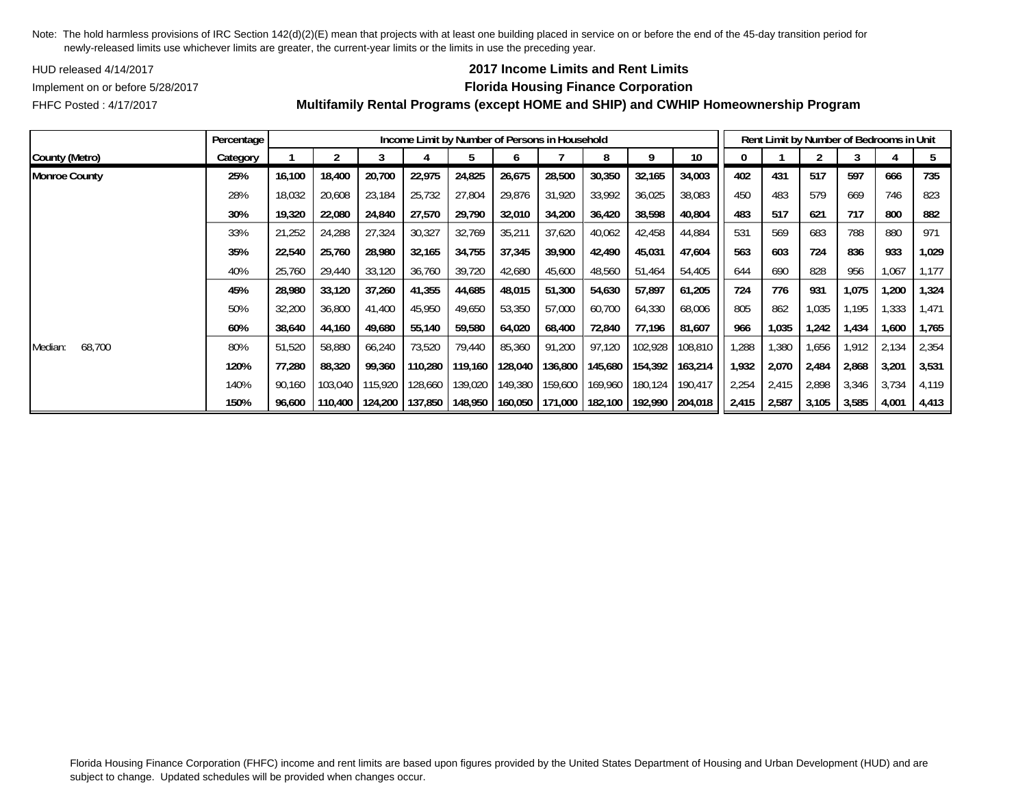HUD released 4/14/2017

## **2017 Income Limits and Rent Limits**

FHFC Posted : 4/17/2017

# Implement on or before 5/28/2017 **Florida Housing Finance Corporation**

|                      | Percentage |        |         |         |         |         |         | Income Limit by Number of Persons in Household |                 |         |                 |       |       | Rent Limit by Number of Bedrooms in Unit |       |       |       |
|----------------------|------------|--------|---------|---------|---------|---------|---------|------------------------------------------------|-----------------|---------|-----------------|-------|-------|------------------------------------------|-------|-------|-------|
| County (Metro)       | Category   |        |         | 3       | 4       |         | b       |                                                | 8               | 9       | 10 <sup>°</sup> | 0     |       |                                          |       |       | 5     |
| <b>Monroe County</b> | 25%        | 16,100 | 18,400  | 20,700  | 22,975  | 24,825  | 26,675  | 28,500                                         | 30,350          | 32,165  | 34,003          | 402   | 431   | 517                                      | 597   | 666   | 735   |
|                      | 28%        | 18,032 | 20,608  | 23,184  | 25,732  | 27,804  | 29,876  | 31,920                                         | 33,992          | 36,025  | 38,083          | 450   | 483   | 579                                      | 669   | 746   | 823   |
|                      | 30%        | 19,320 | 22,080  | 24,840  | 27,570  | 29,790  | 32,010  | 34,200                                         | 36,420          | 38,598  | 40,804          | 483   | 517   | 621                                      | 717   | 800   | 882   |
|                      | 33%        | 21,252 | 24,288  | 27,324  | 30,327  | 32,769  | 35,211  | 37,620                                         | 40,062          | 42,458  | 44,884          | 531   | 569   | 683                                      | 788   | 880   | 971   |
|                      | 35%        | 22,540 | 25,760  | 28,980  | 32,165  | 34,755  | 37,345  | 39,900                                         | 42,490          | 45,031  | 47,604          | 563   | 603   | 724                                      | 836   | 933   | 1,029 |
|                      | 40%        | 25,760 | 29,440  | 33,120  | 36,760  | 39,720  | 42,680  | 45,600                                         | 48,560          | 51,464  | 54,405          | 644   | 690   | 828                                      | 956   | 1,067 | 1,177 |
|                      | 45%        | 28,980 | 33,120  | 37,260  | 41,355  | 44,685  | 48,015  | 51,300                                         | 54,630          | 57,897  | 61,205          | 724   | 776   | 931                                      | 1,075 | 1,200 | 1,324 |
|                      | 50%        | 32,200 | 36,800  | 41,400  | 45,950  | 49,650  | 53,350  | 57,000                                         | 60,700          | 64,330  | 68,006          | 805   | 862   | 1,035                                    | .195  | 1,333 | 1,471 |
|                      | 60%        | 38,640 | 44,160  | 49,680  | 55,140  | 59,580  | 64,020  | 68,400                                         | 72,840          | 77,196  | 81,607          | 966   | 1,035 | 1,242                                    | 1,434 | 1,600 | 1,765 |
| 68,700<br>Median:    | 80%        | 51,520 | 58,880  | 66,240  | 73,520  | 79,440  | 85,360  | 91,200                                         | 97,120          | 102,928 | 108,810         | ,288  | .380  | 1,656                                    | 1.912 | 2,134 | 2,354 |
|                      | 120%       | 77,280 | 88,320  | 99,360  | 110,280 | 119.160 | 128,040 |                                                | 136,800 145,680 | 154,392 | 163,214         | 1,932 | 2,070 | 2,484                                    | 2,868 | 3,201 | 3,531 |
|                      | 140%       | 90,160 | 103,040 | 115,920 | 128,660 | 139,020 | 149,380 |                                                | 159,600 169,960 | 180,124 | 190,417         | 2,254 | 2,415 | 2,898                                    | 3,346 | 3,734 | 4,119 |
|                      | 150%       | 96,600 | 110,400 | 124,200 | 137,850 | 148,950 | 160,050 |                                                | 171,000 182,100 | 192,990 | 204,018         | 2,415 | 2,587 | 3,105                                    | 3,585 | 4,001 | 4,413 |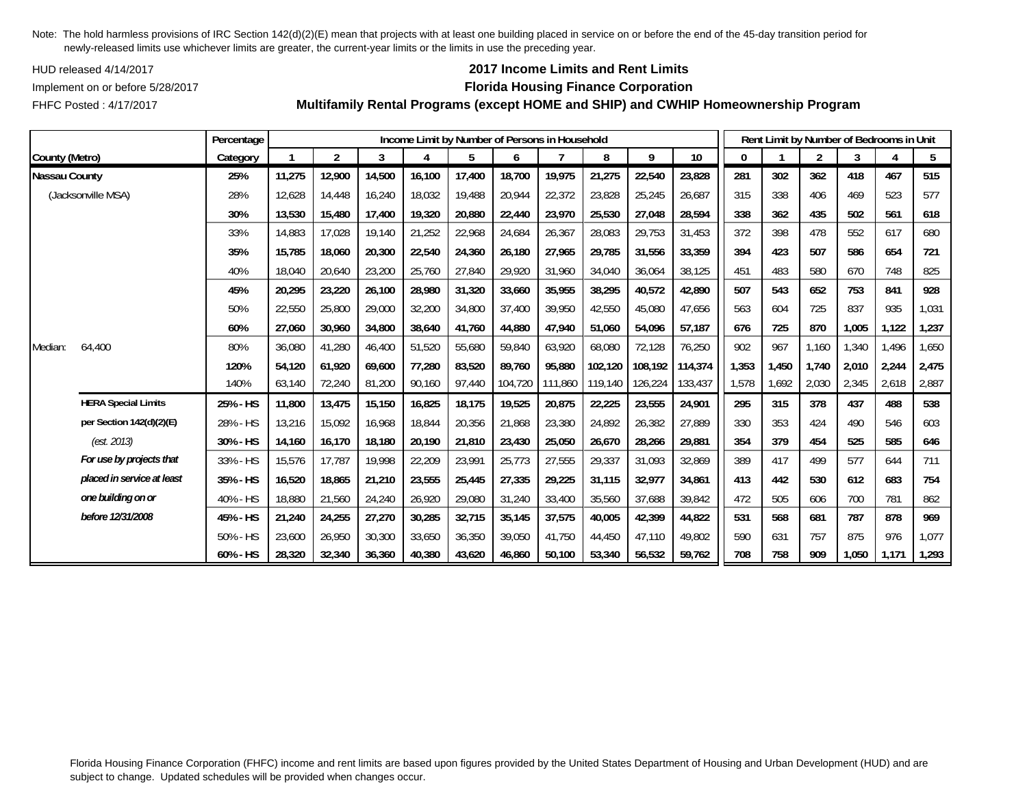HUD released 4/14/2017

FHFC Posted : 4/17/2017

## **2017 Income Limits and Rent Limits**

## Implement on or before 5/28/2017 **Florida Housing Finance Corporation**

**Multifamily Rental Programs (except HOME and SHIP) and CWHIP Homeownership Program**

|                      |                            | Percentage |        |                |        | Income Limit by Number of Persons in Household |        |         |         |         |         |         |          |       | Rent Limit by Number of Bedrooms in Unit |       |       |       |
|----------------------|----------------------------|------------|--------|----------------|--------|------------------------------------------------|--------|---------|---------|---------|---------|---------|----------|-------|------------------------------------------|-------|-------|-------|
| County (Metro)       |                            | Category   |        | $\overline{2}$ | 3      | 4                                              | 5      | 6       |         | 8       | 9       | 10      | $\Omega$ |       | $\overline{2}$                           | 3     | 4     | 5     |
| <b>Nassau County</b> |                            | 25%        | 11,275 | 12,900         | 14,500 | 16,100                                         | 17,400 | 18,700  | 19,975  | 21,275  | 22,540  | 23,828  | 281      | 302   | 362                                      | 418   | 467   | 515   |
|                      | (Jacksonville MSA)         | 28%        | 12,628 | 14,448         | 16,240 | 18,032                                         | 19,488 | 20,944  | 22,372  | 23,828  | 25,245  | 26,687  | 315      | 338   | 406                                      | 469   | 523   | 577   |
|                      |                            | 30%        | 13,530 | 15,480         | 17,400 | 19,320                                         | 20,880 | 22,440  | 23,970  | 25,530  | 27,048  | 28,594  | 338      | 362   | 435                                      | 502   | 561   | 618   |
|                      |                            | 33%        | 14,883 | 17.028         | 19,140 | 21,252                                         | 22,968 | 24,684  | 26,367  | 28,083  | 29,753  | 31,453  | 372      | 398   | 478                                      | 552   | 617   | 680   |
|                      |                            | 35%        | 15,785 | 18,060         | 20,300 | 22,540                                         | 24,360 | 26,180  | 27,965  | 29,785  | 31,556  | 33,359  | 394      | 423   | 507                                      | 586   | 654   | 721   |
|                      |                            | 40%        | 18,040 | 20,640         | 23,200 | 25,760                                         | 27,840 | 29,920  | 31,960  | 34,040  | 36,064  | 38,125  | 451      | 483   | 580                                      | 670   | 748   | 825   |
|                      |                            | 45%        | 20,295 | 23,220         | 26,100 | 28,980                                         | 31,320 | 33,660  | 35,955  | 38,295  | 40,572  | 42,890  | 507      | 543   | 652                                      | 753   | 841   | 928   |
|                      |                            | 50%        | 22,550 | 25,800         | 29,000 | 32,200                                         | 34,800 | 37,400  | 39,950  | 42,550  | 45,080  | 47,656  | 563      | 604   | 725                                      | 837   | 935   | 1,031 |
|                      |                            | 60%        | 27,060 | 30,960         | 34,800 | 38,640                                         | 41,760 | 44,880  | 47,940  | 51,060  | 54,096  | 57,187  | 676      | 725   | 870                                      | 1,005 | 1,122 | 1,237 |
| Median:              | 64.400                     | 80%        | 36,080 | 41,280         | 46,400 | 51,520                                         | 55,680 | 59,840  | 63,920  | 68,080  | 72,128  | 76,250  | 902      | 967   | 1,160                                    | 1,340 | 1,496 | 1,650 |
|                      |                            | 120%       | 54,120 | 61,920         | 69,600 | 77,280                                         | 83,520 | 89.760  | 95.880  | 102.120 | 108,192 | 114,374 | 1,353    | 1,450 | 1.740                                    | 2,010 | 2,244 | 2,475 |
|                      |                            | 140%       | 63,140 | 72,240         | 81,200 | 90,160                                         | 97,440 | 104,720 | 111,860 | 119,140 | 126,224 | 133,437 | 1,578    | 1,692 | 2,030                                    | 2,345 | 2,618 | 2,887 |
|                      | <b>HERA Special Limits</b> | 25% - HS   | 11,800 | 13,475         | 15,150 | 16,825                                         | 18,175 | 19,525  | 20,875  | 22,225  | 23,555  | 24,901  | 295      | 315   | 378                                      | 437   | 488   | 538   |
|                      | per Section 142(d)(2)(E)   | 28% - HS   | 13,216 | 15,092         | 16,968 | 18,844                                         | 20,356 | 21,868  | 23,380  | 24,892  | 26,382  | 27,889  | 330      | 353   | 424                                      | 490   | 546   | 603   |
|                      | (est. 2013)                | 30% - HS   | 14,160 | 16,170         | 18,180 | 20,190                                         | 21,810 | 23,430  | 25,050  | 26,670  | 28,266  | 29,881  | 354      | 379   | 454                                      | 525   | 585   | 646   |
|                      | For use by projects that   | 33% - HS   | 15,576 | 17.787         | 19,998 | 22,209                                         | 23,991 | 25,773  | 27,555  | 29,337  | 31,093  | 32,869  | 389      | 417   | 499                                      | 577   | 644   | 711   |
|                      | placed in service at least | 35% - HS   | 16,520 | 18,865         | 21,210 | 23,555                                         | 25,445 | 27,335  | 29,225  | 31,115  | 32,977  | 34,861  | 413      | 442   | 530                                      | 612   | 683   | 754   |
|                      | one building on or         | 40% - HS   | 18,880 | 21,560         | 24,240 | 26,920                                         | 29,080 | 31,240  | 33,400  | 35,560  | 37,688  | 39,842  | 472      | 505   | 606                                      | 700   | 781   | 862   |
|                      | before 12/31/2008          | 45% - HS   | 21,240 | 24,255         | 27,270 | 30,285                                         | 32,715 | 35,145  | 37,575  | 40,005  | 42,399  | 44,822  | 531      | 568   | 681                                      | 787   | 878   | 969   |
|                      |                            | 50% - HS   | 23,600 | 26,950         | 30,300 | 33,650                                         | 36,350 | 39.050  | 41.750  | 44.450  | 47,110  | 49,802  | 590      | 631   | 757                                      | 875   | 976   | 1,077 |
|                      |                            | 60% - HS   | 28,320 | 32,340         | 36,360 | 40,380                                         | 43,620 | 46,860  | 50,100  | 53,340  | 56,532  | 59,762  | 708      | 758   | 909                                      | 1,050 | 1,171 | 1,293 |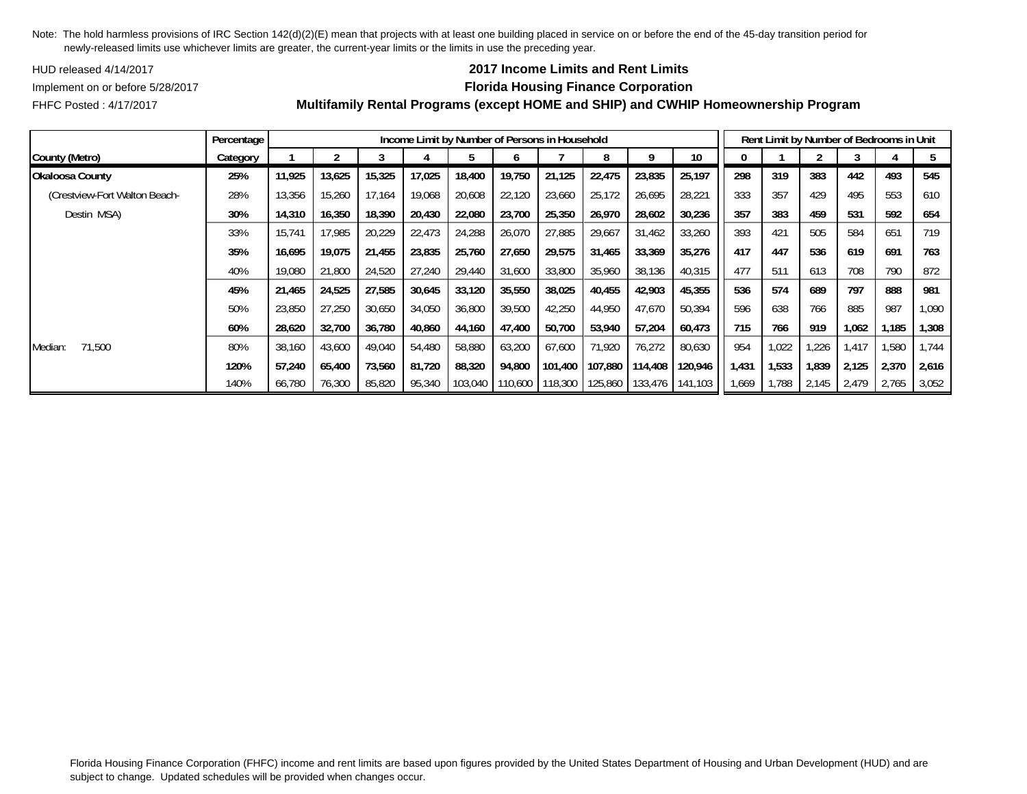HUD released 4/14/2017

## **2017 Income Limits and Rent Limits**

Implement on or before 5/28/2017 **Florida Housing Finance Corporation**

FHFC Posted : 4/17/2017

|                               | Percentage |        |        |        |        | Income Limit by Number of Persons in Household |         |         |                 |         |         |       |       | Rent Limit by Number of Bedrooms in Unit |       |       |       |
|-------------------------------|------------|--------|--------|--------|--------|------------------------------------------------|---------|---------|-----------------|---------|---------|-------|-------|------------------------------------------|-------|-------|-------|
| County (Metro)                | Category   |        |        |        |        |                                                |         |         |                 | Q       | 10      |       |       |                                          |       |       |       |
| Okaloosa County               | 25%        | 11,925 | 13,625 | 15,325 | 17,025 | 18,400                                         | 19,750  | 21,125  | 22,475          | 23,835  | 25,197  | 298   | 319   | 383                                      | 442   | 493   | 545   |
| (Crestview-Fort Walton Beach- | 28%        | 13,356 | 15,260 | 17,164 | 19,068 | 20,608                                         | 22,120  | 23,660  | 25,172          | 26,695  | 28,221  | 333   | 357   | 429                                      | 495   | 553   | 610   |
| Destin MSA)                   | 30%        | 14,310 | 16,350 | 18,390 | 20,430 | 22,080                                         | 23,700  | 25,350  | 26,970          | 28,602  | 30,236  | 357   | 383   | 459                                      | 531   | 592   | 654   |
|                               | 33%        | 15,741 | 17.985 | 20,229 | 22,473 | 24,288                                         | 26,070  | 27,885  | 29,667          | 31,462  | 33,260  | 393   | 421   | 505                                      | 584   | 651   | 719   |
|                               | 35%        | 16,695 | 19.075 | 21,455 | 23,835 | 25,760                                         | 27,650  | 29,575  | 31,465          | 33,369  | 35,276  | 417   | 447   | 536                                      | 619   | 691   | 763   |
|                               | 40%        | 19,080 | 21,800 | 24,520 | 27,240 | 29,440                                         | 31,600  | 33,800  | 35,960          | 38,136  | 40,315  | 477   | 511   | 613                                      | 708   | 790   | 872   |
|                               | 45%        | 21,465 | 24,525 | 27,585 | 30,645 | 33,120                                         | 35,550  | 38,025  | 40,455          | 42,903  | 45,355  | 536   | 574   | 689                                      | 797   | 888   | 981   |
|                               | 50%        | 23,850 | 27,250 | 30,650 | 34,050 | 36,800                                         | 39,500  | 42,250  | 44,950          | 47,670  | 50,394  | 596   | 638   | 766                                      | 885   | 987   | 1,090 |
|                               | 60%        | 28.620 | 32,700 | 36,780 | 40,860 | 44,160                                         | 47.400  | 50.700  | 53,940          | 57,204  | 60,473  | 715   | 766   | 919                                      | 1.062 | 1,185 | 1,308 |
| 71,500<br>Median:             | 80%        | 38,160 | 43,600 | 49,040 | 54,480 | 58,880                                         | 63,200  | 67,600  | 71,920          | 76,272  | 80,630  | 954   | 1,022 | ,226                                     | 1.417 | ,580  | .744  |
|                               | 120%       | 57,240 | 65,400 | 73,560 | 81,720 | 88,320                                         | 94,800  |         | 101,400 107,880 | 114,408 | 120,946 | 1,431 | 1,533 | 1,839                                    | 2,125 | 2,370 | 2,616 |
|                               | 140%       | 66,780 | 76,300 | 85,820 | 95,340 | 103,040                                        | 110,600 | 118,300 | 125,860         | 133,476 | 141,103 | 1,669 | 1,788 | 2,145                                    | 2,479 | 2,765 | 3,052 |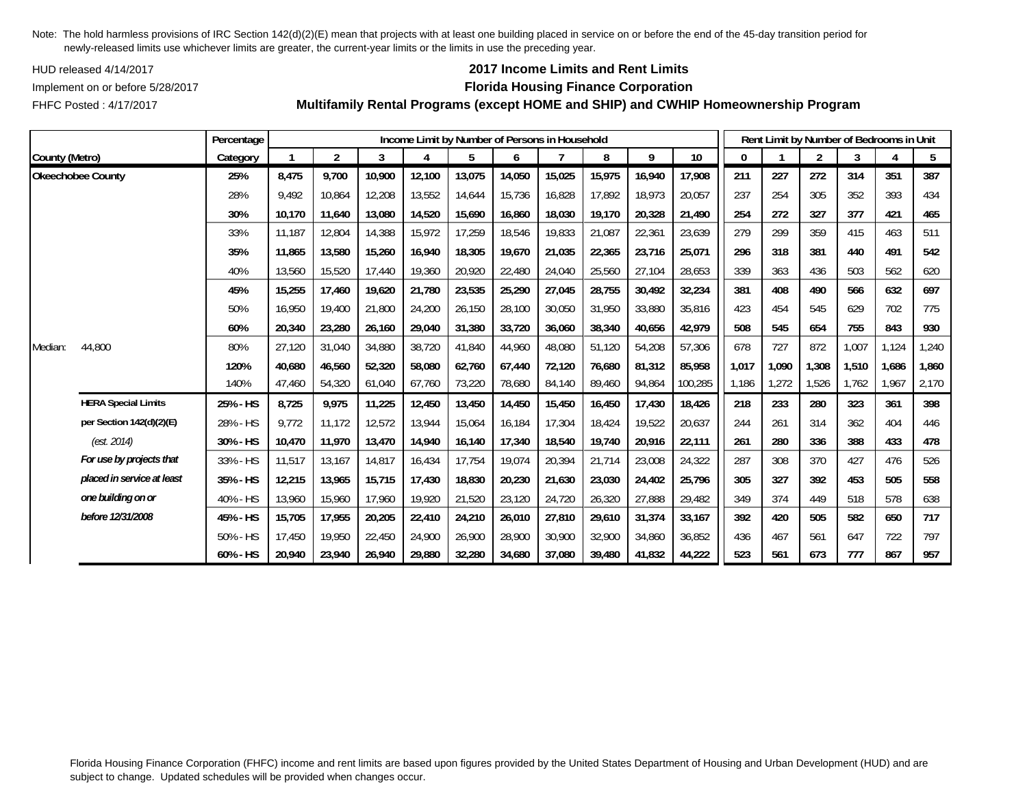HUD released 4/14/2017

FHFC Posted : 4/17/2017

## **2017 Income Limits and Rent Limits**

### Implement on or before 5/28/2017 **Florida Housing Finance Corporation**

**Multifamily Rental Programs (except HOME and SHIP) and CWHIP Homeownership Program**

|                |                            | Percentage |        |                |        |        |        |        | Income Limit by Number of Persons in Household |        |        |         |       | Rent Limit by Number of Bedrooms in Unit |                |       |       |       |
|----------------|----------------------------|------------|--------|----------------|--------|--------|--------|--------|------------------------------------------------|--------|--------|---------|-------|------------------------------------------|----------------|-------|-------|-------|
| County (Metro) |                            | Category   |        | $\overline{2}$ | 3      |        | 5      | 6      |                                                | 8      | 9      | 10      | 0     |                                          | $\overline{2}$ | 3     |       | 5     |
|                | <b>Okeechobee County</b>   | 25%        | 8,475  | 9,700          | 10,900 | 12,100 | 13,075 | 14,050 | 15,025                                         | 15,975 | 16,940 | 17,908  | 211   | 227                                      | 272            | 314   | 351   | 387   |
|                |                            | 28%        | 9.492  | 10,864         | 12,208 | 13,552 | 14,644 | 15,736 | 16,828                                         | 17,892 | 18,973 | 20,057  | 237   | 254                                      | 305            | 352   | 393   | 434   |
|                |                            | 30%        | 10,170 | 11,640         | 13,080 | 14,520 | 15,690 | 16,860 | 18,030                                         | 19,170 | 20,328 | 21,490  | 254   | 272                                      | 327            | 377   | 421   | 465   |
|                |                            | 33%        | 11,187 | 12,804         | 14,388 | 15,972 | 17,259 | 18,546 | 19,833                                         | 21,087 | 22,361 | 23,639  | 279   | 299                                      | 359            | 415   | 463   | 511   |
|                |                            | 35%        | 11,865 | 13,580         | 15,260 | 16,940 | 18,305 | 19,670 | 21,035                                         | 22,365 | 23,716 | 25,071  | 296   | 318                                      | 381            | 440   | 491   | 542   |
|                |                            | 40%        | 13,560 | 15,520         | 17,440 | 19,360 | 20,920 | 22,480 | 24,040                                         | 25,560 | 27,104 | 28,653  | 339   | 363                                      | 436            | 503   | 562   | 620   |
|                |                            | 45%        | 15,255 | 17,460         | 19,620 | 21,780 | 23,535 | 25,290 | 27,045                                         | 28,755 | 30,492 | 32,234  | 381   | 408                                      | 490            | 566   | 632   | 697   |
|                |                            | 50%        | 16.950 | 19,400         | 21,800 | 24,200 | 26,150 | 28,100 | 30.050                                         | 31,950 | 33,880 | 35,816  | 423   | 454                                      | 545            | 629   | 702   | 775   |
|                |                            | 60%        | 20,340 | 23,280         | 26,160 | 29,040 | 31,380 | 33,720 | 36,060                                         | 38,340 | 40,656 | 42,979  | 508   | 545                                      | 654            | 755   | 843   | 930   |
| Median:        | 44,800                     | 80%        | 27,120 | 31,040         | 34,880 | 38,720 | 41,840 | 44,960 | 48,080                                         | 51,120 | 54,208 | 57,306  | 678   | 727                                      | 872            | 1,007 | 1,124 | 1,240 |
|                |                            | 120%       | 40,680 | 46,560         | 52,320 | 58,080 | 62,760 | 67,440 | 72.120                                         | 76,680 | 81,312 | 85,958  | 1,017 | 1,090                                    | 1,308          | 1,510 | 1,686 | 1,860 |
|                |                            | 140%       | 47,460 | 54,320         | 61,040 | 67,760 | 73,220 | 78,680 | 84,140                                         | 89,460 | 94,864 | 100,285 | 1,186 | 1,272                                    | 1,526          | 1,762 | 1,967 | 2,170 |
|                | <b>HERA Special Limits</b> | 25% - HS   | 8,725  | 9,975          | 11,225 | 12,450 | 13,450 | 14,450 | 15,450                                         | 16,450 | 17,430 | 18,426  | 218   | 233                                      | 280            | 323   | 361   | 398   |
|                | per Section 142(d)(2)(E)   | 28% - HS   | 9,772  | 11,172         | 12,572 | 13,944 | 15,064 | 16,184 | 17,304                                         | 18,424 | 19,522 | 20,637  | 244   | 261                                      | 314            | 362   | 404   | 446   |
|                | (est. 2014)                | 30% - HS   | 10,470 | 11,970         | 13,470 | 14,940 | 16,140 | 17,340 | 18,540                                         | 19,740 | 20,916 | 22,111  | 261   | 280                                      | 336            | 388   | 433   | 478   |
|                | For use by projects that   | 33% - HS   | 11,517 | 13,167         | 14,817 | 16,434 | 17,754 | 19,074 | 20,394                                         | 21,714 | 23,008 | 24,322  | 287   | 308                                      | 370            | 427   | 476   | 526   |
|                | placed in service at least | 35% - HS   | 12,215 | 13,965         | 15,715 | 17,430 | 18,830 | 20,230 | 21,630                                         | 23,030 | 24,402 | 25,796  | 305   | 327                                      | 392            | 453   | 505   | 558   |
|                | one building on or         | 40% - HS   | 13,960 | 15,960         | 17,960 | 19,920 | 21,520 | 23,120 | 24,720                                         | 26,320 | 27,888 | 29,482  | 349   | 374                                      | 449            | 518   | 578   | 638   |
|                | before 12/31/2008          | 45% - HS   | 15,705 | 17,955         | 20,205 | 22,410 | 24,210 | 26,010 | 27,810                                         | 29,610 | 31,374 | 33,167  | 392   | 420                                      | 505            | 582   | 650   | 717   |
|                |                            | 50% - HS   | 17.450 | 19,950         | 22,450 | 24,900 | 26,900 | 28,900 | 30,900                                         | 32,900 | 34,860 | 36,852  | 436   | 467                                      | 561            | 647   | 722   | 797   |
|                |                            | 60% - HS   | 20,940 | 23,940         | 26,940 | 29,880 | 32,280 | 34,680 | 37,080                                         | 39,480 | 41,832 | 44,222  | 523   | 561                                      | 673            | 777   | 867   | 957   |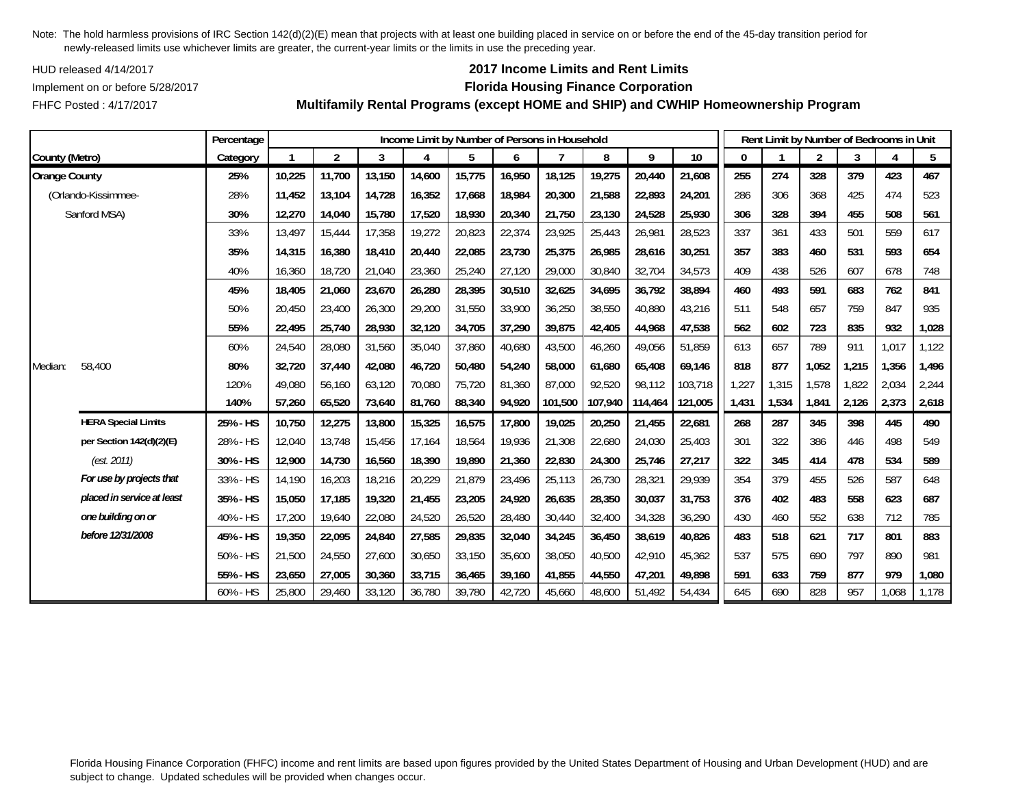HUD released 4/14/2017

FHFC Posted : 4/17/2017

## **2017 Income Limits and Rent Limits**

### Implement on or before 5/28/2017 **Florida Housing Finance Corporation**

**Multifamily Rental Programs (except HOME and SHIP) and CWHIP Homeownership Program**

|                      |                            | Percentage |        |                |        | Income Limit by Number of Persons in Household |        |        |         |         |         |         |       | Rent Limit by Number of Bedrooms in Unit |                |       |       |       |
|----------------------|----------------------------|------------|--------|----------------|--------|------------------------------------------------|--------|--------|---------|---------|---------|---------|-------|------------------------------------------|----------------|-------|-------|-------|
| County (Metro)       |                            | Category   |        | $\overline{2}$ | 3      |                                                | 5      | 6      |         | 8       | 9       | 10      | 0     |                                          | $\overline{2}$ | 3     |       | 5     |
| <b>Orange County</b> |                            | 25%        | 10,225 | 11,700         | 13,150 | 14,600                                         | 15,775 | 16,950 | 18,125  | 19,275  | 20,440  | 21,608  | 255   | 274                                      | 328            | 379   | 423   | 467   |
|                      | (Orlando-Kissimmee-        | 28%        | 11,452 | 13,104         | 14,728 | 16,352                                         | 17,668 | 18,984 | 20,300  | 21,588  | 22,893  | 24,201  | 286   | 306                                      | 368            | 425   | 474   | 523   |
|                      | Sanford MSA)               | 30%        | 12,270 | 14,040         | 15,780 | 17,520                                         | 18,930 | 20,340 | 21,750  | 23,130  | 24,528  | 25,930  | 306   | 328                                      | 394            | 455   | 508   | 561   |
|                      |                            | 33%        | 13,497 | 15,444         | 17,358 | 19,272                                         | 20,823 | 22,374 | 23,925  | 25,443  | 26,981  | 28,523  | 337   | 361                                      | 433            | 501   | 559   | 617   |
|                      |                            | 35%        | 14,315 | 16,380         | 18,410 | 20,440                                         | 22,085 | 23,730 | 25,375  | 26,985  | 28,616  | 30,251  | 357   | 383                                      | 460            | 531   | 593   | 654   |
|                      |                            | 40%        | 16,360 | 18,720         | 21,040 | 23,360                                         | 25,240 | 27,120 | 29,000  | 30,840  | 32,704  | 34,573  | 409   | 438                                      | 526            | 607   | 678   | 748   |
|                      |                            | 45%        | 18,405 | 21,060         | 23,670 | 26,280                                         | 28,395 | 30,510 | 32,625  | 34,695  | 36,792  | 38,894  | 460   | 493                                      | 591            | 683   | 762   | 841   |
|                      |                            | 50%        | 20,450 | 23,400         | 26,300 | 29,200                                         | 31,550 | 33,900 | 36,250  | 38,550  | 40,880  | 43,216  | 511   | 548                                      | 657            | 759   | 847   | 935   |
|                      |                            | 55%        | 22,495 | 25,740         | 28,930 | 32,120                                         | 34,705 | 37,290 | 39,875  | 42,405  | 44,968  | 47,538  | 562   | 602                                      | 723            | 835   | 932   | 1,028 |
|                      |                            | 60%        | 24,540 | 28,080         | 31,560 | 35,040                                         | 37,860 | 40,680 | 43,500  | 46,260  | 49,056  | 51,859  | 613   | 657                                      | 789            | 911   | 1,017 | 1,122 |
| Median:              | 58,400                     | 80%        | 32,720 | 37,440         | 42,080 | 46,720                                         | 50,480 | 54,240 | 58,000  | 61,680  | 65,408  | 69,146  | 818   | 877                                      | 1,052          | 1,215 | 1,356 | 1,496 |
|                      |                            | 120%       | 49,080 | 56,160         | 63,120 | 70,080                                         | 75,720 | 81,360 | 87,000  | 92,520  | 98,112  | 103,718 | 1,227 | 1,315                                    | 1,578          | 1,822 | 2,034 | 2,244 |
|                      |                            | 140%       | 57,260 | 65,520         | 73,640 | 81,760                                         | 88,340 | 94,920 | 101,500 | 107,940 | 114,464 | 121,005 | 1,431 | 1,534                                    | 1,841          | 2,126 | 2,373 | 2,618 |
|                      | <b>HERA Special Limits</b> | 25% - HS   | 10,750 | 12,275         | 13,800 | 15,325                                         | 16,575 | 17,800 | 19,025  | 20,250  | 21,455  | 22,681  | 268   | 287                                      | 345            | 398   | 445   | 490   |
|                      | per Section 142(d)(2)(E)   | 28% - HS   | 12,040 | 13,748         | 15,456 | 17,164                                         | 18,564 | 19,936 | 21,308  | 22,680  | 24,030  | 25,403  | 301   | 322                                      | 386            | 446   | 498   | 549   |
|                      | (est. 2011)                | 30% - HS   | 12,900 | 14,730         | 16,560 | 18,390                                         | 19,890 | 21,360 | 22,830  | 24,300  | 25,746  | 27,217  | 322   | 345                                      | 414            | 478   | 534   | 589   |
|                      | For use by projects that   | 33% - HS   | 14,190 | 16,203         | 18,216 | 20,229                                         | 21,879 | 23,496 | 25,113  | 26,730  | 28,321  | 29,939  | 354   | 379                                      | 455            | 526   | 587   | 648   |
|                      | placed in service at least | 35% - HS   | 15,050 | 17,185         | 19,320 | 21,455                                         | 23,205 | 24,920 | 26,635  | 28,350  | 30,037  | 31,753  | 376   | 402                                      | 483            | 558   | 623   | 687   |
|                      | one building on or         | 40% - HS   | 17,200 | 19,640         | 22,080 | 24,520                                         | 26,520 | 28,480 | 30,440  | 32,400  | 34,328  | 36,290  | 430   | 460                                      | 552            | 638   | 712   | 785   |
|                      | before 12/31/2008          | 45% - HS   | 19,350 | 22,095         | 24,840 | 27,585                                         | 29,835 | 32,040 | 34,245  | 36,450  | 38,619  | 40,826  | 483   | 518                                      | 621            | 717   | 801   | 883   |
|                      |                            | 50% - HS   | 21,500 | 24,550         | 27,600 | 30,650                                         | 33,150 | 35,600 | 38,050  | 40,500  | 42,910  | 45,362  | 537   | 575                                      | 690            | 797   | 890   | 981   |
|                      |                            | 55% - HS   | 23,650 | 27,005         | 30,360 | 33,715                                         | 36,465 | 39,160 | 41,855  | 44,550  | 47,201  | 49,898  | 591   | 633                                      | 759            | 877   | 979   | 1,080 |
|                      |                            | 60% - HS   | 25,800 | 29,460         | 33,120 | 36,780                                         | 39,780 | 42,720 | 45,660  | 48.600  | 51,492  | 54,434  | 645   | 690                                      | 828            | 957   | 1,068 | 1,178 |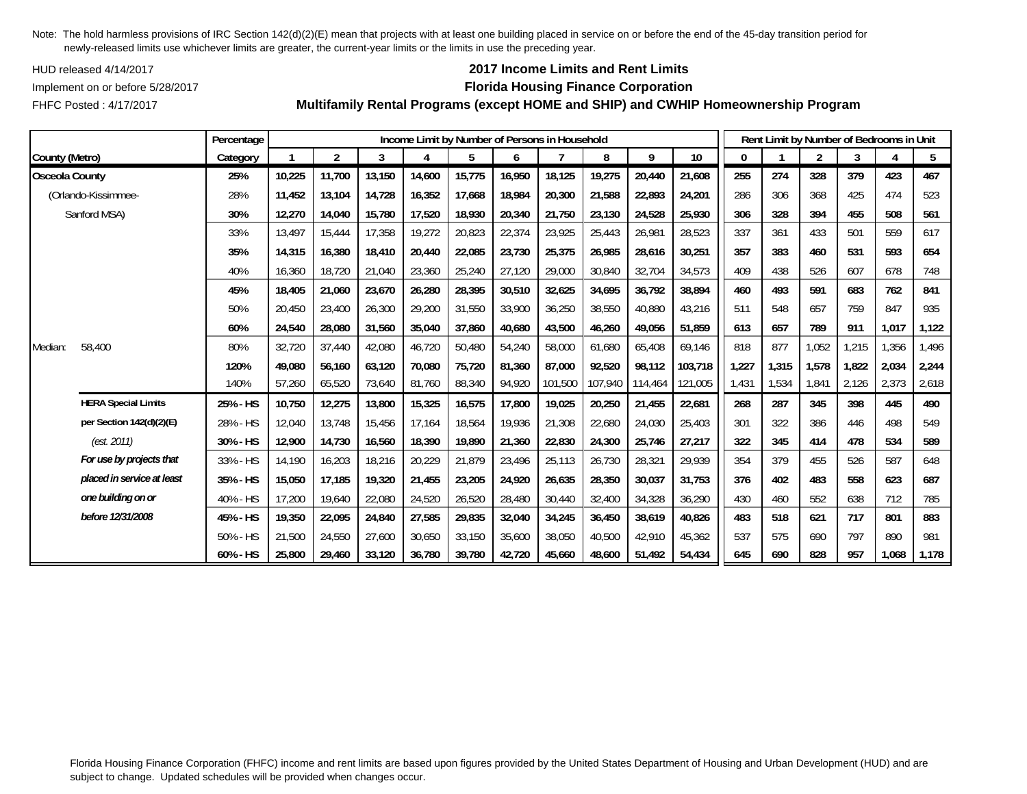HUD released 4/14/2017

FHFC Posted : 4/17/2017

## **2017 Income Limits and Rent Limits**

### Implement on or before 5/28/2017 **Florida Housing Finance Corporation**

**Multifamily Rental Programs (except HOME and SHIP) and CWHIP Homeownership Program**

|                       |                            | Percentage |        |                |        |        |        |        | Income Limit by Number of Persons in Household |         |         |         |       |       | Rent Limit by Number of Bedrooms in Unit |       |       |       |
|-----------------------|----------------------------|------------|--------|----------------|--------|--------|--------|--------|------------------------------------------------|---------|---------|---------|-------|-------|------------------------------------------|-------|-------|-------|
| County (Metro)        |                            | Category   |        | $\overline{2}$ | 3      | 4      | 5      | 6      |                                                | 8       | 9       | 10      | 0     |       | $\overline{2}$                           | 3     | 4     | 5     |
| <b>Osceola County</b> |                            | 25%        | 10,225 | 11,700         | 13.150 | 14,600 | 15,775 | 16,950 | 18.125                                         | 19,275  | 20,440  | 21.608  | 255   | 274   | 328                                      | 379   | 423   | 467   |
|                       | (Orlando-Kissimmee-        | 28%        | 11,452 | 13,104         | 14,728 | 16,352 | 17,668 | 18,984 | 20,300                                         | 21,588  | 22,893  | 24,201  | 286   | 306   | 368                                      | 425   | 474   | 523   |
|                       | Sanford MSA)               | 30%        | 12,270 | 14,040         | 15,780 | 17,520 | 18,930 | 20,340 | 21,750                                         | 23,130  | 24,528  | 25,930  | 306   | 328   | 394                                      | 455   | 508   | 561   |
|                       |                            | 33%        | 13,497 | 15,444         | 17,358 | 19,272 | 20,823 | 22,374 | 23,925                                         | 25,443  | 26,981  | 28,523  | 337   | 361   | 433                                      | 501   | 559   | 617   |
|                       |                            | 35%        | 14,315 | 16,380         | 18,410 | 20,440 | 22,085 | 23,730 | 25,375                                         | 26,985  | 28,616  | 30,251  | 357   | 383   | 460                                      | 531   | 593   | 654   |
|                       |                            | 40%        | 16,360 | 18,720         | 21,040 | 23,360 | 25,240 | 27,120 | 29,000                                         | 30,840  | 32,704  | 34,573  | 409   | 438   | 526                                      | 607   | 678   | 748   |
|                       |                            | 45%        | 18,405 | 21,060         | 23,670 | 26,280 | 28,395 | 30,510 | 32,625                                         | 34,695  | 36,792  | 38,894  | 460   | 493   | 591                                      | 683   | 762   | 841   |
|                       |                            | 50%        | 20,450 | 23,400         | 26,300 | 29,200 | 31,550 | 33,900 | 36,250                                         | 38,550  | 40,880  | 43,216  | 511   | 548   | 657                                      | 759   | 847   | 935   |
|                       |                            | 60%        | 24,540 | 28,080         | 31,560 | 35,040 | 37,860 | 40,680 | 43,500                                         | 46,260  | 49,056  | 51,859  | 613   | 657   | 789                                      | 911   | 1,017 | 1,122 |
| Median:               | 58,400                     | 80%        | 32,720 | 37,440         | 42,080 | 46,720 | 50,480 | 54,240 | 58,000                                         | 61,680  | 65,408  | 69,146  | 818   | 877   | 1,052                                    | 1,215 | 1,356 | 1,496 |
|                       |                            | 120%       | 49,080 | 56,160         | 63,120 | 70,080 | 75,720 | 81,360 | 87,000                                         | 92,520  | 98,112  | 103,718 | 1,227 | 1,315 | 1,578                                    | 1,822 | 2,034 | 2,244 |
|                       |                            | 140%       | 57,260 | 65,520         | 73,640 | 81,760 | 88,340 | 94,920 | 101,500                                        | 107,940 | 114,464 | 121,005 | 1,431 | 1,534 | 1,841                                    | 2,126 | 2,373 | 2,618 |
|                       | <b>HERA Special Limits</b> | 25% - HS   | 10,750 | 12,275         | 13,800 | 15,325 | 16,575 | 17,800 | 19,025                                         | 20,250  | 21,455  | 22,681  | 268   | 287   | 345                                      | 398   | 445   | 490   |
|                       | per Section 142(d)(2)(E)   | 28% - HS   | 12,040 | 13,748         | 15,456 | 17,164 | 18,564 | 19,936 | 21,308                                         | 22,680  | 24,030  | 25,403  | 301   | 322   | 386                                      | 446   | 498   | 549   |
|                       | (est. 2011)                | 30% - HS   | 12,900 | 14,730         | 16,560 | 18,390 | 19,890 | 21,360 | 22,830                                         | 24,300  | 25,746  | 27,217  | 322   | 345   | 414                                      | 478   | 534   | 589   |
|                       | For use by projects that   | 33% - HS   | 14.190 | 16,203         | 18,216 | 20,229 | 21.879 | 23,496 | 25,113                                         | 26,730  | 28,321  | 29,939  | 354   | 379   | 455                                      | 526   | 587   | 648   |
|                       | placed in service at least | 35% - HS   | 15,050 | 17,185         | 19,320 | 21,455 | 23,205 | 24,920 | 26,635                                         | 28,350  | 30,037  | 31,753  | 376   | 402   | 483                                      | 558   | 623   | 687   |
|                       | one building on or         | 40% - HS   | 17,200 | 19,640         | 22,080 | 24,520 | 26,520 | 28,480 | 30,440                                         | 32,400  | 34,328  | 36,290  | 430   | 460   | 552                                      | 638   | 712   | 785   |
|                       | before 12/31/2008          | 45% - HS   | 19,350 | 22,095         | 24,840 | 27,585 | 29,835 | 32,040 | 34,245                                         | 36,450  | 38,619  | 40,826  | 483   | 518   | 621                                      | 717   | 801   | 883   |
|                       |                            | 50% - HS   | 21,500 | 24,550         | 27,600 | 30,650 | 33,150 | 35,600 | 38,050                                         | 40,500  | 42,910  | 45,362  | 537   | 575   | 690                                      | 797   | 890   | 981   |
|                       |                            | 60% - HS   | 25,800 | 29,460         | 33,120 | 36,780 | 39,780 | 42,720 | 45,660                                         | 48,600  | 51,492  | 54,434  | 645   | 690   | 828                                      | 957   | 1,068 | 1,178 |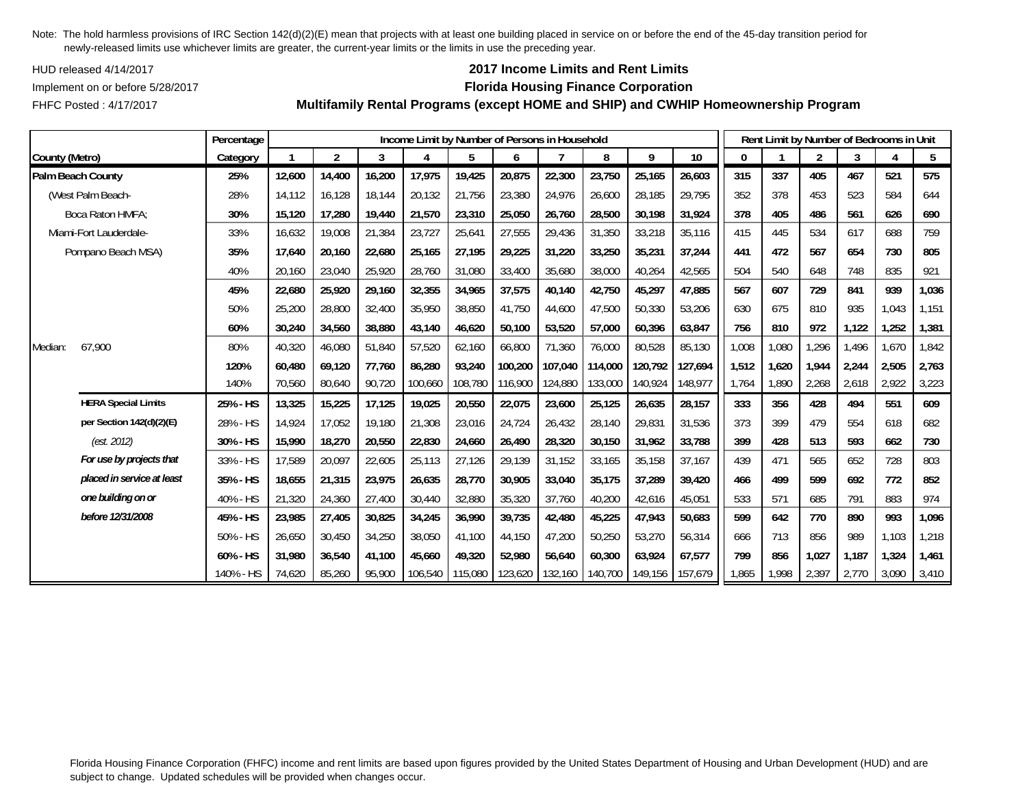HUD released 4/14/2017

## FHFC Posted : 4/17/2017

# **2017 Income Limits and Rent Limits**

## Implement on or before 5/28/2017 **Florida Housing Finance Corporation**

**Multifamily Rental Programs (except HOME and SHIP) and CWHIP Homeownership Program**

|                            | Percentage |        |                |        | Income Limit by Number of Persons in Household |         |         |         |         |         |                 |              |       |                | Rent Limit by Number of Bedrooms in Unit |       |       |
|----------------------------|------------|--------|----------------|--------|------------------------------------------------|---------|---------|---------|---------|---------|-----------------|--------------|-------|----------------|------------------------------------------|-------|-------|
| County (Metro)             | Category   |        | $\overline{2}$ | 3      | 4                                              | 5       | 6       |         | 8       | 9       | 10 <sup>°</sup> | $\mathbf{0}$ |       | $\overline{2}$ | 3                                        | 4     | 5     |
| Palm Beach County          | 25%        | 12,600 | 14,400         | 16,200 | 17,975                                         | 19,425  | 20,875  | 22,300  | 23,750  | 25,165  | 26,603          | 315          | 337   | 405            | 467                                      | 521   | 575   |
| (West Palm Beach-          | 28%        | 14.112 | 16,128         | 18,144 | 20,132                                         | 21,756  | 23,380  | 24,976  | 26,600  | 28,185  | 29,795          | 352          | 378   | 453            | 523                                      | 584   | 644   |
| Boca Raton HMFA:           | 30%        | 15,120 | 17,280         | 19,440 | 21,570                                         | 23,310  | 25,050  | 26,760  | 28,500  | 30,198  | 31,924          | 378          | 405   | 486            | 561                                      | 626   | 690   |
| Miami-Fort Lauderdale-     | 33%        | 16.632 | 19,008         | 21,384 | 23,727                                         | 25,641  | 27,555  | 29,436  | 31,350  | 33,218  | 35,116          | 415          | 445   | 534            | 617                                      | 688   | 759   |
| Pompano Beach MSA)         | 35%        | 17.640 | 20,160         | 22,680 | 25,165                                         | 27,195  | 29,225  | 31,220  | 33,250  | 35,231  | 37,244          | 441          | 472   | 567            | 654                                      | 730   | 805   |
|                            | 40%        | 20,160 | 23,040         | 25,920 | 28,760                                         | 31,080  | 33,400  | 35,680  | 38,000  | 40,264  | 42,565          | 504          | 540   | 648            | 748                                      | 835   | 921   |
|                            | 45%        | 22,680 | 25,920         | 29,160 | 32,355                                         | 34,965  | 37,575  | 40,140  | 42,750  | 45,297  | 47,885          | 567          | 607   | 729            | 841                                      | 939   | 1,036 |
|                            | 50%        | 25,200 | 28,800         | 32,400 | 35,950                                         | 38,850  | 41,750  | 44,600  | 47,500  | 50,330  | 53,206          | 630          | 675   | 810            | 935                                      | 1,043 | 1,151 |
|                            | 60%        | 30,240 | 34,560         | 38,880 | 43,140                                         | 46,620  | 50,100  | 53,520  | 57,000  | 60,396  | 63,847          | 756          | 810   | 972            | 1,122                                    | 1,252 | 1,381 |
| 67,900<br>Median:          | 80%        | 40,320 | 46,080         | 51,840 | 57,520                                         | 62,160  | 66,800  | 71,360  | 76,000  | 80,528  | 85,130          | 1,008        | 1,080 | 1,296          | 1,496                                    | 1,670 | 1,842 |
|                            | 120%       | 60.480 | 69.120         | 77,760 | 86,280                                         | 93,240  | 100.200 | 107.040 | 114,000 | 120.792 | 127,694         | 1,512        | 1.620 | 1,944          | 2,244                                    | 2,505 | 2,763 |
|                            | 140%       | 70,560 | 80,640         | 90,720 | 100,660                                        | 108,780 | 116,900 | 124,880 | 133,000 | 140,924 | 148,977         | 1,764        | 1,890 | 2,268          | 2,618                                    | 2,922 | 3,223 |
| <b>HERA Special Limits</b> | 25% - HS   | 13,325 | 15,225         | 17,125 | 19,025                                         | 20,550  | 22,075  | 23,600  | 25,125  | 26,635  | 28,157          | 333          | 356   | 428            | 494                                      | 551   | 609   |
| per Section 142(d)(2)(E)   | 28% - HS   | 14.924 | 17.052         | 19,180 | 21,308                                         | 23,016  | 24,724  | 26.432  | 28,140  | 29,831  | 31.536          | 373          | 399   | 479            | 554                                      | 618   | 682   |
| (est. 2012)                | 30% - HS   | 15,990 | 18,270         | 20,550 | 22,830                                         | 24,660  | 26,490  | 28,320  | 30,150  | 31,962  | 33,788          | 399          | 428   | 513            | 593                                      | 662   | 730   |
| For use by projects that   | 33% - HS   | 17,589 | 20,097         | 22,605 | 25,113                                         | 27,126  | 29,139  | 31,152  | 33,165  | 35,158  | 37,167          | 439          | 471   | 565            | 652                                      | 728   | 803   |
| placed in service at least | 35% - HS   | 18,655 | 21,315         | 23,975 | 26,635                                         | 28,770  | 30,905  | 33,040  | 35,175  | 37,289  | 39,420          | 466          | 499   | 599            | 692                                      | 772   | 852   |
| one building on or         | 40% - HS   | 21,320 | 24,360         | 27,400 | 30,440                                         | 32,880  | 35,320  | 37,760  | 40,200  | 42,616  | 45,051          | 533          | 571   | 685            | 791                                      | 883   | 974   |
| before 12/31/2008          | 45% - HS   | 23,985 | 27,405         | 30,825 | 34,245                                         | 36,990  | 39,735  | 42,480  | 45,225  | 47,943  | 50,683          | 599          | 642   | 770            | 890                                      | 993   | 1,096 |
|                            | 50% - HS   | 26.650 | 30.450         | 34,250 | 38,050                                         | 41.100  | 44.150  | 47.200  | 50,250  | 53,270  | 56,314          | 666          | 713   | 856            | 989                                      | 1,103 | 1,218 |
|                            | 60% - HS   | 31,980 | 36,540         | 41,100 | 45,660                                         | 49,320  | 52,980  | 56,640  | 60,300  | 63,924  | 67,577          | 799          | 856   | 1,027          | 1.187                                    | 1,324 | 1,461 |
|                            | 140% - HS  | 74,620 | 85,260         | 95,900 | 106,540                                        | 115,080 | 123,620 | 132,160 | 140,700 | 149,156 | 157,679         | 1,865        | 1.998 | 2,397          | 2,770                                    | 3,090 | 3,410 |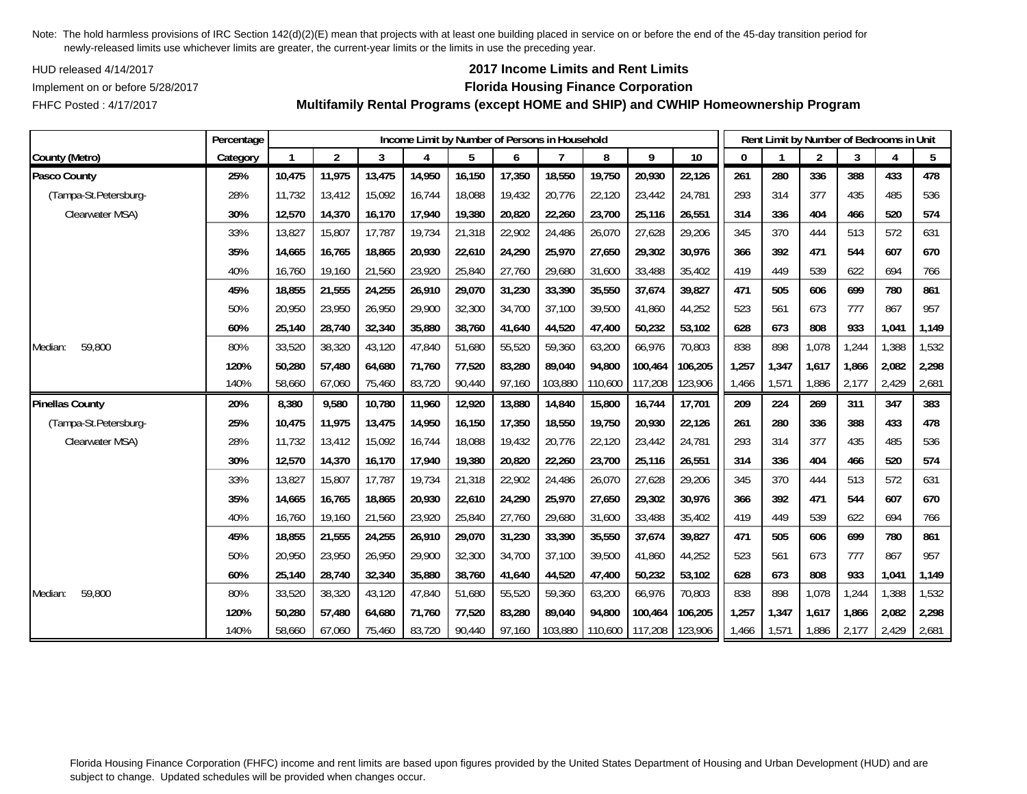HUD released 4/14/2017

FHFC Posted : 4/17/2017

## **2017 Income Limits and Rent Limits**

### Implement on or before 5/28/2017 **Florida Housing Finance Corporation**

**Multifamily Rental Programs (except HOME and SHIP) and CWHIP Homeownership Program**

|                        | Percentage |        |                |        |        |        |        | Income Limit by Number of Persons in Household |         |         |         |       |       | Rent Limit by Number of Bedrooms in Unit |       |       |       |
|------------------------|------------|--------|----------------|--------|--------|--------|--------|------------------------------------------------|---------|---------|---------|-------|-------|------------------------------------------|-------|-------|-------|
| County (Metro)         | Category   |        | $\overline{2}$ | 3      | 4      | 5      | 6      |                                                | 8       | 9       | 10      | 0     |       | $\overline{2}$                           | 3     | 4     | 5     |
| Pasco County           | 25%        | 10,475 | 11,975         | 13,475 | 14,950 | 16,150 | 17,350 | 18,550                                         | 19,750  | 20,930  | 22,126  | 261   | 280   | 336                                      | 388   | 433   | 478   |
| (Tampa-St.Petersburg-  | 28%        | 11,732 | 13,412         | 15,092 | 16,744 | 18,088 | 19,432 | 20,776                                         | 22,120  | 23,442  | 24,781  | 293   | 314   | 377                                      | 435   | 485   | 536   |
| Clearwater MSA)        | 30%        | 12,570 | 14,370         | 16,170 | 17,940 | 19,380 | 20,820 | 22,260                                         | 23,700  | 25,116  | 26,551  | 314   | 336   | 404                                      | 466   | 520   | 574   |
|                        | 33%        | 13,827 | 15,807         | 17,787 | 19,734 | 21,318 | 22,902 | 24,486                                         | 26,070  | 27,628  | 29,206  | 345   | 370   | 444                                      | 513   | 572   | 631   |
|                        | 35%        | 14,665 | 16,765         | 18,865 | 20,930 | 22,610 | 24,290 | 25,970                                         | 27,650  | 29,302  | 30,976  | 366   | 392   | 471                                      | 544   | 607   | 670   |
|                        | 40%        | 16,760 | 19,160         | 21,560 | 23,920 | 25,840 | 27,760 | 29,680                                         | 31,600  | 33,488  | 35,402  | 419   | 449   | 539                                      | 622   | 694   | 766   |
|                        | 45%        | 18,855 | 21,555         | 24,255 | 26,910 | 29,070 | 31,230 | 33,390                                         | 35,550  | 37,674  | 39,827  | 471   | 505   | 606                                      | 699   | 780   | 861   |
|                        | 50%        | 20,950 | 23,950         | 26,950 | 29,900 | 32,300 | 34,700 | 37,100                                         | 39,500  | 41,860  | 44,252  | 523   | 561   | 673                                      | 777   | 867   | 957   |
|                        | 60%        | 25,140 | 28,740         | 32,340 | 35,880 | 38,760 | 41,640 | 44,520                                         | 47,400  | 50,232  | 53,102  | 628   | 673   | 808                                      | 933   | 1,041 | 1,149 |
| 59,800<br>Median:      | 80%        | 33,520 | 38,320         | 43.120 | 47,840 | 51,680 | 55,520 | 59,360                                         | 63,200  | 66,976  | 70,803  | 838   | 898   | 1,078                                    | 1,244 | 1,388 | 1,532 |
|                        | 120%       | 50,280 | 57,480         | 64,680 | 71,760 | 77,520 | 83,280 | 89,040                                         | 94,800  | 100,464 | 106,205 | 1,257 | 1,347 | 1,617                                    | 1,866 | 2,082 | 2,298 |
|                        | 140%       | 58,660 | 67,060         | 75,460 | 83,720 | 90,440 | 97,160 | 103,880                                        | 110,600 | 117,208 | 123,906 | 1,466 | 1,571 | 1,886                                    | 2,177 | 2,429 | 2,681 |
| <b>Pinellas County</b> | 20%        | 8,380  | 9,580          | 10,780 | 11,960 | 12,920 | 13,880 | 14,840                                         | 15,800  | 16,744  | 17,701  | 209   | 224   | 269                                      | 311   | 347   | 383   |
| (Tampa-St.Petersburg-  | 25%        | 10,475 | 11,975         | 13,475 | 14,950 | 16,150 | 17,350 | 18,550                                         | 19,750  | 20,930  | 22,126  | 261   | 280   | 336                                      | 388   | 433   | 478   |
| Clearwater MSA)        | 28%        | 11,732 | 13,412         | 15,092 | 16,744 | 18,088 | 19,432 | 20,776                                         | 22,120  | 23,442  | 24,781  | 293   | 314   | 377                                      | 435   | 485   | 536   |
|                        | 30%        | 12,570 | 14,370         | 16,170 | 17,940 | 19,380 | 20,820 | 22,260                                         | 23,700  | 25,116  | 26,551  | 314   | 336   | 404                                      | 466   | 520   | 574   |
|                        | 33%        | 13,827 | 15,807         | 17,787 | 19,734 | 21,318 | 22,902 | 24,486                                         | 26,070  | 27,628  | 29,206  | 345   | 370   | 444                                      | 513   | 572   | 631   |
|                        | 35%        | 14,665 | 16,765         | 18,865 | 20,930 | 22,610 | 24,290 | 25,970                                         | 27,650  | 29,302  | 30,976  | 366   | 392   | 471                                      | 544   | 607   | 670   |
|                        | 40%        | 16,760 | 19,160         | 21,560 | 23,920 | 25,840 | 27,760 | 29,680                                         | 31,600  | 33,488  | 35,402  | 419   | 449   | 539                                      | 622   | 694   | 766   |
|                        | 45%        | 18,855 | 21,555         | 24,255 | 26,910 | 29,070 | 31,230 | 33,390                                         | 35,550  | 37,674  | 39,827  | 471   | 505   | 606                                      | 699   | 780   | 861   |
|                        | 50%        | 20,950 | 23,950         | 26,950 | 29,900 | 32,300 | 34,700 | 37,100                                         | 39,500  | 41,860  | 44,252  | 523   | 561   | 673                                      | 777   | 867   | 957   |
|                        | 60%        | 25,140 | 28,740         | 32,340 | 35,880 | 38,760 | 41,640 | 44,520                                         | 47,400  | 50,232  | 53,102  | 628   | 673   | 808                                      | 933   | 1,041 | 1,149 |
| 59,800<br>Median:      | 80%        | 33,520 | 38,320         | 43,120 | 47,840 | 51,680 | 55,520 | 59,360                                         | 63,200  | 66,976  | 70,803  | 838   | 898   | 1,078                                    | 1,244 | 1,388 | 1,532 |
|                        | 120%       | 50,280 | 57,480         | 64,680 | 71,760 | 77,520 | 83,280 | 89,040                                         | 94,800  | 100,464 | 106,205 | 1,257 | 1,347 | 1,617                                    | 1,866 | 2,082 | 2,298 |
|                        | 140%       | 58,660 | 67,060         | 75,460 | 83,720 | 90,440 | 97,160 | 103,880                                        | 110,600 | 117,208 | 123,906 | 1,466 | 1,571 | 1,886                                    | 2,177 | 2,429 | 2,681 |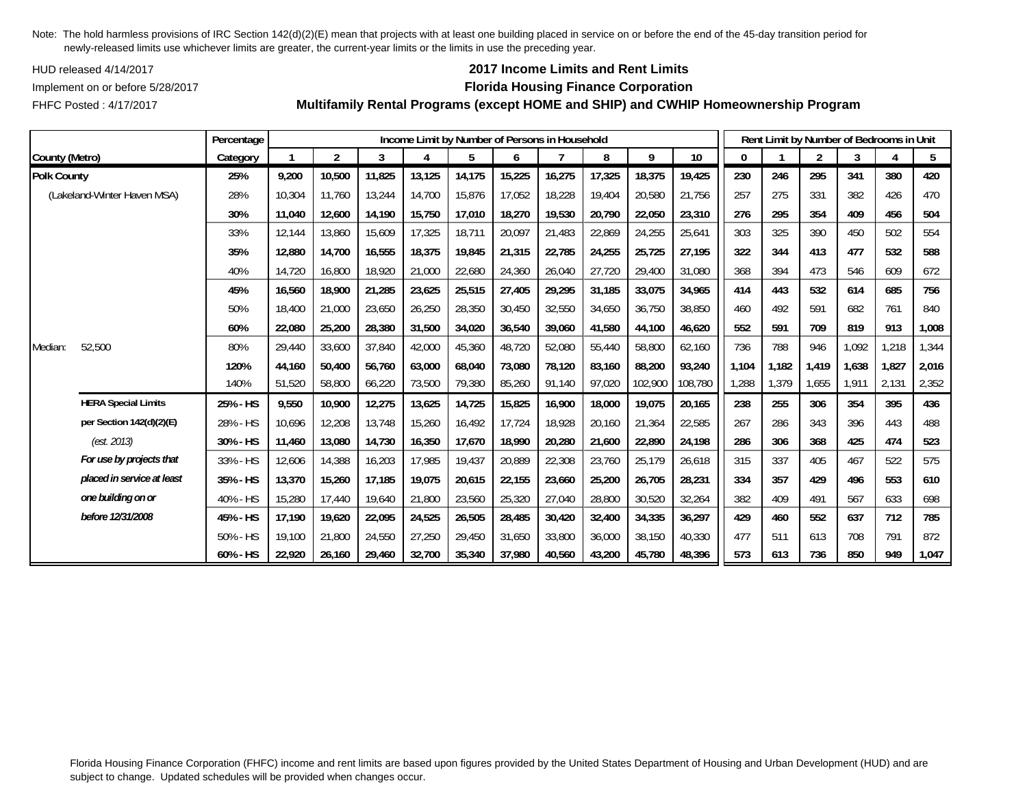HUD released 4/14/2017

FHFC Posted : 4/17/2017

## **2017 Income Limits and Rent Limits**

### Implement on or before 5/28/2017 **Florida Housing Finance Corporation**

**Multifamily Rental Programs (except HOME and SHIP) and CWHIP Homeownership Program**

|                    |                             | Percentage |        |                |        |        |        |        | Income Limit by Number of Persons in Household |        |         |         |       | Rent Limit by Number of Bedrooms in Unit |                |       |       |       |
|--------------------|-----------------------------|------------|--------|----------------|--------|--------|--------|--------|------------------------------------------------|--------|---------|---------|-------|------------------------------------------|----------------|-------|-------|-------|
| County (Metro)     |                             | Category   |        | $\overline{2}$ | 3      | 4      | 5      | 6      |                                                | 8      | 9       | 10      | 0     |                                          | $\overline{2}$ | 3     |       | 5     |
| <b>Polk County</b> |                             | 25%        | 9,200  | 10,500         | 11,825 | 13,125 | 14,175 | 15,225 | 16,275                                         | 17,325 | 18,375  | 19,425  | 230   | 246                                      | 295            | 341   | 380   | 420   |
|                    | (Lakeland-Winter Haven MSA) | 28%        | 10,304 | 11,760         | 13,244 | 14,700 | 15,876 | 17,052 | 18,228                                         | 19,404 | 20,580  | 21,756  | 257   | 275                                      | 331            | 382   | 426   | 470   |
|                    |                             | 30%        | 11,040 | 12,600         | 14,190 | 15,750 | 17,010 | 18,270 | 19,530                                         | 20,790 | 22,050  | 23,310  | 276   | 295                                      | 354            | 409   | 456   | 504   |
|                    |                             | 33%        | 12,144 | 13,860         | 15,609 | 17,325 | 18,711 | 20,097 | 21,483                                         | 22,869 | 24,255  | 25,641  | 303   | 325                                      | 390            | 450   | 502   | 554   |
|                    |                             | 35%        | 12,880 | 14,700         | 16,555 | 18,375 | 19,845 | 21,315 | 22,785                                         | 24,255 | 25,725  | 27,195  | 322   | 344                                      | 413            | 477   | 532   | 588   |
|                    |                             | 40%        | 14,720 | 16,800         | 18,920 | 21,000 | 22,680 | 24,360 | 26,040                                         | 27,720 | 29,400  | 31,080  | 368   | 394                                      | 473            | 546   | 609   | 672   |
|                    |                             | 45%        | 16,560 | 18,900         | 21,285 | 23,625 | 25,515 | 27,405 | 29,295                                         | 31,185 | 33,075  | 34,965  | 414   | 443                                      | 532            | 614   | 685   | 756   |
|                    |                             | 50%        | 18,400 | 21,000         | 23,650 | 26,250 | 28,350 | 30,450 | 32,550                                         | 34,650 | 36,750  | 38,850  | 460   | 492                                      | 591            | 682   | 761   | 840   |
|                    |                             | 60%        | 22,080 | 25,200         | 28,380 | 31,500 | 34,020 | 36,540 | 39,060                                         | 41,580 | 44,100  | 46,620  | 552   | 591                                      | 709            | 819   | 913   | 1,008 |
| Median:            | 52,500                      | 80%        | 29,440 | 33,600         | 37,840 | 42,000 | 45,360 | 48,720 | 52,080                                         | 55,440 | 58,800  | 62,160  | 736   | 788                                      | 946            | 1,092 | 1,218 | 1,344 |
|                    |                             | 120%       | 44,160 | 50,400         | 56,760 | 63,000 | 68,040 | 73,080 | 78.120                                         | 83,160 | 88,200  | 93,240  | 1.104 | 1,182                                    | 1,419          | 1.638 | 1,827 | 2,016 |
|                    |                             | 140%       | 51,520 | 58,800         | 66,220 | 73,500 | 79,380 | 85,260 | 91,140                                         | 97,020 | 102,900 | 108,780 | 1,288 | 1,379                                    | 1,655          | 1,911 | 2,131 | 2,352 |
|                    | <b>HERA Special Limits</b>  | 25% - HS   | 9,550  | 10,900         | 12,275 | 13,625 | 14,725 | 15,825 | 16,900                                         | 18,000 | 19,075  | 20,165  | 238   | 255                                      | 306            | 354   | 395   | 436   |
|                    | per Section 142(d)(2)(E)    | 28% - HS   | 10,696 | 12,208         | 13,748 | 15,260 | 16,492 | 17,724 | 18,928                                         | 20,160 | 21,364  | 22,585  | 267   | 286                                      | 343            | 396   | 443   | 488   |
|                    | (est. 2013)                 | 30% - HS   | 11,460 | 13,080         | 14,730 | 16,350 | 17,670 | 18,990 | 20,280                                         | 21,600 | 22,890  | 24,198  | 286   | 306                                      | 368            | 425   | 474   | 523   |
|                    | For use by projects that    | 33% - HS   | 12,606 | 14,388         | 16,203 | 17,985 | 19,437 | 20,889 | 22,308                                         | 23,760 | 25,179  | 26,618  | 315   | 337                                      | 405            | 467   | 522   | 575   |
|                    | placed in service at least  | 35% - HS   | 13,370 | 15,260         | 17,185 | 19,075 | 20,615 | 22,155 | 23,660                                         | 25,200 | 26,705  | 28,231  | 334   | 357                                      | 429            | 496   | 553   | 610   |
|                    | one building on or          | 40% - HS   | 15,280 | 17,440         | 19,640 | 21,800 | 23,560 | 25,320 | 27,040                                         | 28,800 | 30,520  | 32,264  | 382   | 409                                      | 491            | 567   | 633   | 698   |
|                    | before 12/31/2008           | 45% - HS   | 17,190 | 19,620         | 22,095 | 24,525 | 26,505 | 28,485 | 30,420                                         | 32,400 | 34,335  | 36,297  | 429   | 460                                      | 552            | 637   | 712   | 785   |
|                    |                             | 50% - HS   | 19,100 | 21,800         | 24,550 | 27,250 | 29,450 | 31,650 | 33,800                                         | 36,000 | 38,150  | 40,330  | 477   | 511                                      | 613            | 708   | 791   | 872   |
|                    |                             | 60% - HS   | 22,920 | 26,160         | 29,460 | 32,700 | 35,340 | 37,980 | 40,560                                         | 43,200 | 45,780  | 48,396  | 573   | 613                                      | 736            | 850   | 949   | 1,047 |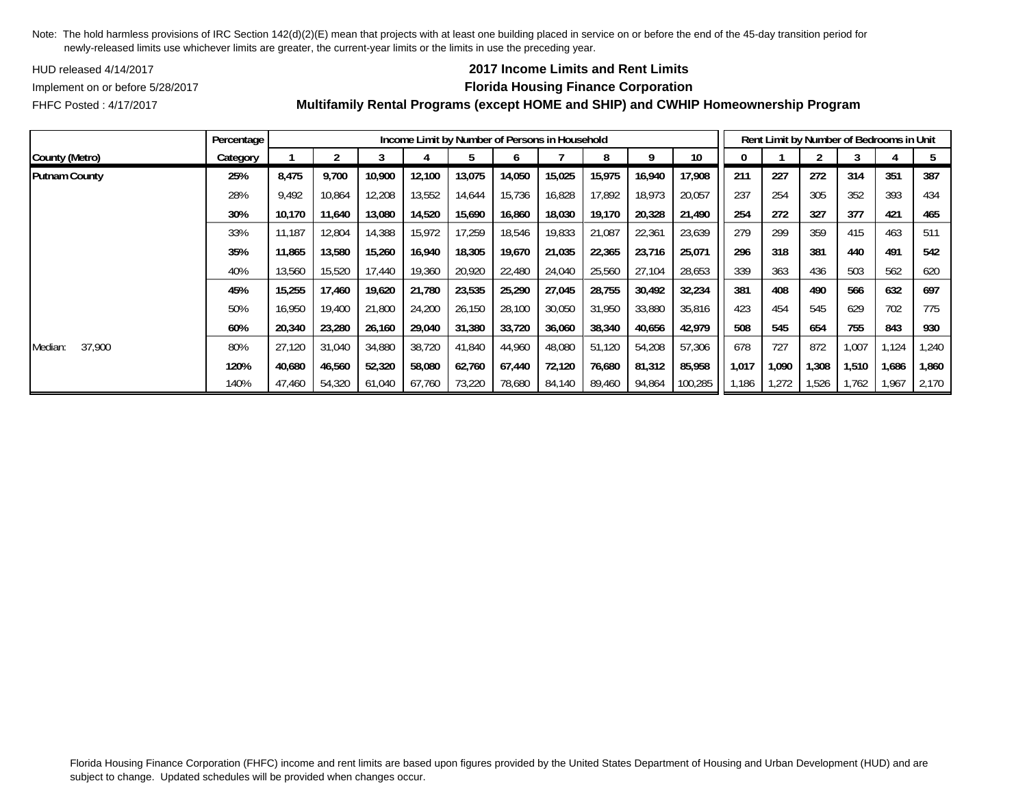HUD released 4/14/2017

## **2017 Income Limits and Rent Limits**

FHFC Posted : 4/17/2017

# Implement on or before 5/28/2017 **Florida Housing Finance Corporation**

|                      | Percentage |        |        |        |        |        |        | Income Limit by Number of Persons in Household |        |        |         |       |       |       | Rent Limit by Number of Bedrooms in Unit |       |       |
|----------------------|------------|--------|--------|--------|--------|--------|--------|------------------------------------------------|--------|--------|---------|-------|-------|-------|------------------------------------------|-------|-------|
| County (Metro)       | Category   |        |        |        |        |        |        |                                                | 8      | Q      | 10      |       |       |       |                                          |       |       |
| <b>Putnam County</b> | 25%        | 8,475  | 9,700  | 10,900 | 12,100 | 13,075 | 14,050 | 15,025                                         | 15,975 | 16,940 | 17,908  | 211   | 227   | 272   | 314                                      | 351   | 387   |
|                      | 28%        | 9.492  | 10,864 | 12,208 | 13,552 | 14,644 | 15,736 | 16,828                                         | 17,892 | 18,973 | 20,057  | 237   | 254   | 305   | 352                                      | 393   | 434   |
|                      | 30%        | 10,170 | 11,640 | 13,080 | 14,520 | 15,690 | 16,860 | 18,030                                         | 19,170 | 20,328 | 21,490  | 254   | 272   | 327   | 377                                      | 421   | 465   |
|                      | 33%        | 11.187 | 12,804 | 14,388 | 15,972 | 17,259 | 18,546 | 19,833                                         | 21,087 | 22,361 | 23,639  | 279   | 299   | 359   | 415                                      | 463   | 511   |
|                      | 35%        | 11,865 | 13,580 | 15,260 | 16,940 | 18,305 | 19,670 | 21,035                                         | 22,365 | 23,716 | 25,071  | 296   | 318   | 381   | 440                                      | 491   | 542   |
|                      | 40%        | 13,560 | 15,520 | 17,440 | 19,360 | 20,920 | 22,480 | 24,040                                         | 25,560 | 27,104 | 28,653  | 339   | 363   | 436   | 503                                      | 562   | 620   |
|                      | 45%        | 15,255 | 17,460 | 19,620 | 21,780 | 23,535 | 25,290 | 27,045                                         | 28,755 | 30,492 | 32,234  | 381   | 408   | 490   | 566                                      | 632   | 697   |
|                      | 50%        | 16,950 | 19,400 | 21,800 | 24,200 | 26,150 | 28,100 | 30,050                                         | 31,950 | 33,880 | 35,816  | 423   | 454   | 545   | 629                                      | 702   | 775   |
|                      | 60%        | 20,340 | 23,280 | 26,160 | 29,040 | 31,380 | 33,720 | 36,060                                         | 38,340 | 40,656 | 42,979  | 508   | 545   | 654   | 755                                      | 843   | 930   |
| 37,900<br>Median:    | 80%        | 27.120 | 31,040 | 34,880 | 38,720 | 41,840 | 44,960 | 48,080                                         | 51,120 | 54,208 | 57,306  | 678   | 727   | 872   | 1,007                                    | 1,124 | ,240  |
|                      | 120%       | 40,680 | 46,560 | 52,320 | 58,080 | 62,760 | 67,440 | 72,120                                         | 76,680 | 81,312 | 85,958  | 1,017 | 1,090 | 1,308 | 1,510                                    | 1,686 | 1,860 |
|                      | 140%       | 47,460 | 54,320 | 61,040 | 67,760 | 73,220 | 78,680 | 84,140                                         | 89,460 | 94,864 | 100,285 | 1,186 | 1,272 | 526,  | ,762                                     | 1,967 | 2,170 |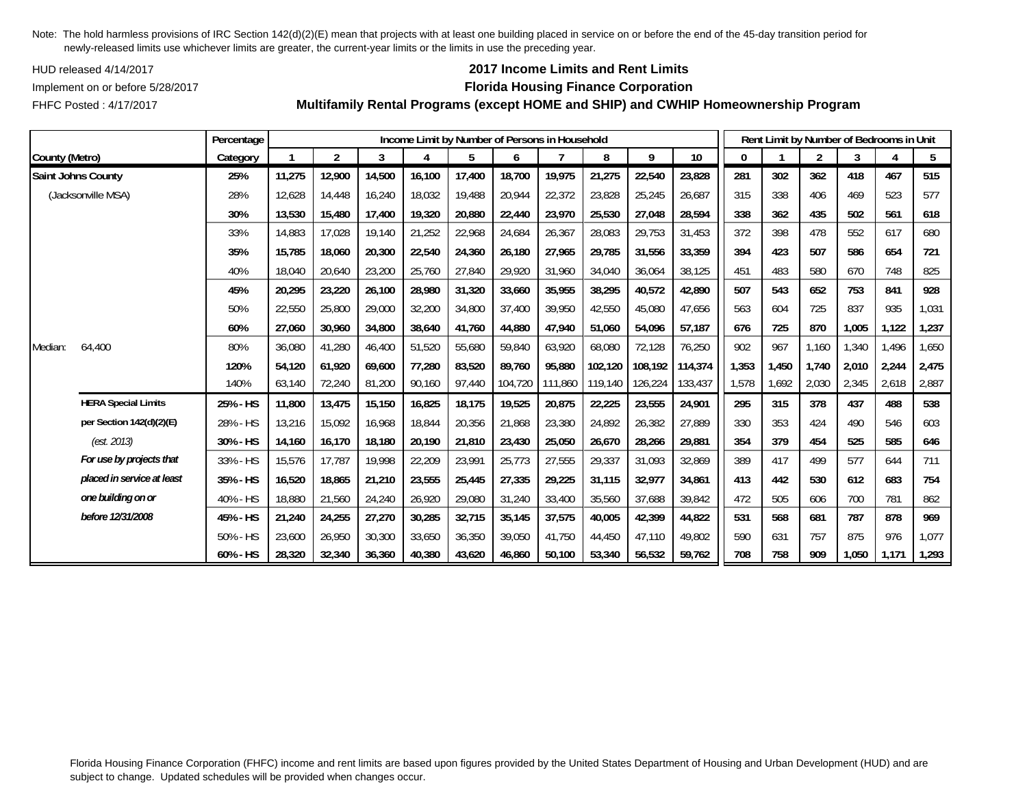HUD released 4/14/2017

FHFC Posted : 4/17/2017

## **2017 Income Limits and Rent Limits**

## Implement on or before 5/28/2017 **Florida Housing Finance Corporation**

**Multifamily Rental Programs (except HOME and SHIP) and CWHIP Homeownership Program**

|                |                            | Percentage |        |                |        | Income Limit by Number of Persons in Household |        |         |         |         |         |         |       |       | Rent Limit by Number of Bedrooms in Unit |       |       |       |
|----------------|----------------------------|------------|--------|----------------|--------|------------------------------------------------|--------|---------|---------|---------|---------|---------|-------|-------|------------------------------------------|-------|-------|-------|
| County (Metro) |                            | Category   |        | $\overline{2}$ | 3      | 4                                              | 5      | 6       |         | 8       | 9       | 10      | 0     |       | $\overline{2}$                           | 3     | 4     | 5     |
|                | Saint Johns County         | 25%        | 11,275 | 12,900         | 14,500 | 16,100                                         | 17,400 | 18,700  | 19,975  | 21,275  | 22,540  | 23,828  | 281   | 302   | 362                                      | 418   | 467   | 515   |
|                | (Jacksonville MSA)         | 28%        | 12,628 | 14,448         | 16,240 | 18,032                                         | 19,488 | 20,944  | 22,372  | 23,828  | 25,245  | 26,687  | 315   | 338   | 406                                      | 469   | 523   | 577   |
|                |                            | 30%        | 13,530 | 15,480         | 17,400 | 19,320                                         | 20,880 | 22,440  | 23,970  | 25,530  | 27,048  | 28,594  | 338   | 362   | 435                                      | 502   | 561   | 618   |
|                |                            | 33%        | 14,883 | 17,028         | 19,140 | 21,252                                         | 22,968 | 24,684  | 26,367  | 28,083  | 29,753  | 31,453  | 372   | 398   | 478                                      | 552   | 617   | 680   |
|                |                            | 35%        | 15,785 | 18,060         | 20,300 | 22,540                                         | 24,360 | 26,180  | 27,965  | 29,785  | 31,556  | 33,359  | 394   | 423   | 507                                      | 586   | 654   | 721   |
|                |                            | 40%        | 18,040 | 20,640         | 23,200 | 25,760                                         | 27,840 | 29,920  | 31,960  | 34,040  | 36,064  | 38,125  | 451   | 483   | 580                                      | 670   | 748   | 825   |
|                |                            | 45%        | 20,295 | 23,220         | 26,100 | 28,980                                         | 31,320 | 33,660  | 35,955  | 38,295  | 40,572  | 42,890  | 507   | 543   | 652                                      | 753   | 841   | 928   |
|                |                            | 50%        | 22,550 | 25,800         | 29,000 | 32,200                                         | 34,800 | 37,400  | 39,950  | 42,550  | 45,080  | 47,656  | 563   | 604   | 725                                      | 837   | 935   | 1,031 |
|                |                            | 60%        | 27,060 | 30,960         | 34,800 | 38,640                                         | 41,760 | 44,880  | 47,940  | 51,060  | 54,096  | 57,187  | 676   | 725   | 870                                      | 1,005 | 1,122 | 1,237 |
| Median:        | 64,400                     | 80%        | 36,080 | 41,280         | 46,400 | 51,520                                         | 55,680 | 59,840  | 63,920  | 68,080  | 72,128  | 76,250  | 902   | 967   | 1,160                                    | 1,340 | 1,496 | 1,650 |
|                |                            | 120%       | 54.120 | 61.920         | 69,600 | 77,280                                         | 83,520 | 89.760  | 95.880  | 102,120 | 108,192 | 114,374 | 1,353 | 1,450 | 1.740                                    | 2,010 | 2,244 | 2,475 |
|                |                            | 140%       | 63,140 | 72,240         | 81,200 | 90,160                                         | 97,440 | 104,720 | 111,860 | 119,140 | 126,224 | 133,437 | 1,578 | 1,692 | 2,030                                    | 2,345 | 2,618 | 2,887 |
|                | <b>HERA Special Limits</b> | 25% - HS   | 11,800 | 13,475         | 15,150 | 16,825                                         | 18,175 | 19,525  | 20,875  | 22,225  | 23,555  | 24,901  | 295   | 315   | 378                                      | 437   | 488   | 538   |
|                | per Section 142(d)(2)(E)   | 28% - HS   | 13,216 | 15,092         | 16,968 | 18,844                                         | 20,356 | 21,868  | 23,380  | 24,892  | 26,382  | 27,889  | 330   | 353   | 424                                      | 490   | 546   | 603   |
|                | (est. 2013)                | 30% - HS   | 14,160 | 16,170         | 18,180 | 20,190                                         | 21,810 | 23,430  | 25,050  | 26,670  | 28,266  | 29,881  | 354   | 379   | 454                                      | 525   | 585   | 646   |
|                | For use by projects that   | 33% - HS   | 15,576 | 17.787         | 19,998 | 22,209                                         | 23,991 | 25,773  | 27,555  | 29,337  | 31,093  | 32,869  | 389   | 417   | 499                                      | 577   | 644   | 711   |
|                | placed in service at least | 35% - HS   | 16,520 | 18,865         | 21,210 | 23,555                                         | 25,445 | 27,335  | 29,225  | 31,115  | 32,977  | 34,861  | 413   | 442   | 530                                      | 612   | 683   | 754   |
|                | one building on or         | 40% - HS   | 18,880 | 21,560         | 24,240 | 26,920                                         | 29,080 | 31,240  | 33,400  | 35,560  | 37,688  | 39,842  | 472   | 505   | 606                                      | 700   | 781   | 862   |
|                | before 12/31/2008          | 45% - HS   | 21,240 | 24,255         | 27,270 | 30,285                                         | 32,715 | 35,145  | 37,575  | 40,005  | 42,399  | 44,822  | 531   | 568   | 681                                      | 787   | 878   | 969   |
|                |                            | 50% - HS   | 23,600 | 26,950         | 30,300 | 33,650                                         | 36,350 | 39,050  | 41,750  | 44,450  | 47.110  | 49,802  | 590   | 631   | 757                                      | 875   | 976   | 1,077 |
|                |                            | 60% - HS   | 28,320 | 32,340         | 36,360 | 40,380                                         | 43,620 | 46,860  | 50,100  | 53,340  | 56,532  | 59,762  | 708   | 758   | 909                                      | 1,050 | 1,171 | 1,293 |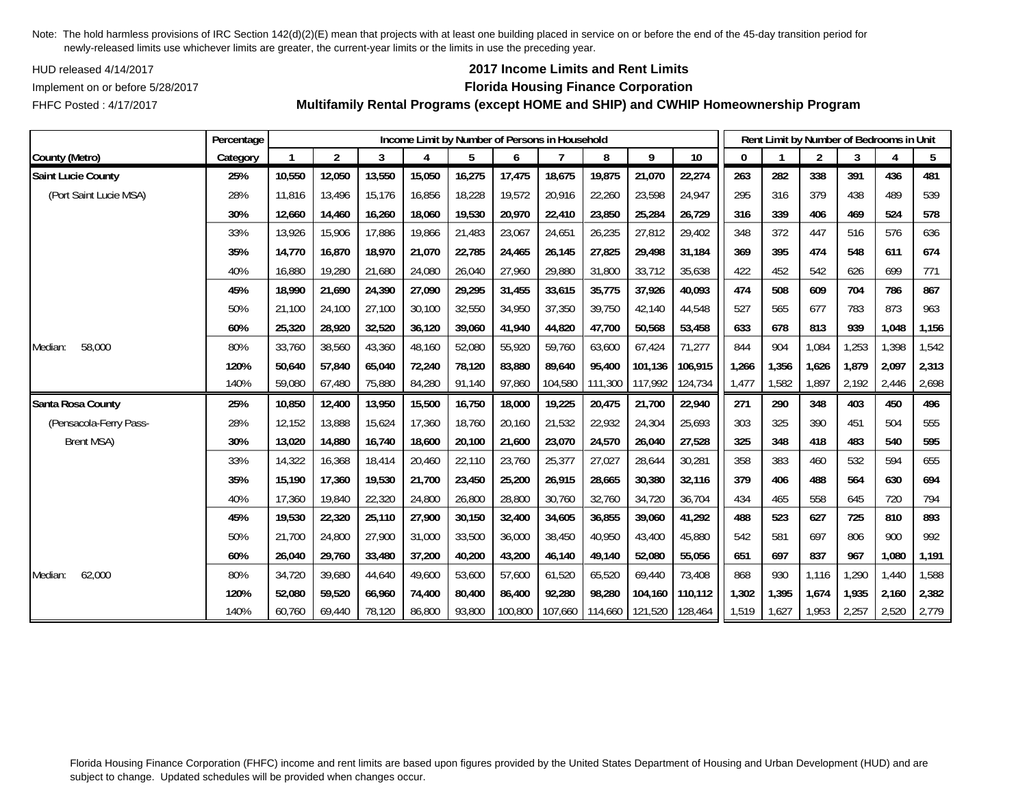HUD released 4/14/2017

FHFC Posted : 4/17/2017

## **2017 Income Limits and Rent Limits**

## Implement on or before 5/28/2017 **Florida Housing Finance Corporation**

**Multifamily Rental Programs (except HOME and SHIP) and CWHIP Homeownership Program**

|                           | Percentage |        |                |        | Income Limit by Number of Persons in Household |        |         |         |         |         |                 |       |       | Rent Limit by Number of Bedrooms in Unit |       |       |       |
|---------------------------|------------|--------|----------------|--------|------------------------------------------------|--------|---------|---------|---------|---------|-----------------|-------|-------|------------------------------------------|-------|-------|-------|
| County (Metro)            | Category   |        | $\overline{2}$ | 3      |                                                | 5      | 6       |         | 8       | 9       | 10 <sup>°</sup> | 0     |       | $\overline{2}$                           | 3     |       | 5     |
| <b>Saint Lucie County</b> | 25%        | 10,550 | 12,050         | 13,550 | 15,050                                         | 16,275 | 17,475  | 18,675  | 19,875  | 21,070  | 22,274          | 263   | 282   | 338                                      | 391   | 436   | 481   |
| (Port Saint Lucie MSA)    | 28%        | 11,816 | 13,496         | 15,176 | 16,856                                         | 18,228 | 19,572  | 20,916  | 22,260  | 23,598  | 24,947          | 295   | 316   | 379                                      | 438   | 489   | 539   |
|                           | 30%        | 12,660 | 14,460         | 16,260 | 18,060                                         | 19,530 | 20,970  | 22,410  | 23,850  | 25,284  | 26,729          | 316   | 339   | 406                                      | 469   | 524   | 578   |
|                           | 33%        | 13,926 | 15,906         | 17,886 | 19,866                                         | 21,483 | 23,067  | 24,651  | 26,235  | 27,812  | 29,402          | 348   | 372   | 447                                      | 516   | 576   | 636   |
|                           | 35%        | 14,770 | 16,870         | 18,970 | 21,070                                         | 22,785 | 24,465  | 26,145  | 27,825  | 29,498  | 31,184          | 369   | 395   | 474                                      | 548   | 611   | 674   |
|                           | 40%        | 16,880 | 19,280         | 21,680 | 24,080                                         | 26,040 | 27,960  | 29,880  | 31,800  | 33,712  | 35,638          | 422   | 452   | 542                                      | 626   | 699   | 771   |
|                           | 45%        | 18,990 | 21,690         | 24,390 | 27,090                                         | 29,295 | 31,455  | 33,615  | 35,775  | 37,926  | 40,093          | 474   | 508   | 609                                      | 704   | 786   | 867   |
|                           | 50%        | 21,100 | 24,100         | 27,100 | 30,100                                         | 32,550 | 34,950  | 37,350  | 39,750  | 42,140  | 44,548          | 527   | 565   | 677                                      | 783   | 873   | 963   |
|                           | 60%        | 25,320 | 28,920         | 32,520 | 36,120                                         | 39,060 | 41,940  | 44,820  | 47,700  | 50,568  | 53,458          | 633   | 678   | 813                                      | 939   | 1,048 | 1,156 |
| 58,000<br>Median:         | 80%        | 33,760 | 38,560         | 43,360 | 48,160                                         | 52,080 | 55,920  | 59,760  | 63,600  | 67,424  | 71,277          | 844   | 904   | 1,084                                    | 1,253 | 1,398 | 1,542 |
|                           | 120%       | 50,640 | 57,840         | 65,040 | 72,240                                         | 78,120 | 83,880  | 89,640  | 95,400  | 101,136 | 106,915         | 1,266 | 1,356 | 1,626                                    | 1.879 | 2,097 | 2,313 |
|                           | 140%       | 59,080 | 67,480         | 75,880 | 84,280                                         | 91,140 | 97,860  | 104,580 | 111,300 | 117,992 | 124,734         | 1,477 | 1,582 | 1,897                                    | 2,192 | 2,446 | 2,698 |
| Santa Rosa County         | 25%        | 10,850 | 12,400         | 13,950 | 15,500                                         | 16,750 | 18,000  | 19,225  | 20,475  | 21,700  | 22,940          | 271   | 290   | 348                                      | 403   | 450   | 496   |
| (Pensacola-Ferry Pass-    | 28%        | 12,152 | 13,888         | 15,624 | 17,360                                         | 18,760 | 20,160  | 21,532  | 22,932  | 24,304  | 25,693          | 303   | 325   | 390                                      | 451   | 504   | 555   |
| <b>Brent MSA)</b>         | 30%        | 13,020 | 14,880         | 16,740 | 18,600                                         | 20,100 | 21,600  | 23,070  | 24,570  | 26,040  | 27,528          | 325   | 348   | 418                                      | 483   | 540   | 595   |
|                           | 33%        | 14,322 | 16,368         | 18,414 | 20,460                                         | 22,110 | 23,760  | 25,377  | 27,027  | 28,644  | 30,281          | 358   | 383   | 460                                      | 532   | 594   | 655   |
|                           | 35%        | 15,190 | 17,360         | 19,530 | 21,700                                         | 23,450 | 25,200  | 26,915  | 28,665  | 30,380  | 32,116          | 379   | 406   | 488                                      | 564   | 630   | 694   |
|                           | 40%        | 17,360 | 19,840         | 22,320 | 24,800                                         | 26,800 | 28,800  | 30,760  | 32,760  | 34,720  | 36,704          | 434   | 465   | 558                                      | 645   | 720   | 794   |
|                           | 45%        | 19,530 | 22,320         | 25,110 | 27,900                                         | 30,150 | 32,400  | 34,605  | 36,855  | 39,060  | 41,292          | 488   | 523   | 627                                      | 725   | 810   | 893   |
|                           | 50%        | 21,700 | 24,800         | 27,900 | 31,000                                         | 33,500 | 36,000  | 38,450  | 40,950  | 43,400  | 45,880          | 542   | 581   | 697                                      | 806   | 900   | 992   |
|                           | 60%        | 26,040 | 29,760         | 33,480 | 37,200                                         | 40,200 | 43,200  | 46,140  | 49,140  | 52,080  | 55,056          | 651   | 697   | 837                                      | 967   | 1,080 | 1,191 |
| 62,000<br>Median:         | 80%        | 34,720 | 39,680         | 44.640 | 49,600                                         | 53,600 | 57,600  | 61,520  | 65,520  | 69,440  | 73,408          | 868   | 930   | 1,116                                    | 1,290 | 1,440 | 1,588 |
|                           | 120%       | 52,080 | 59,520         | 66,960 | 74,400                                         | 80,400 | 86,400  | 92,280  | 98,280  | 104.160 | 110,112         | 1,302 | 1,395 | 1,674                                    | 1,935 | 2,160 | 2,382 |
|                           | 140%       | 60,760 | 69,440         | 78,120 | 86,800                                         | 93,800 | 100,800 | 107,660 | 114,660 | 121,520 | 128,464         | 1,519 | 1,627 | 1,953                                    | 2,257 | 2,520 | 2,779 |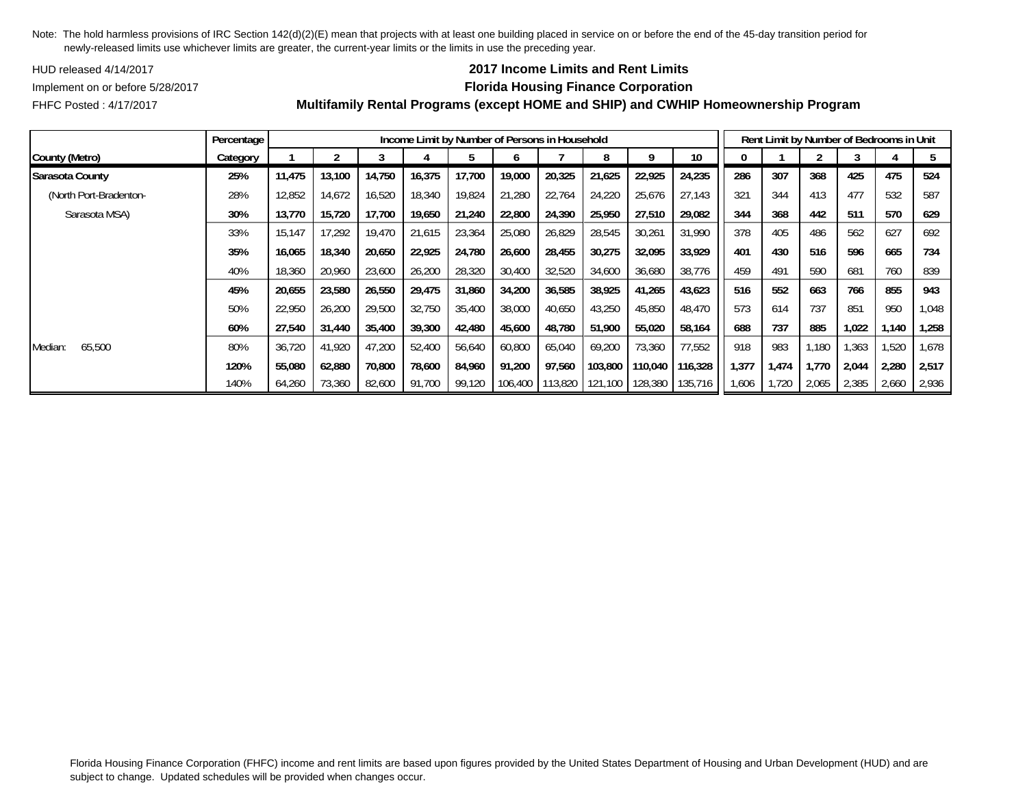HUD released 4/14/2017

## **2017 Income Limits and Rent Limits**

Implement on or before 5/28/2017 **Florida Housing Finance Corporation**

FHFC Posted : 4/17/2017

|                        | Percentage |        |        |        |        | Income Limit by Number of Persons in Household |         |         |         |         |         |       |       |       | Rent Limit by Number of Bedrooms in Unit |       |        |
|------------------------|------------|--------|--------|--------|--------|------------------------------------------------|---------|---------|---------|---------|---------|-------|-------|-------|------------------------------------------|-------|--------|
| County (Metro)         | Category   |        |        |        |        |                                                |         |         | 8       |         | 10      |       |       |       |                                          |       |        |
| Sarasota County        | 25%        | 11,475 | 13,100 | 14,750 | 16,375 | 17,700                                         | 19,000  | 20,325  | 21,625  | 22,925  | 24,235  | 286   | 307   | 368   | 425                                      | 475   | 524    |
| (North Port-Bradenton- | 28%        | 12,852 | 14,672 | 16,520 | 18,340 | 19,824                                         | 21,280  | 22,764  | 24,220  | 25,676  | 27,143  | 321   | 344   | 413   | 477                                      | 532   | 587    |
| Sarasota MSA)          | 30%        | 13,770 | 15,720 | 17,700 | 19,650 | 21,240                                         | 22,800  | 24,390  | 25,950  | 27,510  | 29,082  | 344   | 368   | 442   | 511                                      | 570   | 629    |
|                        | 33%        | 15.147 | 17.292 | 19,470 | 21,615 | 23,364                                         | 25,080  | 26,829  | 28,545  | 30,261  | 31.990  | 378   | 405   | 486   | 562                                      | 627   | 692    |
|                        | 35%        | 16,065 | 18,340 | 20,650 | 22,925 | 24,780                                         | 26,600  | 28,455  | 30,275  | 32,095  | 33,929  | 401   | 430   | 516   | 596                                      | 665   | 734    |
|                        | 40%        | 18,360 | 20,960 | 23,600 | 26,200 | 28,320                                         | 30,400  | 32,520  | 34,600  | 36,680  | 38,776  | 459   | 491   | 590   | 681                                      | 760   | 839    |
|                        | 45%        | 20,655 | 23,580 | 26,550 | 29,475 | 31,860                                         | 34,200  | 36,585  | 38,925  | 41,265  | 43,623  | 516   | 552   | 663   | 766                                      | 855   | 943    |
|                        | 50%        | 22,950 | 26,200 | 29,500 | 32,750 | 35,400                                         | 38,000  | 40,650  | 43,250  | 45,850  | 48,470  | 573   | 614   | 737   | 851                                      | 950   | 1,048  |
|                        | 60%        | 27,540 | 31,440 | 35,400 | 39,300 | 42,480                                         | 45,600  | 48,780  | 51,900  | 55,020  | 58,164  | 688   | 737   | 885   | 1,022                                    | 1،140 | 1,258  |
| 65,500<br>Median:      | 80%        | 36,720 | 41,920 | 47,200 | 52,400 | 56,640                                         | 60,800  | 65,040  | 69,200  | 73,360  | 77,552  | 918   | 983   | 1,180 | 1.363                                    | ,520  | 678, ا |
|                        | 120%       | 55,080 | 62,880 | 70,800 | 78,600 | 84,960                                         | 91,200  | 97,560  | 103,800 | 110,040 | 116,328 | 1,377 | 1,474 | 1.770 | 2.044                                    | 2,280 | 2,517  |
|                        | 140%       | 64,260 | 73,360 | 82,600 | 91,700 | 99,120                                         | 106,400 | 113,820 | 121,100 | 128,380 | 135,716 | 1,606 | 1,720 | 2,065 | 2,385                                    | 2,660 | 2,936  |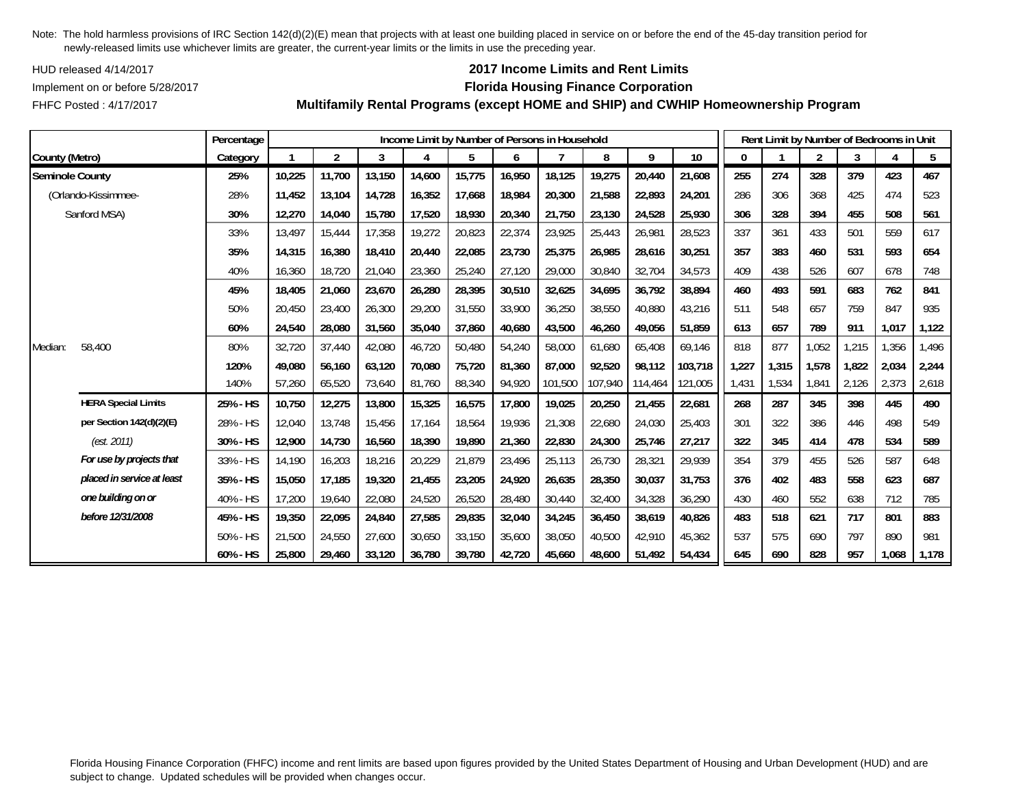HUD released 4/14/2017

FHFC Posted : 4/17/2017

## **2017 Income Limits and Rent Limits**

### Implement on or before 5/28/2017 **Florida Housing Finance Corporation**

**Multifamily Rental Programs (except HOME and SHIP) and CWHIP Homeownership Program**

|                        |                            | Percentage |        |                |        |        |        |        | Income Limit by Number of Persons in Household |         |         |         |       | Rent Limit by Number of Bedrooms in Unit |                |       |       |       |
|------------------------|----------------------------|------------|--------|----------------|--------|--------|--------|--------|------------------------------------------------|---------|---------|---------|-------|------------------------------------------|----------------|-------|-------|-------|
| County (Metro)         |                            | Category   |        | $\overline{2}$ | 3      | 4      | 5      | 6      |                                                | 8       | 9       | 10      | 0     |                                          | $\overline{2}$ | 3     |       | 5     |
| <b>Seminole County</b> |                            | 25%        | 10,225 | 11,700         | 13,150 | 14,600 | 15,775 | 16,950 | 18,125                                         | 19,275  | 20,440  | 21,608  | 255   | 274                                      | 328            | 379   | 423   | 467   |
|                        | (Orlando-Kissimmee-        | 28%        | 11,452 | 13,104         | 14,728 | 16,352 | 17,668 | 18,984 | 20,300                                         | 21,588  | 22,893  | 24,201  | 286   | 306                                      | 368            | 425   | 474   | 523   |
|                        | Sanford MSA)               | 30%        | 12,270 | 14,040         | 15,780 | 17,520 | 18,930 | 20,340 | 21,750                                         | 23,130  | 24,528  | 25,930  | 306   | 328                                      | 394            | 455   | 508   | 561   |
|                        |                            | 33%        | 13,497 | 15,444         | 17,358 | 19,272 | 20,823 | 22,374 | 23,925                                         | 25,443  | 26,981  | 28,523  | 337   | 361                                      | 433            | 501   | 559   | 617   |
|                        |                            | 35%        | 14,315 | 16,380         | 18,410 | 20,440 | 22,085 | 23,730 | 25,375                                         | 26,985  | 28,616  | 30,251  | 357   | 383                                      | 460            | 531   | 593   | 654   |
|                        |                            | 40%        | 16,360 | 18,720         | 21,040 | 23,360 | 25,240 | 27,120 | 29,000                                         | 30,840  | 32,704  | 34,573  | 409   | 438                                      | 526            | 607   | 678   | 748   |
|                        |                            | 45%        | 18,405 | 21,060         | 23,670 | 26,280 | 28,395 | 30,510 | 32,625                                         | 34,695  | 36,792  | 38,894  | 460   | 493                                      | 591            | 683   | 762   | 841   |
|                        |                            | 50%        | 20,450 | 23,400         | 26,300 | 29,200 | 31,550 | 33,900 | 36,250                                         | 38,550  | 40,880  | 43,216  | 511   | 548                                      | 657            | 759   | 847   | 935   |
|                        |                            | 60%        | 24,540 | 28,080         | 31,560 | 35,040 | 37,860 | 40,680 | 43,500                                         | 46,260  | 49,056  | 51,859  | 613   | 657                                      | 789            | 911   | 1,017 | 1,122 |
| Median:                | 58,400                     | 80%        | 32,720 | 37,440         | 42,080 | 46,720 | 50,480 | 54,240 | 58,000                                         | 61.680  | 65,408  | 69,146  | 818   | 877                                      | 1,052          | 1,215 | 1,356 | 1,496 |
|                        |                            | 120%       | 49,080 | 56,160         | 63,120 | 70,080 | 75,720 | 81,360 | 87.000                                         | 92,520  | 98,112  | 103,718 | 1,227 | 1,315                                    | 1,578          | 1.822 | 2,034 | 2,244 |
|                        |                            | 140%       | 57,260 | 65,520         | 73,640 | 81,760 | 88,340 | 94,920 | 101,500                                        | 107,940 | 114,464 | 121,005 | 1,431 | 1,534                                    | 1,841          | 2,126 | 2,373 | 2,618 |
|                        | <b>HERA Special Limits</b> | 25% - HS   | 10,750 | 12,275         | 13,800 | 15,325 | 16,575 | 17,800 | 19,025                                         | 20,250  | 21,455  | 22,681  | 268   | 287                                      | 345            | 398   | 445   | 490   |
|                        | per Section 142(d)(2)(E)   | 28% - HS   | 12,040 | 13,748         | 15,456 | 17,164 | 18,564 | 19,936 | 21,308                                         | 22,680  | 24,030  | 25,403  | 301   | 322                                      | 386            | 446   | 498   | 549   |
|                        | (est. 2011)                | 30% - HS   | 12,900 | 14,730         | 16,560 | 18,390 | 19,890 | 21,360 | 22,830                                         | 24,300  | 25,746  | 27,217  | 322   | 345                                      | 414            | 478   | 534   | 589   |
|                        | For use by projects that   | 33% - HS   | 14,190 | 16,203         | 18,216 | 20,229 | 21,879 | 23,496 | 25,113                                         | 26,730  | 28,321  | 29,939  | 354   | 379                                      | 455            | 526   | 587   | 648   |
|                        | placed in service at least | 35% - HS   | 15,050 | 17,185         | 19,320 | 21,455 | 23,205 | 24,920 | 26,635                                         | 28,350  | 30,037  | 31,753  | 376   | 402                                      | 483            | 558   | 623   | 687   |
|                        | one building on or         | 40% - HS   | 17,200 | 19,640         | 22,080 | 24,520 | 26,520 | 28,480 | 30,440                                         | 32,400  | 34,328  | 36,290  | 430   | 460                                      | 552            | 638   | 712   | 785   |
|                        | before 12/31/2008          | 45% - HS   | 19,350 | 22,095         | 24,840 | 27,585 | 29,835 | 32,040 | 34,245                                         | 36,450  | 38,619  | 40,826  | 483   | 518                                      | 621            | 717   | 801   | 883   |
|                        |                            | 50% - HS   | 21,500 | 24,550         | 27,600 | 30,650 | 33,150 | 35,600 | 38,050                                         | 40,500  | 42,910  | 45,362  | 537   | 575                                      | 690            | 797   | 890   | 981   |
|                        |                            | 60% - HS   | 25,800 | 29,460         | 33,120 | 36,780 | 39,780 | 42,720 | 45,660                                         | 48,600  | 51,492  | 54,434  | 645   | 690                                      | 828            | 957   | 1,068 | 1,178 |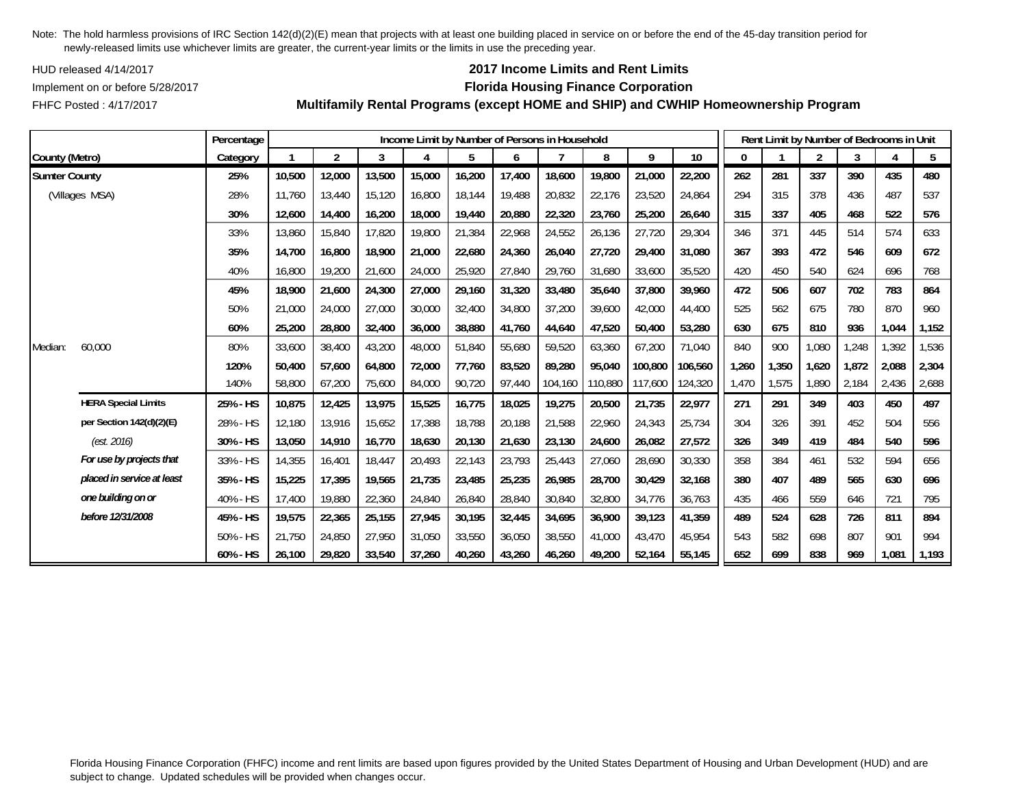HUD released 4/14/2017

## **2017 Income Limits and Rent Limits**

## Implement on or before 5/28/2017 **Florida Housing Finance Corporation**

FHFC Posted : 4/17/2017

|                      |                            | Percentage |        |                |        | Income Limit by Number of Persons in Household |        |        |         |         |         |                 |       |       | Rent Limit by Number of Bedrooms in Unit |       |       |       |
|----------------------|----------------------------|------------|--------|----------------|--------|------------------------------------------------|--------|--------|---------|---------|---------|-----------------|-------|-------|------------------------------------------|-------|-------|-------|
| County (Metro)       |                            | Category   |        | $\overline{2}$ | 3      | 4                                              | 5      | 6      |         | 8       | 9       | 10 <sup>°</sup> | 0     |       | $\overline{2}$                           | 3     | Δ     | 5     |
| <b>Sumter County</b> |                            | 25%        | 10,500 | 12,000         | 13,500 | 15,000                                         | 16,200 | 17,400 | 18,600  | 19,800  | 21,000  | 22,200          | 262   | 281   | 337                                      | 390   | 435   | 480   |
|                      | (Villages MSA)             | 28%        | 11,760 | 13,440         | 15,120 | 16,800                                         | 18,144 | 19,488 | 20,832  | 22,176  | 23,520  | 24,864          | 294   | 315   | 378                                      | 436   | 487   | 537   |
|                      |                            | 30%        | 12,600 | 14,400         | 16,200 | 18,000                                         | 19,440 | 20,880 | 22,320  | 23,760  | 25,200  | 26,640          | 315   | 337   | 405                                      | 468   | 522   | 576   |
|                      |                            | 33%        | 13,860 | 15,840         | 17,820 | 19,800                                         | 21,384 | 22,968 | 24,552  | 26,136  | 27,720  | 29,304          | 346   | 371   | 445                                      | 514   | 574   | 633   |
|                      |                            | 35%        | 14,700 | 16,800         | 18,900 | 21,000                                         | 22,680 | 24,360 | 26,040  | 27,720  | 29,400  | 31,080          | 367   | 393   | 472                                      | 546   | 609   | 672   |
|                      |                            | 40%        | 16,800 | 19,200         | 21,600 | 24,000                                         | 25,920 | 27,840 | 29,760  | 31,680  | 33,600  | 35,520          | 420   | 450   | 540                                      | 624   | 696   | 768   |
|                      |                            | 45%        | 18,900 | 21,600         | 24,300 | 27,000                                         | 29,160 | 31,320 | 33,480  | 35,640  | 37,800  | 39,960          | 472   | 506   | 607                                      | 702   | 783   | 864   |
|                      |                            | 50%        | 21,000 | 24,000         | 27,000 | 30,000                                         | 32,400 | 34,800 | 37,200  | 39,600  | 42,000  | 44,400          | 525   | 562   | 675                                      | 780   | 870   | 960   |
|                      |                            | 60%        | 25,200 | 28,800         | 32,400 | 36,000                                         | 38,880 | 41,760 | 44,640  | 47,520  | 50,400  | 53,280          | 630   | 675   | 810                                      | 936   | 1,044 | 1,152 |
| Median:              | 60,000                     | 80%        | 33,600 | 38,400         | 43,200 | 48,000                                         | 51,840 | 55,680 | 59,520  | 63,360  | 67,200  | 71,040          | 840   | 900   | 1,080                                    | 1,248 | 1,392 | 1,536 |
|                      |                            | 120%       | 50,400 | 57,600         | 64,800 | 72,000                                         | 77,760 | 83,520 | 89,280  | 95,040  | 100,800 | 106,560         | 1,260 | 1,350 | 1,620                                    | 1,872 | 2,088 | 2,304 |
|                      |                            | 140%       | 58,800 | 67,200         | 75,600 | 84,000                                         | 90,720 | 97,440 | 104,160 | 110,880 | 117,600 | 124,320         | 1,470 | 1,575 | 1,890                                    | 2,184 | 2,436 | 2,688 |
|                      | <b>HERA Special Limits</b> | 25% - HS   | 10,875 | 12,425         | 13,975 | 15,525                                         | 16,775 | 18,025 | 19,275  | 20,500  | 21,735  | 22,977          | 271   | 291   | 349                                      | 403   | 450   | 497   |
|                      | per Section 142(d)(2)(E)   | 28% - HS   | 12,180 | 13,916         | 15,652 | 17,388                                         | 18,788 | 20,188 | 21,588  | 22,960  | 24,343  | 25,734          | 304   | 326   | 391                                      | 452   | 504   | 556   |
|                      | (est. 2016)                | 30% - HS   | 13,050 | 14,910         | 16,770 | 18,630                                         | 20,130 | 21,630 | 23,130  | 24,600  | 26,082  | 27,572          | 326   | 349   | 419                                      | 484   | 540   | 596   |
|                      | For use by projects that   | 33% - HS   | 14,355 | 16,401         | 18,447 | 20,493                                         | 22,143 | 23,793 | 25,443  | 27,060  | 28,690  | 30,330          | 358   | 384   | 461                                      | 532   | 594   | 656   |
|                      | placed in service at least | 35% - HS   | 15,225 | 17,395         | 19,565 | 21,735                                         | 23,485 | 25,235 | 26,985  | 28,700  | 30,429  | 32,168          | 380   | 407   | 489                                      | 565   | 630   | 696   |
|                      | one building on or         | 40% - HS   | 17,400 | 19,880         | 22,360 | 24,840                                         | 26,840 | 28,840 | 30,840  | 32,800  | 34,776  | 36,763          | 435   | 466   | 559                                      | 646   | 721   | 795   |
|                      | before 12/31/2008          | 45% - HS   | 19,575 | 22,365         | 25,155 | 27,945                                         | 30,195 | 32,445 | 34,695  | 36,900  | 39,123  | 41,359          | 489   | 524   | 628                                      | 726   | 811   | 894   |
|                      |                            | 50% - HS   | 21,750 | 24,850         | 27,950 | 31,050                                         | 33,550 | 36,050 | 38,550  | 41,000  | 43,470  | 45.954          | 543   | 582   | 698                                      | 807   | 901   | 994   |
|                      |                            | 60% - HS   | 26,100 | 29,820         | 33,540 | 37,260                                         | 40,260 | 43.260 | 46.260  | 49,200  | 52,164  | 55,145          | 652   | 699   | 838                                      | 969   | 1.081 | 1,193 |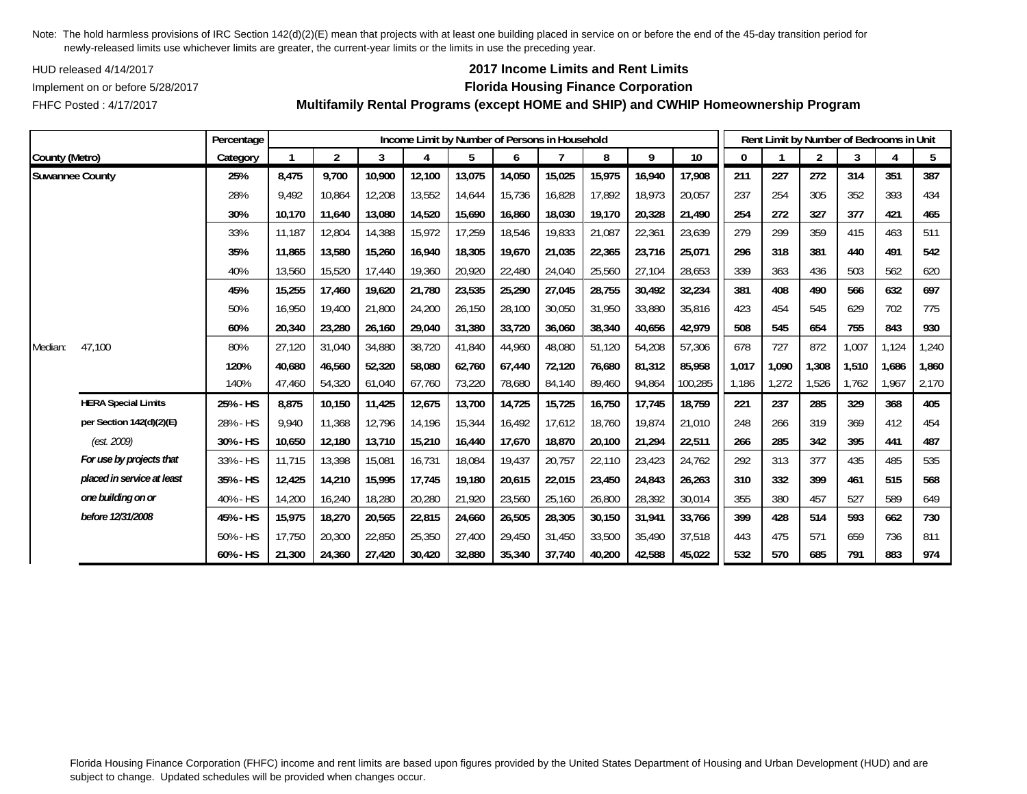HUD released 4/14/2017

FHFC Posted : 4/17/2017

## **2017 Income Limits and Rent Limits**

### Implement on or before 5/28/2017 **Florida Housing Finance Corporation**

**Multifamily Rental Programs (except HOME and SHIP) and CWHIP Homeownership Program**

|                        |                            | Percentage |        |                |        |        | Income Limit by Number of Persons in Household |        |        |        |        |         |       |       | Rent Limit by Number of Bedrooms in Unit |       |       |       |
|------------------------|----------------------------|------------|--------|----------------|--------|--------|------------------------------------------------|--------|--------|--------|--------|---------|-------|-------|------------------------------------------|-------|-------|-------|
| County (Metro)         |                            | Category   |        | $\overline{2}$ | 3      | 4      | 5                                              | 6      |        | 8      | 9      | 10      | 0     |       | $\overline{2}$                           | 3     | 4     | 5     |
| <b>Suwannee County</b> |                            | 25%        | 8.475  | 9.700          | 10,900 | 12.100 | 13,075                                         | 14,050 | 15,025 | 15,975 | 16.940 | 17.908  | 211   | 227   | 272                                      | 314   | 351   | 387   |
|                        |                            | 28%        | 9,492  | 10,864         | 12,208 | 13,552 | 14,644                                         | 15,736 | 16,828 | 17,892 | 18,973 | 20,057  | 237   | 254   | 305                                      | 352   | 393   | 434   |
|                        |                            | 30%        | 10,170 | 11,640         | 13,080 | 14,520 | 15,690                                         | 16,860 | 18,030 | 19,170 | 20,328 | 21,490  | 254   | 272   | 327                                      | 377   | 421   | 465   |
|                        |                            | 33%        | 11,187 | 12,804         | 14,388 | 15,972 | 17,259                                         | 18,546 | 19,833 | 21,087 | 22,361 | 23,639  | 279   | 299   | 359                                      | 415   | 463   | 511   |
|                        |                            | 35%        | 11,865 | 13,580         | 15,260 | 16,940 | 18,305                                         | 19,670 | 21,035 | 22,365 | 23,716 | 25,071  | 296   | 318   | 381                                      | 440   | 491   | 542   |
|                        |                            | 40%        | 13,560 | 15,520         | 17,440 | 19,360 | 20,920                                         | 22,480 | 24,040 | 25,560 | 27,104 | 28,653  | 339   | 363   | 436                                      | 503   | 562   | 620   |
|                        |                            | 45%        | 15,255 | 17,460         | 19,620 | 21,780 | 23,535                                         | 25,290 | 27,045 | 28,755 | 30,492 | 32,234  | 381   | 408   | 490                                      | 566   | 632   | 697   |
|                        |                            | 50%        | 16.950 | 19,400         | 21,800 | 24,200 | 26,150                                         | 28,100 | 30,050 | 31,950 | 33,880 | 35,816  | 423   | 454   | 545                                      | 629   | 702   | 775   |
|                        |                            | 60%        | 20,340 | 23,280         | 26,160 | 29,040 | 31,380                                         | 33,720 | 36,060 | 38,340 | 40,656 | 42,979  | 508   | 545   | 654                                      | 755   | 843   | 930   |
| Median:                | 47,100                     | 80%        | 27,120 | 31,040         | 34,880 | 38,720 | 41,840                                         | 44,960 | 48,080 | 51,120 | 54,208 | 57,306  | 678   | 727   | 872                                      | 1,007 | 1,124 | 1,240 |
|                        |                            | 120%       | 40,680 | 46,560         | 52,320 | 58,080 | 62,760                                         | 67,440 | 72,120 | 76,680 | 81,312 | 85,958  | 1,017 | 1,090 | 1,308                                    | 1,510 | 1,686 | 1,860 |
|                        |                            | 140%       | 47,460 | 54,320         | 61,040 | 67,760 | 73,220                                         | 78,680 | 84,140 | 89,460 | 94,864 | 100,285 | 1,186 | 1,272 | 1,526                                    | 1,762 | ,967  | 2,170 |
|                        | <b>HERA Special Limits</b> | 25% - HS   | 8,875  | 10,150         | 11,425 | 12,675 | 13,700                                         | 14,725 | 15,725 | 16,750 | 17,745 | 18,759  | 221   | 237   | 285                                      | 329   | 368   | 405   |
|                        | per Section 142(d)(2)(E)   | 28% - HS   | 9.940  | 11,368         | 12,796 | 14,196 | 15,344                                         | 16,492 | 17,612 | 18,760 | 19,874 | 21,010  | 248   | 266   | 319                                      | 369   | 412   | 454   |
|                        | (est. 2009)                | 30% - HS   | 10,650 | 12,180         | 13,710 | 15,210 | 16,440                                         | 17,670 | 18,870 | 20,100 | 21,294 | 22,511  | 266   | 285   | 342                                      | 395   | 441   | 487   |
|                        | For use by projects that   | 33% - HS   | 11.715 | 13,398         | 15,081 | 16,731 | 18,084                                         | 19.437 | 20.757 | 22,110 | 23,423 | 24,762  | 292   | 313   | 377                                      | 435   | 485   | 535   |
|                        | placed in service at least | 35% - HS   | 12,425 | 14,210         | 15,995 | 17,745 | 19,180                                         | 20,615 | 22,015 | 23,450 | 24,843 | 26,263  | 310   | 332   | 399                                      | 461   | 515   | 568   |
|                        | one building on or         | 40% - HS   | 14,200 | 16,240         | 18,280 | 20,280 | 21,920                                         | 23,560 | 25,160 | 26,800 | 28,392 | 30,014  | 355   | 380   | 457                                      | 527   | 589   | 649   |
|                        | before 12/31/2008          | 45% - HS   | 15,975 | 18,270         | 20,565 | 22,815 | 24,660                                         | 26,505 | 28,305 | 30,150 | 31,941 | 33,766  | 399   | 428   | 514                                      | 593   | 662   | 730   |
|                        |                            | 50% - HS   | 17,750 | 20,300         | 22,850 | 25,350 | 27,400                                         | 29,450 | 31,450 | 33,500 | 35,490 | 37,518  | 443   | 475   | 571                                      | 659   | 736   | 811   |
|                        |                            | 60% - HS   | 21,300 | 24,360         | 27,420 | 30,420 | 32,880                                         | 35,340 | 37,740 | 40,200 | 42,588 | 45,022  | 532   | 570   | 685                                      | 791   | 883   | 974   |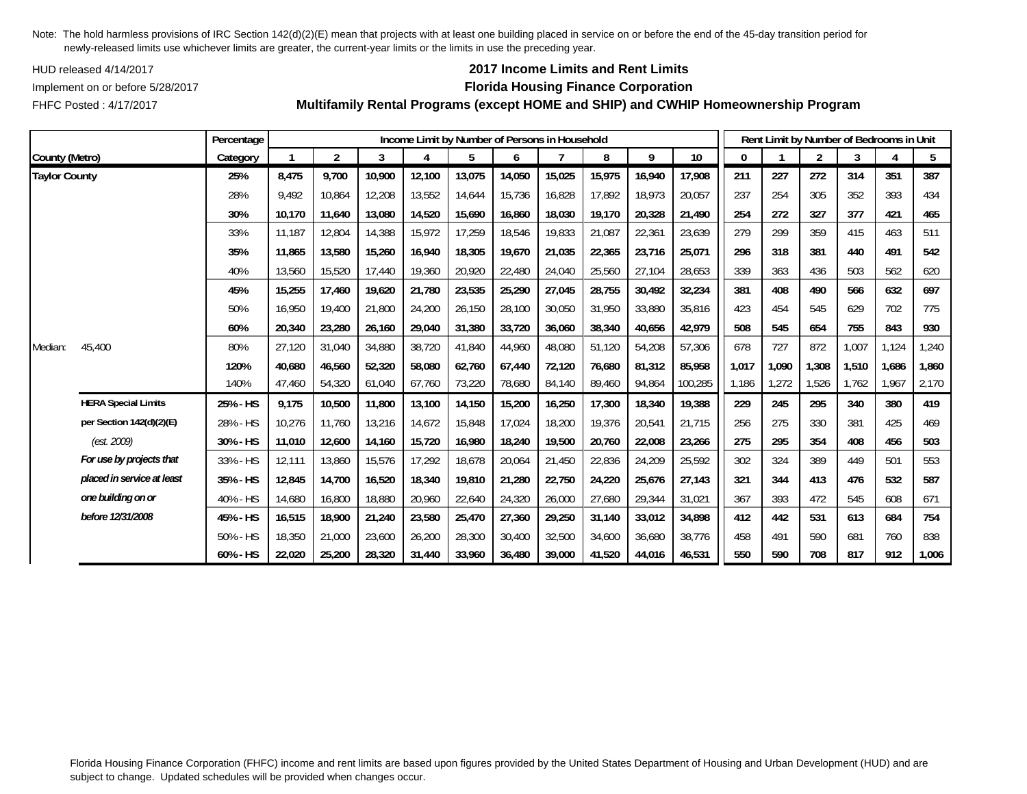HUD released 4/14/2017

FHFC Posted : 4/17/2017

## **2017 Income Limits and Rent Limits**

### Implement on or before 5/28/2017 **Florida Housing Finance Corporation**

**Multifamily Rental Programs (except HOME and SHIP) and CWHIP Homeownership Program**

|                      |                            | Percentage |        |                |        |        |        |        | Income Limit by Number of Persons in Household |        |        |         |       | Rent Limit by Number of Bedrooms in Unit |                |       |       |       |
|----------------------|----------------------------|------------|--------|----------------|--------|--------|--------|--------|------------------------------------------------|--------|--------|---------|-------|------------------------------------------|----------------|-------|-------|-------|
| County (Metro)       |                            | Category   |        | $\overline{2}$ | 3      |        | 5      | 6      |                                                | 8      | 9      | 10      | 0     |                                          | $\overline{2}$ | 3     |       | 5     |
| <b>Taylor County</b> |                            | 25%        | 8,475  | 9,700          | 10,900 | 12,100 | 13,075 | 14,050 | 15,025                                         | 15,975 | 16,940 | 17,908  | 211   | 227                                      | 272            | 314   | 351   | 387   |
|                      |                            | 28%        | 9.492  | 10,864         | 12,208 | 13,552 | 14,644 | 15,736 | 16,828                                         | 17,892 | 18,973 | 20,057  | 237   | 254                                      | 305            | 352   | 393   | 434   |
|                      |                            | 30%        | 10,170 | 11,640         | 13,080 | 14,520 | 15,690 | 16,860 | 18,030                                         | 19,170 | 20,328 | 21,490  | 254   | 272                                      | 327            | 377   | 421   | 465   |
|                      |                            | 33%        | 11,187 | 12,804         | 14,388 | 15,972 | 17,259 | 18,546 | 19,833                                         | 21,087 | 22,361 | 23,639  | 279   | 299                                      | 359            | 415   | 463   | 511   |
|                      |                            | 35%        | 11,865 | 13,580         | 15,260 | 16,940 | 18,305 | 19,670 | 21,035                                         | 22,365 | 23,716 | 25,071  | 296   | 318                                      | 381            | 440   | 491   | 542   |
|                      |                            | 40%        | 13,560 | 15,520         | 17,440 | 19,360 | 20,920 | 22,480 | 24,040                                         | 25,560 | 27,104 | 28,653  | 339   | 363                                      | 436            | 503   | 562   | 620   |
|                      |                            | 45%        | 15,255 | 17,460         | 19,620 | 21,780 | 23,535 | 25,290 | 27,045                                         | 28,755 | 30,492 | 32,234  | 381   | 408                                      | 490            | 566   | 632   | 697   |
|                      |                            | 50%        | 16.950 | 19,400         | 21,800 | 24,200 | 26,150 | 28,100 | 30.050                                         | 31,950 | 33,880 | 35,816  | 423   | 454                                      | 545            | 629   | 702   | 775   |
|                      |                            | 60%        | 20,340 | 23,280         | 26,160 | 29,040 | 31,380 | 33,720 | 36,060                                         | 38,340 | 40,656 | 42,979  | 508   | 545                                      | 654            | 755   | 843   | 930   |
| Median:              | 45,400                     | 80%        | 27,120 | 31,040         | 34,880 | 38,720 | 41,840 | 44,960 | 48,080                                         | 51,120 | 54,208 | 57,306  | 678   | 727                                      | 872            | 1,007 | 1,124 | 1,240 |
|                      |                            | 120%       | 40,680 | 46,560         | 52,320 | 58,080 | 62,760 | 67,440 | 72,120                                         | 76,680 | 81,312 | 85,958  | 1,017 | 1,090                                    | 1,308          | 1,510 | 1,686 | 1,860 |
|                      |                            | 140%       | 47,460 | 54,320         | 61,040 | 67,760 | 73,220 | 78,680 | 84,140                                         | 89,460 | 94,864 | 100,285 | 1,186 | 1,272                                    | 1,526          | 1,762 | 1,967 | 2,170 |
|                      | <b>HERA Special Limits</b> | 25% - HS   | 9,175  | 10,500         | 11,800 | 13,100 | 14,150 | 15,200 | 16,250                                         | 17,300 | 18,340 | 19,388  | 229   | 245                                      | 295            | 340   | 380   | 419   |
|                      | per Section 142(d)(2)(E)   | 28% - HS   | 10,276 | 11,760         | 13,216 | 14,672 | 15,848 | 17,024 | 18,200                                         | 19,376 | 20,541 | 21,715  | 256   | 275                                      | 330            | 381   | 425   | 469   |
|                      | (est. 2009)                | 30% - HS   | 11,010 | 12,600         | 14,160 | 15,720 | 16,980 | 18,240 | 19,500                                         | 20,760 | 22,008 | 23,266  | 275   | 295                                      | 354            | 408   | 456   | 503   |
|                      | For use by projects that   | 33% - HS   | 12,111 | 13,860         | 15,576 | 17,292 | 18,678 | 20,064 | 21,450                                         | 22,836 | 24,209 | 25,592  | 302   | 324                                      | 389            | 449   | 501   | 553   |
|                      | placed in service at least | 35% - HS   | 12,845 | 14,700         | 16,520 | 18,340 | 19,810 | 21,280 | 22,750                                         | 24,220 | 25,676 | 27,143  | 321   | 344                                      | 413            | 476   | 532   | 587   |
|                      | one building on or         | 40% - HS   | 14,680 | 16,800         | 18,880 | 20,960 | 22,640 | 24,320 | 26,000                                         | 27,680 | 29,344 | 31,021  | 367   | 393                                      | 472            | 545   | 608   | 671   |
|                      | before 12/31/2008          | 45% - HS   | 16,515 | 18,900         | 21,240 | 23,580 | 25,470 | 27,360 | 29,250                                         | 31,140 | 33,012 | 34,898  | 412   | 442                                      | 531            | 613   | 684   | 754   |
|                      |                            | 50% - HS   | 18,350 | 21,000         | 23,600 | 26,200 | 28,300 | 30,400 | 32,500                                         | 34,600 | 36,680 | 38,776  | 458   | 491                                      | 590            | 681   | 760   | 838   |
|                      |                            | 60% - HS   | 22,020 | 25,200         | 28,320 | 31,440 | 33,960 | 36,480 | 39,000                                         | 41,520 | 44,016 | 46,531  | 550   | 590                                      | 708            | 817   | 912   | 1,006 |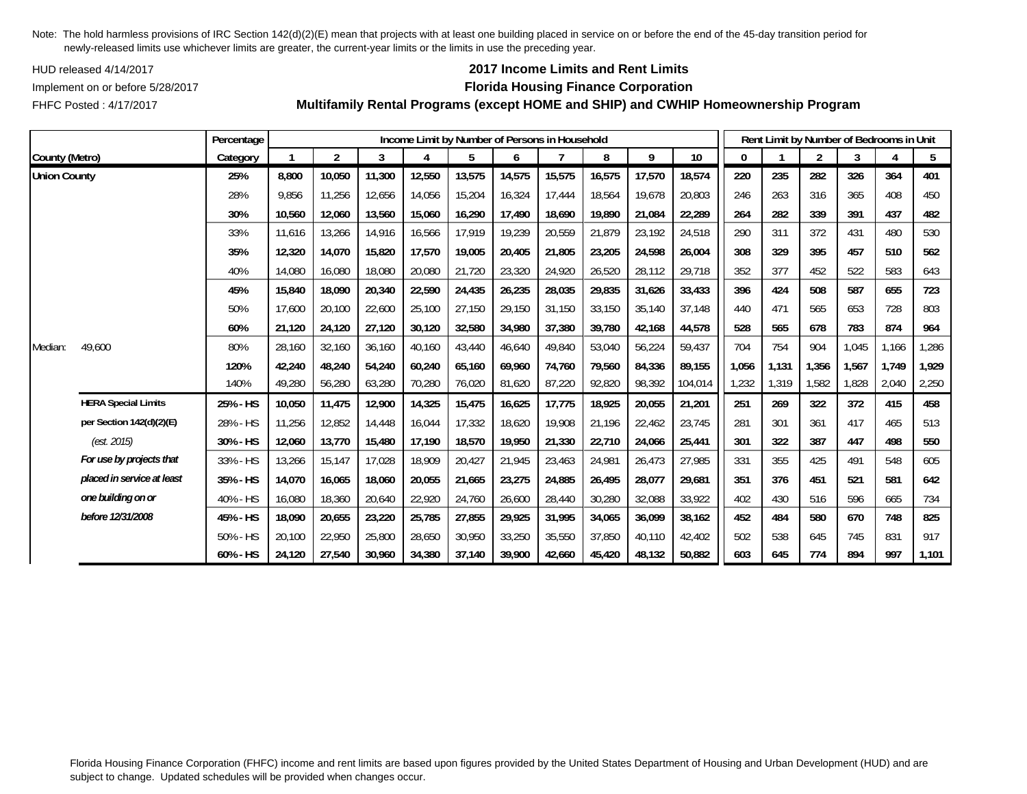HUD released 4/14/2017

FHFC Posted : 4/17/2017

## **2017 Income Limits and Rent Limits**

### Implement on or before 5/28/2017 **Florida Housing Finance Corporation**

**Multifamily Rental Programs (except HOME and SHIP) and CWHIP Homeownership Program**

|                     |                            | Percentage |        |                |        |        |        |        | Income Limit by Number of Persons in Household |        |        |         |       |       | Rent Limit by Number of Bedrooms in Unit |       |       |       |
|---------------------|----------------------------|------------|--------|----------------|--------|--------|--------|--------|------------------------------------------------|--------|--------|---------|-------|-------|------------------------------------------|-------|-------|-------|
| County (Metro)      |                            | Category   |        | $\overline{2}$ | 3      | 4      | 5      | 6      |                                                | 8      | 9      | 10      | 0     |       | $\overline{2}$                           | 3     |       | 5     |
| <b>Union County</b> |                            | 25%        | 8,800  | 10,050         | 11,300 | 12,550 | 13,575 | 14,575 | 15,575                                         | 16,575 | 17,570 | 18,574  | 220   | 235   | 282                                      | 326   | 364   | 401   |
|                     |                            | 28%        | 9,856  | 11,256         | 12,656 | 14,056 | 15,204 | 16,324 | 17,444                                         | 18,564 | 19,678 | 20,803  | 246   | 263   | 316                                      | 365   | 408   | 450   |
|                     |                            | 30%        | 10,560 | 12,060         | 13,560 | 15,060 | 16,290 | 17,490 | 18,690                                         | 19,890 | 21,084 | 22,289  | 264   | 282   | 339                                      | 391   | 437   | 482   |
|                     |                            | 33%        | 11,616 | 13,266         | 14,916 | 16,566 | 17,919 | 19,239 | 20,559                                         | 21,879 | 23,192 | 24,518  | 290   | 311   | 372                                      | 431   | 480   | 530   |
|                     |                            | 35%        | 12,320 | 14,070         | 15,820 | 17,570 | 19,005 | 20,405 | 21,805                                         | 23,205 | 24,598 | 26,004  | 308   | 329   | 395                                      | 457   | 510   | 562   |
|                     |                            | 40%        | 14,080 | 16,080         | 18,080 | 20,080 | 21,720 | 23,320 | 24,920                                         | 26,520 | 28,112 | 29,718  | 352   | 377   | 452                                      | 522   | 583   | 643   |
|                     |                            | 45%        | 15,840 | 18,090         | 20,340 | 22,590 | 24,435 | 26,235 | 28,035                                         | 29,835 | 31,626 | 33,433  | 396   | 424   | 508                                      | 587   | 655   | 723   |
|                     |                            | 50%        | 17,600 | 20,100         | 22,600 | 25,100 | 27,150 | 29,150 | 31.150                                         | 33,150 | 35,140 | 37.148  | 440   | 471   | 565                                      | 653   | 728   | 803   |
|                     |                            | 60%        | 21,120 | 24,120         | 27,120 | 30,120 | 32,580 | 34,980 | 37,380                                         | 39,780 | 42,168 | 44,578  | 528   | 565   | 678                                      | 783   | 874   | 964   |
| Median:             | 49,600                     | 80%        | 28,160 | 32,160         | 36,160 | 40,160 | 43,440 | 46,640 | 49,840                                         | 53,040 | 56,224 | 59,437  | 704   | 754   | 904                                      | 1,045 | 1,166 | 1,286 |
|                     |                            | 120%       | 42,240 | 48,240         | 54,240 | 60,240 | 65,160 | 69,960 | 74,760                                         | 79,560 | 84,336 | 89,155  | 1,056 | 1,131 | 1,356                                    | 1,567 | 1,749 | 1,929 |
|                     |                            | 140%       | 49,280 | 56,280         | 63,280 | 70,280 | 76,020 | 81,620 | 87,220                                         | 92,820 | 98,392 | 104,014 | 1,232 | 1,319 | 1,582                                    | 1,828 | 2,040 | 2,250 |
|                     | <b>HERA Special Limits</b> | 25% - HS   | 10,050 | 11,475         | 12,900 | 14,325 | 15,475 | 16,625 | 17,775                                         | 18,925 | 20,055 | 21,201  | 251   | 269   | 322                                      | 372   | 415   | 458   |
|                     | per Section 142(d)(2)(E)   | 28% - HS   | 11,256 | 12,852         | 14,448 | 16,044 | 17,332 | 18,620 | 19,908                                         | 21,196 | 22,462 | 23,745  | 281   | 301   | 361                                      | 417   | 465   | 513   |
|                     | (est. 2015)                | 30% - HS   | 12,060 | 13,770         | 15,480 | 17,190 | 18,570 | 19,950 | 21,330                                         | 22,710 | 24,066 | 25,441  | 301   | 322   | 387                                      | 447   | 498   | 550   |
|                     | For use by projects that   | 33% - HS   | 13,266 | 15,147         | 17,028 | 18,909 | 20,427 | 21,945 | 23,463                                         | 24,981 | 26,473 | 27,985  | 331   | 355   | 425                                      | 491   | 548   | 605   |
|                     | placed in service at least | 35% - HS   | 14,070 | 16,065         | 18,060 | 20,055 | 21,665 | 23,275 | 24,885                                         | 26,495 | 28,077 | 29,681  | 351   | 376   | 451                                      | 521   | 581   | 642   |
|                     | one building on or         | 40% - HS   | 16,080 | 18,360         | 20,640 | 22,920 | 24,760 | 26,600 | 28,440                                         | 30,280 | 32,088 | 33,922  | 402   | 430   | 516                                      | 596   | 665   | 734   |
|                     | before 12/31/2008          | 45% - HS   | 18,090 | 20,655         | 23,220 | 25,785 | 27,855 | 29,925 | 31,995                                         | 34,065 | 36,099 | 38,162  | 452   | 484   | 580                                      | 670   | 748   | 825   |
|                     |                            | 50% - HS   | 20,100 | 22,950         | 25,800 | 28,650 | 30,950 | 33,250 | 35,550                                         | 37,850 | 40,110 | 42,402  | 502   | 538   | 645                                      | 745   | 831   | 917   |
|                     |                            | 60% - HS   | 24,120 | 27,540         | 30,960 | 34,380 | 37,140 | 39,900 | 42,660                                         | 45,420 | 48,132 | 50,882  | 603   | 645   | 774                                      | 894   | 997   | 1,101 |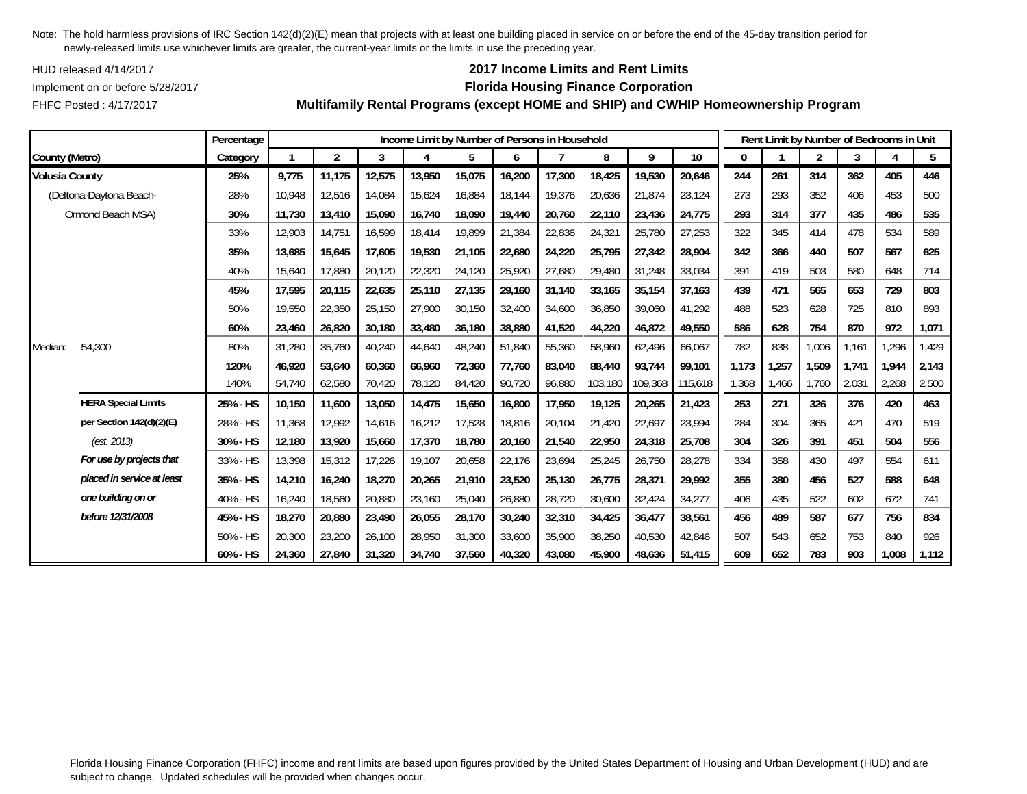HUD released 4/14/2017

FHFC Posted : 4/17/2017

## **2017 Income Limits and Rent Limits**

### Implement on or before 5/28/2017 **Florida Housing Finance Corporation**

**Multifamily Rental Programs (except HOME and SHIP) and CWHIP Homeownership Program**

|                       |                            | Percentage |        |                |        |        |        |        | Income Limit by Number of Persons in Household |         |         |         |       |       | Rent Limit by Number of Bedrooms in Unit |       |       |       |
|-----------------------|----------------------------|------------|--------|----------------|--------|--------|--------|--------|------------------------------------------------|---------|---------|---------|-------|-------|------------------------------------------|-------|-------|-------|
| County (Metro)        |                            | Category   |        | $\overline{2}$ | 3      | 4      | 5      | 6      |                                                | 8       | 9       | 10      | 0     |       | $\overline{2}$                           | 3     |       | 5     |
| <b>Volusia County</b> |                            | 25%        | 9,775  | 11,175         | 12,575 | 13,950 | 15,075 | 16,200 | 17,300                                         | 18,425  | 19,530  | 20,646  | 244   | 261   | 314                                      | 362   | 405   | 446   |
|                       | (Deltona-Daytona Beach-    | 28%        | 10,948 | 12,516         | 14,084 | 15,624 | 16,884 | 18,144 | 19,376                                         | 20,636  | 21,874  | 23,124  | 273   | 293   | 352                                      | 406   | 453   | 500   |
|                       | Ormond Beach MSA)          | 30%        | 11,730 | 13,410         | 15,090 | 16,740 | 18,090 | 19,440 | 20,760                                         | 22,110  | 23,436  | 24,775  | 293   | 314   | 377                                      | 435   | 486   | 535   |
|                       |                            | 33%        | 12,903 | 14,751         | 16,599 | 18,414 | 19,899 | 21,384 | 22,836                                         | 24,321  | 25,780  | 27,253  | 322   | 345   | 414                                      | 478   | 534   | 589   |
|                       |                            | 35%        | 13,685 | 15,645         | 17,605 | 19,530 | 21,105 | 22,680 | 24,220                                         | 25,795  | 27,342  | 28,904  | 342   | 366   | 440                                      | 507   | 567   | 625   |
|                       |                            | 40%        | 15,640 | 17,880         | 20,120 | 22,320 | 24,120 | 25,920 | 27,680                                         | 29,480  | 31,248  | 33,034  | 391   | 419   | 503                                      | 580   | 648   | 714   |
|                       |                            | 45%        | 17,595 | 20,115         | 22,635 | 25,110 | 27,135 | 29,160 | 31,140                                         | 33,165  | 35,154  | 37,163  | 439   | 471   | 565                                      | 653   | 729   | 803   |
|                       |                            | 50%        | 19,550 | 22,350         | 25,150 | 27,900 | 30,150 | 32,400 | 34.600                                         | 36,850  | 39,060  | 41,292  | 488   | 523   | 628                                      | 725   | 810   | 893   |
|                       |                            | 60%        | 23,460 | 26,820         | 30,180 | 33,480 | 36,180 | 38,880 | 41,520                                         | 44,220  | 46,872  | 49,550  | 586   | 628   | 754                                      | 870   | 972   | 1,071 |
| Median:               | 54,300                     | 80%        | 31,280 | 35,760         | 40,240 | 44,640 | 48,240 | 51,840 | 55,360                                         | 58,960  | 62,496  | 66,067  | 782   | 838   | 1,006                                    | 1,161 | ,296  | 1,429 |
|                       |                            | 120%       | 46,920 | 53,640         | 60,360 | 66,960 | 72,360 | 77,760 | 83,040                                         | 88,440  | 93,744  | 99,101  | 1,173 | 1,257 | 1,509                                    | 1,741 | 1,944 | 2,143 |
|                       |                            | 140%       | 54,740 | 62,580         | 70,420 | 78,120 | 84,420 | 90,720 | 96,880                                         | 103,180 | 109,368 | 115,618 | 1,368 | 1,466 | 1,760                                    | 2,031 | 2,268 | 2,500 |
|                       | <b>HERA Special Limits</b> | 25% - HS   | 10,150 | 11,600         | 13,050 | 14,475 | 15,650 | 16,800 | 17,950                                         | 19,125  | 20,265  | 21,423  | 253   | 271   | 326                                      | 376   | 420   | 463   |
|                       | per Section 142(d)(2)(E)   | 28% - HS   | 11,368 | 12,992         | 14,616 | 16,212 | 17,528 | 18,816 | 20,104                                         | 21,420  | 22,697  | 23,994  | 284   | 304   | 365                                      | 421   | 470   | 519   |
|                       | (est. 2013)                | 30% - HS   | 12,180 | 13,920         | 15,660 | 17,370 | 18,780 | 20,160 | 21,540                                         | 22,950  | 24,318  | 25,708  | 304   | 326   | 391                                      | 451   | 504   | 556   |
|                       | For use by projects that   | 33% - HS   | 13,398 | 15,312         | 17,226 | 19,107 | 20,658 | 22,176 | 23,694                                         | 25,245  | 26,750  | 28,278  | 334   | 358   | 430                                      | 497   | 554   | 611   |
|                       | placed in service at least | 35% - HS   | 14,210 | 16,240         | 18,270 | 20,265 | 21,910 | 23,520 | 25,130                                         | 26,775  | 28,371  | 29,992  | 355   | 380   | 456                                      | 527   | 588   | 648   |
|                       | one building on or         | 40% - HS   | 16,240 | 18,560         | 20,880 | 23,160 | 25,040 | 26,880 | 28,720                                         | 30,600  | 32,424  | 34,277  | 406   | 435   | 522                                      | 602   | 672   | 741   |
|                       | before 12/31/2008          | 45% - HS   | 18,270 | 20,880         | 23,490 | 26,055 | 28,170 | 30,240 | 32,310                                         | 34,425  | 36,477  | 38,561  | 456   | 489   | 587                                      | 677   | 756   | 834   |
|                       |                            | 50% - HS   | 20,300 | 23,200         | 26,100 | 28,950 | 31,300 | 33,600 | 35,900                                         | 38,250  | 40,530  | 42,846  | 507   | 543   | 652                                      | 753   | 840   | 926   |
|                       |                            | 60% - HS   | 24,360 | 27,840         | 31,320 | 34,740 | 37,560 | 40.320 | 43.080                                         | 45,900  | 48,636  | 51,415  | 609   | 652   | 783                                      | 903   | 1.008 | 1,112 |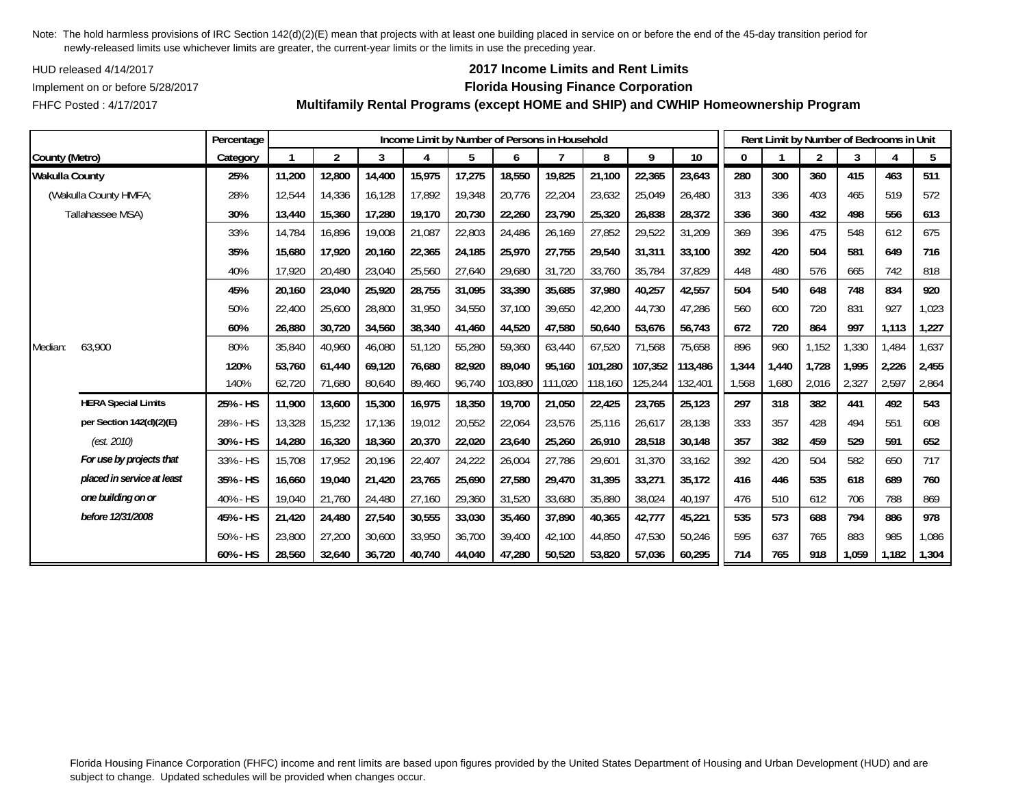HUD released 4/14/2017

FHFC Posted : 4/17/2017

## **2017 Income Limits and Rent Limits**

### Implement on or before 5/28/2017 **Florida Housing Finance Corporation**

**Multifamily Rental Programs (except HOME and SHIP) and CWHIP Homeownership Program**

|                       |                            | Percentage |        |                |        |        |        |         | Income Limit by Number of Persons in Household |         |         |         |          | Rent Limit by Number of Bedrooms in Unit |                |       |       |       |
|-----------------------|----------------------------|------------|--------|----------------|--------|--------|--------|---------|------------------------------------------------|---------|---------|---------|----------|------------------------------------------|----------------|-------|-------|-------|
| County (Metro)        |                            | Category   |        | $\overline{2}$ | 3      | 4      | 5      | 6       |                                                | 8       | 9       | 10      | $\Omega$ |                                          | $\overline{2}$ | 3     | 4     | 5     |
| <b>Wakulla County</b> |                            | 25%        | 11,200 | 12,800         | 14,400 | 15,975 | 17,275 | 18,550  | 19,825                                         | 21,100  | 22,365  | 23,643  | 280      | 300                                      | 360            | 415   | 463   | 511   |
|                       | (Wakulla County HMFA;      | 28%        | 12,544 | 14,336         | 16.128 | 17,892 | 19,348 | 20,776  | 22,204                                         | 23,632  | 25,049  | 26,480  | 313      | 336                                      | 403            | 465   | 519   | 572   |
|                       | Tallahassee MSA)           | 30%        | 13,440 | 15,360         | 17,280 | 19,170 | 20,730 | 22,260  | 23,790                                         | 25,320  | 26,838  | 28,372  | 336      | 360                                      | 432            | 498   | 556   | 613   |
|                       |                            | 33%        | 14.784 | 16,896         | 19,008 | 21,087 | 22,803 | 24,486  | 26,169                                         | 27,852  | 29,522  | 31,209  | 369      | 396                                      | 475            | 548   | 612   | 675   |
|                       |                            | 35%        | 15,680 | 17,920         | 20,160 | 22,365 | 24,185 | 25,970  | 27,755                                         | 29,540  | 31,311  | 33,100  | 392      | 420                                      | 504            | 581   | 649   | 716   |
|                       |                            | 40%        | 17,920 | 20,480         | 23,040 | 25,560 | 27,640 | 29,680  | 31,720                                         | 33,760  | 35,784  | 37,829  | 448      | 480                                      | 576            | 665   | 742   | 818   |
|                       |                            | 45%        | 20,160 | 23,040         | 25,920 | 28,755 | 31,095 | 33,390  | 35,685                                         | 37,980  | 40,257  | 42,557  | 504      | 540                                      | 648            | 748   | 834   | 920   |
|                       |                            | 50%        | 22,400 | 25,600         | 28,800 | 31,950 | 34,550 | 37,100  | 39,650                                         | 42,200  | 44,730  | 47,286  | 560      | 600                                      | 720            | 831   | 927   | 1,023 |
|                       |                            | 60%        | 26,880 | 30,720         | 34,560 | 38,340 | 41,460 | 44,520  | 47,580                                         | 50,640  | 53,676  | 56,743  | 672      | 720                                      | 864            | 997   | 1,113 | 1,227 |
| Median:               | 63,900                     | 80%        | 35,840 | 40,960         | 46,080 | 51,120 | 55,280 | 59,360  | 63,440                                         | 67,520  | 71,568  | 75,658  | 896      | 960                                      | 1,152          | 1,330 | 1,484 | 1,637 |
|                       |                            | 120%       | 53.760 | 61,440         | 69,120 | 76,680 | 82,920 | 89.040  | 95.160                                         | 101,280 | 107,352 | 113,486 | 1,344    | 1,440                                    | 1.728          | 1.995 | 2,226 | 2,455 |
|                       |                            | 140%       | 62,720 | 71,680         | 80,640 | 89,460 | 96,740 | 103,880 | 111,020                                        | 118,160 | 125,244 | 132,401 | 1,568    | 1,680                                    | 2,016          | 2,327 | 2,597 | 2,864 |
|                       | <b>HERA Special Limits</b> | 25% - HS   | 11,900 | 13,600         | 15,300 | 16,975 | 18,350 | 19,700  | 21,050                                         | 22,425  | 23,765  | 25,123  | 297      | 318                                      | 382            | 441   | 492   | 543   |
|                       | per Section 142(d)(2)(E)   | 28% - HS   | 13,328 | 15,232         | 17,136 | 19,012 | 20,552 | 22,064  | 23,576                                         | 25,116  | 26,617  | 28,138  | 333      | 357                                      | 428            | 494   | 551   | 608   |
|                       | (est. 2010)                | 30% - HS   | 14,280 | 16,320         | 18,360 | 20,370 | 22,020 | 23,640  | 25,260                                         | 26,910  | 28,518  | 30,148  | 357      | 382                                      | 459            | 529   | 591   | 652   |
|                       | For use by projects that   | 33% - HS   | 15,708 | 17,952         | 20,196 | 22,407 | 24,222 | 26,004  | 27,786                                         | 29,601  | 31,370  | 33,162  | 392      | 420                                      | 504            | 582   | 650   | 717   |
|                       | placed in service at least | 35% - HS   | 16,660 | 19,040         | 21,420 | 23,765 | 25,690 | 27,580  | 29,470                                         | 31,395  | 33,271  | 35,172  | 416      | 446                                      | 535            | 618   | 689   | 760   |
|                       | one building on or         | 40% - HS   | 19,040 | 21,760         | 24,480 | 27,160 | 29,360 | 31,520  | 33,680                                         | 35,880  | 38,024  | 40,197  | 476      | 510                                      | 612            | 706   | 788   | 869   |
|                       | before 12/31/2008          | 45% - HS   | 21,420 | 24,480         | 27,540 | 30,555 | 33,030 | 35,460  | 37,890                                         | 40,365  | 42,777  | 45,221  | 535      | 573                                      | 688            | 794   | 886   | 978   |
|                       |                            | 50% - HS   | 23,800 | 27,200         | 30,600 | 33,950 | 36,700 | 39,400  | 42.100                                         | 44,850  | 47,530  | 50,246  | 595      | 637                                      | 765            | 883   | 985   | 1,086 |
|                       |                            | 60% - HS   | 28,560 | 32,640         | 36,720 | 40,740 | 44,040 | 47,280  | 50,520                                         | 53,820  | 57,036  | 60,295  | 714      | 765                                      | 918            | 1,059 | 1,182 | 1,304 |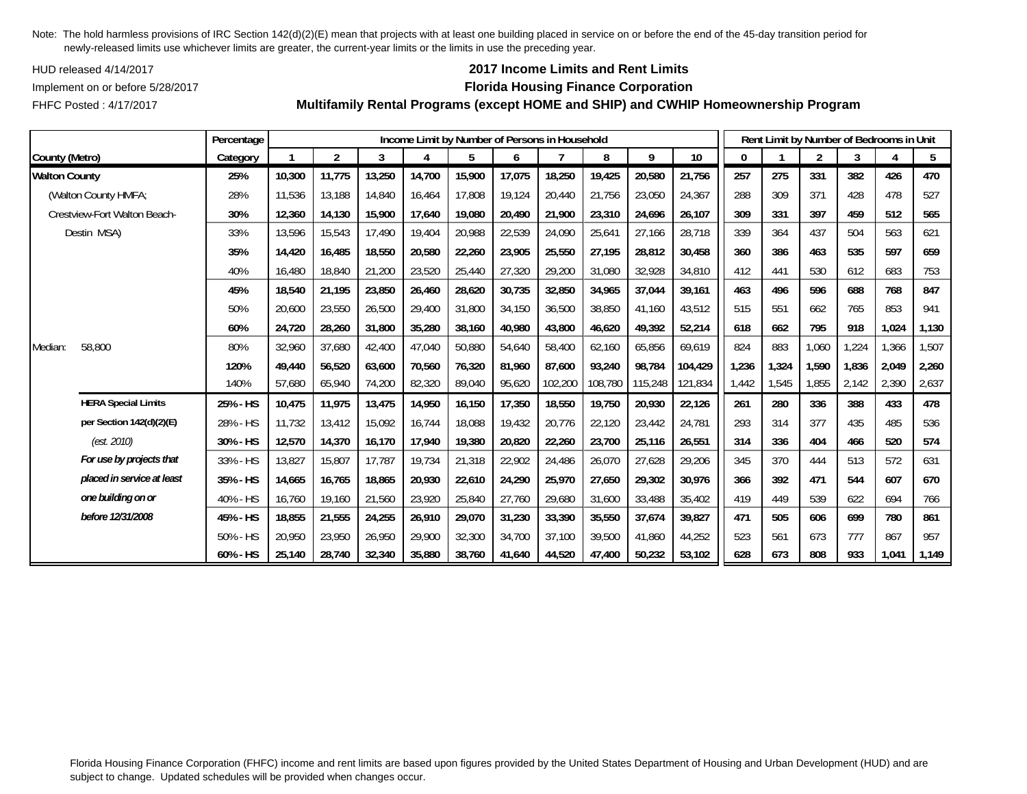HUD released 4/14/2017

FHFC Posted : 4/17/2017

## **2017 Income Limits and Rent Limits**

### Implement on or before 5/28/2017 **Florida Housing Finance Corporation**

**Multifamily Rental Programs (except HOME and SHIP) and CWHIP Homeownership Program**

|                              |                            | Percentage |        | Income Limit by Number of Persons in Household |        |        |        |        |         |         |         |         |       |       | Rent Limit by Number of Bedrooms in Unit |       |       |       |  |  |  |  |
|------------------------------|----------------------------|------------|--------|------------------------------------------------|--------|--------|--------|--------|---------|---------|---------|---------|-------|-------|------------------------------------------|-------|-------|-------|--|--|--|--|
| County (Metro)               |                            | Category   |        | $\overline{2}$                                 | 3      | 4      | 5      | 6      |         | 8       | 9       | $10$    | 0     |       | $\overline{2}$                           | 3     |       | 5     |  |  |  |  |
| <b>Walton County</b>         |                            | 25%        | 10,300 | 11,775                                         | 13,250 | 14,700 | 15,900 | 17,075 | 18,250  | 19,425  | 20,580  | 21,756  | 257   | 275   | 331                                      | 382   | 426   | 470   |  |  |  |  |
|                              | (Walton County HMFA;       | 28%        | 11,536 | 13,188                                         | 14,840 | 16,464 | 17,808 | 19,124 | 20,440  | 21,756  | 23,050  | 24,367  | 288   | 309   | 371                                      | 428   | 478   | 527   |  |  |  |  |
| Crestview-Fort Walton Beach- |                            | 30%        | 12,360 | 14,130                                         | 15,900 | 17,640 | 19,080 | 20,490 | 21,900  | 23,310  | 24,696  | 26,107  | 309   | 331   | 397                                      | 459   | 512   | 565   |  |  |  |  |
|                              | Destin MSA)                | 33%        | 13,596 | 15,543                                         | 17.490 | 19,404 | 20,988 | 22,539 | 24,090  | 25,641  | 27,166  | 28,718  | 339   | 364   | 437                                      | 504   | 563   | 621   |  |  |  |  |
|                              |                            | 35%        | 14,420 | 16,485                                         | 18,550 | 20,580 | 22,260 | 23,905 | 25,550  | 27,195  | 28,812  | 30,458  | 360   | 386   | 463                                      | 535   | 597   | 659   |  |  |  |  |
|                              |                            | 40%        | 16,480 | 18,840                                         | 21,200 | 23,520 | 25,440 | 27,320 | 29,200  | 31,080  | 32,928  | 34,810  | 412   | 441   | 530                                      | 612   | 683   | 753   |  |  |  |  |
|                              |                            | 45%        | 18,540 | 21,195                                         | 23,850 | 26,460 | 28,620 | 30,735 | 32,850  | 34,965  | 37,044  | 39,161  | 463   | 496   | 596                                      | 688   | 768   | 847   |  |  |  |  |
|                              |                            | 50%        | 20,600 | 23,550                                         | 26,500 | 29,400 | 31,800 | 34,150 | 36,500  | 38,850  | 41,160  | 43,512  | 515   | 551   | 662                                      | 765   | 853   | 941   |  |  |  |  |
|                              |                            | 60%        | 24,720 | 28,260                                         | 31,800 | 35,280 | 38,160 | 40,980 | 43.800  | 46,620  | 49,392  | 52,214  | 618   | 662   | 795                                      | 918   | 1,024 | 1,130 |  |  |  |  |
| Median:                      | 58,800                     | 80%        | 32,960 | 37,680                                         | 42,400 | 47,040 | 50,880 | 54,640 | 58,400  | 62,160  | 65,856  | 69,619  | 824   | 883   | 1,060                                    | ,224  | 1,366 | 1,507 |  |  |  |  |
|                              |                            | 120%       | 49,440 | 56,520                                         | 63,600 | 70,560 | 76,320 | 81,960 | 87,600  | 93,240  | 98,784  | 104,429 | 1,236 | 1,324 | 1,590                                    | 1,836 | 2,049 | 2,260 |  |  |  |  |
|                              |                            | 140%       | 57,680 | 65,940                                         | 74,200 | 82,320 | 89,040 | 95,620 | 102,200 | 108,780 | 115,248 | 121,834 | 1.442 | 1,545 | 1.855                                    | 2,142 | 2,390 | 2,637 |  |  |  |  |
|                              | <b>HERA Special Limits</b> | 25% - HS   | 10,475 | 11,975                                         | 13,475 | 14,950 | 16,150 | 17,350 | 18,550  | 19,750  | 20,930  | 22,126  | 261   | 280   | 336                                      | 388   | 433   | 478   |  |  |  |  |
|                              | per Section 142(d)(2)(E)   | 28% - HS   | 11,732 | 13,412                                         | 15,092 | 16,744 | 18,088 | 19,432 | 20,776  | 22,120  | 23,442  | 24,781  | 293   | 314   | 377                                      | 435   | 485   | 536   |  |  |  |  |
|                              | (est. 2010)                | 30% - HS   | 12,570 | 14,370                                         | 16,170 | 17,940 | 19,380 | 20,820 | 22,260  | 23,700  | 25,116  | 26,551  | 314   | 336   | 404                                      | 466   | 520   | 574   |  |  |  |  |
|                              | For use by projects that   | 33% - HS   | 13,827 | 15,807                                         | 17,787 | 19,734 | 21,318 | 22,902 | 24,486  | 26,070  | 27,628  | 29,206  | 345   | 370   | 444                                      | 513   | 572   | 631   |  |  |  |  |
|                              | placed in service at least | 35% - HS   | 14,665 | 16,765                                         | 18,865 | 20,930 | 22,610 | 24,290 | 25,970  | 27,650  | 29,302  | 30,976  | 366   | 392   | 471                                      | 544   | 607   | 670   |  |  |  |  |
|                              | one building on or         | 40% - HS   | 16,760 | 19,160                                         | 21,560 | 23,920 | 25,840 | 27,760 | 29,680  | 31,600  | 33,488  | 35,402  | 419   | 449   | 539                                      | 622   | 694   | 766   |  |  |  |  |
|                              | before 12/31/2008          | 45% - HS   | 18,855 | 21,555                                         | 24,255 | 26,910 | 29,070 | 31,230 | 33,390  | 35,550  | 37,674  | 39,827  | 471   | 505   | 606                                      | 699   | 780   | 861   |  |  |  |  |
|                              |                            | 50% - HS   | 20,950 | 23.950                                         | 26,950 | 29,900 | 32,300 | 34,700 | 37,100  | 39,500  | 41,860  | 44,252  | 523   | 561   | 673                                      | 777   | 867   | 957   |  |  |  |  |
|                              |                            | 60% - HS   | 25,140 | 28,740                                         | 32,340 | 35,880 | 38,760 | 41,640 | 44,520  | 47,400  | 50,232  | 53,102  | 628   | 673   | 808                                      | 933   | 1,041 | 1,149 |  |  |  |  |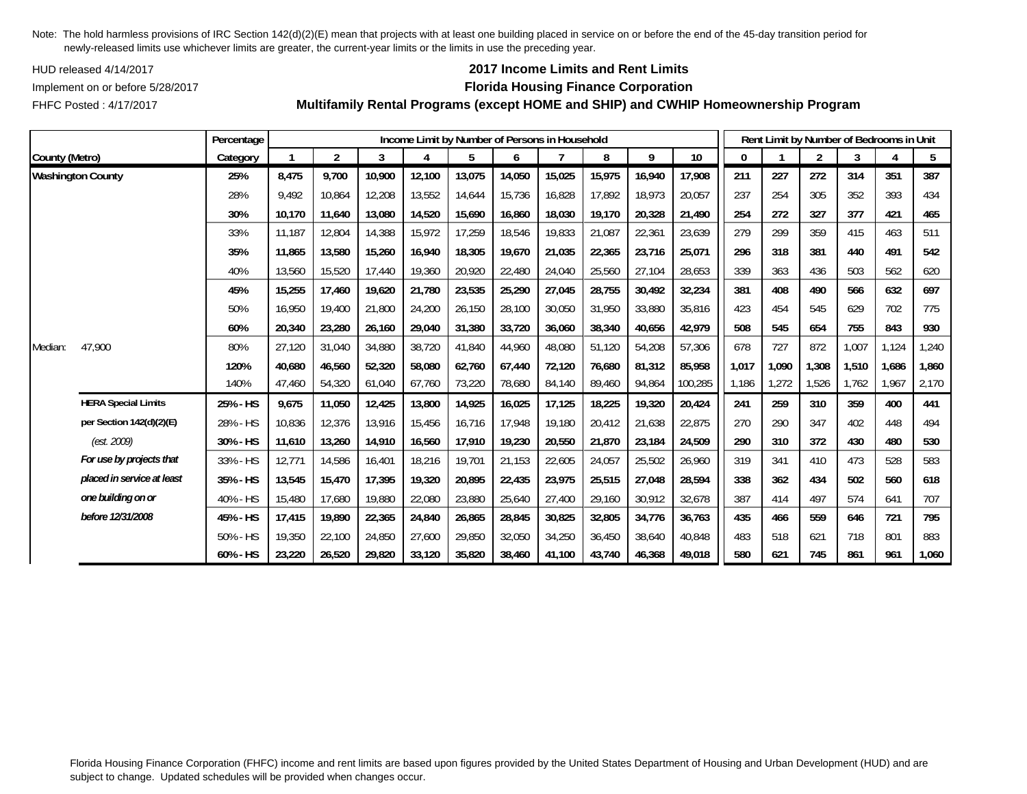HUD released 4/14/2017

FHFC Posted : 4/17/2017

## **2017 Income Limits and Rent Limits**

### Implement on or before 5/28/2017 **Florida Housing Finance Corporation**

**Multifamily Rental Programs (except HOME and SHIP) and CWHIP Homeownership Program**

|                          |                            | Percentage |        | Income Limit by Number of Persons in Household |        |        |        |        |        |        |        |         |       |       | Rent Limit by Number of Bedrooms in Unit |       |       |       |  |  |  |  |
|--------------------------|----------------------------|------------|--------|------------------------------------------------|--------|--------|--------|--------|--------|--------|--------|---------|-------|-------|------------------------------------------|-------|-------|-------|--|--|--|--|
| County (Metro)           |                            | Category   |        | $\overline{2}$                                 | 3      |        | 5      | 6      |        | 8      | 9      | 10      | 0     |       | $\overline{2}$                           | 3     | 4     | 5     |  |  |  |  |
| <b>Washington County</b> |                            | 25%        | 8,475  | 9,700                                          | 10,900 | 12,100 | 13,075 | 14,050 | 15,025 | 15,975 | 16,940 | 17,908  | 211   | 227   | 272                                      | 314   | 351   | 387   |  |  |  |  |
|                          |                            | 28%        | 9,492  | 10,864                                         | 12,208 | 13,552 | 14,644 | 15,736 | 16,828 | 17,892 | 18,973 | 20,057  | 237   | 254   | 305                                      | 352   | 393   | 434   |  |  |  |  |
|                          |                            | 30%        | 10,170 | 11,640                                         | 13,080 | 14,520 | 15,690 | 16,860 | 18,030 | 19,170 | 20,328 | 21,490  | 254   | 272   | 327                                      | 377   | 421   | 465   |  |  |  |  |
|                          |                            | 33%        | 11.187 | 12,804                                         | 14,388 | 15,972 | 17,259 | 18,546 | 19,833 | 21,087 | 22,361 | 23,639  | 279   | 299   | 359                                      | 415   | 463   | 511   |  |  |  |  |
|                          |                            | 35%        | 11.865 | 13,580                                         | 15,260 | 16,940 | 18,305 | 19,670 | 21,035 | 22,365 | 23,716 | 25,071  | 296   | 318   | 381                                      | 440   | 491   | 542   |  |  |  |  |
|                          |                            | 40%        | 13,560 | 15,520                                         | 17,440 | 19,360 | 20,920 | 22,480 | 24,040 | 25,560 | 27,104 | 28,653  | 339   | 363   | 436                                      | 503   | 562   | 620   |  |  |  |  |
|                          |                            | 45%        | 15,255 | 17,460                                         | 19,620 | 21,780 | 23,535 | 25,290 | 27,045 | 28,755 | 30,492 | 32,234  | 381   | 408   | 490                                      | 566   | 632   | 697   |  |  |  |  |
|                          |                            | 50%        | 16,950 | 19,400                                         | 21,800 | 24,200 | 26,150 | 28,100 | 30,050 | 31,950 | 33,880 | 35,816  | 423   | 454   | 545                                      | 629   | 702   | 775   |  |  |  |  |
|                          |                            | 60%        | 20,340 | 23,280                                         | 26,160 | 29,040 | 31,380 | 33,720 | 36.060 | 38,340 | 40,656 | 42,979  | 508   | 545   | 654                                      | 755   | 843   | 930   |  |  |  |  |
| Median:                  | 47,900                     | 80%        | 27,120 | 31,040                                         | 34,880 | 38,720 | 41,840 | 44,960 | 48,080 | 51,120 | 54,208 | 57,306  | 678   | 727   | 872                                      | 1,007 | 1,124 | 1,240 |  |  |  |  |
|                          |                            | 120%       | 40,680 | 46,560                                         | 52,320 | 58,080 | 62,760 | 67,440 | 72,120 | 76,680 | 81,312 | 85,958  | 1,017 | 1,090 | 1,308                                    | 1,510 | 1,686 | 1,860 |  |  |  |  |
|                          |                            | 140%       | 47,460 | 54,320                                         | 61,040 | 67,760 | 73,220 | 78,680 | 84,140 | 89,460 | 94,864 | 100,285 | 1,186 | 1,272 | 1,526                                    | 1.762 | 1,967 | 2,170 |  |  |  |  |
|                          | <b>HERA Special Limits</b> | 25% - HS   | 9,675  | 11,050                                         | 12,425 | 13,800 | 14,925 | 16,025 | 17,125 | 18,225 | 19,320 | 20,424  | 241   | 259   | 310                                      | 359   | 400   | 441   |  |  |  |  |
|                          | per Section 142(d)(2)(E)   | 28% - HS   | 10,836 | 12,376                                         | 13,916 | 15,456 | 16,716 | 17,948 | 19,180 | 20,412 | 21,638 | 22,875  | 270   | 290   | 347                                      | 402   | 448   | 494   |  |  |  |  |
|                          | (est. 2009)                | 30% - HS   | 11,610 | 13,260                                         | 14,910 | 16,560 | 17,910 | 19,230 | 20,550 | 21,870 | 23,184 | 24,509  | 290   | 310   | 372                                      | 430   | 480   | 530   |  |  |  |  |
|                          | For use by projects that   | 33% - HS   | 12,771 | 14,586                                         | 16,401 | 18,216 | 19,701 | 21,153 | 22,605 | 24,057 | 25,502 | 26,960  | 319   | 341   | 410                                      | 473   | 528   | 583   |  |  |  |  |
|                          | placed in service at least | 35% - HS   | 13,545 | 15,470                                         | 17,395 | 19,320 | 20,895 | 22,435 | 23,975 | 25,515 | 27,048 | 28,594  | 338   | 362   | 434                                      | 502   | 560   | 618   |  |  |  |  |
|                          | one building on or         | 40% - HS   | 15,480 | 17,680                                         | 19,880 | 22,080 | 23,880 | 25,640 | 27,400 | 29,160 | 30,912 | 32,678  | 387   | 414   | 497                                      | 574   | 641   | 707   |  |  |  |  |
|                          | before 12/31/2008          | 45% - HS   | 17,415 | 19,890                                         | 22,365 | 24,840 | 26,865 | 28,845 | 30,825 | 32,805 | 34,776 | 36,763  | 435   | 466   | 559                                      | 646   | 721   | 795   |  |  |  |  |
|                          |                            | 50% - HS   | 19,350 | 22,100                                         | 24,850 | 27,600 | 29,850 | 32,050 | 34,250 | 36,450 | 38,640 | 40,848  | 483   | 518   | 621                                      | 718   | 801   | 883   |  |  |  |  |
|                          |                            | 60% - HS   | 23,220 | 26,520                                         | 29,820 | 33,120 | 35,820 | 38,460 | 41.100 | 43,740 | 46,368 | 49,018  | 580   | 621   | 745                                      | 861   | 961   | 1,060 |  |  |  |  |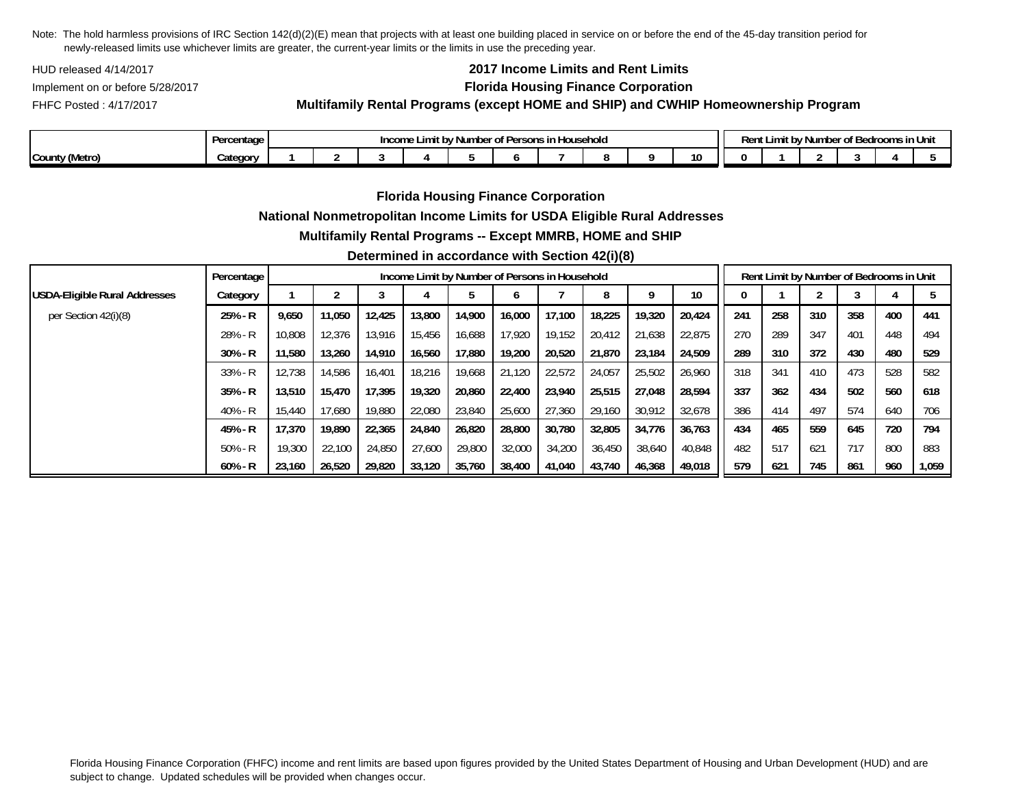HUD released 4/14/2017

FHFC Posted : 4/17/2017

# **2017 Income Limits and Rent Limits**

## Implement on or before 5/28/2017 **Florida Housing Finance Corporation**

**Multifamily Rental Programs (except HOME and SHIP) and CWHIP Homeownership Program**

|                   | ercentage<br>$P^{\text{max}}$ | <br>Number of Persons<br>Household<br>Income<br>.<br>DV " |  |  |  |  |  |  |  |  |    |  | $\sim$ $\sim$<br><sup>,</sup> Number of Bedrooms i<br>Ren'<br>.ımıt bv<br> |  |  |  |  |  |  |  |
|-------------------|-------------------------------|-----------------------------------------------------------|--|--|--|--|--|--|--|--|----|--|----------------------------------------------------------------------------|--|--|--|--|--|--|--|
| County<br>'Metro) | ⊶ategor                       |                                                           |  |  |  |  |  |  |  |  | 10 |  |                                                                            |  |  |  |  |  |  |  |

**Florida Housing Finance Corporation**

### **National Nonmetropolitan Income Limits for USDA Eligible Rural Addresses**

### **Multifamily Rental Programs -- Except MMRB, HOME and SHIP**

### **Determined in accordance with Section 42(i)(8)**

|                               | Percentage |        | Income Limit by Number of Persons in Household |        |        |        |        |        |        |        |        |     |     | Rent Limit by Number of Bedrooms in Unit |     |     |       |  |  |  |  |
|-------------------------------|------------|--------|------------------------------------------------|--------|--------|--------|--------|--------|--------|--------|--------|-----|-----|------------------------------------------|-----|-----|-------|--|--|--|--|
| USDA-Eligible Rural Addresses | Category   |        |                                                | J      |        |        |        |        | 8      |        | 10     |     |     |                                          |     |     |       |  |  |  |  |
| per Section 42(i)(8)          | $25% - R$  | 9,650  | 11,050                                         | 12,425 | 13,800 | 14,900 | 16,000 | 17.100 | 18,225 | 19,320 | 20,424 | 241 | 258 | 310                                      | 358 | 400 | 441   |  |  |  |  |
|                               | 28% - R    | 10.808 | 12.376                                         | 13.916 | 15.456 | 16.688 | 17.920 | 19.152 | 20.412 | 21.638 | 22.875 | 270 | 289 | 347                                      | 401 | 448 | 494   |  |  |  |  |
|                               | $30\% - R$ | 11,580 | 13,260                                         | 14,910 | 16,560 | 17,880 | 19,200 | 20,520 | 21,870 | 23.184 | 24.509 | 289 | 310 | 372                                      | 430 | 480 | 529   |  |  |  |  |
|                               | $33% - R$  | 12,738 | 14.586                                         | 16,401 | 18.216 | 19.668 | 21.120 | 22,572 | 24.057 | 25,502 | 26,960 | 318 | 341 | 410                                      | 473 | 528 | 582   |  |  |  |  |
|                               | $35% - R$  | 13,510 | 15.470                                         | 17.395 | 19,320 | 20.860 | 22,400 | 23,940 | 25.515 | 27.048 | 28.594 | 337 | 362 | 434                                      | 502 | 560 | 618   |  |  |  |  |
|                               | 40% - R    | 15,440 | 17.680                                         | 19,880 | 22,080 | 23,840 | 25,600 | 27.360 | 29.160 | 30,912 | 32,678 | 386 | 414 | 497                                      | 574 | 640 | 706   |  |  |  |  |
|                               | 45% - R    | 17,370 | 19.890                                         | 22,365 | 24,840 | 26.820 | 28,800 | 30.780 | 32.805 | 34,776 | 36,763 | 434 | 465 | 559                                      | 645 | 720 | 794   |  |  |  |  |
|                               | $50% - R$  | 19,300 | 22,100                                         | 24,850 | 27,600 | 29,800 | 32,000 | 34,200 | 36,450 | 38,640 | 40,848 | 482 | 517 | 621                                      | 717 | 800 | 883   |  |  |  |  |
|                               | $60% - R$  | 23.160 | 26,520                                         | 29.820 | 33,120 | 35,760 | 38,400 | 41.040 | 43.740 | 46,368 | 49,018 | 579 | 621 | 745                                      | 861 | 960 | 1,059 |  |  |  |  |